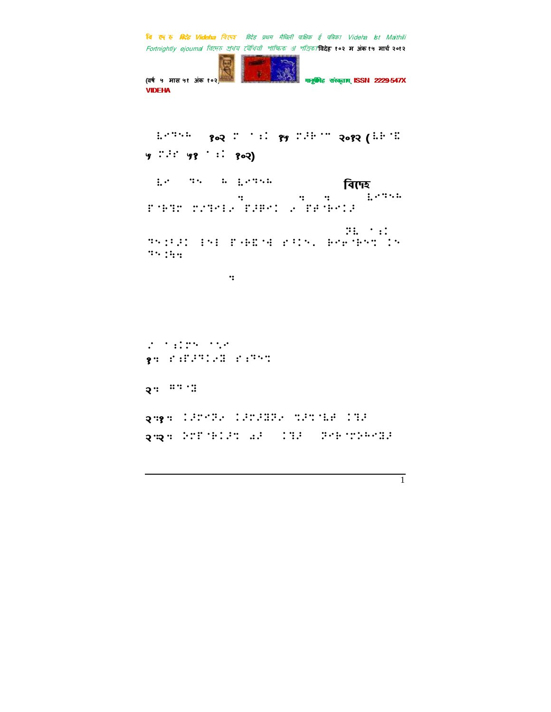$49 : 1 : 48 : 1 : 802$ **Allen and the Engineeries** বিদেহ  $\mathbb{R}^{11}$  . The state  $\mathbf{u} = \mathbf{u}$  $\dddot{\cdot}$ PORT TITLE FRANCE FRONT  $\mathbb{R}^n \times \mathbb{R}^n$ TRIED IN PARTY FIN, POPMER IN  $\mathbb{C}^{n} \times \{ \mathbb{Q}_{\mathbb{C}^{n}} \}$  $\ddot{\cdot}$  $\mathcal{L} \in \{1,2,3,\ldots,2\}$ 99 FEEPILE FIRTY  $3:$   $8:$   $8:$   $18:$ gege lared. Laradda sanche lua gran Provincial Coup Chemiched

मानुब्रीह संस्कृतम् ISSN 2229-547X (वर्ष ५ मास ५१ अंक १०

**VIDEHA** 

बि एक स्टेड Videha विएक विदेह प्रथम मैथिली पाक्षिक ई पत्रिका Videha Ist Maithili Fortnightly ejournal রিদেহ প্রথম মৌথিনী পাক্ষিক প্রা পত্রিকা**'বিदेह' १०२ म अंक १५ मार्च २०१२** 

 $\mathbf{1}$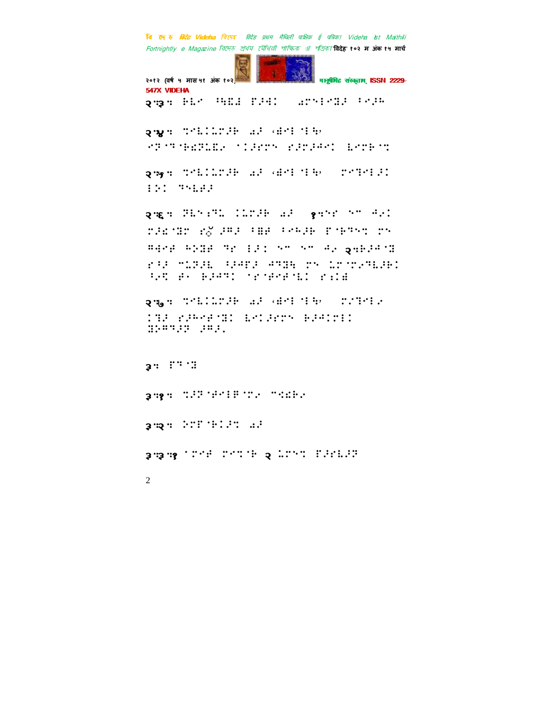2  $^{\circ}$  THE selection is the selection of the selection is the selection of the selection of the selection of the selection of ⣝⢵⢻⢹⢼⢽)⢼⢻⢼F\*!!  $3:$   $\ldots$ ३⣒१⣒!⣉⢼⢽⢾3⢿⢴!⣊⣎⢷⢴! ३⣒२⣒!⢵0⢷⢼⣉!⣔⢼! ३⣒३⣒१ ⢾!⣉⢷!२ ⣅⣉!0⢼ ⣇⢼⢽!!

२७७: Trillste af Grije en Tririe

२छन साथ साथ जाने हैं। इस साथ साथ ⢼⣎⣝! ◌ॅ ⢼⢻⢼!B⣟⢾!B⢳⢼⢷!0⢷⢹⣉!! BURE BRIE TE ESI ST ST ST PL QUESTI ⢸⢼!⣅⢽⢼⣇.⢸⢼⢺0⢼!⢺⢹⣝⣓!!⣅⢴⢹⣇⢼⢷! ⢸⢴⣋!⢾a!⢷⢼⢺⢹! ⢾⢾⣇! ⣐⣞!

२७५ : TELLISH aF GEN NAME (2010)  $3$  :  $3$   $1$   $1$   $1$   $1$   $1$   $1$   $1$ 

२.४ = 100 state of the state of the state of the state of the state of the state of the state of the state of ⢽⢹⢷⣎⢽⣅⣏⢴!⢼ ! ⢼⢼⢺!⣇⢷⣉!!

२०१२ (वर्ष ५ मास ५१ अंक १०२) मानुष्य मानुष्यान्त संस्कृतम् ISSN 2229-547X VIDEHA २⣒३⣒!⢷⣇!⢸⣓⣏⣜!0⢼⣚.!⣔3⣝⢼!B⢼⢳!!



चि एत् रू मिन्हे Videha निएन्थ विदेह प्रथम मैथिली पाक्षिक ई पत्रिका Videha Ist Maithili Fortnightly e Magazine রিদেত প্রথম মৌথিনী পাক্ষিক ঐ পত্রিকা**'বিदेह' १०२ म अंक १५ मार्च**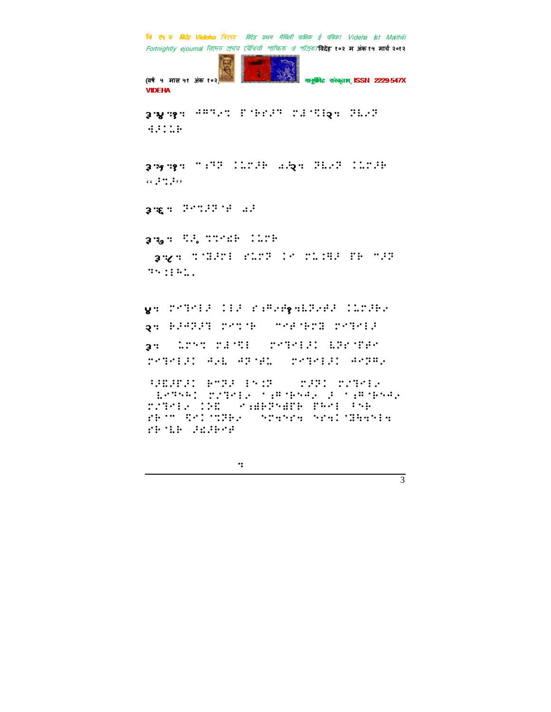चि एत् रू मिन्हे Videha निएन्थ विदेह प्रथम मैथिली पाक्षिक ई पत्रिका Videha Ist Maithili Fortnightly ejournal রিদেহ প্রথম মৌথিনী পাক্ষিক প্র পত্রিকা**'বিदेह १०२ म अंक१५ मार्च २०१२** 



VIDEHA

३⣒४⣒१⣒!⢺⢻⢹⢴⣉!0⢷ ⢼⢹!⣜⣋3२⣒!⢽⣇⢴⢽! ⣚⢼⣅⢷!

३⣒५⣒१⣒!⣐⢹⢽!⣅⢼⢷!⣔⢼२⣒!⢽⣇⢴⢽!⣅⢼⢷!  $\ldots$ :::::

३⣒६⣒!⢽⣉⢼⢽⢾!⣔⢼!

३⣒७⣒!⣋⢼॰ ⣉⣉⣎⢷!⣅⢷!

३⣒८⣒!⣉⣝⢼3! ⣅⢽.!⣅⣈⣛⢼!0⢷!⢼⢽! **THILL** 

⣒!⣙3⢼!3⢼. ⣐⢻⢴⢾१⣒⣇⢽⢴⢾⢼!⣅⢼⢷⢴! ⣒!⢷⢼⢺⢽⢼⣙!⣉⢷!)⢾⢷⣝!⣙3⢼\*! ⣒!!⣅⣉!⣜⣋3!)⣙3⢼!⣇⢽ 0⢾0! ⣙3⢼!⢺⢴⣇.⢺⢽⢾⣅0!⣙3⢼!⢺⢽⢻⢴\*!

⢸⢼⣏⢼0⢼!⢷⢽⢼.3⣈⢽!.\⢼⢽!2⣙3⢴^-!  $\sim$  100330.  $\sim$  200330.  $\sim$  200330.  $\sim$  200330.  $\sim$  200330.  $\sim$ 2⣙3⢴!⢵⣏!)⣐⣞⢷⢽⣞0⢷!0⢳3!B⢷!  $^{\prime}$  &  $^{\prime}$  , where  $^{\prime}$  and  $^{\prime}$   $^{\prime}$  and  $^{\prime}$  and  $^{\prime}$  and  $^{\prime}$  and  $^{\prime}$  and  $^{\prime}$  and  $^{\prime}$  and  $^{\prime}$  and  $^{\prime}$  and  $^{\prime}$  and  $^{\prime}$  and  $^{\prime}$  and  $^{\prime}$  and  $^{\prime}$  and  $^{\prime}$  and  $^{\prime}$  and  $^{\prime$ ⢷⣇⢷!⢼⣎⢼⢷⢾!.Cbtfe!po!nt.trm!

Ejduje – pobsze pod proces pod proces pod proces pod proces pod proces pod proces pod proces pod proces pod pr<br>Ejduje – pod proces pod proces pod proces pod proces pod proces pod proces pod proces pod proces pod proces po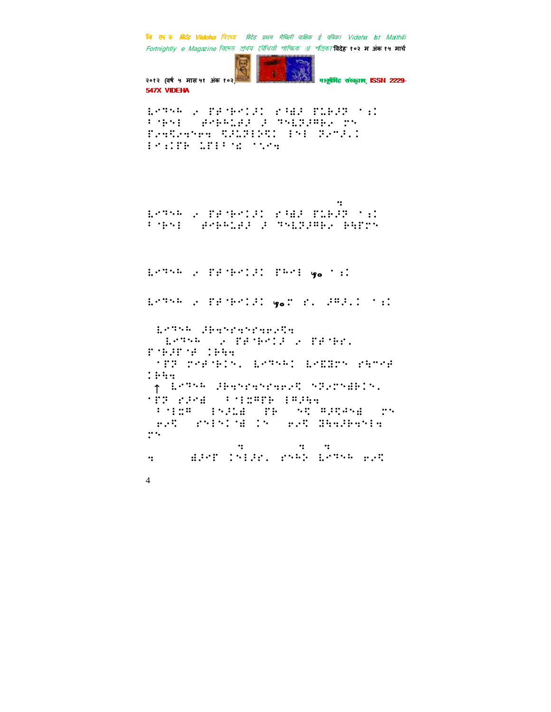चि एत् रू मिन्हे Videha निएन्थ विदेह प्रथम मैथिली पाक्षिक ई पत्रिका Videha Ist Maithili Fortnightly e Magazine রিদেত প্রথম মৌথিনী পাক্ষিক ঐ পত্রিকা**'বিदेह' १०२ म अंक १५ मार्च** 



LOTAR SHERROOM SHERROOM B⢷3-!⢾⢷⢳⣅⢾⢼!⢼!⢹⣇⢽⢼⢻⢷⢴!!\*! 0⢴⣒⣋⢴⣒⢶⣒!⣋⢼⣅⢽3⢵⣋!33!⢽⢴⢼F! 3⣐0⢷!⣅03B⣎!⣁⣒!Bmm!uif!pme!

bu!uif!gpmmpxjoh!mjol⣒!! LATHE IN THE END OF THE U.S. B⢷3-!⢾⢷⢳⣅⢾⢼!⢼!⢹⣇⢽⢼⢻⢷⢴!⢷⣓0!

LANSA : PROPOSIC PROT WO TEL

LANSE & PROPORT WOR PL PRESS ON

!⣇⢹⢳!⢼⢷⣒ ⣒ ⣒⢶⢴⣋⣒! !#⣇⢹⢳#!⢴.0⢾⢷⢼!⢴.0⢾⢷ F! 0⢷⢼0⢾!⢷⣓⣒!

!0⢽!⢾⢷F!⣇⢹⢳!⣇⣏⣝! ⣓⢾!  $:$   $:$   $:$   $:$   $:$ 

↑!⣇⢹⢳!⢼⢷⣒ ⣒ ⣒⢶⢴⣋!⢽⢴⣞⢷F! 0⢽! ⢼⣞0!B3⣍⢻0⢷!3⢻⢼⣓⣒!! !B3⣍⢻!#3⢼⣅⣞#!0⢷!#⣋!⢻⢼⣋⢺⣞#!!

#⢶⢴⣋#! 3⣞!!#⢶⢴⣋!⣝⣓⣒⢼⢷⣒3⣒#!  $\mathbf{P}$ 

iuuq;00xxx⣒wjefib⣒dp⣒jo0joefy yn , defni inffr, rnei brine eli

4

547X VIDEHA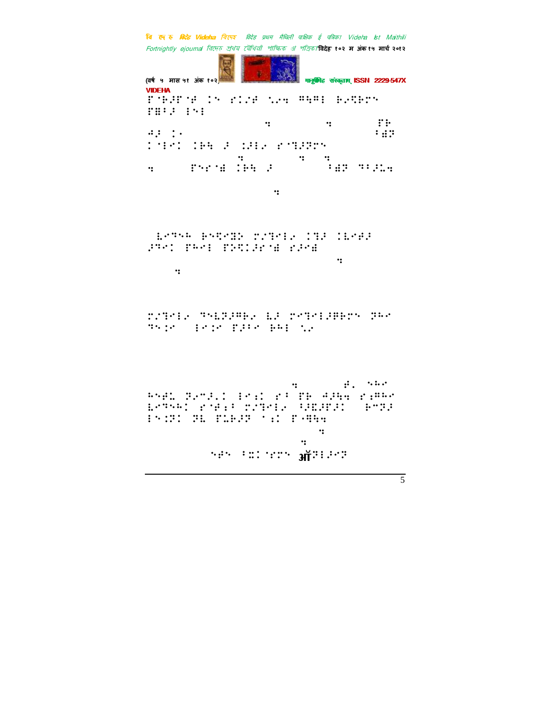बि एक स्टेड Videha विएक विदेह प्रथम मैथिली पाक्षिक ई पत्रिका Videha Ist Maithili Fortnightly ejournal রিদেহ প্রথম মৌথিনী পাক্ষিক প্রা পত্রিকা**'বিदेह' १०२ म अंक १५ मार्च २०१२ Service** मानुभीह संस्कृतम् ISSN 2229-547X (वर्ष ५ मास ५१ अंक १०२) **VIDEHA** PORTOR IN PICE NOW WARE ROBBOY FBIS INE  $\ddot{r}$  $\dddot{\mathbf{r}}$  $\dddot{\mathbf{z}}$  $d\mathcal{G} = \mathcal{G} \times$  $\cdot$  : : : DOPE IRE POINT FORES Partia (Partia)  $\mathbf{H}^{\text{max}}$  $\dddot{\cdot}$ LOTAR RATOTE STORE (THE CLOSE **PROTOCOL PROTECTS SPORT**  $\ddot{\cdot}$  $\dddot{\bullet}$ rately thingself is retellered the Same province part of  $\mathbb{R}^2$  , which is the  $\mathbb{R}^2$  $\ddot{\mathbf{u}}$ asem diskil fear as granded and again ESTART STEIR TITSEL REEFEL  $\mathbf{u}$  :  $\mathbf{u}$  : **MANUEL PLACE SECONDER**  $\dddot{\bullet}$  $\dddot{\cdot}$ SEN FELOCY WEBSER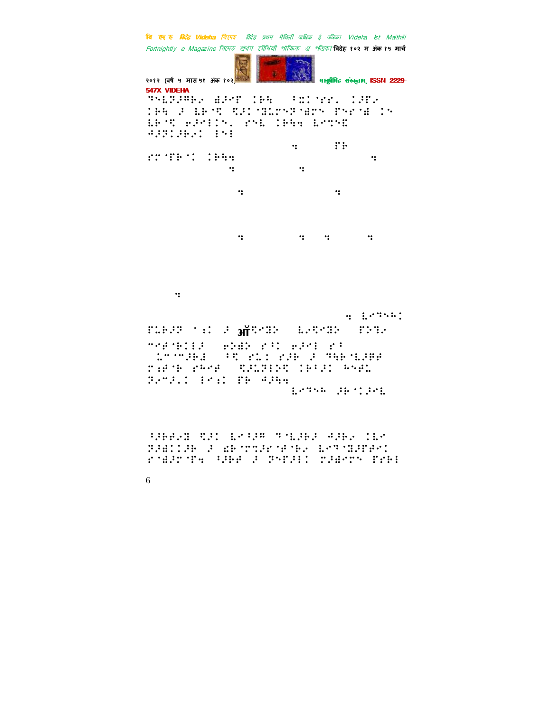चि एत् रू मिन्हे Videha निएन्थ विदेह प्रथम मैथिली पाक्षिक ई पत्रिका Videha Ist Maithili Fortnightly e Magazine রিদেত প্রথম মৌথিনী পাক্ষিক ঐ পত্রিকা**'বিदेह' १०२ म अंक १५ मार्च** 



547X VIDEHA ⢹⣇⢽⢼⢻⢷⢴!⣞⢼0!⢷⣓-!B⣍ F!⢼0⢴!  $^{\prime}$  (F4)  $^{\prime}$  (F4)  $^{\prime}$  (F4)  $^{\prime}$  (F4)  $^{\prime}$  (F4)  $^{\prime}$  (F4)  $^{\prime}$  (F4)  $^{\prime}$ LE TE SERIES STAL CHAS LOTE ⢺⢼⢽⢼⢷⢴!33!

hhbkfoesbawjefib 0⢷!⢷⣓⣒\*)Vtf!Gjsfgpy!5⣒1!  $\mathbf{Q}$  ) and  $\mathbf{Q}$  (  $\mathbf{Q}$  ) and  $\mathbf{Q}$  (  $\mathbf{Q}$  ) and  $\mathbf{Q}$  $\mathbf{P}_{\mathbf{1}}$  and  $\mathbf{2}$   $\mathbf{3}$   $\mathbf{4}$   $\mathbf{5}$   $\mathbf{6}$   $\mathbf{7}$   $\mathbf{8}$  $\ddot{u}$  is the contract of  $\ddot{u}$ 

jo komencija poznata po svoje postavlja poznata po svoje postavlja po svoje postavlja po svoje po svoje postavlja po svoje po svoje po svoje po svoje po svoje po svoje po svoje po svoje po svoje po svoje po svoje po svoje qipup! DIREST CONGRESS WARRAND

MMS DE SIN STREET )⣅⢼⢷⣜-!B⣋! ⣅⣈! ⢼⢷!⢼!⢹⣓⢷⣇⢼⢿⢾! ⣐⢾⢷! ⢳⢾\*!⣋⢼⣅⢽3⢵⣋!⢷B⢼!⢳⢾⣅! ⢽⢴⢼F!3⣐!0⢷!⢺⢼⣓⣒! !WJEFIB!BSDIJWF!⣇⢹⢳!⢼⢷⢼⣇!

⢸⢼⢷⢾⢴⣝!⣋⢼!⣇⢸⢼⢻!⢹⣇⢼⢷⢼!⢺⢼⢷⢴!⣇-! ⢽⢼⣞⢼⢷!⢼!⣎⢷⣉⢼ ⢾⢷⢴!⣇⢹⣝⢼0⢾! ⣞⢼0⣒!⢸⢼⢷⢾!⢼!⢽0⢼3!⢼⣞!0 ⢷3!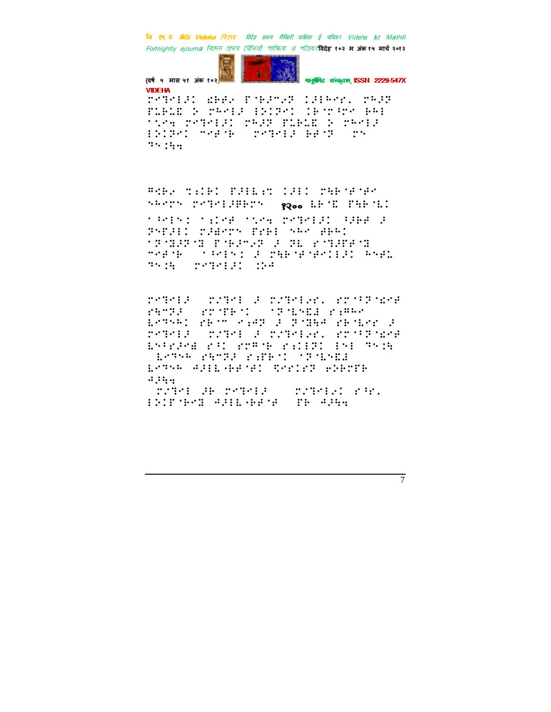चि एत् रू मिन्हे Videha निएन्थ विदेह प्रथम मैथिली पाक्षिक ई पत्रिका Videha Ist Maithili Fortnightly ejournal রিদেহ প্রথম মৌথিনী পাক্ষিক প্র পত্রিকা**'বিदेह १०२ म अंक१५ मार्च २०१२** 



(वर्ष ५ मास ५१ अंक १०२) मानुसार में मानूसीह संस्कृताम् ISSN 2229-547X

## VIDEHA

⣙3⢼!⣎⢷⢾⢴!0⢷⢼⢴⢽!⢼3⢳ F!⢳⢼⢽! TIRI S TRANS HINT IRTHT RAD ↑\$P\$ PRESS PRESS PORT POPPER<br>ISIPEL MERCH (PERFIR PRESS) PR 3⢵⢽!⢾⢷!(⣙3⢼!⢷⢾⢽(!! ⢹⣈⣓⣒!!

## ⢻⣊⢷⢴.⣉⣐⢷!0⢼3⣇⣐⣉!⢼3!⣓⢷⢾⢾-! SHERS PERSIMENT QOO WHITE PHETE!

⢸3⣈!⣐⢾!⣁⣒!⣙3⢼!⢸⢼⢷⢾!⢼! 35P3!! THET FEE SAM BRAD ⢽⣝⢼⢽⣝!0⢷⢼⢴⢽!⢼!⢽⣇! ⣙⢼0⢾⣝-! ⢾⢷-!⢸3⣈!⢼!⣓⢷⢾⢾3⢼!⢳⢾⣅! ⢹⣈⣓!(⣙3⢼!⣈⢵⢺(!!

⣙3⢼-!2⣙3!⢼!2⣙3⢴ F! B⢽⣎⢾! ⣓⢽⢼-! 0⢷-!⢽⣇⣏⣜! ⣐⢻⢳! LATARI PERMITAN PURPUR PERMITAN ⣙3⢼-!2⣙3!⢼!2⣙3⢴ F! B⢽⣎⢾! LSP 2004 2011 2023 2031 2032 2033 #⣇⢹⢳! ⣓⢽⢼! ⣐0⢷!⢽⣇⣏⣜#! ⣇⢹⢳!⢺⢼3⣇C⢷⢾⢾!⣋ ⢽!⢶⢵⢷0⢷! ⢺⢼⣓⣒!

#2⣙3!⢼⢷!⣙3⢼#!)2⣙3⢴! ⢸ F!  $3\%$  . The state of  $\sim$  0  $\sim$  0  $\sim$  0  $\sim$  0  $\sim$  0  $\sim$  0  $\sim$  0  $\sim$  0  $\sim$  0  $\sim$  0  $\sim$  0  $\sim$  0  $\sim$  0  $\sim$  0  $\sim$  0  $\sim$  0  $\sim$  0  $\sim$  0  $\sim$  0  $\sim$  0  $\sim$  0  $\sim$  0  $\sim$  0  $\sim$  0  $\sim$  0  $\sim$  0  $\sim$  0  $\sim$  0  $\sim$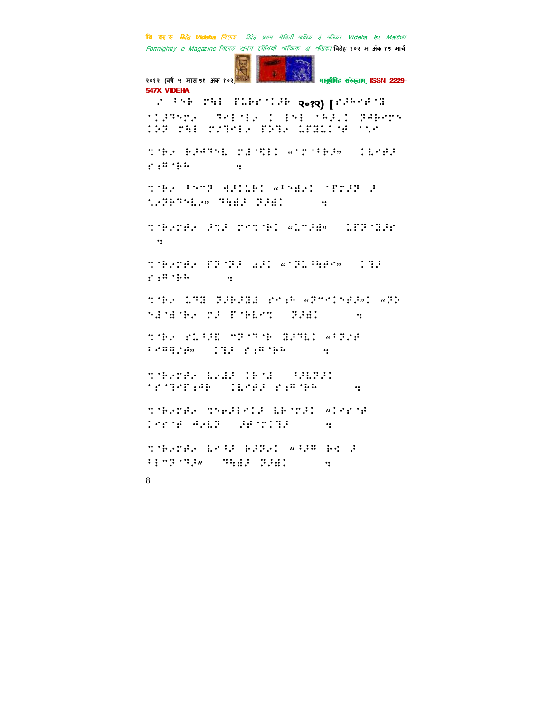चि एक स्टिड Videha विरफ्श विदेह प्रथम मैथिली पाक्षिक ई पत्रिका Videha Ist Maithili Fortnightly e Magazine রিদেত প্রথম মৌথিনী পাক্ষিক প্রাণ পত্রিকা**'বিবৈদ্ব' १०२ म अंक १५ मार्च** 



 $\mathbf{8}$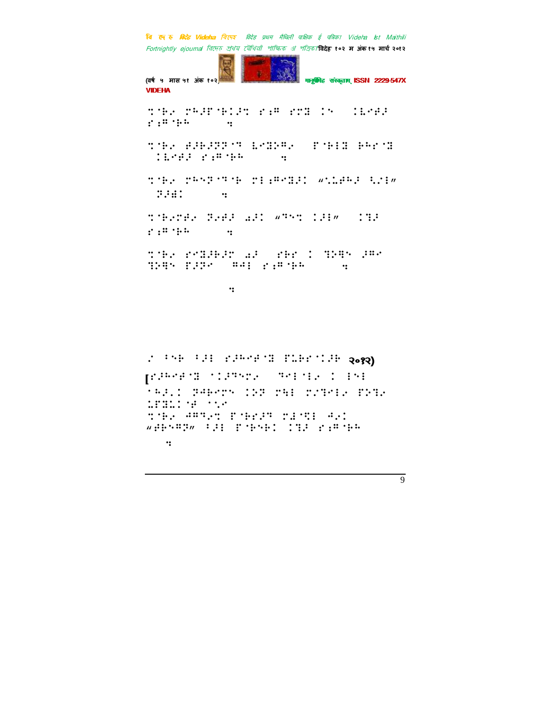चि एत् रू मिन्हे Videha निएन्थ विदेह प्रथम मैथिली पाक्षिक ई पत्रिका Videha Ist Maithili Fortnightly ejournal রিদেহ প্রথম মৌথিনী পাক্ষিক প্র পত্রিকা**'বিदेह १०२ म अंक१५ मार्च २०१२** 

(वर्ष ५ मास ५१ अंक १०२) मानुसार में मानूसीह संस्कृताम् ISSN 2229-547X VIDEHA ⣉⢷⢴!⢳⢼0⢷⢼⣉. ⣐⢻! ⣝!!)⣇⢾⢼! ⣐⢻⢷⢳\*!!7⣒16&!!!!! ⣉⢷⢴!⢾⢼⢷⢼⢽⢽⢹!⣇⣝⢵⢻⢴.!0⢷3⣝!⢷⢳ ⣝! )⣇⢾⢼. ⣐⢻⢷⢳\*!!6⣒7:&!!!!! ⣉⢷⢴!⢳⢽⢹⢷!3⣐⢻⣝⢼!"⣁⣅⢾⢳⢼!⣃23" )⢽⢼⣞\*!!8⣒23&!!!!! ⣉⢷⢴⢾⢴!⢽⢴⢾⢼!⣔⢼!"⢹⣉.⢼3"!)⣙⢼.  $\cdot$  : 7  $\cdot$  : 7  $\cdot$  : 7  $\cdot$  : 7  $\cdot$  : 7  $\cdot$  : 7  $\cdot$  : 7  $\cdot$  : 7  $\cdot$  : 7  $\cdot$  : 7  $\cdot$  : 7  $\cdot$  : 7  $\cdot$  : 7  $\cdot$  : 7  $\cdot$  : 7  $\cdot$  : 7  $\cdot$  : 7  $\cdot$  : 7  $\cdot$  : 7  $\cdot$  : 7  $\cdot$  : 7  $\cdot$  : 7  $\cdot$  : 7  $\cdot$  : 7  $\cdot$  :  $^{\prime}$   $^{\prime}$   $^{\prime}$   $^{\prime}$   $^{\prime}$   $^{\prime}$   $^{\prime}$   $^{\prime}$   $^{\prime}$   $^{\prime}$   $^{\prime}$   $^{\prime}$   $^{\prime}$   $^{\prime}$   $^{\prime}$   $^{\prime}$   $^{\prime}$   $^{\prime}$   $^{\prime}$   $^{\prime}$   $^{\prime}$   $^{\prime}$   $^{\prime}$   $^{\prime}$   $^{\prime}$   $^{\prime}$   $^{\prime}$   $^{\prime}$   $^{\prime}$   $^{\prime}$   $^{\prime}$   $^{\prime}$ HPB 2022 2022 2023 2023 Puifs;!!1⣒47&!!!!! 2!B⢷!B⢼3! ⢼⢳⢾⣝!0⣅⢷ ⢼⢷)२०१२) [ publication of the state of the state of the state of the state of the state of the state of the state of the  $^{\prime}$ F.I. PHEST : 122 THE TIMES INTO

⣅0⣝⣅⢾!⣁!@!

63 **63** 

⣉⢷⢴!⢺⢻⢹⢴⣉!0⢷ ⢼⢹!⣜⣋3!⢺⢴! WHENB, 9.8 P.D. P. 200 (10)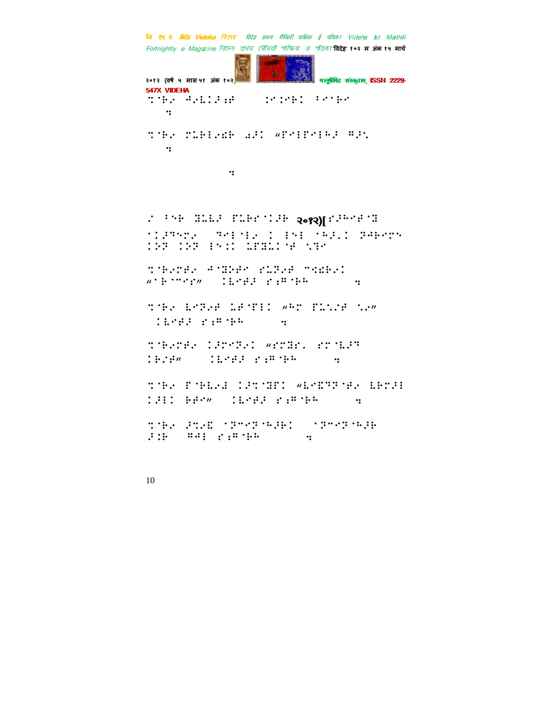बि एक स्टेड Videha विएक विदेह प्रथम मैथिली पाक्षिक ई पत्रिका Videha Ist Maithili Fortnightly e Magazine রিদেত প্রথম মৌথিনী পাক্ষিক প্রা পত্রিকা**'বিবৈদ্ব' १०२ म अंक १५ मार्च** अन्ति ।<br>अपनी अनुबन्धिः संस्कृतम् ISSN 2229- $\mathcal{R}_1$ २०१२ (वर्ष ५ मास ५१ अंक १०२) **547X VIDEHA** TORY APEILAN (COPPIONATE)  $\dddot{\mathbf{z}}$ the fibles all wrepers well  $\dddot{\mathbf{r}}$  $\dddot{\bullet}$ 2005 BLEJ FLEETIJE ROBOTETETETE  $\begin{minipage}{.4\linewidth} \begin{tabular}{l} \hline \multicolumn{1}{l}{} & \multicolumn{1}{l}{} & \multicolumn{1}{l}{} \\ \multicolumn{1}{l}{} & \multicolumn{1}{l}{} & \multicolumn{1}{l}{} \\ \multicolumn{1}{l}{} & \multicolumn{1}{l}{} & \multicolumn{1}{l}{} \\ \multicolumn{1}{l}{} & \multicolumn{1}{l}{} & \multicolumn{1}{l}{} \\ \multicolumn{1}{l}{} & \multicolumn{1}{l}{} & \multicolumn{1}{l}{} \\ \multicolumn{1}{l}{} & \multicolumn{1}{l}{} & \multicolumn{1}{l}{}$ **STARTS ISE ISE ENIT ATELLYE NEW** tikere, admissionere pamer  $\mathbf{w}^{\star} \in \mathbb{R}^{n \times n} \times \mathbb{R}^{n} \quad \text{where} \quad \mathbf{r} \in \mathbb{R}^{n} \times \mathbb{R}^{n} \quad \text{where} \quad \mathbf{r} \in \mathbb{R}^{n} \times \mathbb{R}^{n} \times \mathbb{R}^{n} \times \mathbb{R}^{n} \times \mathbb{R}^{n} \times \mathbb{R}^{n} \times \mathbb{R}^{n} \times \mathbb{R}^{n} \times \mathbb{R}^{n} \times \mathbb{R}^{n} \times \mathbb{R}^{n} \times \mathbb{R}^{n} \$ the Esternative wer filer ten **COMPASS PARTNERS**  $\mathbf{r}$ there large: write article  $\mathbf{1} \oplus \mathbf{1} \oplus \mathbf{1} \oplus \mathbf{1} \oplus \mathbf{1} \oplus \mathbf{1} \oplus \mathbf{1} \oplus \mathbf{1} \oplus \mathbf{1} \oplus \mathbf{1} \oplus \mathbf{1} \oplus \mathbf{1} \oplus \mathbf{1} \oplus \mathbf{1} \oplus \mathbf{1} \oplus \mathbf{1} \oplus \mathbf{1} \oplus \mathbf{1} \oplus \mathbf{1} \oplus \mathbf{1} \oplus \mathbf{1} \oplus \mathbf{1} \oplus \mathbf{1} \oplus \mathbf{1} \oplus \mathbf{$  $\dddot{\mathbf{r}}$ THE PHEED CONTROL WARREN BELO 1981 Berg (1698 P.P.B. ) . **THE POST MEMBERS OF POPULE**  $\begin{minipage}{0.9\linewidth} \begin{tabular}{l} \hline \multicolumn{3}{c}{\textbf{0.9\linewidth}} \begin{tabular}{l} \multicolumn{3}{c}{\textbf{0.9\linewidth}} \end{tabular} \end{minipage} \begin{minipage}{0.9\linewidth} \begin{tabular}{l} \multicolumn{3}{c}{\textbf{0.9\linewidth}} \end{tabular} \end{minipage} \begin{minipage}{0.9\linewidth} \begin{tabular}{l} \multicolumn{3}{c}{\textbf{0.9\linewidth}} \end{tabular} \end{minipage} \begin{minipage}{0.9\linewidth} \begin{tabular}{l} \multicolumn{3}{c}{\$  $\dddot{\mathbf{r}}$ 

 $10<sup>10</sup>$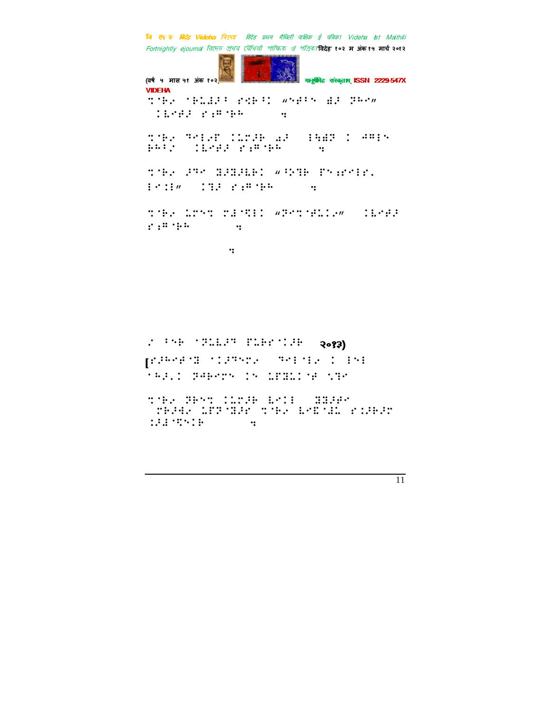बि एक स्टेड Videha विएक विदेह प्रथम मैथिली पाक्षिक ई पत्रिका Videha Ist Maithili Fortnightly ejournal রিদেহ প্রথম মৌথিনী পাক্ষিক প্রা পত্রিকা**'বিदेह' १०२ म अंक १५ मार्च २०१२** 

**Service**  $\mathcal{L}_\gamma$ मानुभीह संस्कृताम् ISSN 2229-547X (वर्ष ५ मास ५१ अंक १०२) **VIDEHA** TORY CRIBES PORTS WHEN BE THOM COMPARIES STATES  $\dddot{\mathbf{r}}$ dies Schar (1228 ag) (1482 1999)<br>1952 – Michael Kamier (1990) THE STATES WORK TERMIN.  $1 \cdot 11 \cdot 1 \cdot 111 \cdot 111 \cdot 111 \cdot 111 \cdot 111 \cdot 111$ the Love club: WPothLiew (1892  $2.14 \pm 0.001$  $\dddot{\bullet}$  $\dddot{\cdot}$  $\mathcal{L} = \{ \gamma \in \{1, 2, 3, 4, 5, 6, 7, 1, 1\} \} \cup \{ \gamma \in \{2, 3, 4, 6, 7, 1, 1\} \}$ praecess stamps (method in the **TRAVE PRESS IN LEBULAR NEW** the BMT COSH BMI SHIRM

THEE ATTACH THE ESTAL FIELD

 $\sim$   $\sim$ 

 $\begin{picture}(20,20) \put(0,0){\vector(0,1){10}} \put(15,0){\vector(0,1){10}} \put(15,0){\vector(0,1){10}} \put(15,0){\vector(0,1){10}} \put(15,0){\vector(0,1){10}} \put(15,0){\vector(0,1){10}} \put(15,0){\vector(0,1){10}} \put(15,0){\vector(0,1){10}} \put(15,0){\vector(0,1){10}} \put(15,0){\vector(0,1){10}} \put(15,0){\vector(0,1){10}} \put(15,0){\vector(0$ 

 $\overline{11}$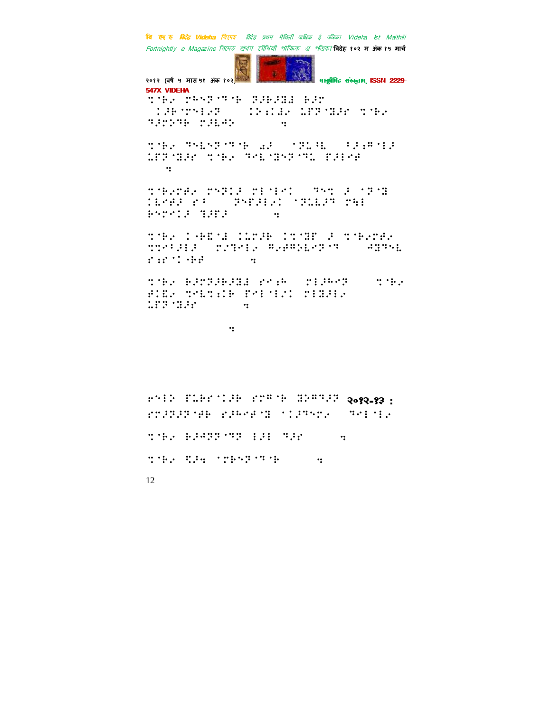चि एत् रू मिन्हे Videha निएन्थ विदेह प्रथम मैथिली पाक्षिक ई पत्रिका Videha Ist Maithili Fortnightly e Magazine রিদেত প্রথম মৌথিনী পাক্ষিক ঐ পত্রিকা**'বিदेह' १०२ म अंक १५ मार्च** 



⣉⢷⢴!⢹⣇⢽⢹⢷!⣔⢼!#⢽⣅⢸⣇#)B⢼⣐⢻3⢼! ⣅0⢽⣝⢼ !⣉⢷⢴!⢹⣇⣝⢽⢹⣅!0⢼3⢾\*!!  $24$ 

⣉⢷⢴⢾⢴!⢽⢼!33!#⢹⣉!⢼!⢽⣝!  $\overline{11.499}$  and  $\overline{1.399}$  and  $\overline{1.399}$ **ENTAIL THIS 2008 2008** 

⣉⢷⢴!C⢷⣏⣜!⣅⢼⢷!⣉⣝0!⢼!⣉⢷⢴⢾⢴! ⣉⣉B⢼3⢼.!2⣙3⢴!⢻⢴⢾⢻⢵⣇⢽⢹!)!⢺⣝⢹⣇! ⣐ C⢷⢾\*!!22⣒22&!!!!!

 $^+$  . The strip  $^+$  strip  $^+$  and  $^+$  . The strip  $^+$  and  $^+$  . The strip  $^+$ ⢾⣏⢴!⣉⣇⣉⣐⢷!0332!3⣝⢼3⢴! **WEDGET AND STREET A** 

Puifs; 2004. The Contract of the Contract of the Contract of the Contract of the Contract of the Contract of the Contract of the Contract of the Contract of the Contract of the Contract of the Contract of the Contract of t

⢶3⢵!0⣅⢷ ⢼⢷. ⢻⢷!⣝⢵⢻⢹⢼⢽!२०१२-१३ : ⢼⢽⢼⢽⢾⢷! ⢼⢳⢾⣝!⢼⢹⢴-!⢹33⢴! ⣉⢷⢴!⢷⢼⢺⢽⢽⢹⢽!3⢼3!⢹⢼ !!64⣒8&!!!!! ⣉⢷⢴!⣋⢼⣒!⢷⢽⢹⢷!!31⣒48&!!!!!

12

547X VIDEHA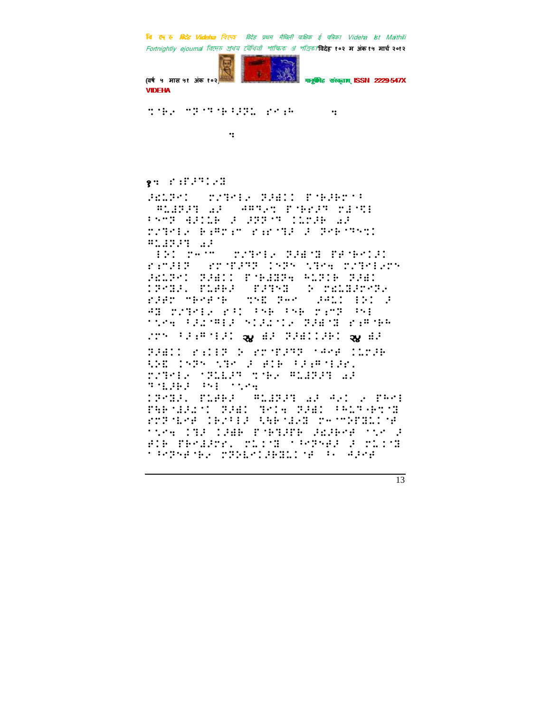बि एक रु मिनेट Videha विएक विदेह प्रथम मैथिली पाक्षिक ई पत्रिका Videha Ist Maithili Fortnightly ejournal রিদেত প্রথম মৌথিনী পাক্ষিক প্রা পত্রিকা**'বিदेह' १०२ म अंक १५ मार्च २०१२** 

**TATES SHILL PEARTS** 

**MINE PHOTOGET** 

: ratherer.

**AND BEE** 

**CONTERPOINTS NEWSTATEBOY** 

**BLOOD AFT ARREST PENSY METH** PATRIARINA (PROTOCOR AP rately bagged raroth a deboter:

ACCES SHOT PYRAGH WASH SHOT

AN TIMES FALLING AND TEMP AND ting from Poster Defend and the TER PARTIES & BE PRESSES & BP BABIL FAIRS FOR TATE SAME INSA

SED 1575 STATE REPORTER. report their the miner ar

 $\mathbb{R}^2$  :  $\mathbb{R}^2$  :  $\mathbb{R}^2$ 

1998) PLARA (PLARAN WA AVI 2 PAMI FARMERS'S FRED TRIA FRED PAIR-ROOM FTP-LAR (PROFES RABOLER THOTOFILIOR tice ITA LAB PORTH AWARE tic A HIP TRAINS, TEST THREE F TEST t bergen for repairing and an angle



मानुब्रीह संस्कृतम् ISSN 2229-547X

the true manufacture  $\dddot{\mathbf{r}}$ 

 $\dddot{\bullet}$ 

**VIDEHA** 

(वर्ष ५ मास ५१ अंक १०

 $\gamma$  : :::::::::

**WEBSTER** 

 $121.2444$ 

**1978. SADA** 

**TALLED PHONES** 

raer menemes the Ben

**SELPET** 

 $f: T \to T$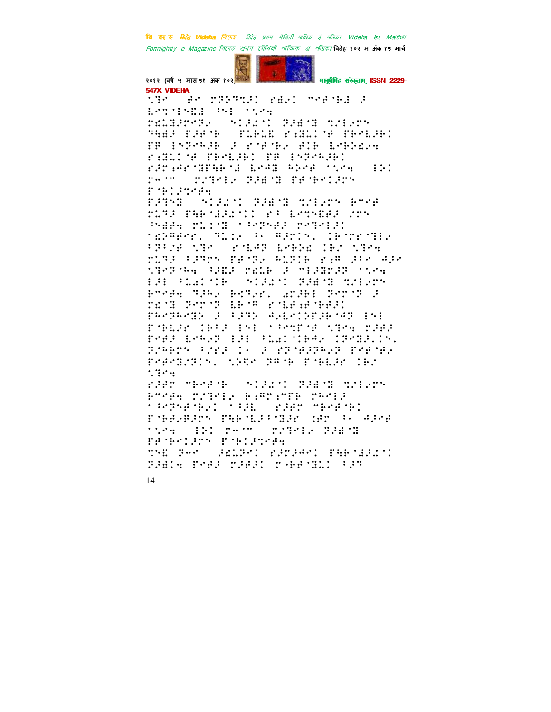बि एक रु मिनेट Videha विएक विदेह प्रथम मैथिली पाक्षिक ई पत्रिका Videha Ist Maithili Fortnightly e Magazine রিদেত প্রথম মৌথিনী পাক্ষিক প্রা পত্রিকা**'বিবৈদ্ব' १०२ म अंक १५ मार्च** 



२०१२ (वर्ष ५ मास ५१ अंक १०२) **547X VIDEHA** 

मानुबेमिह संस्कृतम् ISSN 2229-

the second-product ract measured a ESTIME WE THE relagerary (Sigeri agent might) FR ENTERER FOR THE ATT ENTIRE rance penant proposal ringeraren 1948 ekoe (195 .::: rent from Basic Same Tankerare Policiana de FATES START THREE TILES BOAR MARE PHENICAN DON LETTER ATT PARA PLINE SPORAR POTOLI nabyers, State (Royalth, 1872-1912)<br>Flyfaf (1980) anlyg lefba (1820-1934)

ring fanry pasou winte raw ato gao there was made a mighter the HAR STARTING STORYT PARTH TILETY Press Tame Poter, and Province rend Porne denmandemend preprezy a tany electronic en 151 POBLEM CREATENE OCHOPOR CREATERED PART LANGE THE SILLINERS CEALLING Breedy free to a greenwhere popula Presidio del Pedro Paleo de  $1.324$ 

raer menene (Staart Babni miller Press provis Pascarde preis tarperned tag reger meneme roggers medicines hr fogge ting OSI refr (right) SGEM rénéerles pherieses THE PART (PELPRI EPTIARI PHP 1991) BANG PAR MARI MARYANI SP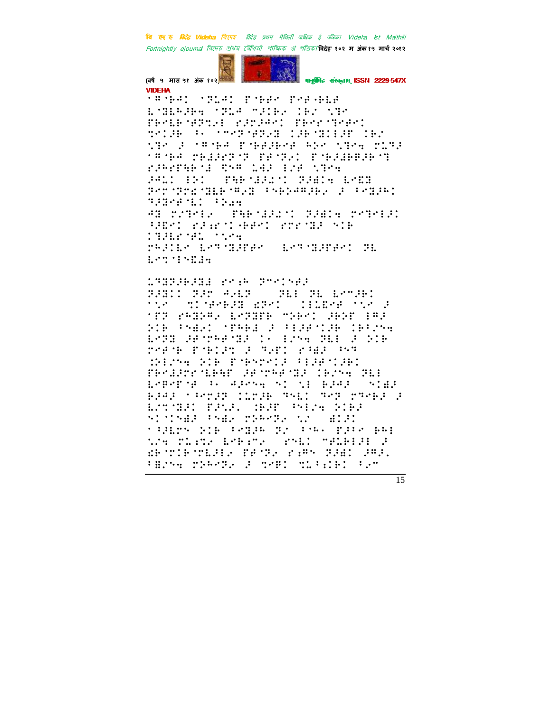बि एक रु मिनेट Videha विएक विदेह प्रथम मैथिली पाक्षिक ई पत्रिका Videha Ist Maithili Fortnightly ejournal রিদেহ প্রথম মৌথিনী পাক্ষিক প্রা পত্রিকা**'বিदेह' १०२ म अंक १५ मार्च २०१२** 



मानूबीह संस्कृताम् ISSN 2229-547X

(वर्ष ५ मास ५१ अंक १०२, **VIDEHA** 

**SACHER START COMMANDERS** EMERGER MANAGER CONTROL TEMERGENE RICHAL TEMPURAN triak () treparade iakonike iko the Powership manager and the straight '"'" A THIRTT BETA F'RAIPED'T ringhers the 142 fig the POST OF PRESENT SHIP LOOK Prodocaleda. Presage, 2 Prodoc **THEFT CONTROL** PE CATPLE (FARMERING PRESS) CRIMERI SPERI BRACH (BBPI BOB 1918) SIR **CHARGE COM** racio istuares istuares ai EST TESTE

**MARINE POR STORE** 330: 335 4363 - 366 36 6556 COMMERCIAL CONTRACTOR  $\cdot$  ... **THE PAINAL LONDED MIDDLE SHIPS** NIE PABYL MEREG F PERFIJE IEPOA ESTE SPONDORE IN ESNA TEL 2 DIR reform the control of the control of the control of the control of the control of the control of the control of SHING RIP POPOSIT FERMIBI PROBRECHER SECRECIE (ESSE PLI EMPMENT POSTERON NI NI PIPP (NIEP BJAJ (Proje linje smil sme nsek) p EMPHIS PRINT HAP PENE SIN STORES PARK TRACTS AND  $\mathbf{H}$ **SARDY NIE ARTE TZ ASWA PRAS PAR** the class before and melford a ERSTESTERER PRSPRIEGEN PRED 282. **FRIDA CORPORATIONS**  $\begin{array}{ccc}\n\cdots & \cdots & \cdots\n\end{array}$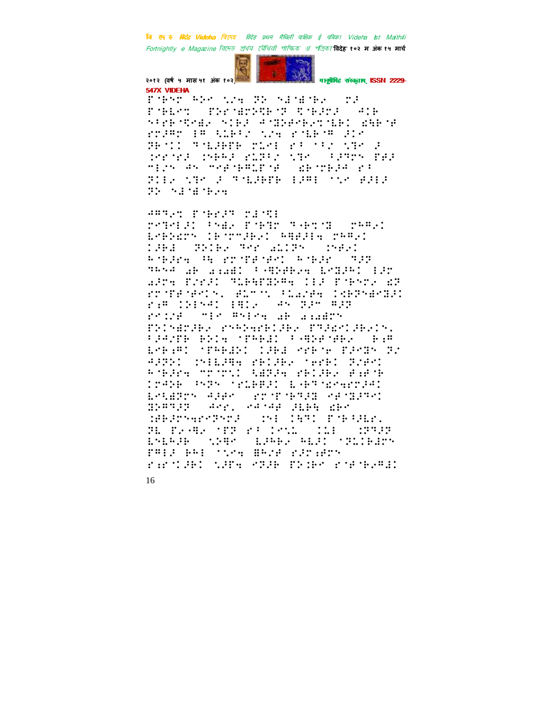बि एक रु मिनेट Videha विएक विदेह प्रथम मैथिली पाक्षिक ई पत्रिका Videha Ist Maithili Fortnightly e Magazine রিদেহ প্রথম মেথিনী পাক্ষিক প্রা পত্রিকা' **বিदेह' १०२ म अंक १५ मार्च** 



मानुबेमिह संस्कृतम् ISSN 2229-

**547X VIDEHA** Fiber ble the Th Similar ∵.: FOREST THEORETH CONFERENCE SPERINGE SIRE ANDRESSMENT BRENE roles in their the roles and BESI FALBER MIKE FRONT SECT deries debes elder ihr Sester Bes<br>Mark an mergenland sabupage es TIL ME J TAJHER 1991 MA BOL **SP SIMPS-**

२०१२ (वर्ष ५ मास ५१ अंक १०२)

ARTES EMPLEY CAMPE redelli thay finds there we have EMPRIS (PSTMP) PREPRODUCED **THE TRIEF THE WITTE INERT** Robler (Rochoneoper) Robler (1922) <sup>9654</sup> ab anad: F-958624 b-386: 185 APPA COOP TABACARA COOP COMPOS rongenets, elso, flaves (negsengel)<br>ram (bise) (Alva as ges meg rough the Welch ab audity COMMISSION STATISTICS CONSIDERS **FRAME BOOK MERGIN FARDEMENT BY** EMPIRI (PRPARI ISBA MEPH PSMBN 22 ANSI MILARA MILARA TAMBI RIAN Roble oroni televenike fede <u> Crale (Port Scherl) Earlander</u> Lever Appel are the same and the HARRAY (Arr. range Hibb HP) GRAPHENTER (1918) 1971 PORTAGE. PE PROBLEMER RESIDENCE SINCE SPEER ENERGY NEWS EGREE REGISTREEN PRIS BRI TOM BROW PROGROM rantako wane ezak arraen energia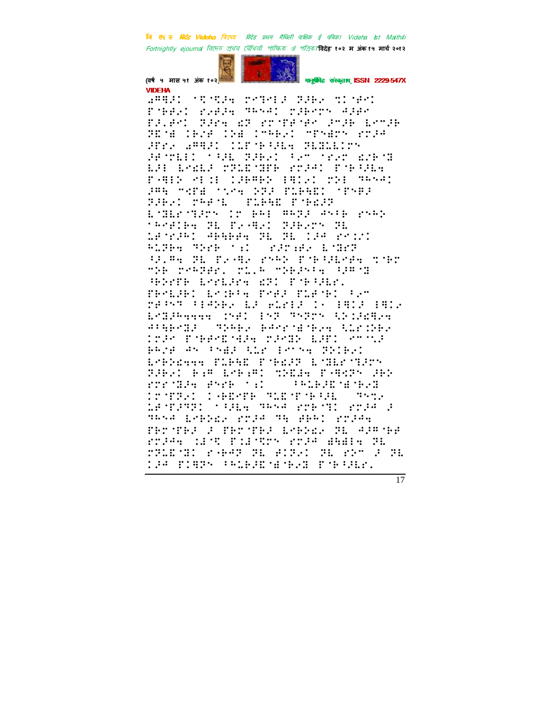बि एक रु मिनेट Videha विएक विदेह प्रथम मैथिली पाक्षिक ई पत्रिका Videha Ist Maithili Fortnightly ejournal রিদেহ প্রথম মৌথিনী পাক্ষিক প্রা পত্রিকা**'বিदेह' १०२ म अंक १५ मार्च २०१२** 



(वर्ष ५ मास ५१ अंक १०२, **VIDEHA** 

मानूबीह संस्कृतम् ISSN 2229-547X

SARIT STORE PORT PIRE TIME Pobel: Refle Mass: Mibers Alde FALAMI PAPA AP POSTAGAM AMAR LAMAR PENE CRYP CHE CHARVE MENEDY POSA STAR SHOPLIC CONTROLLED SECTION BETTLED THAN BARAL PATTITION ROBIN LA LAND TELEMEN PTAI PARAG rans did there inst me mod and send the STA Piddel (Propi THE THE CONFER POWER ESHERSHART IN BRI WARE WATER STAR **MARINE H. P. M.C. H.H.MM H.** 187281 ARABAN PE PE 194 Print ALTER TECH TIL SIDER LYDET H.R. H. P. R. Step Step Porthers to ma reflec file makeled lebe WHIP LONGO AT TYPING. TEMELHI EMIRIN TMAR TERMIK (P.M resso (parella elección concelho ESBRAAR MAI 157 75725 SPIRAR APARKSE CONFER PARKINGER SIXONER THE POHENDORF MESS LATI STOL PROF AN INER MIN FRONT TRIES! Efficiere Minimum Minimum (Minimum BARI RIP LYRIN MARIN FYRNAS AR fremale and the TEMPEL LARGE SLEMEARE SAME LA SPISOR (1984) SANA SPESOR SPIA (2 TRNA LAPDER PTIA TH APRIL PTIAN TEMPER F TEMPER LABRER TL APPAR roles discribed sole and st ralbus raga al gial al rigo l'al **TH PIRP PRIER STERR PRIER**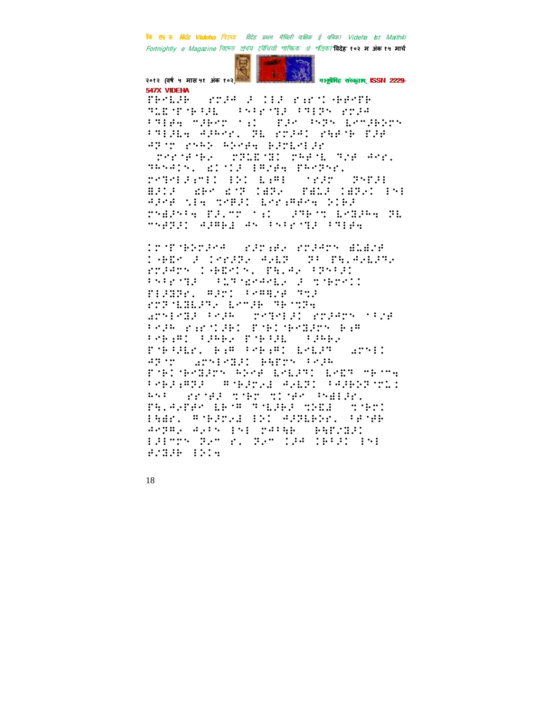बि एक रु मिनेट Videha विएक विदेह प्रथम मैथिली पाक्षिक ई पत्रिका Videha Ist Maithili Fortnightly e Magazine রিদেত প্রথম মৌথিনী পাক্ষিক প্রা পত্রিকা' **বিदेह : ১০२ म अंक १५ मार्च** 



२०१२ (वर्ष ५ मास ५१ अंक १०२ ) **547X VIDEHA** 

मानुबेमिह संस्कृतम् ISSN 2229-

TEMLAR (2014) 2 112 Parti Aerte THE TOP CO. IS A POST OF THE PASSING tinge syker oar die hyn keskiker<br>Tinge geher. De roeft refokcieer Alter Profil Glendy Birleidr

**THERE'S THERE THERE THE ANY** SANGLE ELIPS PRIGHT PROPORT SARA PARTI (1918) 1941 - 1952 - 2005<br>APIS (ABA) AND (1892) (1815) 1892) 101 APA SIN SABAD EPASAAN SIRA ragan falm in Samon Expansion HABBO ADHED AN INFERD INDUS

Tropospera (plrake prigry didior 1960 - Press Agos Stockales<br>Pracho (Adeles Polagospela) Printing Control Andrew Boundary FIRSE, SPEC PESON TER **STORICAL LETH TESTS** arniche Pole (roboili priern 1924 Prak partiau pouchrages Bas **Print (Philadelphilar (Philadelphila)** PORTHER REPORTED EMECY (2001) sport areled: Barry Pepp ESELSECRITY ANGELECENT ECRT SESSE PRESERTS PORTFOL PRETT PREPENDED AND SPORT TORT TIME PARTIES. PRIAMPA DESA TIDAR TED TIDO THEN PORTER IN APPLENT CHOR Arport Alis (s) races (Bending EVENTS RAN 2. RAN 194 19421 ENE **ANDRE BELG**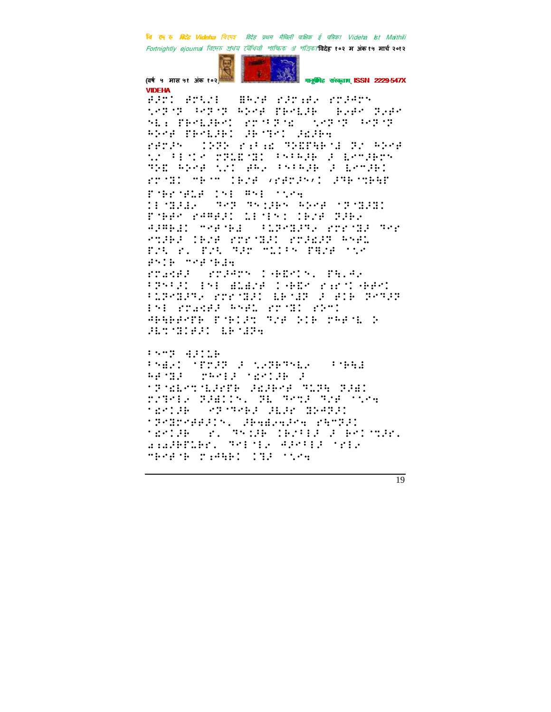बि एक रु मिनेट Videha विएक विदेह प्रथम मैथिली पाक्षिक ई पत्रिका Videha Ist Maithili Fortnightly ejournal রিদেত শ্রথম মৌথিনী পাক্ষিক প্র পত্রিকা**'বিदेह' १०२ म अंक १५ मार्च २०१२** 



(वर्ष ५ मास ५१ अंक १०२) **VIDEHA** 

मानूबीह संस्कृताम् ISSN 2229-547X

BATI BURZI (BRZB KATABY KTARUS SKRIT PORTROGENE PROBJE (PAPO RAPO MEE PROBJECT POSTPORT SOFTOF POPOR **SPECTREMENT SECTION SECTION** 1930 ritur Sporthern School PROPERTY OF Wikipedi balana: Prima a annappr THE REAR NOT HAR FREAGH I EATCH! rong: menn (eze vrench): chenner Pohrodne (S) #51 (S) me **TEAMER THE TEAMER AND ATTENT** Poren remedi licini (rom 2002) APPERD THE HE CONFIDENT PIPERS THE PORPORATOR POPULATOR PORT PAR PLATAR MAR MILLER PRAB STR **BAID MARTHIN** rrade: rregn legaln, pa.g. PRPPECTAL BLB28 CHBM PAPT HAM FLORIDA POPULAL LENDA A PIÈ DRAGO ESE PRANED PSEL PROBLEMONT ABBBATE FORCES TOP NIB SPACE N **SERVICES: ED 1879** 

**FAMP BEELD** PAGO TELEPA SUPERAL CORA REMOVE TRANSPORTED P **13 MACH AND ANDER THE SAN** PATHE FRENCH TE THE TAB TANK **MARINE STATES SERVICES!** \*Prographie. Demographie rengi randa (Sal Shida Shaha Shida Shida) analbridge, Merchie Alexand Cris **MERGE PARE: ITE MARK**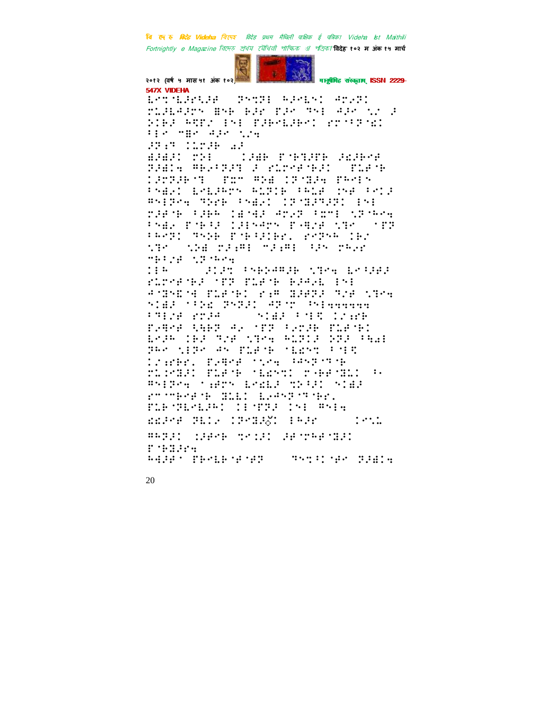बि एक रु मिनेट Videha विएक विदेह प्रथम मैथिली पाक्षिक ई पत्रिका Videha Ist Maithili Fortnightly e Magazine রিদেত প্রথম মৌথিনী পাক্ষিক প্রা পত্রিকা**'বিবৈদ্ব' १०२ म अंक १५ मार्च** 



२०१२ (वर्ष ५ मास ५१ अंक १०२) **547X VIDEHA** 

मानुबेमिह संस्कृतम् ISSN 2229-

Estiliste Triff Webscharat rightly make her make the side of a DIRA ASTA 191 TARYEARYI YO'YAYYEI FEW MERS APPLICATION

33.7 CONSE 33 BABAN MIRI (JABA PARTAR JEARAR PABLE PRATPAR & PLOYETRAL (PLETR **COMPOSE TO THE THE CRIMPS PROPE** Presidenters and panel in the Col #MIRAN TREE (MARI IRMARRI) EME raene faee canal ares fort spokes Pres Press (SPRAGH Parce 1981) 198 PROTECTARE PORTRAINS POTABLIES the the press mress are page

**MERCH AND MANY** 118 | Sidn (Sepande Side Logde) FITTETED TER FIETH BOWL INE ANIMENE PLANED VAR ISARS TOA NIMA **STAR TERM SYSTEM ARTS PRESENTATI PRICE POST STAR PRODUCED** rande then all the tange music ERSA TES TIE ISE ALTIS DIS ARAB PHOTOGRAPH FLETH TEENT FIND Drambar Paged Steam Westerne richag: Pigge (Ernst regeda)  $\cdots$ #5:Pre taPro Ledif TRON STAR roomers all man meeting. FLETHERS INTERNATIVE REPORTED CONSIGN BRAKE CONSI BARAT MARKET MANAT ARTMARTIAN remare Adden Bengenens ("Thristian Bddia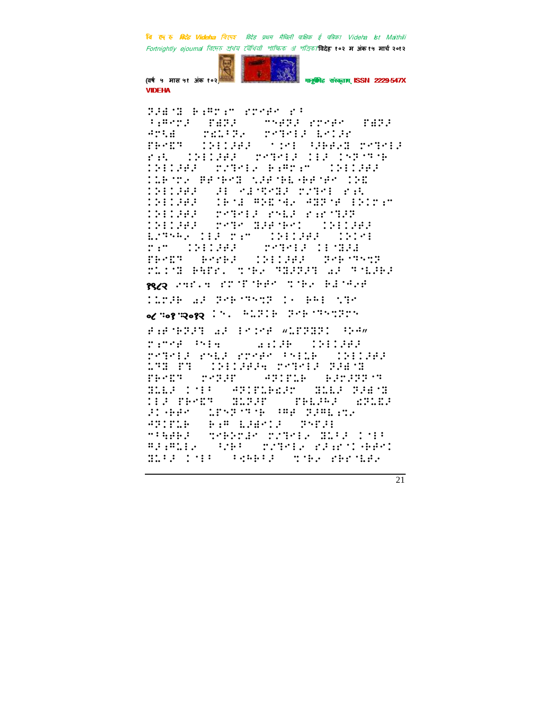PRODUCT ROOM (1911)ARA (PORTUGAR CLIMB PHECK THE THEFT AF THEFT 8868 SALLA STORESHES TORS RECEPT COMPARING THE THE COMPANY THE STATE OF THE STATE OF THE STATE OF THE STATE OF THE STATE OF THE STATE OF THE ST 08.108.15085 (10) profile to the candidate **AND THE SECTION** ring Belg rendik rala rread (Sailbo 1911a) 173 FT (1911)814 273713 SHAM nan renn anna berenn BLES D'ES (APIPLEES) BLES PSEMB<br>113 PEMBRO BLESPO (PELSES) BRUBS FIGHT LEST'N WHAT PRESS  $4919111$ **SEPRENDE SYDE** nigera (norrar pagola dila 1918)<br>Alegia (lare) pagola pagolera HIFF INER SPARED STAR PROMIES

(वर्ष ५ मास ५१ अंक १०२) **VIDEHA** 

1001000

1011000



alerta feda (nyedalerren feda)<br>Arte (relada rribata brian

PHONE COLORED STOL REPORTSER rat (1911.88) remeda 113 1527238 IDEIJAS (MITHER BEAM) IDEIJAS CLEARLY BEARING ALEAH HEART COD

**ARE PERMIT TETH PAR** CHIAR (BMB #SEMA #SPM BSCram

**COMPARY START SECTION** 

CHIJAJ (MYSK BJANEKI) (DICJAJ isticare (1970), monte l'agricolata<br>Campo (1911/92) - centera (1918-1924)

PREMIERTE PROFESSION

मानुब्रीह संस्कृतम् ISSN 2229-547X

बि एक रु मिनेट Videha विएक विदेह प्रथम मैथिली पाक्षिक ई पत्रिका Videha Ist Maithili Fortnightly ejournal রিদেত প্রথম মৌথিনী পাক্ষিক প্রা পত্রিকা**'বিदेह' १०२ म अंक १५ मार्च २०१२**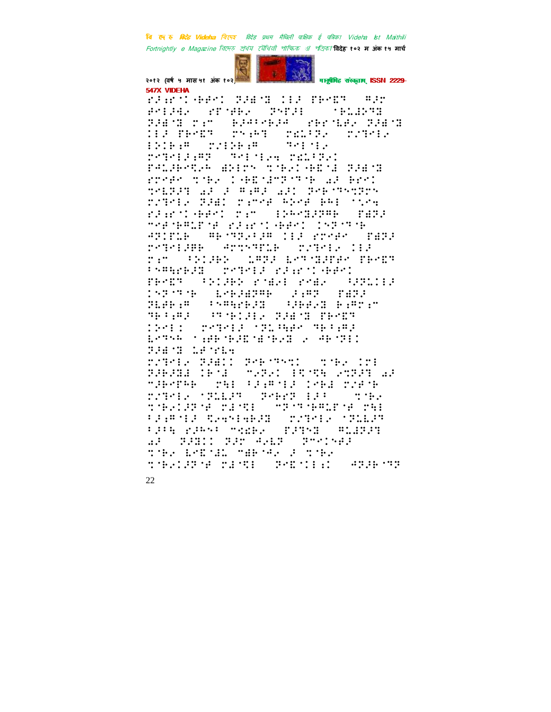बि एक रु मिनेट Videha विएक विदेह प्रथम मैथिली पाक्षिक ई पत्रिका Videha Ist Maithili Fortnightly e Magazine রিদেহ প্রথম মেথিনী পাক্ষিক প্রা পত্রিকা' **বিदेह' १०२ म अंक १५ मार्च** 

२०१२ (वर्ष ५ मास ५१ अंक १०२ ) **547X VIDEHA** 



मानुबेमिह संस्कृतम् ISSN 2229-

raunteen Sand (Barger Se POINT STORY TONE (1980) FARM TIM BARKEAR PROMES FARMS 113 Teksy (Syeq) raige (rugge) Minimum School (1991) T-T-12.82 - 7-1-12-6 TELFR.1 rachara miry that Artis Ruth rode the lefting while all brot SPERIN AF FOR AFT REPORTED rately Family renew Adem BAI (1984) rauntement nun (19501228) (1822 meaning are completed the model APIRLE (ABSTRAGAM 112 Profes) PARA regender Grovgrip rigene (n. rin (Click 183) Bridger peor PARABEL SMINIS PARTICUMAT TEMOR (PRIJER PODJE PMD.) PJPLITJ **THE REAL REPORT OF THE PART OF A SERVICE WEBSTER** nprend in holde and control 1991) (peneld (programmer)<br>Lensk (sakskalpankal) – gkoli **WEB 2008 2009 2009** rathia Ramii Rhenteri  $\sim$  100  $\sim$  1000  $\sim$  1000  $\sim$ markers while a probability of the rated (Plast Perry diffuser) thelere them structure the PREMIR RANIGERS (MINIS MILLS) **CONFIDENT MANNET BOOKS READS THILL THE 4217 COMMAND**  $\mathbf{a}$ . the ESTAL SHESHE FINE the Control Control Conservation of the Conservation of the Conservation of the Conservation of the Conservation of the Conservation of the Conservation of the Conservation of the Conservation of the Conservation of the Co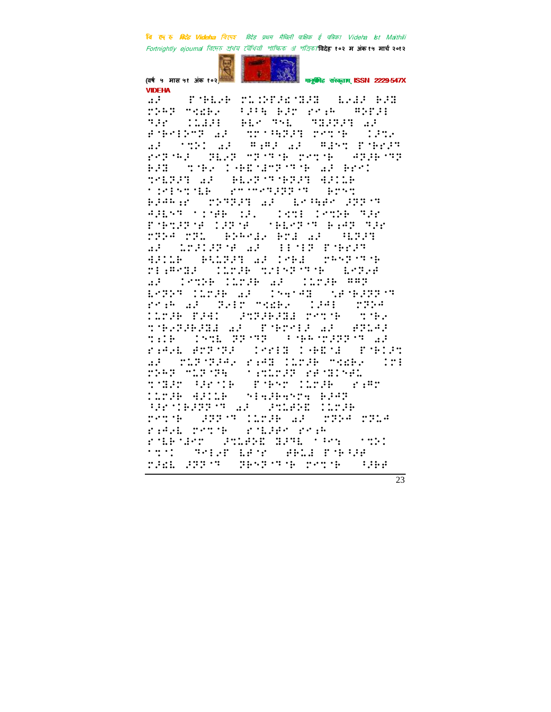बि एक रु मिनेट Videha विएक विदेह प्रथम मैथिली पाक्षिक ई पत्रिका Videha Ist Maithili Fortnightly ejournal রিদেত প্রথম মৌথিনী পাক্ষিক প্রা পত্রিকা**'বিदेह' १०२ म अंक १५ मार्च २०१२** 



(वर्ष ५ मास ५१ अंक १०२) **VIDEHA** 

मानूबीह संस्कृतम् ISSN 2229-547X

rum richen an alle  $\mathbf{a}$ . THE CLAND BEST THE **MONEYST PATH (200** FORMING AP ad the ad well as well been their PSP 50 2002 575 50 PSP 50 4200 57 BAR (the CAROSTOP af Bro 6346ar 259939 a3 629662 39979 4827 (196 S. rdnæde (2004) (Blogom Bigg M22 MPPA MPL (PPAMER PML) aF (PEPPE AF ATHENTY AF BENCH PORT APILE (PRIPPE AP 1984) TRAPITE TERPIE (ILTAR TZENPOTA (LYPAR AP TRIB MATH AP TANH WHY ESPAR CLOSE AS (1967-80) NECESSOR Pole al Guib make (1941) 2004 **TOOR PROTOCOMERS SERVED** therein an formal and ener THE TELL FROM CONFIDENTIAL ragu arryo (grim (genia (fieldi AR TITUTHA PARK CITE TEER CITE **MINE MINITE TORP REMARK THAT COOP TIME** TEMPH APTER STAPPHONE RPAP **BENDERS CONTROLLER** rend 1937 Clrib al (1954-1914) rada rette atlantade kimkuni lamen mam fan Sand tit Tele Were Bill Press **MARK 2008-00** SPAS CONFIDENCIAL  $1:1:1$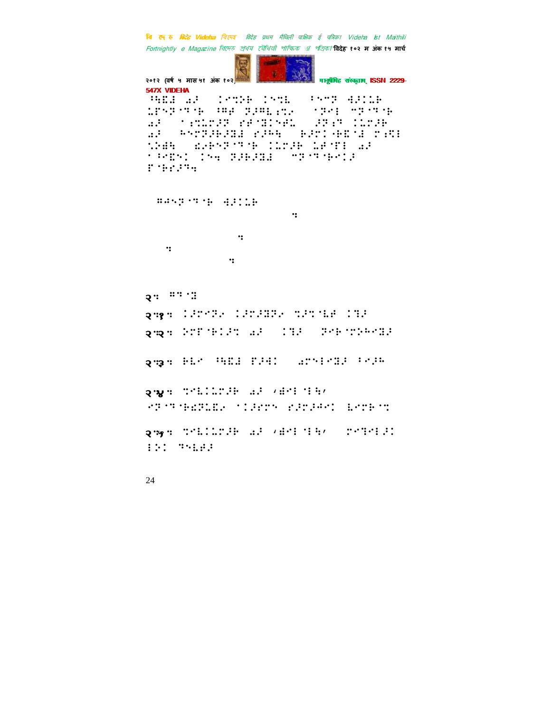चि एत् रू मिन्हे Videha निएन्थ विदेह प्रथम मैथिली पाक्षिक ई पत्रिका Videha Ist Maithili Fortnightly e Magazine রিদেত প্রথম মৌথিনী পাক্ষিক ঐ পত্রিকা**'বিदेह' १०२ म अंक १५ मार्च Separate** २०१२ (वर्ष ५ मास ५१ अंक १०२) मानुसार में अनुसार संस्कृतम् ISSN 2229-547X VIDEHA ⢸⣓⣏⣜!⣔⢼-!⣉⢵⢷!⣉⣇-!B⢽!⣚⢼⣅⢷-! ⣅0⢽⢹⢷!⢸⢻⢾!⢽⢼⢻⣇⣐⣉⢴-!⢽3!⢽⢹⢷! ⣔⢼-!⣐⣉⣅⢼⢽! ⢾⣝⢾⣅-!⢼⢽⣐⢹!⣅⢼⢷! ∭ - PRESERIGUE PART PARTIPET ⣁⢵⣞⣓-!⣎⢴⢷⢽⢹⢷!⣅⢼⢷-⣅⢾03!⣔⢼-! ⢸⣏!⣒!⢽⢼⢷⢼⣝⣜-!⢽⢹⢷⢼!  $T^*$  :  $T^*$  :  $T^*$  :  $T^*$ !⢻⢺⢽⢹⢷!⣚⢼⣅⢷! hekawiefiburie bakhawiefiburie bakhawiefiburie bakhawiefiburie bakhawiefiburie bakhawiefiburie bakhawiefiburie<br>Amerikaanse bakhawiefiburie bakhawiefiburie bakhawiefiburie bakhawiefiburie bakhawiefiburie bakhawiefiburie ba iuuq;00xxx⣒nbjuijmjmflibltbo hidpn $\alpha$ 1212180cmph.  $q_1$  and  $q_2$  if  $q_3$  if  $q_4$  $2: "$   $" "$ २⣒१⣒!⢼⢽⢴!⢼⢼⣝⢽⢴.⣉⢼⣉⣇⢾!⣙⢼!!! २७२८ २००० साले प्रथम अधिकारण स्थान करते होते. २⣒३⣒!⢷⣇!⢸⣓⣏⣜!0⢼⣚.!⣔3⣝⢼!B⢼⢳!! २⣒४⣒!⣉⣇⣅⢼⢷!⣔⢼!'⣞33⣓'.! ⢽⢹⢷⣎⢽⣅⣏⢴!⢼ ! ⢼⢼⢺!⣇⢷⣉!! २७५ TRENDRA WAR (BREAK) PRESEAS  $3$  :  $3$  :  $3$  :  $3$  :  $3$  :  $3$  :  $3$  :  $3$  :  $3$  :  $3$  :  $3$  :  $3$  :  $3$  :  $3$  :  $3$  :  $3$  :  $3$  :  $3$  :  $3$  :  $3$  :  $3$  :  $3$  :  $3$  :  $3$  :  $3$  :  $3$  :  $3$  :  $3$  :  $3$  :  $3$  :  $3$  :  $3$  :  $3$  :  $3$  :  $3$  :  $3$  :  $3$  :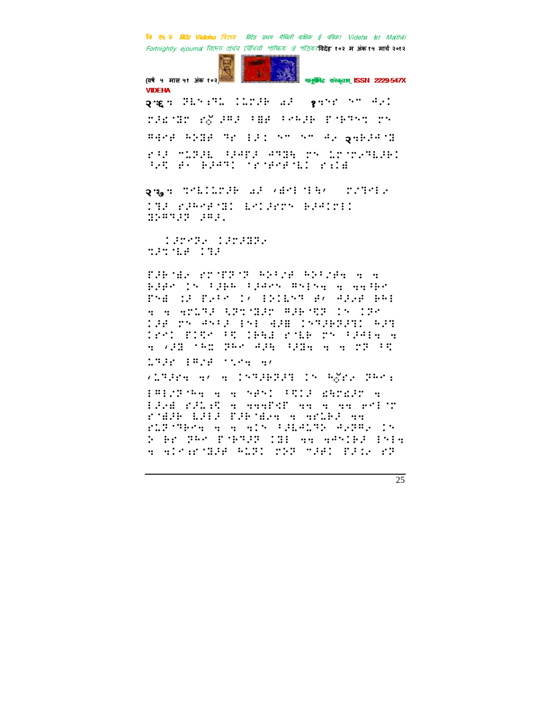बि एक रु मिनेट Videha विएक विदेह प्रथम मैथिली पाक्षिक ई पत्रिका Videha Ist Maithili Fortnightly ejournal রিদেহ প্রথম মৌথিনী পাক্ষিক প্রা পত্রিকা**'বিदेह' १०२ म अंक १५ मार्च २०१२** 



(वर्ष ५ मास ५१ अंक १०२, **VIDEHA** 

मानुबेदि संस्कृतम् ISSN 2229-547X

gege Phosina Candis ad Services And racur 23 am (ma cena rubus no BARB ROBE NE EPI ST ST AT AL QABJARB ra mika ager ean ro ingele: ag e basi gregori reg

gomen Schliede af Ventotes (overfrie INF PARMEMED EMIRATH BARINEI HOWER PRE.

**WANNER COMP** 

FJENER KONFONO PRIZE PRIZEW WOM BJEK IN FJER FJAKN ANING A AATEK Product Patrick (2011-1159) Adapt AR: a a anisi Cromin Albom Co Cr len firm or leasended that a 4 4 (30 140 241 426 3204 4 4 02 30

1702 1828 1124 47

**VITAME AV A CHTABTAT IN BOIL THAT** 

PRISPEND A NONE PRIP RATEPY A idai ratak a agandi aa a aa estup roda bata nakobe e engar en flitters a and there's company 5 Br 288 EMP32 131 An APVIER 1914 a alsamona kuni mu man dail 23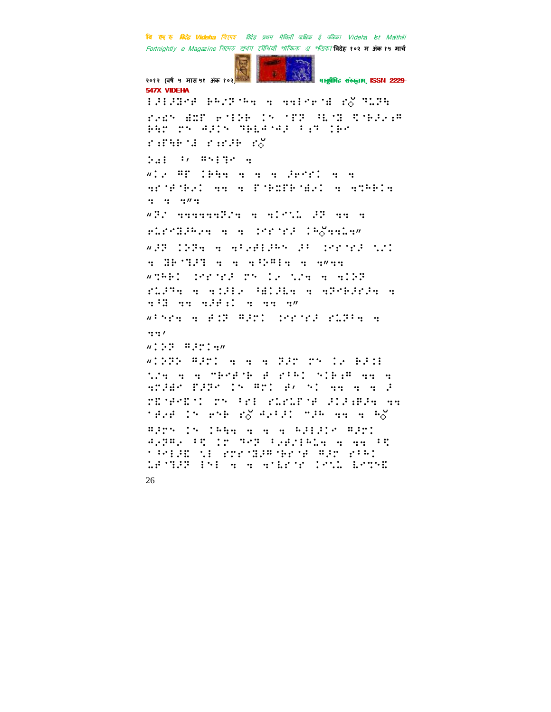बि एक स्टेंड Videha विएक विदेह प्रथम मैथिली पाक्षिक ई पत्रिका Videha Ist Maithili Fortnightly e Magazine রিদেহ প্রথম মেথিনী পাক্ষিক প্রা পত্রিকা' **বিदेह' १०२ म अंक १५ मार्च** 

BOBOTH HAMPYAN A NABYLYB WARD

२०१२ (वर्ष ५ मास ५१ अंक १०२)

**547X VIDEHA** 

मानुबेमिह संस्कृतम् ISSN 2229-

rar Ant ente la 18 de alde talee Par re agre mpianag (projec ramena range 20 2.1 0, 09139 m w: WP (Physogen Art) as ardford as a formpoint a angels  $\mathbf{u} \cdot \mathbf{u} \cdot \mathbf{u} \cdot \mathbf{u}$ **Wil secondis a difficult of a** ristlike a strid Wörcher wiff 1976 a algebra il persenti **A HE THIN A A AGENER A AWAY** where the me in the train albr flitte e etile tallie e ePobleie e **SEE THE MANUEL OF THE MANUEL OF A SEE AND AND SEE AND ADDRESS** window width Additional Property and Property  $\cdots$  $\mathbf{W}$ :  $\mathbf{H}$   $\mathbf{H}$   $\mathbf{H}$   $\mathbf{H}$   $\mathbf{H}$   $\mathbf{H}$   $\mathbf{H}$   $\mathbf{H}$ WINDS WANT A A A BAN NY TA BAIN NZH A A MPMPH P PRED SIPP AN A arder form in Ari A, ni aa a a d TEMPEM TROVEL FLELTH SILENES AT tear in rhe rõ Aassi mah aa a Aõ BRY IN THE ROOM ARRIVERRY APPRENTS IN THE PRENTHING A AN PE

*SALAD NE POPULAMENTA ALD PANI* LANGAR ENE A A ANEXNO CHIL ENTRE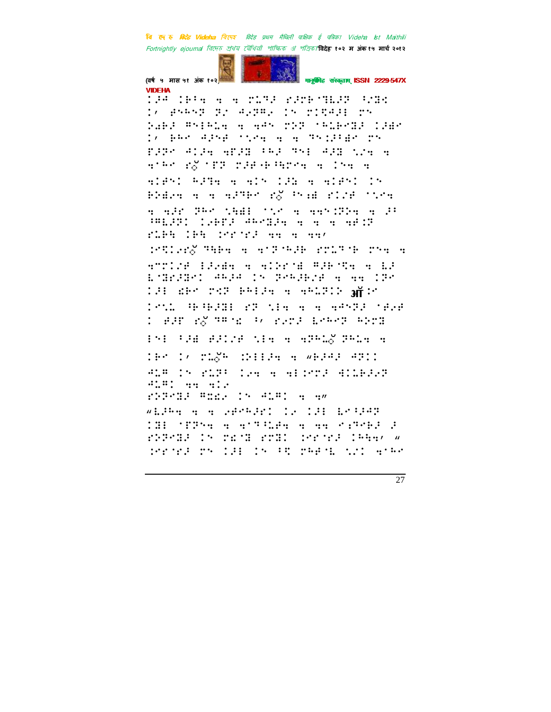बि एक रु मिनेट Videha विएक विदेह प्रथम मैथिली पाक्षिक ई पत्रिका Videha Ist Maithili Fortnightly ejournal রিদেহ প্রথম মৌথিনী পাক্ষিক প্রা পত্রিকা**'বিदेह' १०२ म अंक १५ मार्च २०१२** 



(वर्ष ५ मास ५१ अंक १०२, **VIDEHA** 

मानूबीह संस्कृताम् ISSN 2229-547X

194 1654 A A MISS POTETROS STO *ty drams to apter the pitall b*y Sabd #Siming no nds 2008 (Albedd 1986) D, BRA APSE Stan A A ThiPER IN THE SIDE STILL ONE THE SIDE LINES ander ag ner mar definer a com a eleni bağe e eln iak e eleni in Brack a a after 28 than 2028 tire a alr Per Shill thr a aan Sha a Pr **BOOKS INTO ANTIQUE REPORTS** find the corol as a av rether "He a street roller pract annice lavea a alberg Aderna a Wa ESBRIER: ARIA (S Preleze a an CPr THE SEA PAR EALLY A ARGUID WILL Tend (B) B2B: 27 Nim a 4 A4572 SEAR I BUT TO THIN A SAMILY LARAT RAMI ini the effort the e-spoke star e ibr 1/ Miõ<sup>6</sup> (Milja a wbjgj gri ALA (M. M.A. Cross Albra Albra) 4181 AM ADA STORES WEEK IN WEBI 9 90 widhere e address: 12 13: 12:339 ISE (SPR) 9 9'TEDA 9 99 23762 2 rdens in med roll christ leev w SPECIE TROISE IN FRONTE NUMBER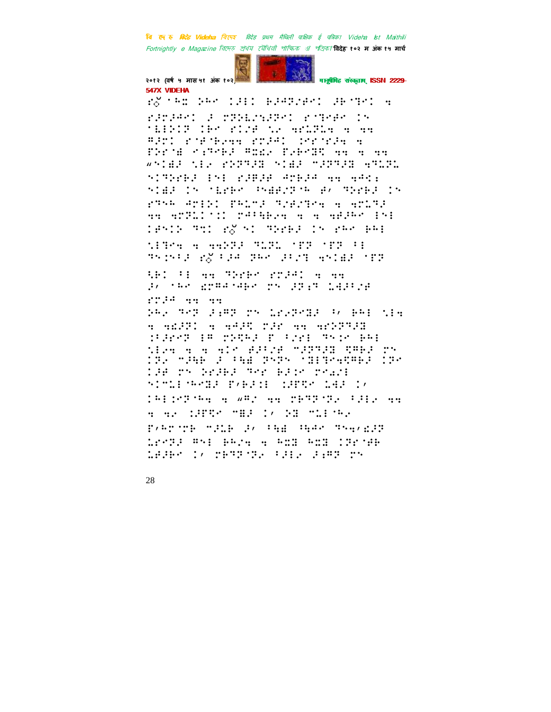बि एक रु मिनेट Videha विएक विदेह प्रथम मैथिली पाक्षिक ई पत्रिका Videha Ist Maithili Fortnightly e Magazine রিদেত প্রথম মৌথিনী পাক্ষিক প্রা পত্রিকা**'বিবৈদ্ব' १०२ म अंक १५ मार्च** 

Käller per 1981 bledtrer: Selfring A

ranaet a nggaraget riger ty **MEDICAL COMPANY OF BELTING SCHOOL** BEND STETELAR STEED OND NER A The man of Some Point (Figure 1980) and he has WANDER NEW YORK ON THE MANUFACTURE OF THE STATE OF THE STATE OF THE STATE OF THE STATE OF THE STATE OF THE STA STRAND ISE KOBON AMBON AA AANA STAR IS MEMBER PRARTED AN TRANS IS rank aribi felmi avezan A Arlai an arguinti rafabla a a agger pri TANIN MMI MO NI MNABA IN ARM BRE

1894 + 4038 7030 189 189 18 Things of the Bar division of the

**A ANGLE A ANGLY NG ANGLY NA** SPERSON BURGER PORTED TO SCHOOL Siem a a als Batze Maggad Chea ch 1920-144 2004 Sept Softwarel 192

198 Th Spake Rep Rain Trust STORYMOUR PARKE CHRY 188 17

a ar differenti (2005 milione

pay med light on trededic of pai tim

IRENTHA A WRIGH THRITIN FILMAN

r, ar cra (maila) a, (ago agam magyina Levil Whi BRYA A ROB ROB (Server MARRY COMMANDS TREE RATE TO

WE H as Thier cridit a as 3, the gradings program 1933.

२०१२ (वर्ष ५ मास ५१ अंक १०२)

मानुबेमिह संस्कृतम् ISSN 2229-

**547X VIDEHA** 

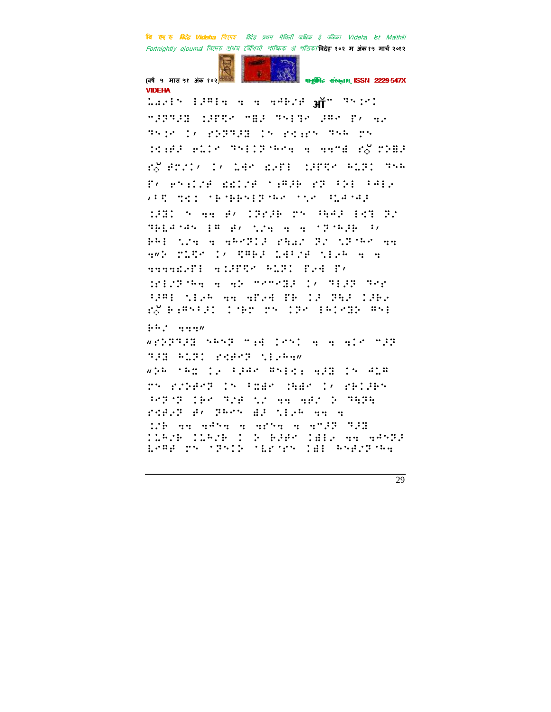बि एक रु मिनेट Videha विएक विदेह प्रथम मैथिली पाक्षिक ई पत्रिका Videha Ist Maithili Fortnightly ejournal রিদেত প্রথম মৌথিনী পাক্ষিক প্রা পত্রিকা**'বিदेह' १०२ म अंक १५ मार्च २०१२** 



(वर्ष ५ मास ५१ अंक १०२) **VIDEHA** 

मानुब्रीह संस्कृताम् ISSN 2229-547X

Lacin EPPIA a a adbre gün Print MARRAB (APR) MBA PRITE ARE PACHA The Color September 15 September 256 St

ro Arviv 10 Les ESTE (APRS ALP) 756 F/ ending dairs namig at the twee  $\sqrt{2} \left( \frac{1}{2} \left( \frac{1}{2} \frac{1}{2} \frac{1}{2} \frac{1}{2} \frac{1}{2} \frac{1}{2} \frac{1}{2} \frac{1}{2} \frac{1}{2} \frac{1}{2} \frac{1}{2} \frac{1}{2} \frac{1}{2} \frac{1}{2} \frac{1}{2} \frac{1}{2} \frac{1}{2} \frac{1}{2} \frac{1}{2} \frac{1}{2} \frac{1}{2} \frac{1}{2} \frac{1}{2} \frac{1}{2} \frac{1}{2} \frac{1}{2} \frac{1}{2} \frac{1}{2} \frac{1}{2$ 

1981 - A AA BY 19836 TS 9543 139 ST THERMAN IT BY NOW HOW TIME AV PRESSING A ARMELE PRAISED SEMPLO AN awd class in Amed Lating time a a

SCHER FILLS THEIR THAN A ANTE 20 CREA

mandell allets all fel fr WISPARE READ MANAGE IN MISP MAY APPE SEARCH HEART IN THE SAND r% B:Prist ( ) thr rr ( )Pr ( Prish Pri

 $1.1.1$   $1.1.1.7$ writers which are controlled and map THE WILL PREST TEPPS wie ser la flek mnisk will in Alm ry represents the form chart is related **POINT IP THE 12 HE HE ST THIS** rder e, Then Al Mich an a Whose after a after a and THE ILAZE ILAZE I 2 BJEM IBIZ 44 44553 ESPECIAL MENINCALENTAL CHECKERSE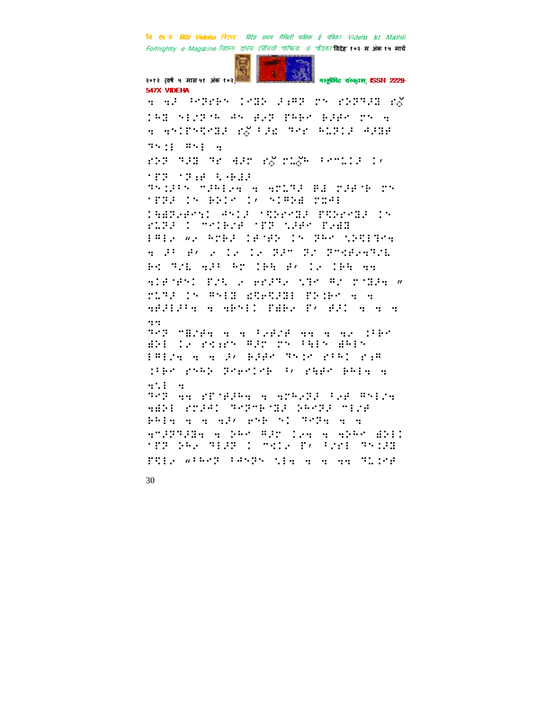बि एक रु मिनेट Videha विएक विदेह प्रथम मैथिली पाक्षिक ई पत्रिका Videha Ist Maithili Fortnightly e Magazine রিদেত প্রথম মৌথিনী পাক্ষিক প্রা পত্রিকা**'বিবৈদ্ব' १०२ म अंक १५ मार्च** 

मानुबेमिह संस्कृतम् ISSN 2229-

२०१२ (वर्ष ५ मास ५१ अंक १०२)

**547X VIDEHA** a af byer fyrk fan San yn Stryff S 181 SEZPOR AN BAP PARK BJBK 25 A a anifyrell og vid the tifli gund 75 H #51 H FRE THE TE ART FOURISH PETITE IN **THE TELESCOPE** Third within a anith Bi where wh \*FRF 15 BR18 17 51828 2288 TRAPLAMSI ANIF (RIEMA) PRIEMAR (N FOR THE MATERIAL PRODUCED IN THE PRES WA ROBE CHORN IN THAT CARETAN A SP AV 2012 12 TPM TO TMARATOR Bd 721 425 52 1BB 87 12 1BB 44 HIPSPY TILL FRITE STATE TO THE W ring in Which Schools code a a wHIPP a wPHI THE T/ AII a a a  $\cdots$ 303 MB284 A A F2828 AA A A2 IFR EDI LA PRIPROMISCO PRIROGRIM EREZH H H 27 B285 SS15 PPP1 P18 Sier roch Schrick () rade beig a  $n \times 1 - n$ THI AN STORING A AMNIZI FIR THEMA HERE POSSES TROTH TEA SHROW TEMP Phin a month phi ni Trin a m anggagga a yak mgo tia a ayak gidt **MER DAY MEAR I MAIL EV FINE MAILE** PELS winds tanged the academy with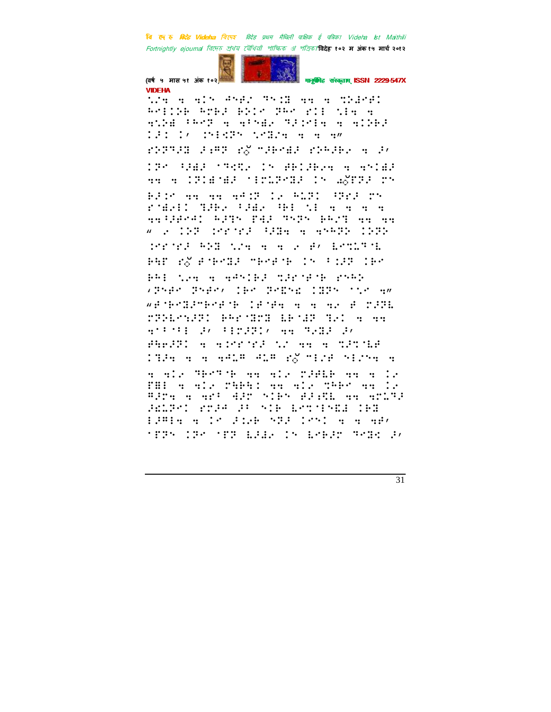बि एक रु मिनेट Videha विएक विदेह प्रथम मैथिली पाक्षिक ई पत्रिका Videha Ist Maithili Fortnightly ejournal রিদেত শ্রথম মৌথিনী পাক্ষিক প্র পত্রিকা**'বিदेह' १०२ म अंक १५ मार्च २०१२** 



(वर्ष ५ मास ५१ अंक १०२) **VIDEHA** 

मानूबीह संस्कृताम् ISSN 2229-547X

tra a alt dter Ttim aa a thinei Antick Arbe Boln TAn rit tim m and the a attorney and the TRICE STREETS SPHING A ALAM rosse avs 20 medal rocker a lo **TOM REFORMED IN BELBEAR A ANIER** es e l'hanal niveral l'aglio pa BEIM AN AN ARIZ IS BLZI SZEE TH rand the the mission state 4498841 APTM PAP TMPM BAZT 44 AA www.leton.com/state-the-school.com SMOTH AND NOT TO THE PART EMMOTH BAT 28 PORTH TEMPOR IN FIRE IBM PRI NAS S SPANIER MIROROPORT *Read Brack Tec Bring 1885 tir am* weiterdangen der Sangen eine eine Stadte **MINE-MARY BREAKING BEAMS TO SERVE** 413 ME 27 METRIX 44 MARE 37 PRESSURE ROOMS NO RE RUNSWER THE ROOM WALE ALE IN THIS SEISE R a ale 9099 S an ale 2000 an a le FAI a als rabbi an als thes an I  $\mathbb{R}$ #Pre e er: 4Pr SIBS BRANK ee erl#P BELTY: POST IN SIE ESTMINEE IEE EPRIA A CROSSER SPECIAL A A APV **MERR IBN MER ESER IN ERBER RRED S**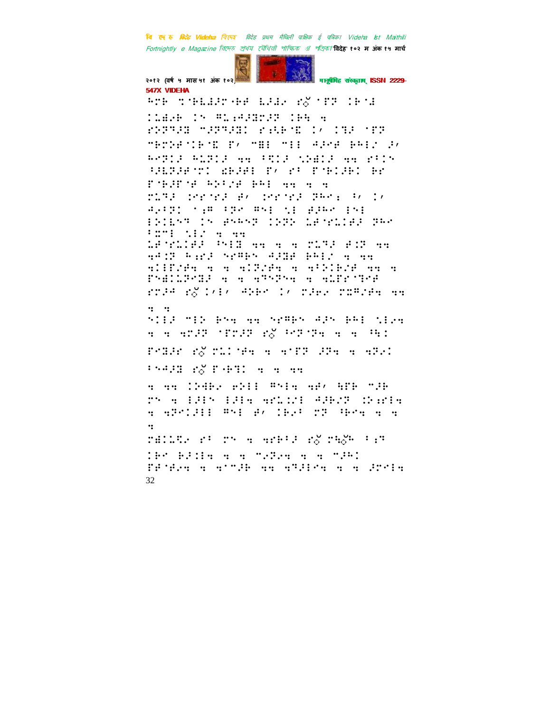बि एक रु मिनेट Videha विएक विदेह प्रथम मैथिली पाक्षिक ई पत्रिका Videha Ist Maithili Fortnightly e Magazine রিদেহ প্রথম মেথিনী পাক্ষিক প্রা পত্রিকা' **বিदेह' १०२ म अंक १५ मार्च** 

२०१२ (वर्ष ५ मास ५१ अंक १०२)

Are the server same to the cens

MEDDENIST FACTOS MILLERED ERIC PA Replacementation (PRIA SPAIL Governments) **BOOKSTORES IN STREET BY** 

PLAS PROVE BY PROVE BROWN DV apigi nga ipe asi ni guae isi

BRIENT IN BNAND IRD IB WILLER DAY

LANCICAS PRINTER A A CLUS ACTUAL adje bari srmes dina bbir a aa dliffe a d'althe a dilibre de d rnacional e e enghe e exprese

rnam röller mass in nass nomses ee

STEP MED BRAINA SPRESS RPS BRE MEDA a a angulingny modern a a gai

remar (Sondore a anno 204 a anoi

a an Chib, phil Whia ap, APP MJP ry a 1918 1914 antich Adbr# chanta 4 4381311 #51 #/ 1821 MB 4884 4 4

raticly at recasted and rag time the

Tétén a annik as anilos a a loria

THA BEING A A MUSICA A A MIRI

**15420 28 2900 2011 2022** 

THURSDAY AND SHE AND A S

Family 112 (8) 99

 $\dddot{u}$   $\dddot{u}$ 

 $\bullet\bullet$ 

 $32<sub>1</sub>$ 

**547X VIDEHA** 

मानुबेमिह संस्कृतम् ISSN 2229-

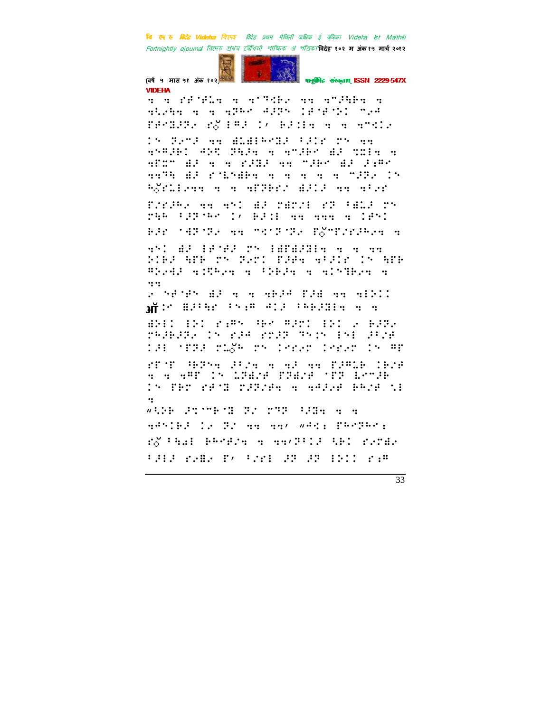बि एक रु मिनेट Videha विएक विदेह प्रथम मैथिली पाक्षिक ई पत्रिका Videha Ist Maithili

Fortnightly ejournal রিদেত প্রথম মৌথিনী পাক্ষিক প্রা পত্রিকা**'বিदेह' १०२ म अंक १५ मार्च २०१२** 

a a ffile a ailth. an ailthe a alsha a a anns Albe (Branch Mod TRANSPORTS IN STRING A ATTIC

In Park as BlBP-78 (FR) 2n as anguel gif gala a anger di nola a APST AP A A APPROVAMENT AP CONTROL

(वर्ष ५ मास ५१ अंक १०२)

**VIDEHA** 

 $\cdot$ :

 $\dddot{\bullet}$ 

मानूबीह संस्कृताम् ISSN 2229-547X

SIRE ATE 25 SYNT DJAA AFJIR IS ATE

end al landl ch lanaloge e e es

West affect of this of situace of

a senes da que gran pad que gran Which Harrier cracked and consequence of

BRIDGERS PARK HP RED IN 2 BER TRABARY IN RAG RTAR THIN 1N1 APIR 198 (1999 TLS) TH CHEET CHEET IN WH

rnje gred ave djel de namle 1626 **A A APP IN CHAIR PRACH TER LYTH** (\* PHT 2018 TJSZ04 4 401.00 BRZD 11

wich streets in the same was

administrative and any webscreeding :X':ai breze e es/P:lP Gel crois FREE RABA BY FRAN AR AR INCO RAB

rak (22.55 l) bill as see a levi BREATHER AN MOVEDED BOTTERFRAM A

aana di ruhadha a a a a a min. Da <u>Sõides s superint dill sa ste</u> Their, as and Al Marci ef Pall mn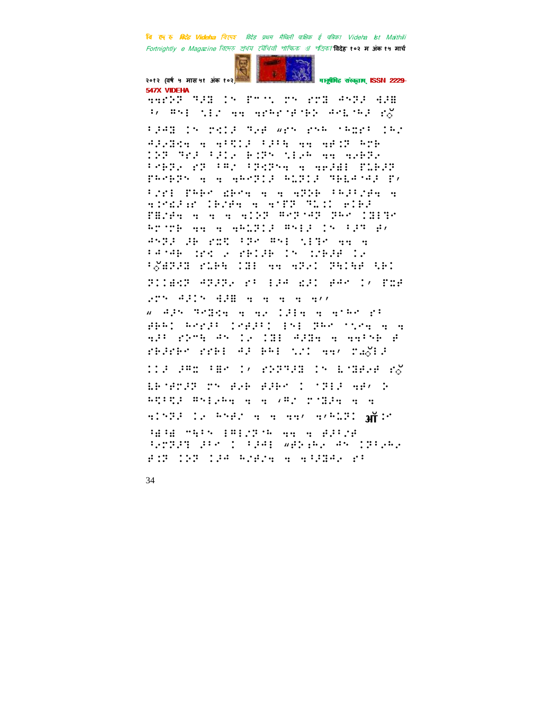बि एक रु मिनेट Videha विएक विदेह प्रथम मैथिली पाक्षिक ई पत्रिका Videha Ist Maithili Fortnightly e Magazine রিদেত প্রথম মৌথিনী পাক্ষিক প্রা পত্রিকা' **বিदेह : ১০२ म अंक १५ मार्च** 



२०१२ (वर्ष ५ मास ५१ अंक १०२) **547X VIDEHA** 

मानुबेमिह संस्कृतम् ISSN 2229-

44222 738 15 FM 1 25 228 4593 438 **A. Which is an arrival the which is a** 

FRAG IN MELF THE WEN PAR CREET IRT Algory and the title as af: Son IST TES FRIE BITS SIER AA AFRIE **PRESS RESPONSED BY ANGEL PLACE** PROBRET E AROTIC RITIS MBLANAS PA Frei Pher dern non ASSE feltren n ardie Great and Tic and FASER ROR ROSE Report TRe CAITE ROSOF AA A ARGOGA RSEE CS FER AV **AND HEATH TO AND LITE AND HEATH** PASAR SPOOR PRIJE IS STRIK IN P8822 PLPH 131 HH H221 25158 SB1 Bilder Arar, et las ear ask ty for ann Adin Add a a a a ann w Albertanger e en 1914 e estas pr BEAT APPLE TREPET INFORMATION AND APP REMAINS IN THE APPAINTMENT R related rate: Al emi thi aav rugil IIS PROTHE LA MARTIN IN LANGER RO BENEVER THE BULL CONTROLL OF THE SERIES OF Aqiqu Asquae e e var romae e e HINGE IS ANDER HOME HAS HINGED WITH REAL MAIN IMICS NAMES A BILLE syncher and the same wareast and they all

RIN 198 198 Arara a aggar eg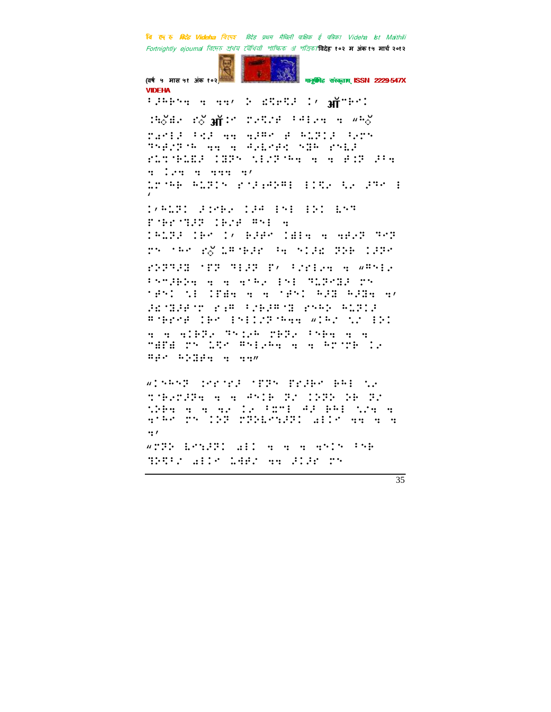बि एक रु मिनेट Videha विएक विदेह प्रथम मैथिली पाक्षिक ई पत्रिका Videha Ist Maithili Fortnightly ejournal রিদেহ প্রথম মৌথিনী পাক্ষিক প্রা পত্রিকা**'বিदेह' १०२ म अंक १५ मार्च २०१२** 



(वर्ष ५ मास ५१ अंक १०२)

मानुब्रीह संस्कृतम् ISSN 2229-547X

**VIDEHA** Published and the district of an inter-**Chome of an interest in the common second** randa ted me maggi guguda terk THEIT WAR A SERIES NOW PALE runder (SP) (ESP) a safe Pa **TEACH THE TEACHER** LTORE RUBIN SOLERNE EIGHTEN GERMEE 1,8121 21412 124 151 121 157 FOR THE CHIEF WHEN <u> 1919 (Br 1, BAR (Alg a aB20 970</u> recept room and the control research FRING YES MED BY PREPH A WHER Professor and announced minoral pr tesi ti 1844 A A tesi Add Adda A. REMERTS FOR PORPHUE PARK RESOR # Gene (Br 1511/270er with the 121 a a albe. This phere the a a mara ny 180 Ayland a a Aronb la spe spille a ann windows present sprogramship to STEAMPH A A ANIE PA IRPE DE PA When a a article form af BAI wie a anes process paesengal affromace a  $\dddot{\mathbf{r}}$ **WITH LOGIN WILL A A A ANIM PH** THIS ALLE LARE AN ALAM MY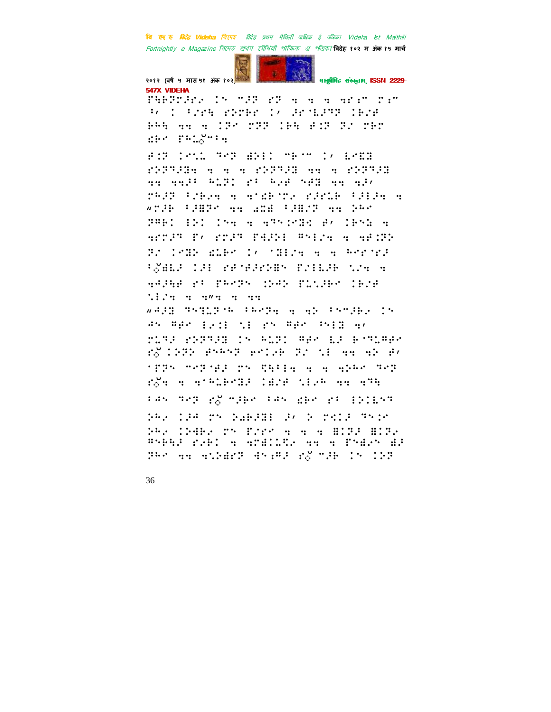बि एक स्टिट Videha विएक विदेह प्रथम मैथिली पाक्षिक ई पत्रिका Videha Ist Maithili Fortnightly e Magazine রিদেত প্রথম মৌথিনী পাক্ষিক প্রা পত্রিকা' **বিदेह : ১০२ म अंक १५ मार्च** 



२०१२ (वर्ष ५ मास ५१ अंक १०२) **547X VIDEHA** 

मानुबेमिह संस्कृतम् ISSN 2229-

PARTNER IN MAR 27 A A A APIM DIM **A CARD PROFIL DEMOGRAF** Phi 44 4 135 233 196 233 31 31 292 der Paulonie

FOR THIS REP BRIDGE THAT IS BEEN 44 442: PLT: 2: P.P. 522 443 445 ragg trage gendere rgnia tgige g wr:B (:BP) AA 228 (:BIT AA 24) PRES 101 154 4 475-512 PV 1951 4 APPIN B, PPIN BAINE WHICH A ABSON BY 1888 ELECTIV THING A A ROOTER *tämis in seneroma tiner* tro-ARIAR PE PROPRI INAN PILIPPO IRIR **WENTH MANUEL TO THE SET OF START** were synchologied a article in the state of the **AN WAY EASE NE PN WAY PNED 47** MISS PROGRAM THE WIND WAR IS NOTIFIED roller anno antak roll as ar an tras ester en danna a anno der Mars antibodi dire diet aan ang tas dep 28 mike tas dke 21 1911-00 pay the resolution of terriborous SAY CRABY TH POPP A A A BIDS BIDY #5001 rubl a andlick as a front of The Advance Aring 20 min 18 127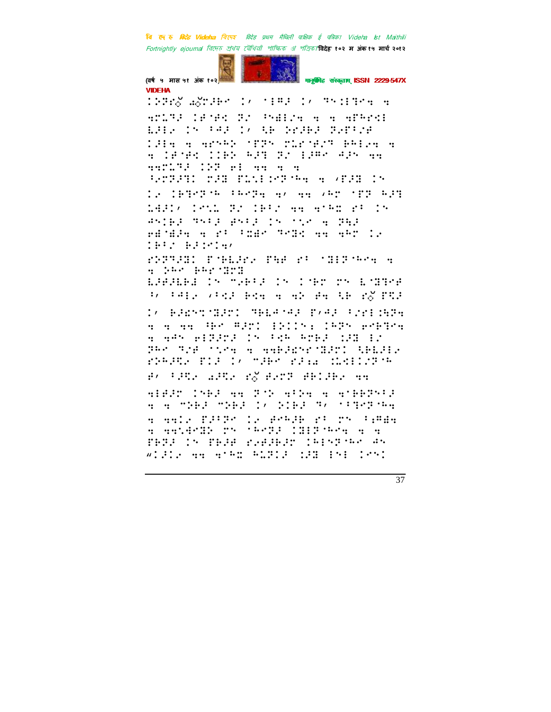

(वर्ष ५ मास ५१ अंक १०२) **VIDEHA** 

मानुब्रीह संस्कृतम् ISSN 2229-547X

103:0 MODERN 17 (183 17 SYS1308 8 aring lange Br Padira a a afered LHA IN PAP IV AR GRIBE BATICA 1914 a aryky 1935 riradin Bklea a a dense dies ago di presenta ago **SEPRED PREDICTIONS OF SERVICE** To TERMINE CHARACTER AND SERVICE LARD, ISSL RESIRED AN ATAC 23 IN **ANIER MNAIL BNAIL IN THAT 4 MAIL** rdjdin a ri fodr Prok aa ako le TRAZ RAJMIRA Konstantin Staatski Staat (\* 1983)  $\begin{tabular}{ll} \bf 4 & 144 & 145 & 147 & 147 \\ \bf 7 & 147 & 147 & 147 & 147 \\ \bf 8 & 147 & 147 & 147 & 147 \\ \bf 9 & 148 & 149 & 147 & 147 \\ \bf 10 & 148 & 149 & 148 \\ \bf 11 & 149 & 149 & 148 \\ \bf 12 & 149 & 149 & 149 \\ \bf 13 & 149 & 149 & 149 \\ \bf 14 & 149 & 149 & 149 \\ \bf 15 &$ LARGER IN TAPPE IN INFORM ENTRY a, addin van Bheim en Britannis no PRA 1, Blassinger, MBLASAl P,Al Freidhma a a an He Wind Ebilm: 1975 enter A APROVISION IN PORTAGE IN IN 360 328 1504 A AABGSPIERD GBLGD breath pid is make pass membra #, :20, a20, M #.r7 #F12B, 44

HIPP ISED AN PSD ATCH A ASERSTE HOR THE THE LOCATER TO STREET a ante flores te psolo en 25 (no capa a anterno no certo (Hiroeca a a TERP IN TERP RIBRER IPENFORM AN widis an anton thill was in into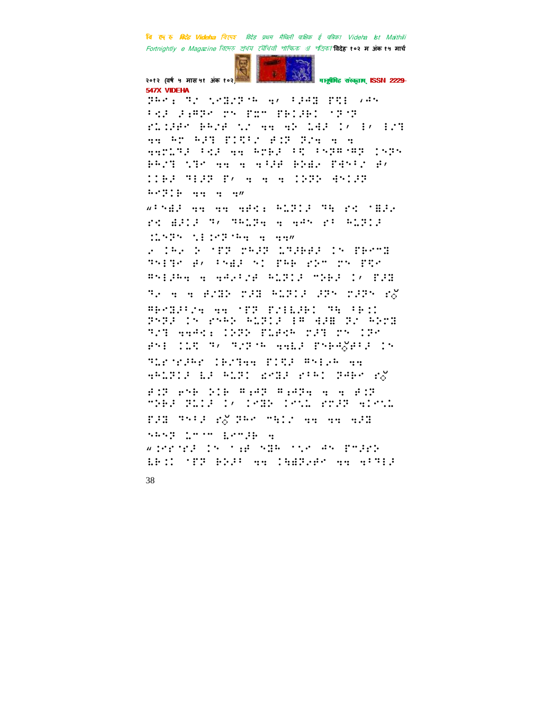२०१२ (वर्ष ५ मास ५१ अंक १०२) मानुबेमिह संस्कृतम् ISSN 2229-**547X VIDEHA** SPAR STORYSTER AV PRAS ESE VAR PAR PARK ON TOM TELRED YRY richer Bare trouge an 1930 17037 173 an brings steel die standig AATLES FRI AA RTES FE FREMED 1838 BRAT STA AA A ASGE BREE PARSA B. **CONTRACT, REPORT OF STATE**  $0.97779 - 0.99799 - 0.997$ winds as as afd: FLPIS TR rd (BSS) rd ARIA M, MALPA a ago ri ALPIA F CAP & TER PAPE LAPPER CA PROME Thing as the history of the side of the side #5:364 4 44,078 61813 5163 17 FJB To a a Brook rio Widis for rio RX BEFORE HE TOO CILLED TH FELD President and diese in Admiration 321 AA4K: 1222 FLAXE MJT MA 125 PH OUT TO TEP WARD PARAGELE IN The view lefter fitte Which an HASTIF AF ALTI WAS FIAT THEM NO FOR PRESIDENT PERSONAL ROBOT MARA PELA IZ IPER IPAL PRAP AIPAL THE THIS WORTH THIS AN ART AND sasy germ brown a winding: In the nim the Andrewin BOS TRAGGIAN SHR.GA ARTIC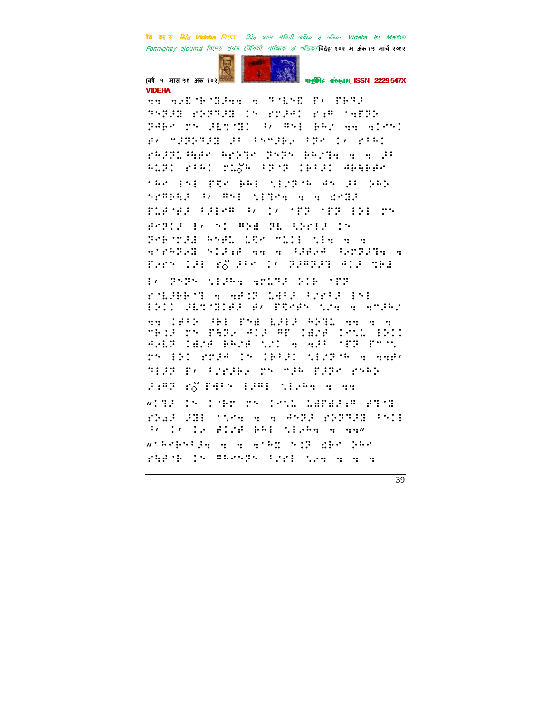

(वर्ष ५ मास ५१ अंक १०२, **VIDEHA** 

मानुब्रीह संस्कृतम् ISSN 2229-547X

**AR AND STORES A TEND IN THIS** 3533 MS313 (5 MM34) P.R. 1983 PARK TH SETIL WORKER RHO AR ADAMI B, MISSAIN IN PROBE PROTZER radu. Ger artur divus baru, A A Di RIT MAN W. S. MIT IN M. ARRAY ter in The Base and Signed and a gas 528662 (F) 851 51356 6 6 2532 FLANGE FRIED FACTA NOT NOT TER IN 1990 **BOTIS BY AT WHE TE ANNER IN** Perchan Real LTP cliff the and atress single as a serve support a Then IS NO HA I, THREE ALE TEE

B/ PSP SEPH ANDRE RIB MER robert e engonier crip (mi BDI Hrthe B, Moss Co a answ HE CARD THE THE EACH ADTE HE HE H medal on 1982 All All Me laze lini . . . . . . ANIT CICE BROE NOT A APP STR FOOT ry Bel rrag in 1991 (Bill 1977) a aaf, BEFURN PREFER TO THE FIRM PORT FAR MOTHER BANK SEARCH HA **WIRE SALES TO THE CONSTRUCTION OF STATE** PREF 201 (1986 A 4 4503 PROPER PSI) **And the State BR: Michael Alarm** withdraids a a airs nor dropped rance in Barnet Crit the scale of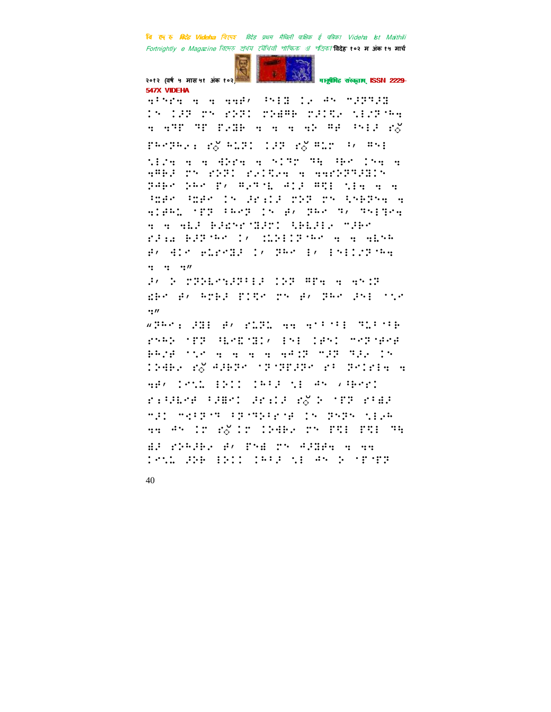## २०१२ (वर्ष ५ मास ५१ अंक १०२) **547X VIDEHA**



मानुबेमिह संस्कृतम् ISSN 2229-

albra a a aaby Pill 12 An 52721 IN 128 MN ROBI MOWER MICH. NEZPORA a and he from a a a ar me this ro

PROPRIE PS RUBI INT PS RUP (F) REP

tics a suffice a sing ne decide a eAPS 25 PRINT RESIDENT REPORTS PARK SAR B, RETTE ALF REE SER A A Sher Sher in Brill MAR Mn Chefne a ADAMI KEBUAHAN INGGA BAGINA TANGGAN a a aks blev dir: While The rand Barner to miditare a a mine By HIM BERMIN IV THAN EVICATION THE  $\dddot{a}$   $\dddot{a}$   $\dddot{a}$ 

BOOK TEMPERATURE THE HOMEST ERS B. ATES FIRS TV B. TAS SVI TVS  $\dddot{\bullet}$   $\ddot{a}$ 

where HH B, rund as an entire muscle PRAS TER REPENDED INFOIPATORMENT PROFINS A A A A ARCH MOD MOVIEW THEY PO SPER STORIES POSSED A APA CRIL EDII IREA NE AN VERAI righte cart aril 200 mar rea mat melahir lah melah yang meneris dalam HE AN IT PÅ IT INHER TN FRE FRE TH A: CHUR, A, PYA 27 A:BA 4 44 TRIL PRESENT TRIP IN AN DOCTOR

 $40<sup>°</sup>$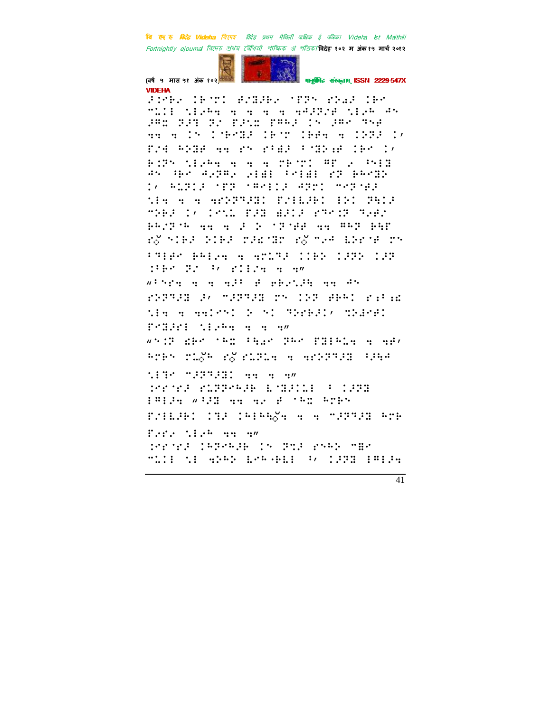

(वर्ष ५ मास ५१ अंक १०२) **VIDEHA** 

मानुब्रीह संस्कृतम् ISSN 2229-547X

Free (Born Brage) (FP) real (Br MICE SERRE A A A A ARGUSA SERRAS PE SU SATURA PRE LA PRAIRE ee e la libreal dessidere e doppe da rne broeken an anosko nicht (broek BOTH MESTER ARRAIGNMENT OF THE as ger ayng yig: (rig: 27 Bergy C/ RIBLE MEB MARRIE ABMI MABMAR <u> 1900 - 1900 - 1910 - 1910 - 1910 - 1910 - 1910 - 1910 - 1910 - 1910 - 1910 - 1910 - 1910 - 1910 - 1910 - 19</u> THE INSTITUTE BAIR PROPERTY PRIPE AN A J D SPING AN WAP PAP ro the pies rerum rooms meeters PREAK AREAN NONCORPORATED ISON 130  $\mathcal{L}^2$  in the set of  $\mathcal{L}^2$  , and  $\mathcal{L}^2$  is the set of  $\mathcal{L}^2$ witch a good for the state of which and the FRING A THRAD TY IND APPI FALLS the electron boom when the charge **Principal tight to the first** wrip der nac (adr par poiede e ef) Pres right Concrete andress saw 1190 7227231 99 9 97 **THE RESOLUTION CONTROLL OF STATE** FALLA WILL AN ALLE THE ATEN rding our chings a streem are frie the same show PETER IPPORT IN PUR PORT THE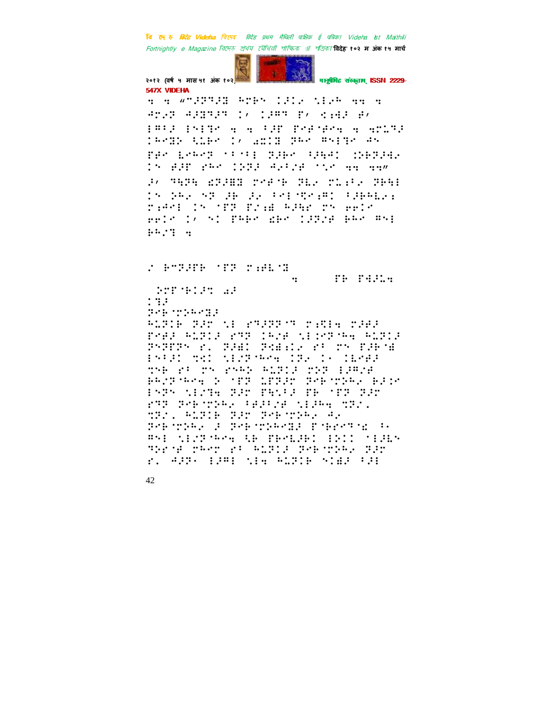



a a which biby lile the as a 8528 828525 (2 1285 B) 3182 B) PROFISION A ROUGHT-PAPARA A AMIRA **TRANS WIRE IN WIND DRAFTWORK** PAR LRARY STRIP BOWS CONST. MARCHE in Add yer (1933 Alfiel tir ag agw **J, MATA RIJHI MYSTA TER MIJIR TAAL** in the no objects the magnetic computer right in the Erak Adam chosele eels la Si PABS dBS 19828 BBS 851  $1.4.11 - 4.1$ 

**SAMPADE STRATEGIE STEPHING AF**  $\mathbf{1}$ 289-1254833 PLZIE ZAT NI PTAZZYT PATH PARA Pres Albia rob inne nerrowe Albia 35335 r. 338: Teach of the THEE PRESS TRISTING THAN IS THREE THE PROTHOLOGICAL PRINT IS A STATE OF THE SET BRZZONOW 2 MIZ 18222 ZOBODNOW BJD PAPA NEVTH FAR PANER TR TTP FAR FTP Personal Person (1984-02). MRI SALEDE REM REPORTER AR President a Presidental Poedra a SP #51 SIZPORTA RE PROLIBI INII MIJIN Shrie rest problems celebrate cor r, 4200 1281 the ALBIB SIAD FD1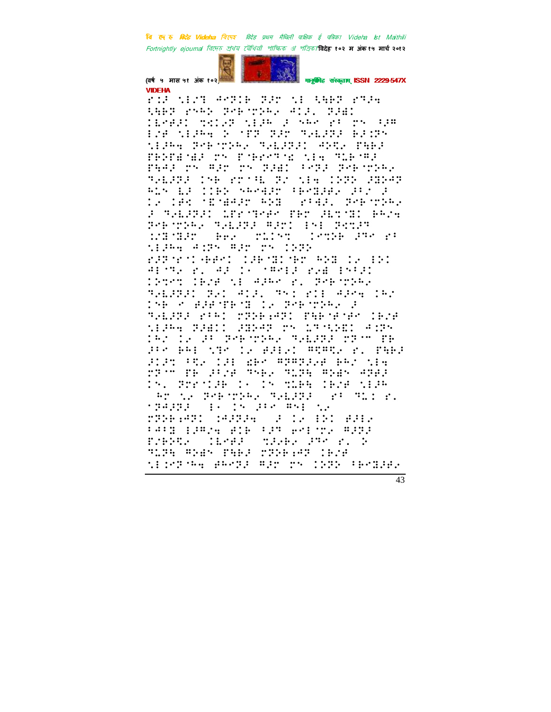

मानूबीह संस्कृतम् ISSN 2229-547X

## (वर्ष ५ मास ५१ अंक १०२, **VIDEHA**

rif (171 Angle gar (1 Ameg 2924 1982 PMR 308-2252 413. 3381 TEMPET SATUR SEPA PUNAM PROSPER EVA NEARA S MER RAN RALARA BAYRY tilk, bekende salari gun faki PROFESSION PORCHOLOGY SECTION PARE 25 REP 25 REAL FORE ROBOTER SALARA (SE PROSE RA MIR (DAR) ABDAR RIN EF CIEN NAPART FRONTER PRINT CA 185 'E'ddyr ASG' Yfdy. Pre'rsey F THEFFIT LEETIMEM FRO HATTED RROW Presider Salara Sari (President indrope (Bel college length 250 et<br>Sigma 4:25 Age en 1926 eggineri (Bani) (19679) 162 (559–152)<br>Giornaldo Gallino (1961) eva (1599) ISTOT IRSE OF APPOIRT PORTSPA SALARAD RAD ADAL SYD 201 AGPA DAY DSA STARATAS DE PRATORALA SALARA (MAI) MRDB 2471 (PHETATION (B.M MEPHORENE PREPERTY LESSEN FOR INT IS AN BREATHER MARRIE TRAM TR PROPHECIP IS BREAK MUMBER 21 THER BIRT PRESIDE WHO PRPRIES HAD SIG :3" H H A WH THE TIME THE STA Provide is in the Least telestical  $\mathcal{L}_{\mathcal{L}}$ TAP NE PERSONAL PELEPE (2) PLICE  $\pm 10$  (28)  $\pm 100$  (38)  $\pm 100$  $2.333331$ **MIDE (491) 143934 (301): 121-131-4312 FALS LIBY: SID LIB PRINTS BIB:** tick in the TITE WIES PART TTIE-AT IETA SECRITA ARREA RES SA INTE TRABER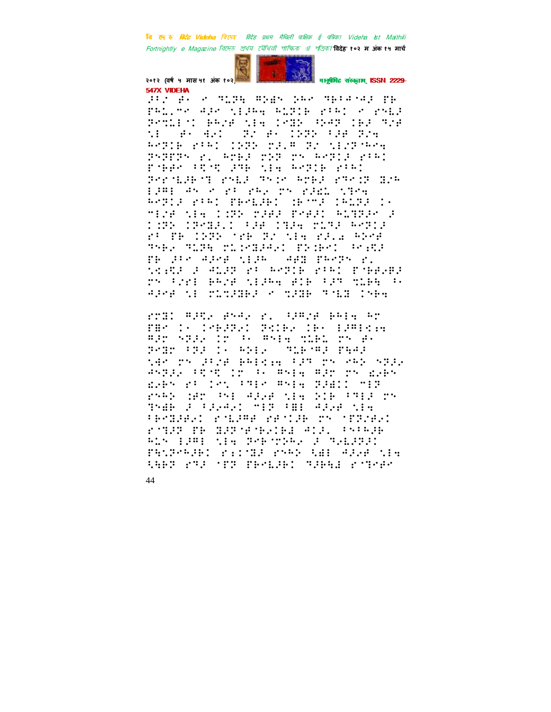

२०१२ (वर्ष ५ मास ५१ अंक १०२) **547X VIDEHA** 

मानुबेमिह संस्कृतम् ISSN 2229-

Bir Bear Middle Middle Sweething Di PROSTAGE SEPARATE PRESS ASSES POWER EACH NEW CORP. PHP CEP TOP Bris Mar Mar Bri ti de del WORLE FORT TOOL DAIR OF STEPHEN PARTRY F. AMES MAR MY AMPIS FIAD POHP RICE PROSE NEW HORIE 2001 Portland roll to be anno riole dia EPRESS A PROPRESS PROPERTY STAR Régia est: PROLard drona delga de MICA NIA CORPORAZA PRAZI ALTRAR 2 MOR IPPORT FAR INAG MIRE APPLA PROTECTIVE SERVICE PRODUCED THE TEST CEPTER IN THE SAID PART TE JIR AJRA NIJA (AHI TARTA K. leatr a Alla Go Avalf 2041 pjfelda<br>25 februari 1944 1944 alb fan Slba (f APPE SE TITULES POTRE TALE INFO

rrot Adol Ask. r. Gard Belg Ar PAR 18 1962221 20162 168 1291036<br>P2D 5222 10 36 9514 0161 05 25 PART THE IS ANDER THE MAY PART tër nd aftë bëldim faq nd këp dagj ANGGA PENESIT PESPERANG MATERIAL BAN EPROPERING PRESERVED PRESENT rnad der Pnicadoe nie die Pris rn THE S COUNT TO CHE SOURCES PERBENT KALEBE KEALER TY ATTACK FURNIBURY RIGHT AND INDUS ALS 1981 MIR POPTERR 2 PRESER PROPERD PICHA PSP AND RAP NE the started challed them steed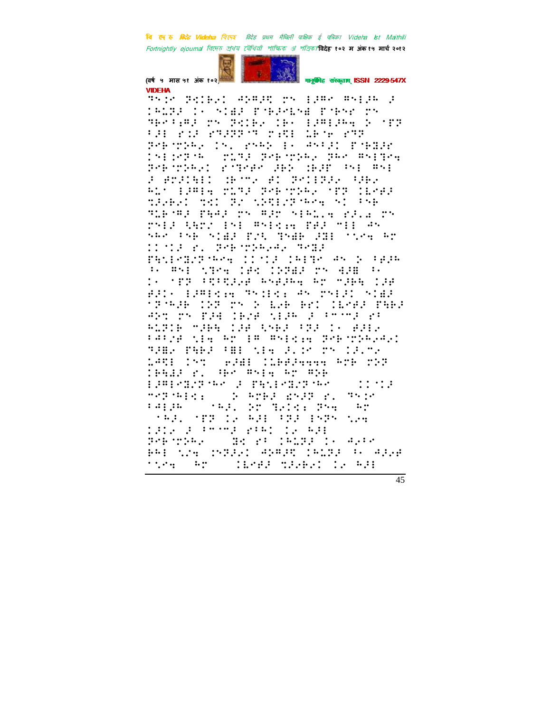

(वर्ष ५ मास ५१ अंक १०२) **VIDEHA** 

मानुब्रीह संस्कृतम् ISSN 2229-547X

This Pelby: Wimpt on the Ships of IRLED IN MIAP POBJARNE POBME 25 Herbert an Bolke lin diminue i fur **BE FOR PRESS THE GET PTS** Beberah (n. 2003) E. Antal Bengal Information with Theoretic Tentering Prespect represented by the way *F ATAINIC INTE AI TRIITA (AN)* RD (1981) MDRE PORTUGAL TER CLOSE MARKI MAI PA NEBERPANG SI PSE REPORT PARK TO SPECIAL PRINT TO rnif thr: End #nicid PAF mil #n SAR PSE SING DZU TSNE ZOL JOSE AT MANI P. Perchara Seni PANEMBRY MAN (ISSUE CAETA AN D'ABBA 36 #51 MPH 180 INTHR TS 42B 36 te opr fringe byggde by Specie BRIA (BRIGH TSHR) AS TSERI SIMP **197628 ISB 25 S LAR RED ILPRE PARE** AND DR BAR (BIG NEAR A PHONE 25 PLPIE MJER 128 RMEJ 123 13 8212 PAPIE SIN AT IR RNIKEN TERSTADADI THE PHEATH ME FIRTH TO MATCH 1891 (nr edd) Middenn Arb MCC THIN Y. Ar Anig Ar Age PROGRESS CONSTRUCTION  $-11.214$ mediates of the seat and all more  $\sim$  (Red. 20 Teleck Phase Rr  $1.41(11)$ **MARY MEDICAL ARE PER ENEN NAM** 1312 3 Phone 2001 12 031 President (1980) and a black line where PRI STA TREAT ANNUM TAIRD AN AGUA  $\mathcal{L}^{\text{max}}$  ,  $\mathcal{L}^{\text{max}}$  , and  $\ddots$  : TEMPROGRAM IS ARE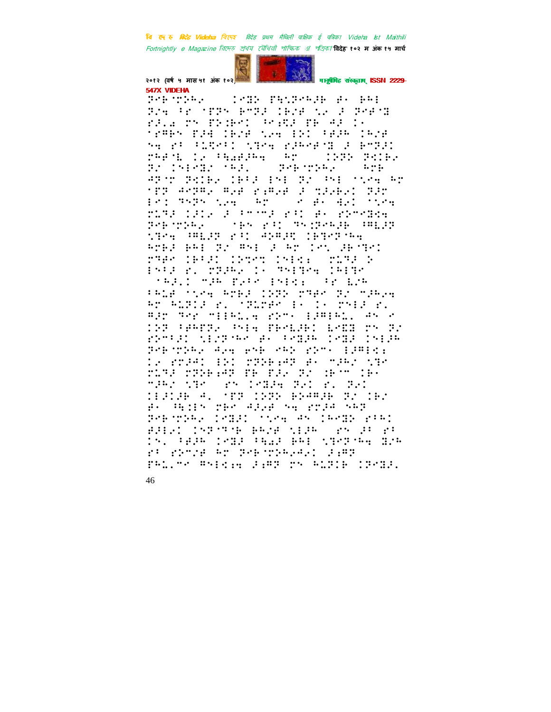## २०१२ (वर्ष ५ मास ५१ अंक १०२) **547X VIDEHA**



मानुबेमिह संस्कृतम् ISSN 2229-

Presne (2008-Paverage en emp Bra Protes Robe Chreole De Porte FRIE TO TRIBUT SURFLIB AR IS trakt bad (kre the 191 feam 1978 ne et timet: Smee elterenm le Broud rêfîk la talezek (er) (1282-8416) BY INFORMATION POPTING  $\cdots$ APYR BATES IPPS INFORM PALONSH PD tra Arago gen righer a maghil dam Pri PrPr the Service Architect (120 MIRA CALE A PROMA PRO BE PROMINE Presna – se radiostrana (pre **1966 PRISE FIL PERIE 19979166** ATES EAT TO RAT SURPLICE SECTION raen (eta) (bren (eta) (rua) b ista el campio de mides delde **SARIO MPH EVEN ENERGY PECANN** tale syne aregoligg raen gyorgaye<br>Ar algig el sglimen en inomeger RSM Reportion.com PSMA (198181) Ander 198 (PRTS) (MIA TRALARI LADO 27)<br>POSTAI (1938-198 PRT) (MORRO 1908-1918) Presne Ala and red personal press 12 MMAAD 121 MMAD AM AY MAAD NGA MIR MIREAR TE TAGIM GEM (E) MARY NEW YORK TREASURY AND REP 113136 4. MTP 1939 B94836 32 16. Be Shilly The Albe Sh Price SAT Personal Personal Andrew Party Part BREAT INFORMATION SERVICES AND PRO 15. Pale 1918 Pale AA (1959-44 196 rt rinne ar debroikaeach agus PRINT PHERM SHOW TO RITE ITER.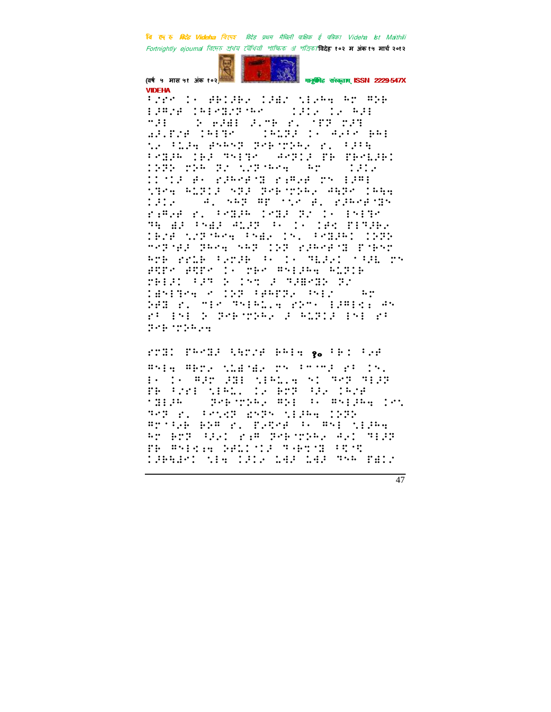

(वर्ष ५ मास ५१ अंक १०२) **VIDEHA** 

मानुबेदि संस्कृतम् ISSN 2229-547X

Free 16 ABC2B2 (2A21 SE2P4 Pr Are EPRIM INFORMATION ISLANDS AND OR BABI AVNE PV TER DAT  $\cdots$  .  $\vdots$  $\frac{1}{2}$  ,  $\frac{1}{2}$  ,  $\frac{1}{2}$  ,  $\frac{1}{2}$  ,  $\frac{1}{2}$  ,  $\frac{1}{2}$  ,  $\frac{1}{2}$  ,  $\frac{1}{2}$  ,  $\frac{1}{2}$  ,  $\frac{1}{2}$ WEIGHT CHIPS NA PILA BRAST TRESTAR BL PRPE PROPERTY THOSE WATCH THE THREEN 1935 MSR 32 N235R34 (RM) (1936 COSTA PO EPPEND PARA 25 IPR the Albia Spa bekinder Agos (Ago TA, sap ap the g. glazgings  $1.312 - 1.5$ ramen richedem (eds di la 1919) TH AP PAAP ALPE POINT IP: THE FITTER TEMP SMP PRAY PARK IN CRAINED INFR medinal deem sed (190 pleemeid pinesp And releaseded to the Miller of Children BUTCHBURG IS THE BSIDE, RUBIE THEFT FIR & INT F REPER BY laniska kolprojektru (nivo spoluo)<br>1938 b. mikosniklia bron ilgele: 45 FROM THE SOUTH-PATHOL AND SERVE THE ST Presidente

rrd: PRPdB Garre BRIG go FB: Pod

Brig Beng widths nr Front at In. S ART 200 (161.4 SI PPP PEP  $\vdots$  : FROM THE SEAL IS REFORM THAN Presne Web ( ) and ( ) ( )  $1.33344$ THE P. PHONE RATH NEIGH 1979 Brigh EM P. THRE B. BME MEDG RO BOT STAINER THROUGHAM AND METER TE PHERM DELIVIS THRVS FIVE **TOPAGE: SEA TOIL LAD LAD THE PAIL**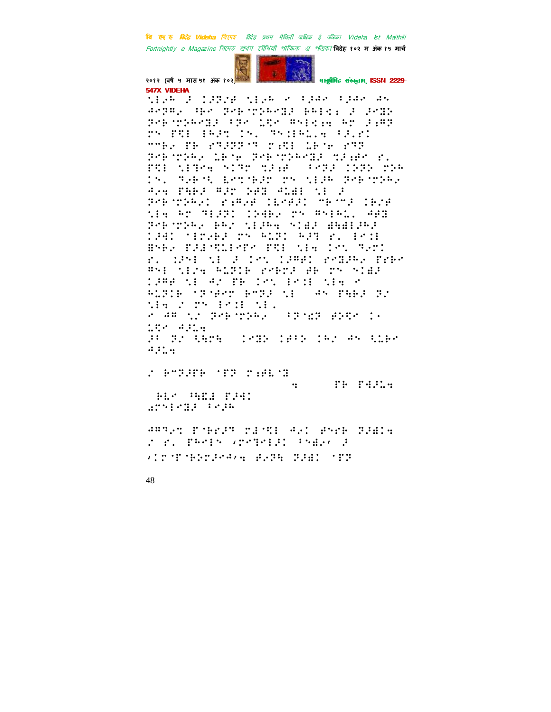

२०१२ (वर्ष ५ मास ५१ अंक १०२) **547X VIDEHA** 

मानुबेमिह संस्कृतम् ISSN 2229-

NEAR OF TOPINE NEAR 20 FORM FORM WA Arport Christian School Peace Candidates Presperado provinciamente en 2982<br>Provinciamentos, Profezial Palaco THE BEATHET PHI LETE CT Presnew Lese Presnewell slake b. FEE SITES SITE TRANS FEED INTO THE IN, BAROL ESTARD DY MERCIPANTER Age PARE ARD DAN ALAB (S) President ramae (1888) sessi (828 the Ar Missi (1986) re-Aeial, Ago Preside Prostage Stat Analage 1981 MIRABE CR ALTI APT 21 BRID BYES FREMENTY FRE NEW CONTROL r. 1251 ti 2 1st 128f1 relate fres BALTERATALDIA PORTA AR TO SIGA 1986 ME AZ PROTON ESTE NEW S ALTIB STORES BOTH ALL AN THEF TO the Port Policies K AR NE PERSONAL (PROBREMENT) Lish Adile an ar nama (1882-1912-1920) an nuas  $4.314$ **SECTION CONTINUES**  $\dddot{\mathbf{z}}$ **BO BO BO** article of the ARTES PORCH SEORE ALL ANCH REELS Converted Schedule (1982) 3 **WISTERSTALL AND STAIL TER**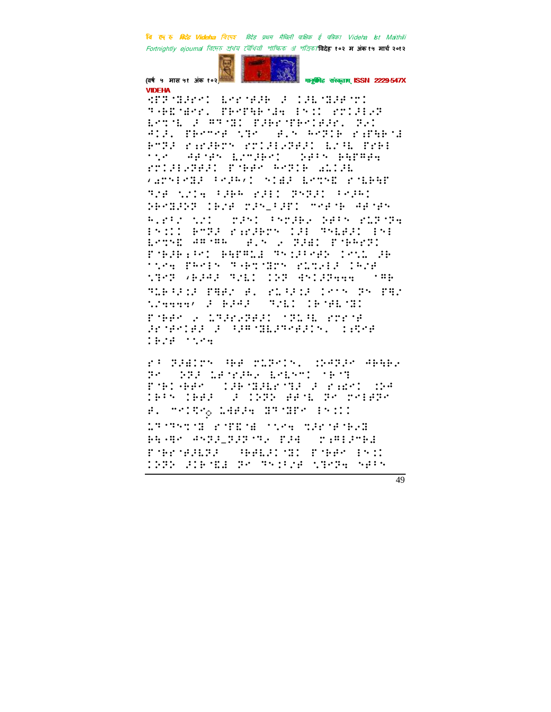

(वर्ष ५ मास ५१ अंक १०२,

मानुबेदि संस्कृतम् ISSN 2229-547X

**VIDEHA** STRAINST LANGER FOR SHOP THEMPT, PHONE MA INT POINTS Bergh a When Pake Theleady Til ADEL PROTOR NTO CALS AOTOR PAPARSA PTE PACHET PTIELFER EN BYPE tic Apter EstBell (SPIR BATAG) PTIME-MAN PARK RETE WILH VANSESER PRIPAL SIAR ESTSE POLPHE The this fies rift Thril fring NEMBRO IEZA MASIRIO MARTE ARTAS  $4.747 - 1.11$ **TEACHERS SERVICES** ESIL PTR PARPS IR THERE IS Bener America Ale & Pan: Perrent PORTHAMING PROPORTION OR tics PROP THETHER PLINES IRS 1949 (6343 921) 139 45139444 (186 SLEADIN PHAN BY PLANTIN CHOM DR PHY 129996 2 B202 **THIS INSTALS!** POHR 2 LARRAGHAI SALAH POPOH armentes a gancilarendado. Laber TEMP STOR

r: PRETTY ARE TIPSTY, INSPESSARERY Pro 1972 Lennard Energy (From ESPIRANT CAPSER SET A RAPI CHA TRIN TRAD (F INSN ARME SK SKIASK) E. TOIROGEBER BROBE (PSI)

L'ASTANCIA ESTERNA SOLARI NAMBRAD phone assigning the star station of reremo manorar represo INTE SIPALE TO TRIED STORE SALS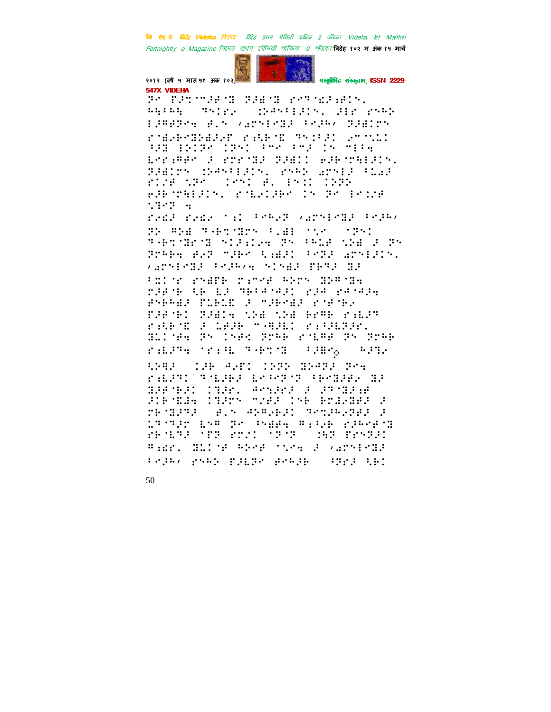

२०१२ (वर्ष ५ मास ५१ अंक १०२) **547X VIDEHA** 

मानुबेमिह संस्कृतम् ISSN 2229-

Professor Part State State AGIAG SALER CHANISIN, SIE ENAD EPROPH R.S. Varsiels (P20) SPRIES riage-manage rade most group and FRE ENTRY CRNI FOR PORTIN MERG Enrique a roroga gagi: edeoperato. Balles destigly, response that FINE NORTH COMPLEX ENCLOSER BEFOREES PORTER IN THE POINT  $2.393 - 4$ 

rank rank til Pebag (medeng Pegb) BR ARE THROUGH FIEL TO STORE Perfirm Silke Posts well be Prees B.P maer table from arribly. **VATME-TREASON ADMENTIONER** Folde realty range with Simons raene te ba metanda: 224 2474a. PAPAE TIPLE 2 MAPAE PAPAE THAT THIS YE YE BITE FILT rabu fish "And rading Hiller Th Cher Tree rouge Th Tree rache mria namma (1868 - 1896

1993 (18 428 1993 09493 984 rashi tushi brezhi Gezia, za sanda (San Anaha a affilia FIRTHER CORPS TIME COR RTIFORE F rendra els drager annergade 19792 ESA PROGRES AVENUEVARIO PROBABLY PROPERTY OF THE PENRAL Rang, Hille Wind (1984) Power Carriell tela, esan plupe aeala ( 1961-181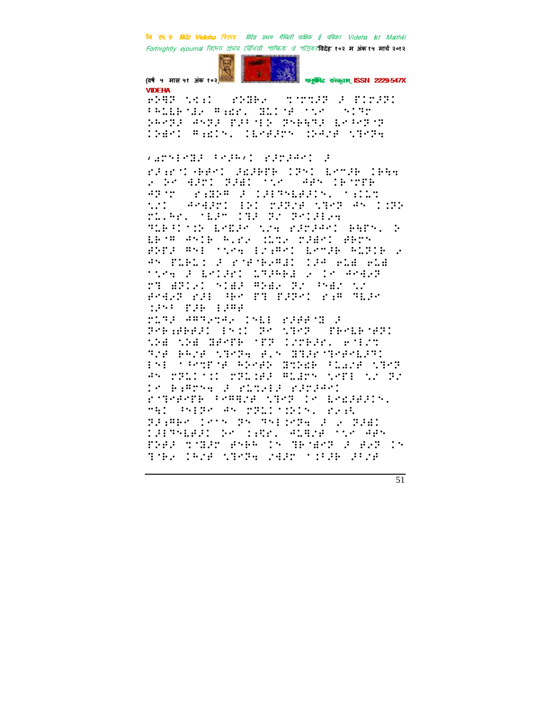

मानुबेदि संस्कृतम् ISSN 2229-547X

(वर्ष ५ मास ५१ अंक १०२) **VIDEHA** 

FRAME SEAL (PRINCIP STORES) PICKER **CRIBME REMARKED TO STATE** SPARE ANDE BEFALD DNBAME LA PARAD Deen Auch, Cleadon Chana (Sepa

**VARMEMED PROPAGE AND SERVICE** rawn Gent Graphe (PS) brnab (Phy a be gant dag: the caps ibonib APST FREE POINTSMINS STAT tri (Anger: EX: Media tang An (198 rd.Ar. (125 ITE TA Police) TERRITOR EMERY NON ERSPRY, PHENO S ERSA ANIR ALEX (ETA TJAR) ARTN Bres And School (2001) Lenda Albia G An Tibil 2 rubbed: 124 pid pid ting a brian daagel ook greek ri antet stal Asae no seao to PAGE 231 AP IT ESPI 238 ALP **125: P.D. 1388** MITA APTANAK INI KABENE A Presential Project 1998 Termener: the the degree off forest. Boich THE PRIP NORTH BIS HORNIFOLDS! INE TROTE REGEVITORE PLAZE MICR AN TELLAI TELIBA ALEM NYE NY EV De Bi<sup>m</sup>ren 3 flatil flatien: POTERED PERINT NTER IS LEADERS. MED PRIPE AN MEDICINING MARK PASARA (2015) PS (PSE 2024) 2 (2024).<br>1917-1921 (2001) PRY, ALAVA (1000) APS THE TURE PARK IN THURT F PAT IN THE INSERTENCE SERVICE ENGIN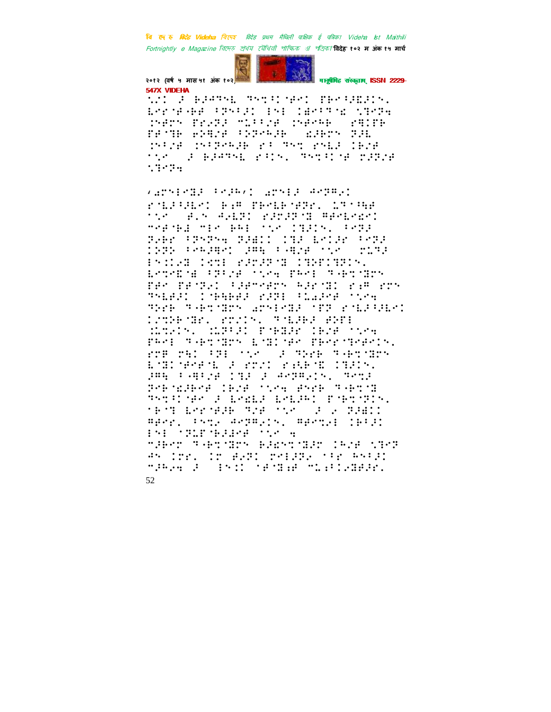

२०१२ (वर्ष ५ मास ५१ अंक १०२)

मानुबेमिह संस्कृतम् ISSN 2229-

**547X VIDEHA** this papers, mentioned medicin. Enrike (Prist Britannic Street THETH PEARS MISSING INFAME ( PRIPE TACH PRESS SPECIAL WARTS THE DRIVE OSTROGEN KRUSTSCHUR IBJE MAR JEDENSK PRAV SAMPLAR MEDE  $1.31134$ 

varningi thim, arnii Angol rasumer F.A TEMENTER, 17796  $\mathcal{L}(\mathcal{A})$ **A. MARINE PROFINE ARMENT** meaning make away that the state of the second SAR TSARY SANI INFORMATA CONTRACTOR COMMON SERVICES AND SERVICES PROGRAM PROVINCI ODDODINA Estrabol (Prize other PRA) President FAR PASTED FRAMEDY RAPORT PAR POS THEFT INFERS FIRE STEPH MINU THE THE TEN ANGELE MET POLICES **TANGER START START START** montal matai roman lehe bine PROF PORTUGAL ESTIMATORS TRANSPORTS. rof oku 1918 nizi 2001-yilda (1910-2001)<br>Logu nezid 2012 nizi 1912 (1912) PRESENTED A PRODUCT President (Brd Sing) dark Sodrag Bengler a benn benamt personel MEST LAKARRE TOR MICH (F. 2018) ##rr. (Province=Province=Province=Province=Province=Province=Province=Province=Province=Province=Pro ESE STATISFIER TO SA MARCO RAROMENA BANGINARO (ROBOSTO) 85 1221 12 8221 231322 532 85331 MARGE PAINT MATHEMATICARES.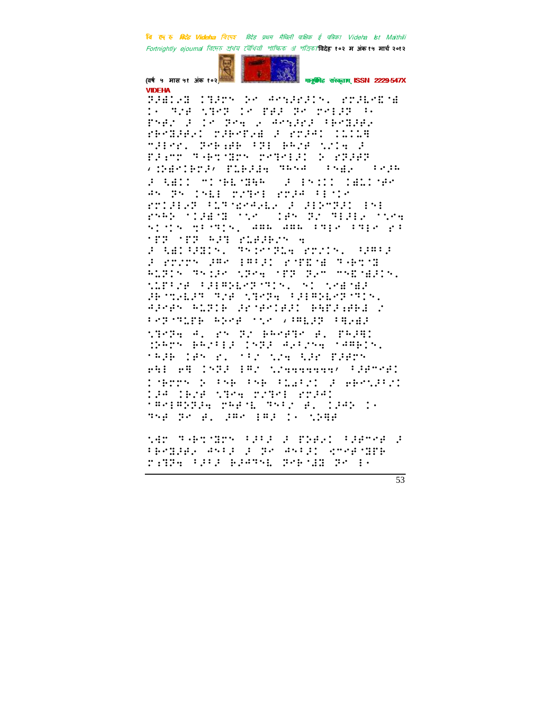

(वर्ष ५ मास ५१ अंक १०२) **VIDEHA** 

मानुबेदि संस्कृतम् ISSN 2229-547X

BABLAN (MATH DA APRAETIN, STALEN M 19 MAR NORTH 18 BAR DA PABLE (19 Pres a le Per a Angel (Proges reguesi ruegia d'arugi mida matrix, Brbade (191) BRIB NICH 3 EAST THRIBY POPPER & STAR **VIRGETERS PLEAGH MASA (PSG) (PSPA A RAID MINERAL A PRODUCED PRO** 85 FS 1511 MITH 2028 FIST POINTS TOTALMENT ATMOSFER rner (19878-158), 195-32-31912-1584 Spring groups, ame ame rupe rupe gr **THE THE WAY PLACED A** a tanganya menyaka protes gama *Farin Pe Bear Fores Pers* ALTER TREP CPAN TET TET TRETHEER. three chapters with the magnet SPORTS THE CROSS CONDUCTIVE APARK PORTE SEMENTER (PAPPIRED ) repending and the companionship there all an out beeghed all pelago garys presidents and determined the tele las rustic who we the fiers PHI PR INTE IRI NIGHBAGAN (TEMME) Información (1966-1966) (1967) a George Mi use tere type prysel epset **TRAINDING THANG THIS A. CARD I. THE BE WE SHARED IN STREET** 

ter Servary (PP) 3 Breat (PP-08 3 PERSONAL PUBLICATION ARE ARRESTED ring, this plant, perchilded is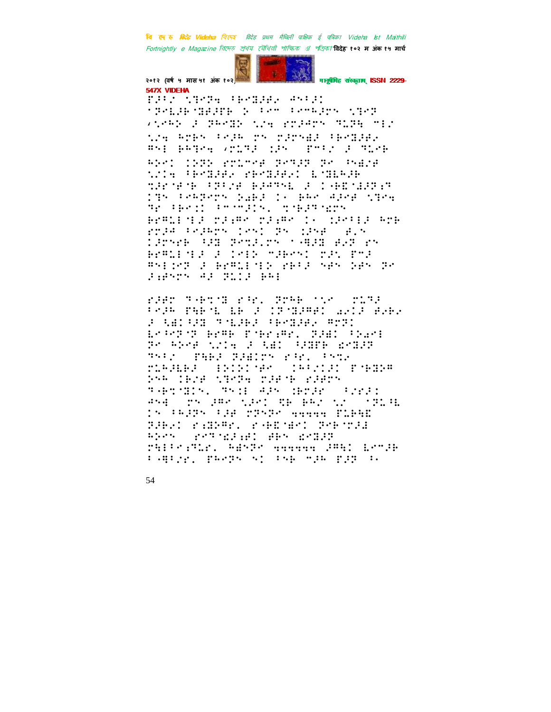

२०१२ (वर्ष ५ मास ५१ अंक १०२) **547X VIDEHA** 

मानुबेमिह संस्कृतम् ISSN 2229-

THI TRE BETH AND **MERLIE MELLER (D. FRANCH PARLER) MERE COMP F PROBE NOW POPPY BLPH MIC** tre Arby Copa ry rirydd Chodiae Bri Price (MISS IS (Pric 3 Side RD-1 1000 PTLT-0 D-TAD D- PARTE WIRTH-PARRE, PROBRET EORDAP through there elected a coeponere 195 Pethers Sabl 16 btd Aleb Shee TE FROM POSSIBLE TRATEDS Brading regard reach is designers PTP4 Pelbra (ea) 35 1958 (P.A. Carse (ad désalré (Aud eld es BEALENE S CHE MARCH MAY PMS BMENCH FREDERICH SERIE MAN DAN DR JAPYS AF BLID BAD

raen syedisk fel speel iv. (1894)<br>Prae persk ke a losskapel wila fier F RADARE TOLANG ANORRE ATT. ESPECT BRAK PORTAGE, THE STACE problem the College Connection THEY THEY PREITS FRY, PATE rightha (1919) yer (1919131) pranse 25A (BZE STRTA 2283B 22825) THETTICS, THIS APH IETAY (PICE) ang sing amesinang sing mesang sing saturi.<br>Ing palang palas nanang-palang pulau BRAT FURNEL FARMENT BMP MAR RNAN (PARTER WELFURN EARLY raftering, about against 2001 benga PABLIC PROPRINT PARTNER PRETTY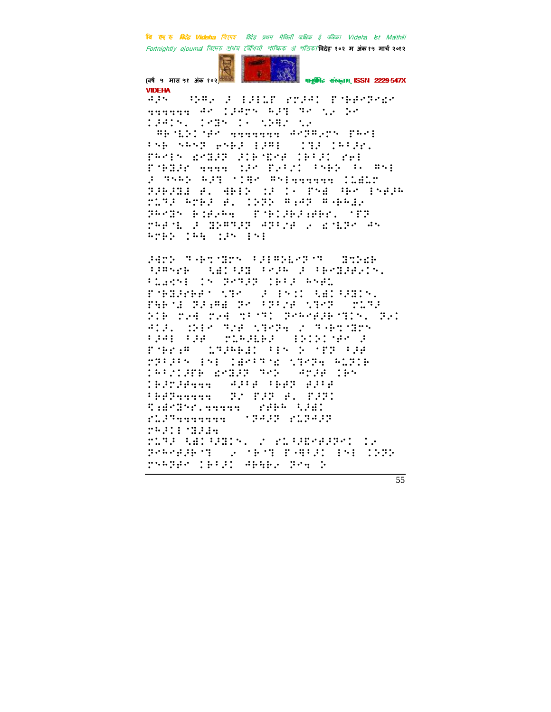

(वर्ष ५ मास ५१ अंक १०२, **VIDEHA** 

मानुब्रीह संस्कृतम् ISSN 2229-547X

 $\mathbf{a}$  in the set **SPREAM BARDER POSSESS ENERGYPER** 888888 AC 19425 FPE 30 NP PC DARIN DABH IS NABI NA **AP LEINER ANNOUNCE ARTHLEY PARE** PSE SPSP PSEP 1981 (1938-1983). PROPORTION AND THE SPACE WAS Pobler aaaa de Patri (sep (6 As) F TSAY AFT TIME ASTANDON ILMLT THALL A. ARIS 18 IS THE ART PREAM risk erke Alließ Aud Auße. BRASH BIGGH (FALIBIGHE) (FR 7583 2 328922 42328 2 3328 45 **ATER 199 125 151** 

**2455 THE NEW FRIENDAT STOCK** GARA (GEORG) PARTI (PROPRI). Place: 15 Pengg (BR) Rogl POBREHO MR ( F PSI ARTHRIS, PARTICLE AND PROVIDED TO THE STATE NIE MAE MAE METAL PARABJETING PAI ALE. ORES THE STATE IS THEN MOV tig Op Schale Stringer rded a consegnation of the sug MPREPH ENE CEMPTAL NTMPH PLPIE SAMINE REAR TEN AMIR IP **193738444 - 4318 1937 8318** CAPSYLTTER PHP USS Munderen Man Mund **MARKET MARKET** ring amount. Facundary 12 Sereggens (2006) sense services and rykger (692) Abhby Bra 2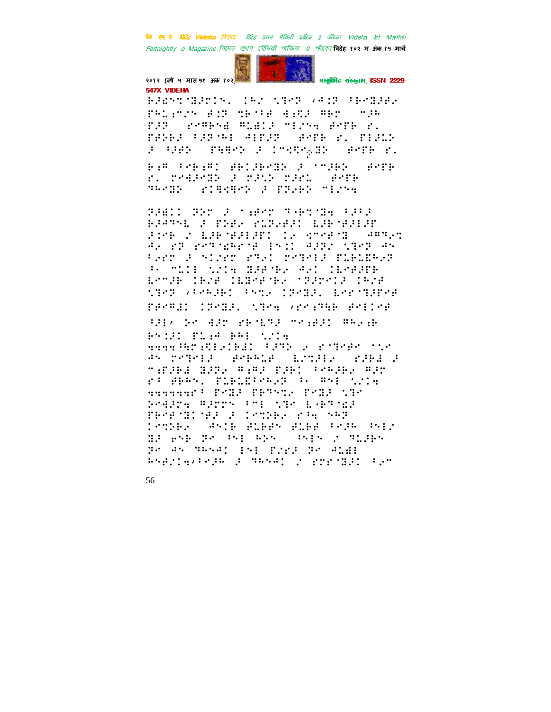Print Mile PP: SMIR aaaa heredischen (PPP) is ringer ins An proprie (Arbeid) inside (2001) MIRJEJ BJRA RARJ PJEL PARJEA RJM r: ARAS, PLELDONAR (8) 851 MADE second PCB BBT-1, PCB 13 Seadra Adrre (en tre Labread FROM THE POST CONTROL OF THE SAFE Temper (Anie Alean Alea Pelk Phil HA PAR PROTECT AND COMPOSITION productional information did: Anglieveria i Sanglich errodit (f.e.

56

BHW SK HET PROBE TO HER WAY H

SAMIN'S PART PART SAN SALE BJATHL 3 TYPE PLTPAID LIB-9213T adre z Eaerdalari (2 grrdin 1995) ar al relativare de l'est allegar tarquar Part 3 Strep ryst regeld fibioleg B. MILL STOR HARDER AND INVANCE LOCAL CENT CLEAR HAS CRACKED CANA STAR (PARING PAGE CRAIN) LAR MINEAR PROBIN 19032. STOR SPORTHE ROLLOR

BAR PARARI ARIARAIN I MMARN (AATR r. Theres a nath name ande HAND STREET FIRE MICH

**547X VIDEHA** RAMMARTY IR STAR VEN PROBRE PALENTA BIR METER BER 1986 MER FJR (Pr#Pr# #1dl3 micra ArTP P. researchers anno **APPROXIMATION** F RAN THEN FINNSYMP SMIR P.

२०१२ (वर्ष ५ मास ५१ अंक १०२)



मानुबेमिह संस्कृतम् ISSN 2229-

बि एक रु मिनेट Videha विएक विदेह प्रथम मैथिली पाक्षिक ई पत्रिका Videha Ist Maithili Fortnightly e Magazine রিদেহ প্রথম মেথিনী পাক্ষিক প্রা পত্রিকা' **বিदेह' १०२ म अंक १५ मार्च**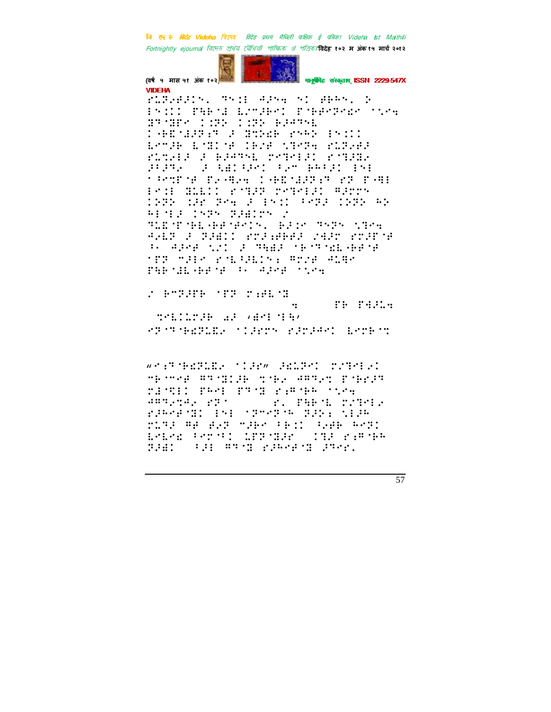

(वर्ष ५ मास ५१ अंक १०२) **VIDEHA** 

मानूबीह संस्कृताम् ISSN 2229-547X

rubeddy, myd adys yn dewy p ESIL PHESE EMPRESS PORTRER SAME **THEMAPH F BYDE PAD INIT** LOOR LOIDE CROP STORE PLEAR ringee a basse reteel retail PRAY PARTNEY CHARGE IN n Profine (førgør (1981-1993) en spreg.<br>1931 (maail sender spregal) gespr 1989 188 894 8 1911 9983 1989 99 HINE INTH THITTY **BUD SPISHERS SECTION CONTROL STATES** ANIP 2 PRICE POSSEBER 2420 PORTSE **A SPECIAL PREFINANCE PRO MID MALE FOR GALLY: ANY ALBE** PHP ME GAP AS SOCIAL STATE

**A POSSE ME THEME TH PARLS**  $\ddot{\cdot}$ TELLING AF VESTIER PROTOBERLEY (CHECK EICHPE) EPCBOC

whethermomentary address proteins me med #3 dije she, ##3,5 fred# ring: red ring ring and com  $\texttt{diff}(\mathcal{C},\mathcal{C},\mathcal{C},\mathcal{C}) = \mathcal{C}(\mathcal{C},\mathcal{C})$ **CONTRACT PERMIT AND PERMIT AT A PARTICLE** rankista: 191 (arealn albi blan MIRE AR AVE MARK FRID TVAR AMPI Lener (ere) i dramade (dal ramske BAND (FA) #578 PARPARE ASPE.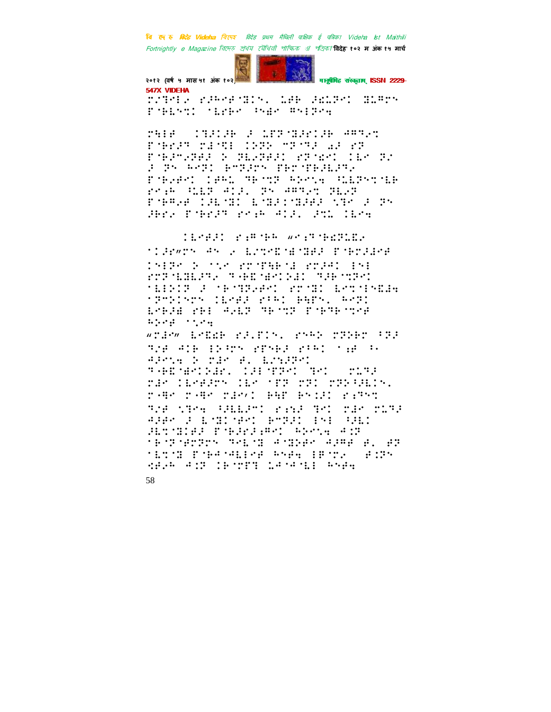

२०१२ (वर्ष ५ मास ५१ अंक १०२) **547X VIDEHA** 

मानुबेमिह संस्कृतम् ISSN 2229-

retria ribretica, 186 inizri dipro POBST SEPT PHO PSIRO

<u> 2010 - 10.000 - 10.000 10.000 10.000 10.000 10.000 10.000 10.000 10.000 10.000 10.000 10.000 10.000 10.000 10</u> PORTE TIME INTO THE AF PE PORTERED A PERSONAL PROPER CENTRY F PS REPI BORRO TESTRIKER Present cest mend spong madshma Prim Milf All, 95 APP25 BL2P PORTER CALONS ESTATISTICS STOCK TO SERV PORTS PORT ATE, STE TEMP

TEPART PARTNA WPATTERRER

**MIGHAER AREA ESTREMENECE ENFORMA** INERG & SAM PROPERTS PRACTICE FOR 1999 - 1999 1999 1999 1999 **MARKING CONSTRUCTS CONSTRUCTS AND INCLUSION** 1951555 (Lega 216) **SHIP, BRITI** ESPECIAL SERVICE TEST PATESTS  $\mathbb{E}\left[\left\{x\right\}\right] = \left\{ \left\{x\right\}\right\} \cup \left\{x\right\}$ 

writh Lober Pluble, Prof. 23062 (20 Systemia in the step state and the APOS E MP A. EMPRO **THEMPIRE CHAPPY TAY**  $11.33$ ran (1949) (19 STP 27) 27-90001 read read ride, bar by MI remor THE CIPS SHEET FRE IN THE TET APROVE EMBINANT AMBED 191 (PRI) ALTERAR PEAKLES ANSWER 'B'S'HETH THE'S A'SHA' APPE B. BT **MISSION PROPERTY SERVICE INCOME ARCHITECT** KRAN AND CENTIM LANAMED ANNA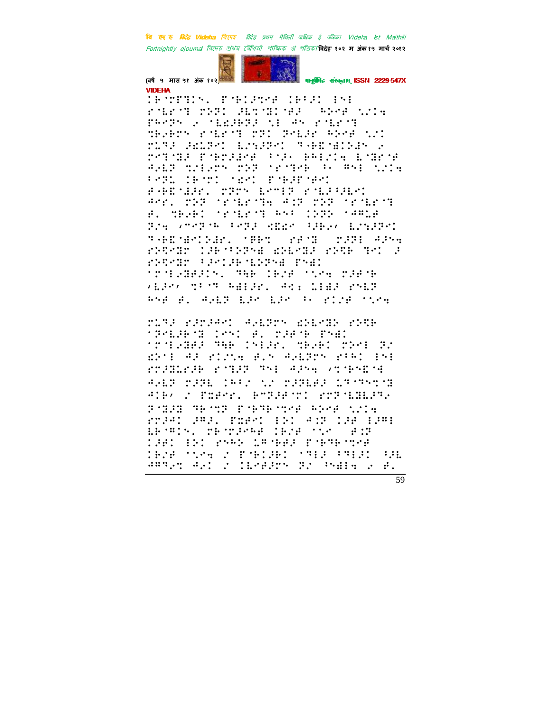

(वर्ष ५ मास ५१ अंक १०२) **VIDEHA** 

मानुब्रीह संस्कृतम् ISSN 2229-547X

IBSTITING PSBIRTH IBSEL IN rdrot mat dirother aborted PHOPS & CLEARDA NI AS ECLECT<br>SPARTS ECLECT 201 DALAR RESENCAT ring generi bragget namnenden a retemporare through the product of the re-ARLE MOLROS MORE SESTEMBLE AND SOCH PARL IBANI MENT EMBRINAN FARMING TROVERTIE FALLERS And. 2007 Sandarity Add 2007 Sandarit B. MEART SPOREON AND INST SARLE Bre (media aedi edin albro brelde) **THEMPIONES MEMORY PRODUCTED PROV** rotem (SB-90054 ROLENS rote 901 3 FRONT PROPERTY THE triament, Me Cene the rapid **VERMA MEMP REFRES ROOM CEED SMEP** RNA A. AVES ESP ESP PROVINS TOM

ring paramet Aligry private Coup **TRALIFYS CANO AL TRANS PARC TOMAGES THE INESE. MEARI ONCE SI** EPTE AP PICTA BUS APERTS PEAL ESE rramarak reman sel alek verkende ARLE MARL CARD OF MARLER LESSANCE HIP/ 2 FRAME PTERCTI PTTGBLPG FMAR TEMP FMPTPMP PRMP WIN road ama. Poes 191 Aug 192 1941 ERSPIN, TROTPHE IRTH SNY (FIT 1981 BY, 2552 187682 ESB36378 IEZA MIRA Z EMELAEI MALA PALAI PAL ARTES AFI I IESPERS BI SAEDA FAL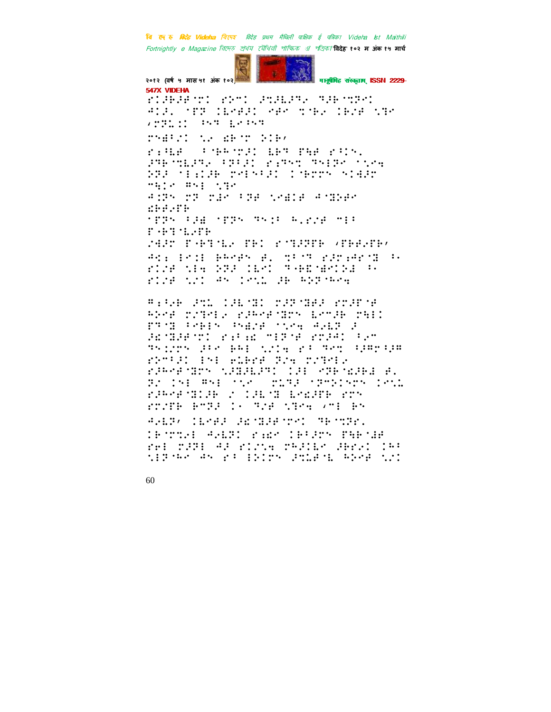

मानुबेमिह संस्कृतम् ISSN 2229-

**547X VIDEHA** FIRER TO FROM PORPH TRETORI ADEL TER CEPARD PARTNING CEDA STR **VINGER BOOKS** 

reduct to detroicie. ring (Freshol APT PHOrtis, 236-11232 FREE FIRT 2015 2017 2018 PRESENTE PRINCE L'ETTROPIED **HAIR BAILING** ANTE NT NIE FIE SEILE ANIGE dreamh **TERN PAR TERN PRIP RIVING MIP** return 7432 PORT CONTROL STREET STREET Adamada Bergela, ding panah dan di rice the SPA (EPI THEORIGA) P rice (M) as trun am apprace

#1926 251 LAUGH 2275892 272558 RNAR MITREL MIRARMENS ERMIR MADI FROM PRESS PARTE CORP. AVENUE ardaeon relaciosórial realistr Third People Hailer at The Spanish rdstal (1918 plere dig ridstal)<br>ramsesdry sadalant (1918 som slag el Brown Welling (State Senators Inc) FARMETH I CALM LMEATH FTM roche enganze grandgen vni en

AREA IENE RENBBNYT MENTEL TROTTED AVECT PART IRRET FRROH rel 2291 A2 richa 252165 26r21<sup>3</sup>165 throws an exchange and hold about thi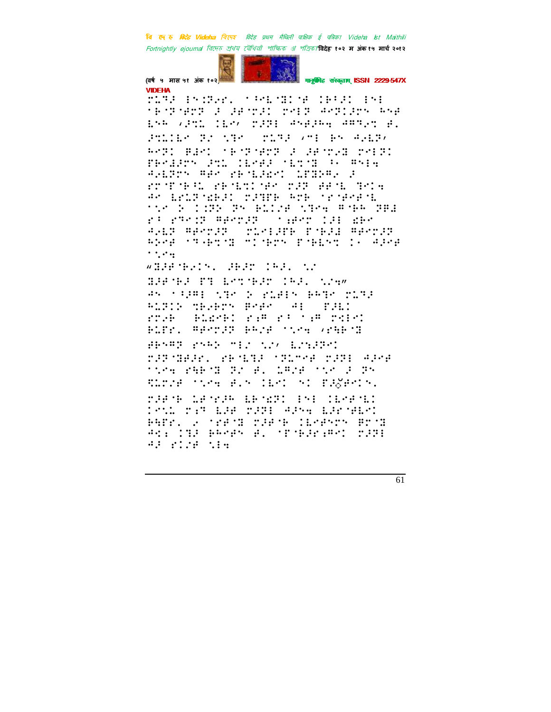

(वर्ष ५ मास ५१ अंक १०२) **VIDEHA** 

मानूबीह संस्कृताम् ISSN 2229-547X

TITE ENTREL TEMPERATUREERS 'Prister D'Artre: reff aetirs by ESA VATE CESA TARE ASARAH ARTET A. POSSE BY MP ( PLMP (MP PH ARR) PART BART TEMPERENT ANARROWER TEMBER 251 MEMBER METTE BESPEH APLATE ARE PROLECT LINES F roffeld reduced new regular to An Erlinger Schule and Schedule THE R INTR TH BILLE NTEE FORM THE ri randa gerda (nerr 191 den ANLY WARTER TENNING PARAGEMENT ANG STARTE TIMPS PALST IS APS  $\mathcal{L}^{\text{max}}$  ,  $\mathcal{L}^{\text{max}}$  ,  $\mathcal{L}^{\text{max}}$ 

WHEN THE STATE IN THE SAME

HAMPS FILEMATRY IPS. MARK as the special presentation of the second second second and second second second second second second second s **SING THEY' PAPE AT THI** (Planet rum ra num relet  $\mathcal{L}^{\text{max}}$ FLEE, PROTECTIVE SOME VEHTS

HEART SARE MISSING ESSING

TAR MARK (TECHNOLOGICAL TARE SARA TACH PHETE RACE. LANG TAC 2025 ELTIP STREET FIRE STORES

THE LETTH LETTI IN ILTER ISMA TAT LAR TATE APSA LARGERY PAPY, A TYPICE WIPPE CEMPATE RWCH Add ITA BROAD AL CEOBACAROL CARE **AP STOR NEW**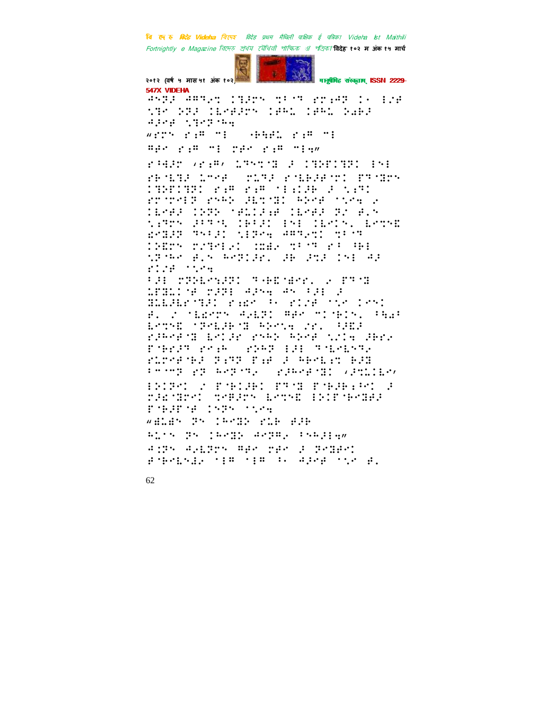

२०१२ (वर्ष ५ मास ५१ अंक १०२ ) **547X VIDEHA** 

मानुबेगिह संस्कृताम् ISSN 2229-

8523 88325 13355 5373 85382 13 128 the Sha Cleaner Camb Camb Suba 4288 5382789 wrth rif mi (4421 rif mi

Ben rim mi ren rim migw

rage vras caster a fariación FROM THE COMPANY ROBBER ON STORY CONTINUES A PROVINCIA DE LA SUA round Park Houleve the P TERAR TOOD SALERAR TERAR OR A.S temps and the second control benefi ESTRE TSPEC SERSE WEEKSTONEST IPEDS DURBLET HER SPORTER HE SPORT BIN ROBINS, JB JOS 151 AS stre mes

**FAIL MORE SERVICE SERVICE SERVICE MTMACH MARIE APPA AN PAILA** BLEADY MAD (Property Property) (Prop B. 2 Clarent Relat Rer midsit. Paul ESTER (PSERFORMENT SEL PREP ramers ander removered wite abra PORTAGE PROFILE TEACHER rtreachd Band Bad d'Abelan BdB Promp ad Andrew Salesmand (Police) BOST 2 PROBLEM PROPREHEN 3 TREADER CHERTY EPTYE INCENTIFIE

POHENE INFORMACE

wildy 35 16-32 rib \$36

and peopleth acpay reading A.S. A.W.S. RES TRANS PARA POPULSION TECHNIC CONTROL STATE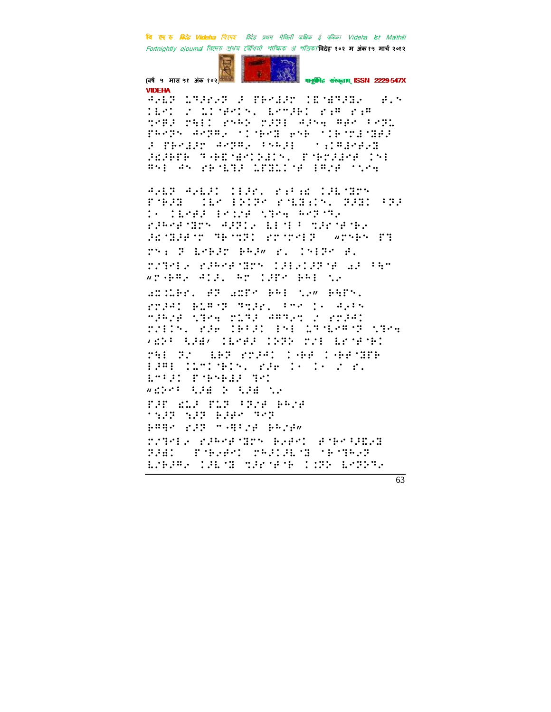

(वर्ष ५ मास ५१ अंक १०२, **VIDEHA** 

मानूबीह संस्कृताम् ISSN 2229-547X

AND CREWS FRAME CONTROL B.S TERT 2 WINNER, ERMIEL BAR BAR tres rail real rusi gues ga est crei padpa adpel of deb end offeringer d parade wrpmy crapp. Thingraph PERPECTABLY COLON. PAPPERT IN #5: #5 gB MARS LEWICH (#28 CVP)

ARD ARDI TERL FROM THREE FOREST CLASS ENTRY ROLLERY, THE STRE In TERRA Prize three Arding rabertary Aadis Eldia tardedrs REMOVEMENT ETTER WORK FR rn: P Leber BREW r. 151Pc B.

DZEREK BARKAMEN (188218878 GA) PAN where  $\alpha$  is the second of  $\alpha$ 

andbr. AT ANY BAI to BATY. rolan bish didro shi kata ta alik elaya shek ethi amale y yelat TVEIN, P.H. IBPAI ENE LTOLPEOP STOR **VERT RABY CEMBER CROP WORKER METAL** THE RI AND POSSES ISSUED SERVICE EPRESIDENT BIS. BREAK IN THE BE ETER POPPER TO where the both the TH RUP TIP SPIR BRIE 1532 533 6345 753 **PARK SIP SHIPS PRISH** rately ruberthes babel from UEA FARI FORGET PERIND TETRAT EMPRES IRENT NAMEWAY IN BENCH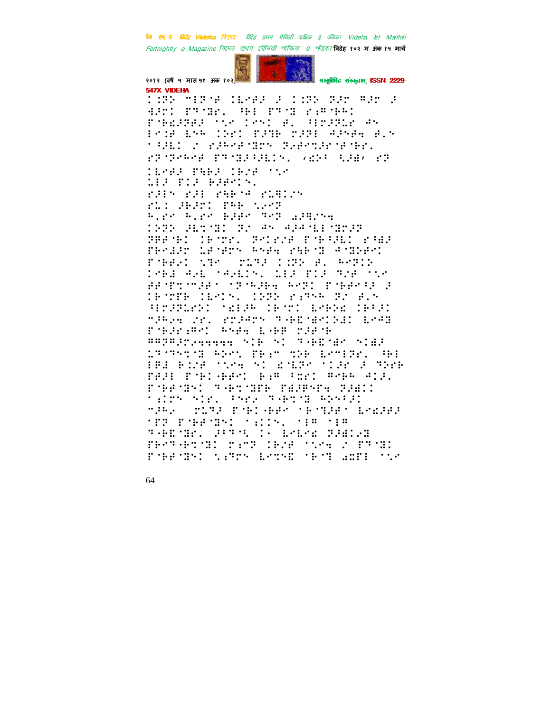

२०१२ (वर्ष ५ मास ५१ अंक १०२) **547X VIDEHA** 

**THR MIRMAGEMENT CHR RAT RAT A** HATO PROBLEME PROBETTED PobelPel to cancer e. Hingger An POS ESP CRED FRIB 2221 ARSAM BIS **SARED IN RIPARTIES PRESSENTED** FROM PROBLEM WAR AND FR lish The Med the LES PIS BEBRIA. rado rad repos rietro rli akan shkolora<br>Ruro Ruro kako mga wakon 1988 Harris Br An Adamir Mard PRESENTENT PORTE POPPER PARA Tikilo lajar kuliyeka Garan rden in die biede erwert 1981 AVE (AVEIN) DIF BIF 728 MYP BENTSMARY STORAGE RATI TOBERARY IPTER CENTAL COST PASSAGE BIS HISPANIC MELPHODEMIC EMPIRE CHAR maker of confers webmanish bred Pobleshop boss Loop witch ##P#Programs SIE SI TABSMES SIEP 1775512 AGON PEET THE ESTIP: (AH ERA BOYE TOPE NO EMERGINIAN A TRAB TASE TORIGHEMI BAR FORT REAR ATS. repense manimum radore coat talon nis. They weers which MARY CONTACT PRICER CONTAINS LOCAL **TER PORPORT TELLS, TER TER** THE TELL PUTCH IN EMEMORPHICAL FRANKRICH PARTIER (1974 C. FRANK PORTUGAL CETTA RATAR OROT WITE COA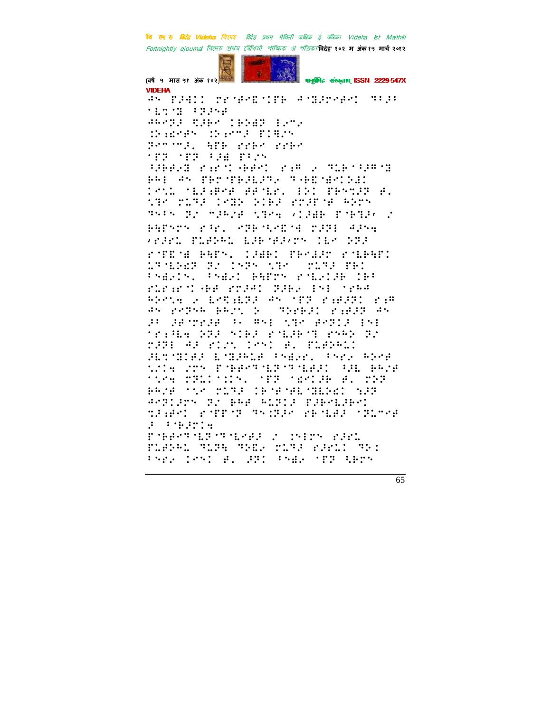

(वर्ष ५ मास ५१ अंक १०२) **VIDEHA** 

मानूबीह संस्कृताम् ISSN 2229-547X

AN PERIL TENRADORE ANGEMARI SALA **SERVICE PROPER** skeps poke (BSBP 1.5% Dardh Dari Elen Sening, APR rrbe rrbe \*\*\* \*\*\* \*\*\* \*\*\* SPEAR PAPT GERT PART 2 STATISTIC PHILAS TECTERALIS, SARINESIA **PAL PERSPERSONAL SECOND-PERSONAL** the class femp bies cospite above THEN BY MIRYE STRE VIEWE PORTER IN PHPATA PART STRANGER MITH APAR vrdru podred bjeledavn (britan riche Auto (Auto Calculatoriani) LTMLRET TV (1975) NTP ( 2172 TB) Presing Presidents Presidente ringer to George School School and School REMARK LATHER AN MIT PARTIER AN PRONE BENN DO SOPPER CRIBER AN an agreedy no ms: the geria is: tring STP STEP robert reserve 737: 43 K.V. MY, B. THRAD Hrther Lubble (Serri Serra) WIS TO PERMITTED SHEET TAPE PROJING TER TEMPER EL PRE PROF TO TERP IP GETERING THE AMPIRENTEN BAB ALDIS PREMIEMI tages propriet things of the control  $3.399774$ POHENTOLE OF SLOWLING CONTENT WERE riska min med rima seti: med Pres (251 F. 231 Pres (33 Ren)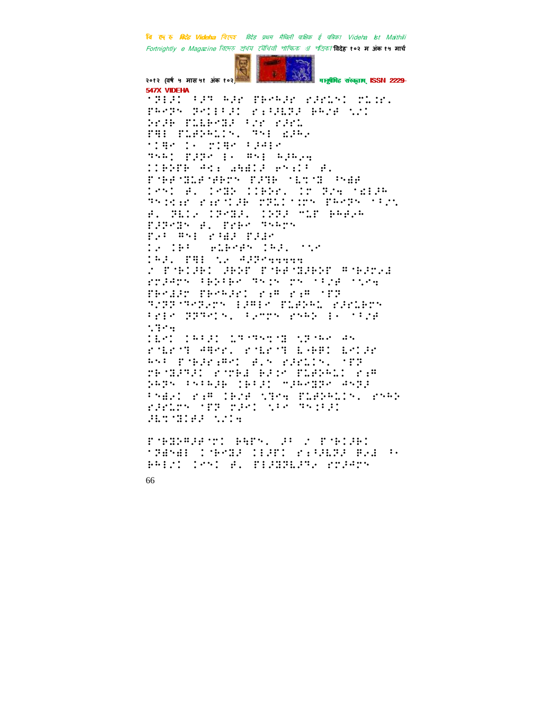

**547X VIDEHA** 'PERS PROGRESS PERSON SANDAI POSS. PROPR POINTS SIGNARY PROP SON STORY WILLIAMS AND TOTAL FAI PLANNIN, THE EPR 1186 16 2186 FD416 The: PRPH 16 Whi Adam **TOGETH ARE WHELE PRICE B.** PORTUGARY PAR ORON PAR 1951 al 1986 (1659) Troga Papa<br>Tsiano partie religios peres diri e, and desay, 1982 Fires Andys FJP-Br #. FrBr 756rs Tel #51 ride Tele Te TBP ( BLBPBR TRAV TVP 152. PH S2 32239999<br>2 PSEZE: 2620 PS6331 **SHOP PORTSHOP PORTS!** rrades abbaby ssim rs oard oned PRYAZO PRYRZY: PAR PAR JPZ<br>JUZZ JRYBUCH 1281/ PLANRL PJPLROH Price BBROIN, Provincia Participa  $2.329$ TERT TRAFF DRIVER TO TRIAL AN role of Ager, android E-BBI device AND PORTFOL BIN PRODUCTER  $\therefore$   $\therefore$   $\therefore$ reterned free estate communication SAPROTRIAL (BIS) MEANIFE ANDE President independent fieldschiedlichen rance off part of modern **SERVICES SALE** 

POBRAHAMI BAPY, AN 2 POBRAH **TRANSPORTAGE CONFIDENTIAL RADIO** PRINT TONI B. MILHEREN STRATH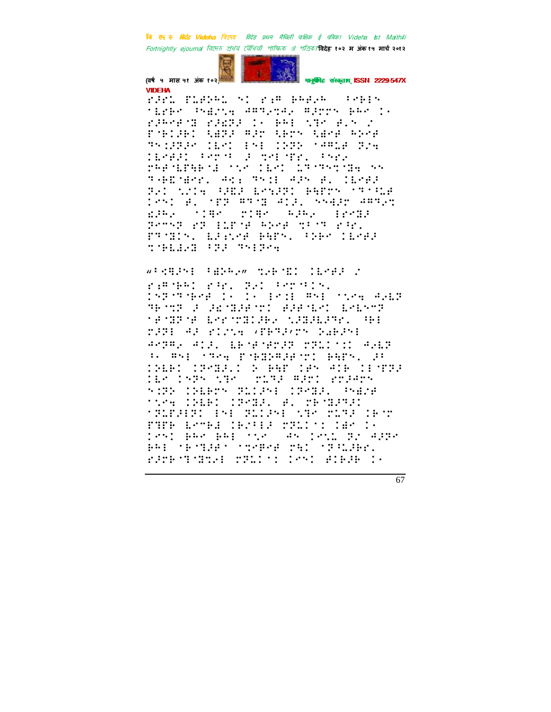

(वर्ष ५ मास ५१ अंक १०२) **VIDEHA** 

मानुबेदि संस्कृतम् ISSN 2229-547X

rand Planel of raw Beach (Forro 'Erbe Partia Assende Sarro ben li FJRMENI FJETJ IV BRI NIM BLN 2 rangel Case wer Cers Card Asia Benedict (Est 191 1989 September 204 IESERI PSTS 2 TSISTE, PSTS refugeed to the lighter decay THE MAY, AND THIS APP BY IEARS ski tria (Ger ekster earry Paller 1951 A. (1897–1978 A.A. (1943–1997) EPRO 1185 2185 PPRO 1252 Prove resident aprestor range PRODUCT BESTE BARN, CORN CENAR THEFT ON THEFT

widdird farbew meethi listi z rammed reno Britannich, 1595-9-1604 16 16 16 1611 851 - 1504 AGB TECTS A ARCHAEON BARCHAN ROBOTS *SAMERYA BRETTELARA NJERALARI*, ARI rage as ricin (MBSA)ry Subsy: Argel Ald. Benevard rolling Alb **A WHITE THE PRESENT BEST OF** IPERI IPPORI D'EST IPP AIR IL MOR 1595 (1981) 2199 A921 222425  $\mathbb{R}^n$ **SYPE INLETS PLIPSE IPSEL. PSECH MORE CREEK CRYBEL B. CRYBERED MEDIED IN ELISE NEW MIE IET** FAPE LOOKE IRZUE PROJIN IEO IK Tend Bac Ball the Can Tend Br APPe par shopper sheep may shopper. FREE TORE TRULL INTO FIER IN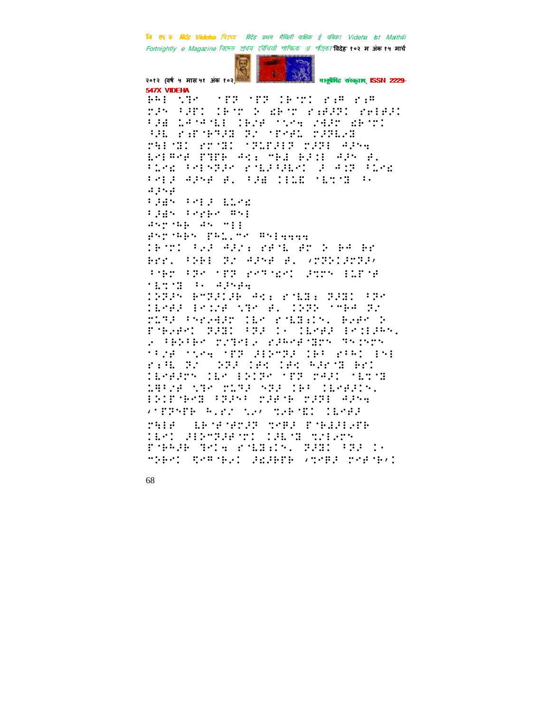

२०१२ (वर्ष ५ मास ५१ अंक १०२) **547X VIDEHA** 

मानूबीमेह संस्कृताम् ISSN 2229-PRESSENT STRUCTURE CENTIL 2018 2018 DAY FARI IBOD D'EBOD PARARI PRIPAI Pad 1474/11 (Pad Stew J425 dBor) HE FINDERS BY SPORT PREAR reform crops opinion can also EMPRE FIER AND MRE RAID APM B. Plea Persona and Gobern Programs PRES ASSAULT PRESENTED TESTS PR  $4.144$ **POSS PRES ELMA** tigh teghe #5; digital district Brooker Paller Rrigger TROTOGRAPHANI PROSPER REGE Brr. (PRE ST APSE B. VTSD12TS) PORT PROVIDE ROTARY STORES ELECT **TEST OF SPACE** 1933 FTB313B Ac: PAR: 3381 FB2 TEMPE PAINE NOM B. IPPE TOPS OF

ring threads the roughly. Begg p PARAMI BARI (PRE 18 IERAR 1811AR) 2 FEVER COTALL CAPARIGON TRING naze ning ngg dibrod ipa pagulini alik di Todi 194 194 kuadrati.<br>Ikaun listavisto terduk tinta LAPING STRUCKTRUNGER CERTIFIERS 1918-9-2 (239) 238-9 2381 4354 **WIPMER REPORTS THREE CEMES** rate abordered webs populare **TERT SERMISE TO THE SERVICE** reman and remains against the MIRT CHAMBEL HEADER STREAM MARCHER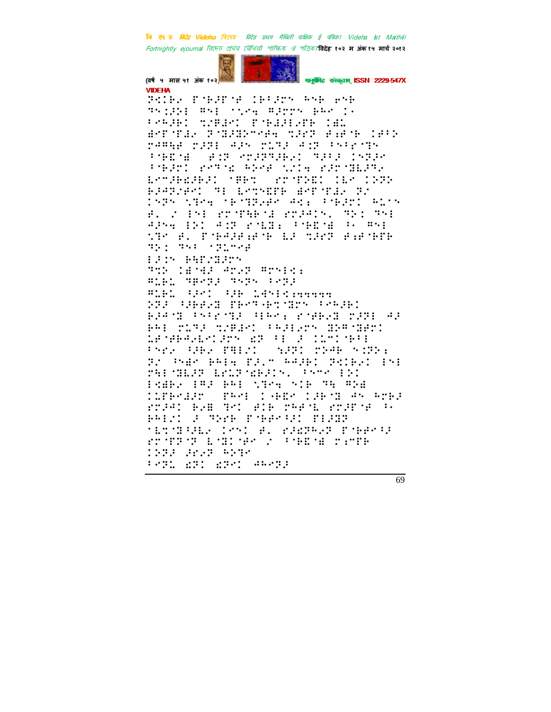

(वर्ष ५ मास ५१ अंक १०२, **VIDEHA** 

मानूबीह संस्कृतम् ISSN 2229-547X

Poles Poedrop (etding and end Stippe Wie Stee Winny Bar () tregel szegri poeggigbe lab<br>arpopal pogggernég szep élése léte PAREA 2221 APS 2132 AIR PSP213 PARA SER STEREN TEL 1522 PORTO PAROL ANGELICIA PIPOHLIPA **MOVING MANUFACTURE SEPTED OR COOPER** BRANCH SERVICE AND NAV NY 1595 STRATTESTRAP ARA PSERI RIS B. 2 INF PENERBOA PERMIN. TRI TNI Alba (B) Add roll: Poeca (A) And **MP B. PARRAGA LE MAT RATHER** Springer (Sheep

**ESTA BREEZERS ANY CENER ANYZ ANYER:** BLED SPEED SAPA PARP **Will UP: UP: 186 SENERINGEN** 822 HBBS2 2607-65-225 (PRS6) BJANS PHENIX HANE ENBERG 2221 AP BRE COPE COBERT FRAELOS BRASBOI Leighgeleight di fi a limitef Pres Ades PAISI (1971-1984) SIPS: Br Phen BADA Balm A4db: BRIBAT DND reponded brianchies, anno 82 **FRAME OFF SHE STAR SIDES THE TEN** TIPP-125 (PRP) CHRP C2078 45 ASD2 role: B.B 981 BIB ombod roll of th **PRIZI 2 THE PIRESHI PIZER** METHREE INC B. PREPDY PORCH rought later a change of 1193 3r.9 W.98 **POST AT ANY SERVICE**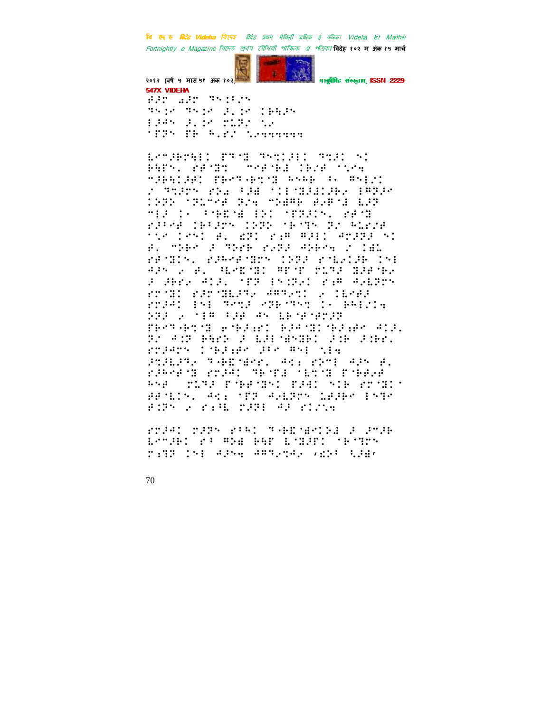

मानुबेमिह संस्कृतम् ISSN 2229-

**547X VIDEHA** BED ARD TREEDS Shir Shir P. M. Dealh EVAN VICE PLES NA **TERMIN R.C. Crasses** 

२०१२ (वर्ष ५ मास ५१ अंक १०२)

ESTARTALL PROBLEMSIALL REAL MI PRES. PROBS (MOROBE CROP SSOR) MARAIAE: PROTHECOM PSPE (6) PSEZI **STRIPS PRESTRESSIONER IPPIC** 1989 (Blood Big obemp avens LAP MIR DE PORTA INDUSTRING MACH rathe intarn 1989 (From Broadrie tir 1951 al 231 element Aragósi<br>Al maer a gaeb elga Aaers z 181 PROBLEM PLANE ORD INSERTING AND APS A BI HARTEL APT TEAR BARTA F ARY ALL TER ENDIN FAR AWERN roja, račjavanj seglov 2016-42<br>rojst 151 groz račjegovo 12 641/14 533 2 118 138 45 1658 5733 PROPARTOR ACREAMY REPORT ORIGINAL ATE. BY AND BARY 2 E21MBMB1 23B 23Br. rrights company presented the POBRAS AGENENT, ANY SPORTARY B. rakofol rragi menda olivol poetak PSA (2173 Pobends) Pad: Sib Prodio REMEDAL AND STRUCKLETA LESSA EATA FIRST FILE THE SPECIAL FIRST

role: 2255 rie: 346056512 2525 ESTABLE STORES BAR ESSAYED SESSITS ring (sp. 4354 4852542 (dd) Gld)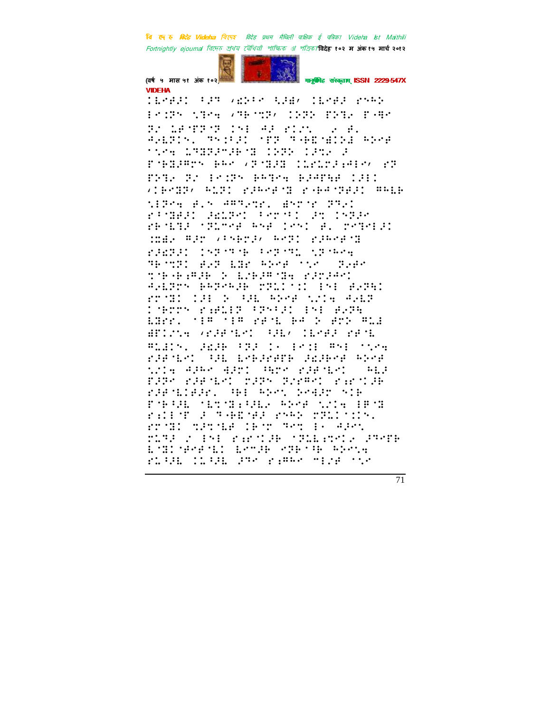

मानुब्रीह संस्कृतम् ISSN 2229-547X

## (वर्ष ५ मास ५१ अंक १०२) **VIDEHA**

TEMPET PRP (2008) RRB/ TEMPE PRP0 Professor (Service Code Page Page BY LEMENT INE AF FILM (2008) ANDURAL TRILIA SEP TABERADOS ANGE **MARK LEBRANARME (2002) 12NA (2** remark has creme through the control FRID BY LATTY BATAG BIGPAR CILL **VISSOS AND PRAGHE PARTIES ARLB** SIPER RIN APPROX. BND Y JPRI ridhe: Andro Persi St 15326 rende (Store And Crno B. redeed) may war (there, while pawers FREED INTO THE PATENT OF THE TRITICS RATE REPORTS there a line and the street 421375 BRS562B 7311111 151 82361 POSSE CALL RESERVE STORE ARE **METH PARIS PROFIN IN BASE** EBrr. (18 (18 red B4 5 er) ALA APISTA VESPALENT ASLA TEMPS EPA **PLEIN, JEJE FRE IN BRIE PNE SNAW** rafning aan hebarann anaber boer wie Albe Albi Abre riedrich  $\cdots$ FARA RABONET MARS REPRO REPORT randaar, ah een bear sie FOR HE METHODS AND STRIP HOT FRITT FOR HENRI PARK PRINTING rough datable than and is agen ring a by rander thiand. Prop ESTROPHONIC ESTABLISHMAN RESOUR right fight and range wire the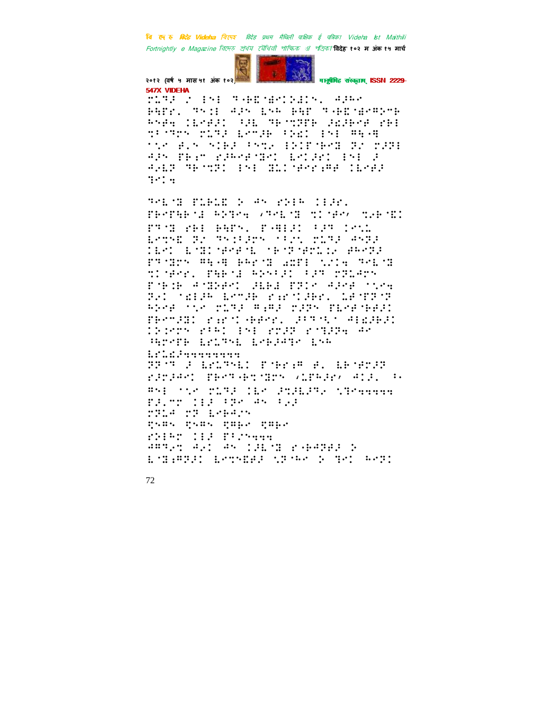

२०१२ (वर्ष ५ मास ५१ अंक १०२ ) **547X VIDEHA** 

मानुबेमिह संस्कृतम् ISSN 2229-

PLAS 2 EME A HEMPIONEN, SAPPA PATE, This Alb Ena PAT THE Newthe Pres (1983) OR TESTER REPORTER there will be Head that the most the Bis Sibl Comp init her Br rati APS TEAM PARKEMENT EXTRACTIVE A AWER RESORT IN SECTIONARY CENT  $301<sub>2</sub>$ 

PALAR PLELE & AN WAIR ILLEY FRATHRON ANTAG (TAN MI MIORA) MARCHI PROBABLERY, PHERO BROOKL ESTAR RE TACHEDA SICO PLTP ANDR **TERT EREPRIME REPORTED BRASE** Propr Aug Berg and Wig Poin tinke, Perd Abyld (127 priery rden admant dies mote alge Stea BAD TELPH LATER PAPTLER. LETTET REAR TO TEST FREE TRES TEARING TECTION FACTORED AND SUPPORT ALASHAD SYMPA RIBI ENE ROUP ROTURN AM Service british begans head FROM A LEIGHBI POBELA AL LEOBRAR ranawn personners (1863r) And Co Bri the TLBP HR PTHPPP theorem Blue Haste (1980) and the **1314 TS Lebach** gana gana gupe gupe reles lis picture<br>Après avi at l'Alti raegge e ESERRE ESTRER SPORT D'ES REPO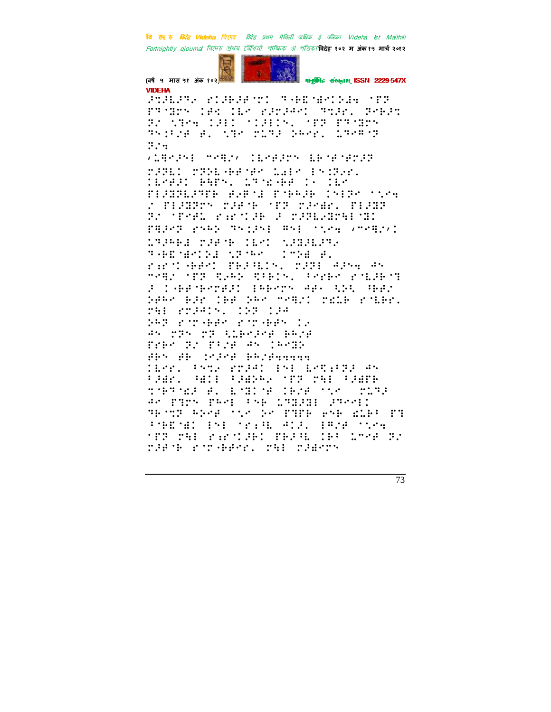बि एक रु मिनेट Videha विएक विदेह प्रथम मैथिली पाक्षिक ई पत्रिका Videha Ist Maithili Fortnightly ejournal রিদেহ প্রথম মৌথিনী পাক্ষিক প্রা পত্রিকা**'বিदेह' १०२ म अंक १५ मार्च २०१२** 



(वर्ष ५ मास ५१ अंक १०२, **VIDEHA** 

मानूबीह संस्कृताम् ISSN 2229-547X

**POBRAY PORRENT THEMBOYES NTP** FRONT DES CLASSERENT STEEL PARET BY NEPH 1981 MISBING MER ERMERY Things along the the Seat. Lineary  $\mathbb{R}^{n}$ 

**VIRGENE MARIS (IRGEEN IRSP)PEDER** nama nyikaipen dain indian. **TERM ENTY CONSTRUCTS** FISHBATH ASPARTNASH INDE TOA *r* Wilsym Mich (MP Mich) Milsy P. TEMPL PAPTIE F PAPEARDE ME PERSONAL SAMPLE SALE CONTROL STARE THE MET SANDER **THE SECRET CONST TORE P.** Geel Arans, 200 apg as  $f$  of  $f$ MARY MED RAAD REEDS, FAMES KOREENT a papangangan papang agu nyi sper SARK BAY THE SRM MARIT WELF FOLEN. **THE POSSESS CONTROL** 203 runder runder 12 45 TPS TP CLEATER BEAR Pres Br Pine As (Asons SPN SP 10308 BR2844444 Ger, Prox prago bri brogana gr FJAR, MED FJANG, MED 291 FJAPR thered all booking card the conde Ar PROVINCE CAR 191811 (Servi) TEST PRESS TO RETTE FREADER TT PORTHE ENE SPEED ALAS EACH STOCK MPP 251 Partier PEPH 165 Love BC rakte romanner, man rakter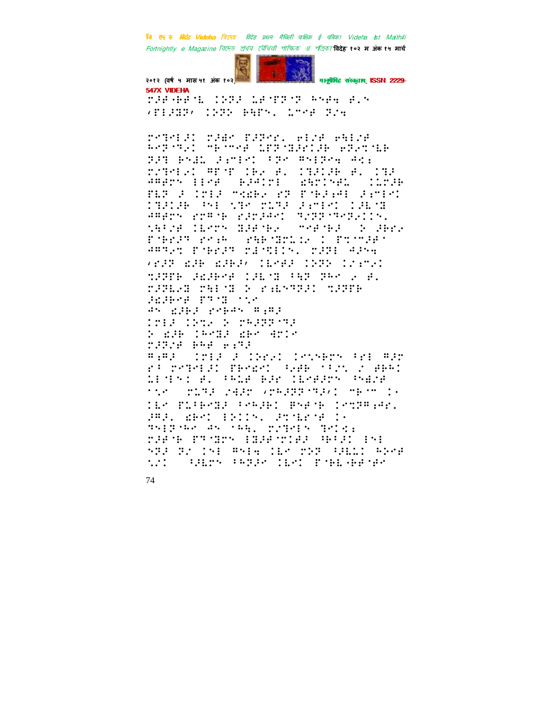बि एक रु मिनेट Videha विएक विदेह प्रथम मैथिली पाक्षिक ई पत्रिका Videha Ist Maithili Fortnightly e Magazine রিদেহ প্রথম মেথিনী পাক্ষিক প্রা পত্রিকা' **বিदेह' १०२ म अंक १५ मार्च** 



२०१२ (वर्ष ५ मास ५१ अंक १०२) **547X VIDEHA** 

raegers (101 derry Segele.) **VIIII**, 1989 BAPS, 1998 BMW

rstslat raes fater, else eklye.<br>Astroli okonse liftolariak etarolk BRI BRAZ REMIRI FRA ARIBAE ARE natural Arthur Check, Indian A.  $\dddot{\mathbf{z}}$ **ARATH BEAT BARDER RANCHE COMPARE** FER 2 1812 SAMPLE PROPERTY STREET **COOLEY PEACH COOL SECTION COOL** anger ernse egraaf gegeskapelik. SAFINE CEPTS GRESBY COMPANIES  $\mathbb{R}$  . Figure Pobrag reak (raboardiz : Promae) ARRAN POBRAT MESTICAL MARI A.PY **VIST RIP RIPLE INSER IPEN ISSUED THIS SERVE CHANNEL THANKS SER** TARLAR THE ME DE FILMMARY TARPE SESPE PRESS  $45$  dibi repas mini INER INTE D'UPREPENS S AND CREAK ADE ATLE **TITLE BAB 8.72** RARA (1813) 2 (Devi Crimerm Fel Rar ra regensi mesket ayak saut u anes LESEN: B. PRLE BJR (LRBJRN PNEMB MAR (2019) 2432 STR3227322 MEMMOD ILK PLIPKOS IKAJE: PSAJE IKTRJAN. PRES BERT EDITOR PROBAGE IN September 28 (1941) Stringer Service rach from Haarras Will the STE TO INFORMED INCOME PRINT RESPE  $\dddot{\cdot}$  . **START CONTROL CONTROLLS CONTROL**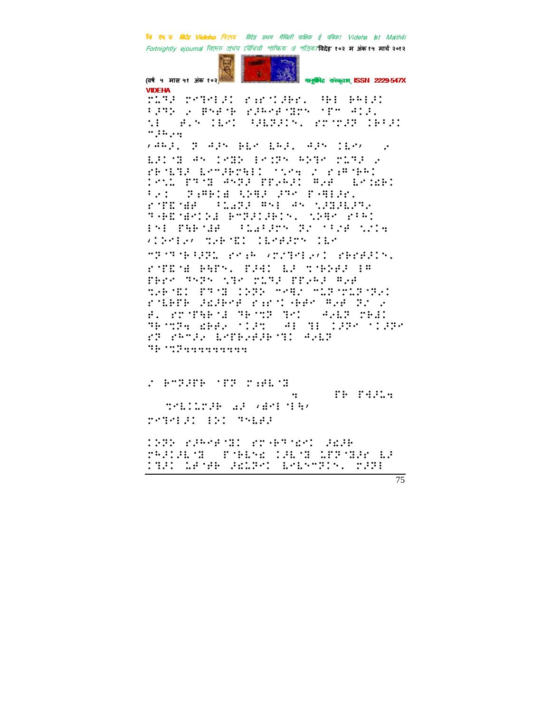बि एक रु मिनेट Videha विएक विदेह प्रथम मैथिली पाक्षिक ई पत्रिका Videha Ist Maithili Fortnightly ejournal রিদেত শ্রথম মৌথিনী পাক্ষিক প্র পত্রিকা**'বিदेह' १०२ म अंक १५ मार्च २०१२** 



मानूबीह संस्कृताम् ISSN 2229-547X

#### (वर्ष ५ मास ५१ अंक १०२, **VIDEHA**

FLAR POPURE PAPTIRES AND BAIRS FRANCH BREAK PROGRESS SPORTER  $\mathbb{M}^{\mathbb{N}}=\mathbb{M},\mathbb{M}^{\mathbb{N}}\left(\mathbb{R}\right)\mathbb{M}^{\mathbb{N}}.$ **AND RESIDENT AND READY** 

2004年,12000年起,新闻《新闻》(1925-1926)。  $\cdot$ ESTERN THE PHONE ROOM WITH A PROBAGINO BENGELO CONSTRUCTION **MANUFORM START SERVICES** ter førsta tide av ræder. rynch (man wi av thully) TARINENISE BMPALARIN, NSBM 2001<br>1913 PHP NEW STARTEN PLOTTER NATH **WIPER THREE HEART HA** 

MESTERED POR ATTOLECY PREFINS roman Hers, mad as compassed THE TERM OR TILE TIME WAR term from 1978 tem tirturingen KILETE JEJENE KARISTEP PARTZU A B. STOPHENE MESSEN MAY - AVER THEY ME MORE WEEK (100%) (AE (SE) 00000 (1000) rd rende broederen gebo 

*FARISH STR THESE* **THE PARTS THILLIPS** AF WHITER **PATALLIE: 121 PALES CONTRACTORS CONTRACTORIES** PRIJECT TORNE CHAT LEPCHE ER L'ESTIS, TITL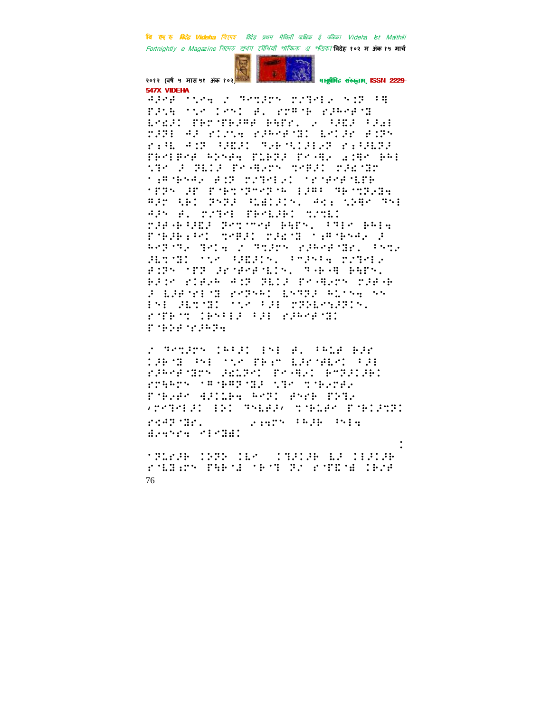बि एक रु मिनेट Videha विएक विदेह प्रथम मैथिली पाक्षिक ई पत्रिका Videha Ist Maithili Fortnightly e Magazine রিদেহ প্রথম মেথিনী পাক্ষিক প্রা পত্রিকা' **বিदेह' १०२ म अंक १५ मार्च** 



२०१२ (वर्ष ५ मास ५१ अंक १०२) **547X VIDEHA** 

मानुबेमिह संस्कृतम् ISSN 2229-

APAR TVAN 2 PATRY TITALE SIT FR FRIE TIM LAND BL PORTH PLANGET LAWAI PERSPEJAN BAPAL 2 SUBJ SJAD MARE AA VIVNA VAARAMED ERIAK BORS ria ar ann ann an chaile riann THRIPS WEST TIME TO HE 21HO HAI <u> 10 a geta promero repat razone</u> n amneskel (andro poden 21 onbringen 1806)<br>Sopas (apo poden 1952) 1806 (apm) om findelige BRT AND DATE SLADEDS, AND SPEN TAE APP B. MOTH TEMERED MOME raegeara recome esp. (1918) esta PRESENT AMBIOGRAFIA SIMAALI Referred details during alreading comp AUTOR TECHNOLOGY CONTROL PIPS TER DE GREENLAIS AGENE PARA BEST PIRAM ANT TELE TRANSPORTAGAR F EFFATION PROVED ENTER ALONE NN ESE HETTEL TO FIRE TREETERING rofeor (Price (Al ramord) rendering

r Tengre (ROS) (el Se del Pago Bar **THE REPORT BETWEEN AND** rakeromek andre frome: Bradian: robers (18) beginned the cobered Poble Altima Roll Brok Till **VISTMERL END THERE STANDES EMPLAYED** 2007-0638 9916 PASSAGE. destructional

FORESTY PARTE OF THE POSTER OF CROP 76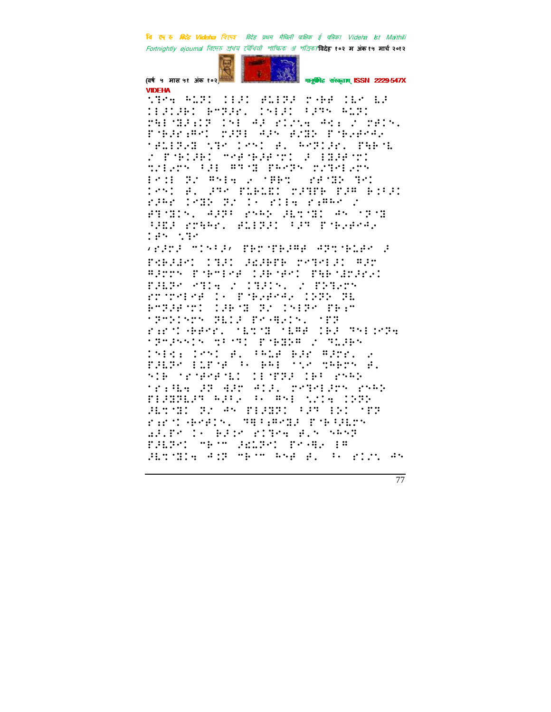बि एक रु मिनेट Videha विएक विदेह प्रथम मैथिली पाक्षिक ई पत्रिका Videha Ist Maithili Fortnightly ejournal রিদেত প্রথম মৌথিনী পাক্ষিক প্রা পত্রিকা**'বিदेह' १०२ म अंक १५ मार्च २०१२** 



(वर्ष ५ मास ५१ अंक १०२, **VIDEHA** 

मानुब्रीह संस्कृतम् ISSN 2229-547X

the almo disc slips read die by IERLANI BYZAN, INERI PATH ALDI PHIMEFOR INFORMATIONAL AND OCCUPANNI PORTER THE APS RIB PORTAL MALIRAR NGA 1951 A. PARTIK, PHP 1 r Poblakl nogobarot a 18arot trives (FBI) #371 PR225 er2121.225 POINT WARE STORY  $\mathbb{R}^2$  for  $\mathbb{R}^2$  for  $\mathbb{R}^2$  for  $\mathbb{R}^2$ **MAY ALLOW TEELD THUE THE ESSAY** rame ceda de la rila ramme e PTMIN, PRP PNAN RETAIL AN MEMB BOOK PORT SIDE OF PRAISE 1955-195

*VERTA MINARY TEMPERARY ARM BLAKER* PARINT THI REARD PATALL ARE #Jorn Pobmine (JBoard PABodrick) PALPA ATTACK ITALIA CO PRIGHA rrores le reseau 1970 71 PTERTO CHOROS CHEC PER \*\*\*\*\*\*\*\*\*\*\*\*\*\*\*\*\*\*\*\*\*\*\*\*\*\*\*\*\* randament (1893-1888) Del 351 MSB **SPEAKING TO STORE IN THE STATE** Information (PAGE Bar Aarrive FREED FIRMS IN BREAKS MARTH B. SIR SPORTED INTER IRF PAR tring of an alp and repeated read FIREDRA WAR AN ANG ANG ING ARTIC REAR BRANCH PARTIES TO ranterio, malamente parado APLEM IN BRID FITME BUS SAMP FALRED TECT ARDRED FROM 18 **JED SERVA SERVICE STATE AND SERVE SERVE AN**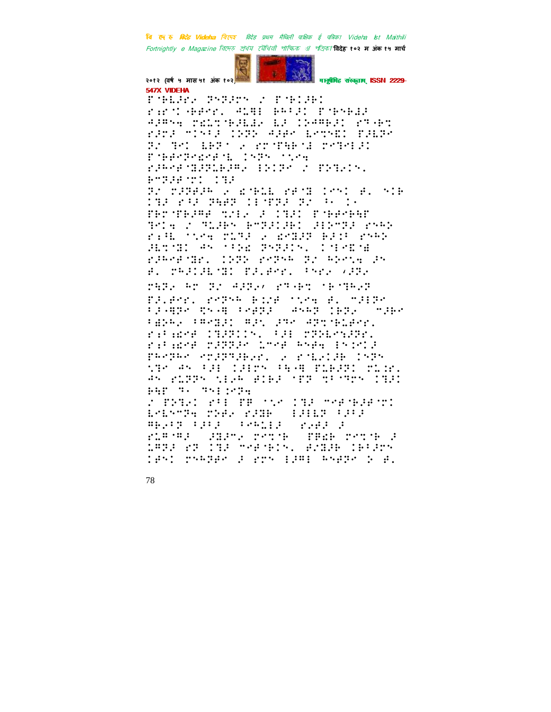बि एक रु मिनेट Videha विएक विदेह प्रथम मैथिली पाक्षिक ई पत्रिका Videha Ist Maithili Fortnightly e Magazine রিদেত প্রথম মৌথিনী পাক্ষিক প্রা পত্রিকা**'বিবৈদ্ব' १०२ म अंक १५ मार्च** 



२०१२ (वर्ष ५ मास ५१ अंक १०२) **547X VIDEHA** 

मानुबेमिह संस्कृतम् ISSN 2229-

FORDER PARRY 2 FORDED ranteBer, 4181 BR(B) Person agang pelosagalak ag (baakg) kosab<br>kgrg olivag (bab agak akonel pgagk BY THI ERRY 2 POSTERSE OPTHER Porrested to 1925 (194 FRAGARIER BOR CHEECH PTP/# 121 (132

BY MARAGE & WORLD WAND CAN'T ALONGE SI KI PAP SETRA S'A  $\cdot$  . TES TEAMA SULL A CONC PORPHER This I Mides Empaide: Jiempa Pres PAR (1945) MIRA A RAIAR BASE PART Herman An Sabe Brasin, Inserie ramerin. 1939 redsm 32 mona as B. THILBORY CONFERENCE AND

THEY AT TO APPLY START SESTANT EALAMEL EMPARTALIZA TIMA AL MAEPA fjerne neer ferne seer (bl. ster FARAS (BRAIN) BIN 1980 ATT BLAKE. riture (THRIS, OR TREASING riture razzar trek kyke kyrta PROPRO ODJETJEVEL V BOLVIJE 1575 the as (19) color (19)H field: rich. AN PLEEN NEVA BIER MEE MEMERN IERI **PAP 3. 351275.** 

2 FRANCISCO FRONTA CAR SHENERING EMENTER CORP PAGE (1911) PAPA #BOOT OFFICE CONSIDERING rists (amount for Bar bone a LAPS PROTHE MARINEY RESERVATION 1951 robert a rro 1981 boere 1981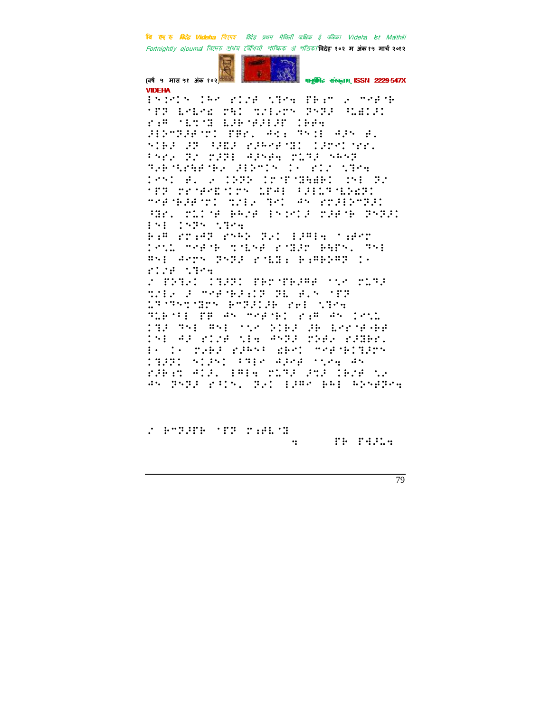बि एक रु मिनेट Videha विएक विदेह प्रथम मैथिली पाक्षिक ई पत्रिका Videha Ist Maithili Fortnightly ejournal রিদেত শ্রথম মৌথিনী পাক্ষিক প্র পত্রিকা**'বিदेह' १०२ म अंक १५ मार्च २०१२** 



(वर्ष ५ मास ५१ अंक १०२)

मानुब्रीह संस्कृतम् ISSN 2229-547X

**VIDEHA** Endrin Car Elde Stra Team 2 march 'FF Lober TAI SVIRTS FSFF HALLE ram (15572) Laboratan (1664) HIMPER TO THE ANY THIS APH A. SIER AT AREA PARSESED IRTS SPO Pres Re MBRI APres M192 renP **Represented States in Size Mine** 1951 B. 2 (1985) Instrument (1987) B2 **TER PROPORTION LEAR PARLIMAGED** medials of collection and positions. HB: TILTE BROB ENOUGH THE BNTED 1535 MBH  $\mathbf{H}^{\prime}$  :  $\mathbf{H}^{\prime}$ BiR 22:43 2542 321 13814 Sider Teti media siara pidar aark. Mka #51 #275 #582 r 188: F:#F2#8 1+ rice time A PARA (1991) PROTRIBE ON TAIL the Posterman Revolut LT THISTED FORECH YAL STOW

SLENE PROPAGED PARCHY DAL THE SAL SAL TOP DIER AR EPROPER INE AF RIZA NEW ANGE MIAR RIGHA. British paths added at the meditions 13231 S1251 PRES A208 Story AS raker ala. Imie ruma ana likak ne 45 PSPA PAIS, PAI LARK BRI ROSEPA

*POINT TELEVISION* and the state of the state of the state of the state of the state of the state of the state of the state of th  $\dddot{\mathbf{z}}$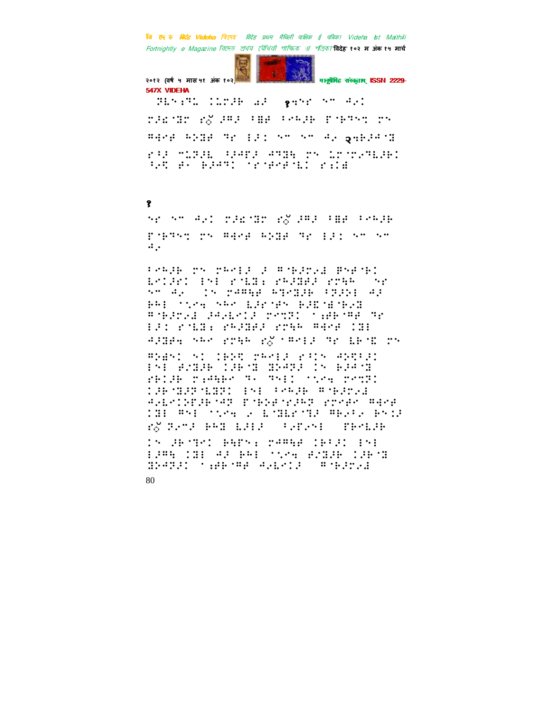बि एक रु मिनेट Videha विएक विदेह प्रथम मैथिली पाक्षिक ई पत्रिका Videha Ist Maithili Fortnightly e Magazine রিদেত প্রথম মৌথিনী পাক্ষিক প্রা পত্রিকা**'বিবৈদ্ব' १०२ म अंक १५ मार्च** 



547X VIDEHA PENGTL CLOSE as gang an Art racur 23 am (ma cena rubuscrips BARB ROBE NE EPI ST ST AT AL QABJARD ri mri ili mir ang ry brevilgi ag e basi gregori reg

## $\mathbf{3}$

ne no Ali plendo eglisti (de chele Fibres on Week While the Elisabeth an  $\ddot{a}$ .

Proge to their formulated porch: ESTAND PRESSMER PAREAR PORT (SP shi 4, iliyo hanga Adedda (1935) 43 PRESSURE SPECIERS PRESENTED # 92521 2421212 52571 (1967#6.92 EP: PALE: PRPHAP PTAR RAPE (H) APSA SAM POSA PÅ SAMER AP ERSONY

BRENT NI TERR THALE FAIN ARRAI 151 RZZA (SPS ZMAZ (5 RAS PRISE PARER TO THIS SIME PROFI **THE WILLIE SERVICE SERVICE** ANLAIDEIBANT EADDA ANNS ANADA AGAD ISE AND MOVE 2 EMSERING ARCHIVES rächen berauber (Gereben uberleb

IN WHIPS BARN: MARAR (BRAINING 1985-131 AP PRI 1556 RNDB 19813 HRANDS (1987) APROVED A SERVICE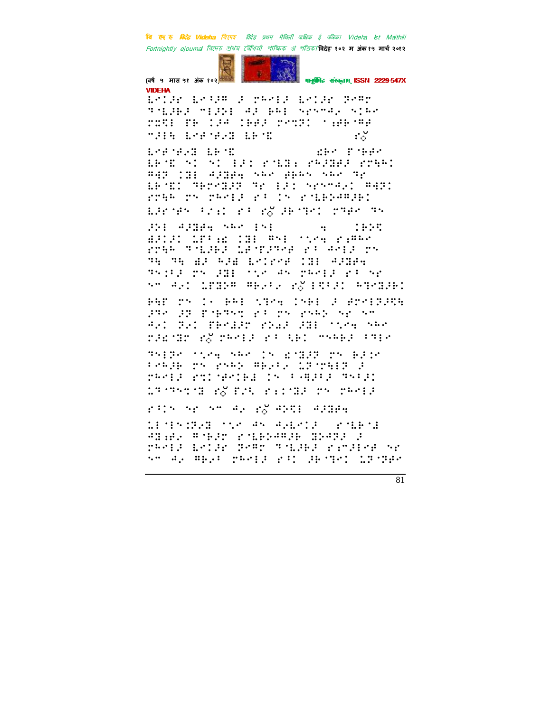LESEN SPAR (152) AN AVENUE (1615-1616) Alubert Arthur Schledwale Chapp of resia betar degri genara ranafer sr shi Ayo Abya (pakifi yai) (Bendel (1979Be

rits ar an 42 rg 4251 42284

Third the new in Endire problem Program response in the control of TRAIN POLORAINE IN FARIER MARIE LEATHER ROBERT FILMER THATER

PAP 25 IF PAI STRE ISBN 2 BORINGER PRO PROFINENCIAL CAUSE AND ACTIVE ARI PRI PROBRE PROF PHE SAME SAM rarde føreta folke med fyr

351 A3384 SAM 151 **SERVICE**  $\ddot{\mathbf{u}}$ BOOK OFFICE COMPARED STATE START rne tues lengers right and th TH TH AP RPA Extrag (SE) RPSPA This has added to an early record STORY: LEBER REPORT 28 FRONT REMERED

die Polie BETH MONT HIS PARK PERMIT #42 131 42344 SWS #BWS SWS MP <u>Létri<sup>n</sup>geréde</u> ar léi srstag: <sup>1</sup>ger rnew ny navis ra in raibheagh: EACHNORY: 23 PS ARTHUR THAN TH

**VIDEHA** Entre Entre l'order Entre Beer TALBA MIRE AF BRI SPYNA SIRO **MARI OR 194 1993 MYMIN (199749 MAIR LOFORED LEOD** ःॅ

(वर्ष ५ मास ५१ अंक १०२)



बि एक रु मिनेट Videha विएक विदेह प्रथम मैथिली पाक्षिक ई पत्रिका Videha Ist Maithili

मानुभीह संस्कृतम् ISSN 2229-547X

Fortnightly ejournal রিদেহ প্রথম মৌথিনী পাক্ষিক প্রা পত্রিকা**'বিदेह' १०२ म अंक १५ मार्च २०१२**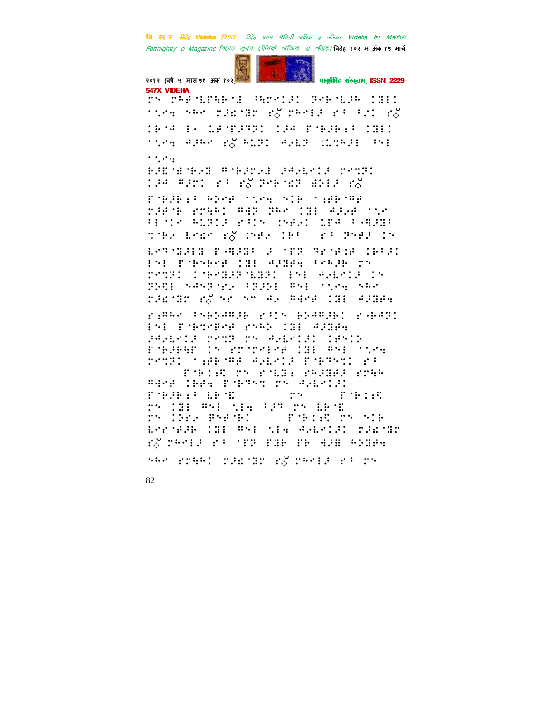: ::::: : :::::: **THE STREET** 25 131 851 114 123 25 16 17 Product Presence **STEIR THAIR** ESPARA CHE PSE SER PAESIRI PRESHO Korpora of the national seaso

SAR PORAT CRECHO PS CARLE PROCH

rame (sprange ris prange) rapar: 151 F1917878 P592 131 93389 PRAISE TOT TO RAISE THIS PORTHE IN PROPERTIES THE SAME rent tament saled from re rench ry run, swaar rre #40# IB#4 PoB#55 25 4210121

ESTABLE PARE S YET TRYER IPSI 151 FSP508 (B) 42884 PORTH 25 PROTECT PROBLEM EST (FREEDS) (S PREF SASPARE FREED ASE Strainsho racher fore an all margines agges

Poblet about the side there rafor roge: #42 263 131 4a.g over HOTELBID RATH THEI LEADERER the bron og her left af Pres ir

 $\gamma$  ,  $\gamma$  ,  $\gamma$ PAD MARKA A MPARKA (ARKERIA (PROPI 194 Adri r: rõ Prends Abis rõ

२०१२ (वर्ष ५ मास ५१ अंक १०२) मानुबेमिह संस्कृतम् ISSN 2229-**547X VIDEHA** ry reported a servici reported in tice and planed of profiles and to TERM IN 18 MINUTES SIM PRESENT SIS the APP 20 RIP: AND MITHI PH



बि एक रु मिनेट Videha विएक विदेह प्रथम मैथिली पाक्षिक ई पत्रिका Videha Ist Maithili Fortnightly e Magazine রিদেহ প্রথম মৌথিনী পাক্ষিক প্রা পত্রিকা**'বিदेह' १०२ म अंक १५ मार्च**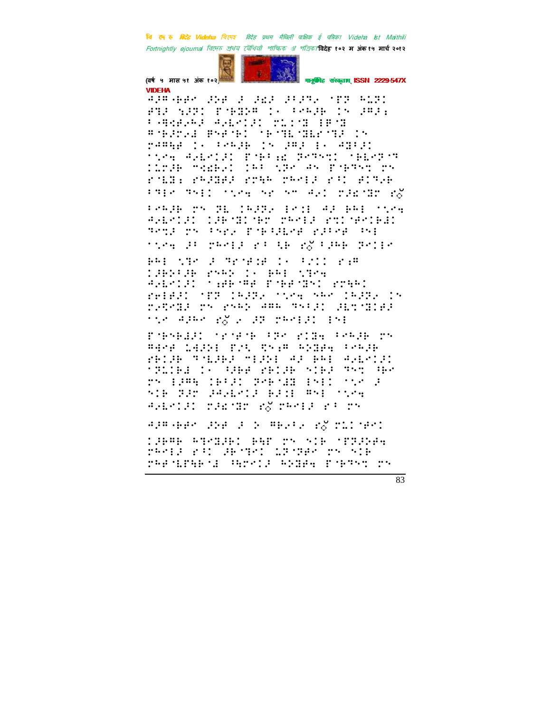APP-BBK 258 2 5 ABSOS 20 MILINARI **THAN ASYMPHONE SAN THE STREET** PROFINE IN SPORT AT THOUGHT reported a service ended for the re-

158 APAK 30 2 PR TRAIN INE POPSEIN SECRO PROVINCIA PORTE DS Bara 1435: P.S. Trim Aboar (2003) RECORD TOLOGY MISSING AS BAINGAGES. tRIDE TH' REFORMIR SIRK TST BR **MA 1986 (BRS) PERMIE 1911**  $\cdots$  .  $\cdots$  . SIE PRO PARENTR ERIE WSE STRA RADALEL TERMIT PS TRAIN FROM

PRESSENT PROPERTY FRIDGE CARRIA 2552 () PRI 5954 PALMIS TAPPE PREMINI PTPS releat (193 1933) (now new 1933) 15 retell ry ryke ame myter elrogies

PRAGE THE TEST PAIR PRIEST PART ONCE AVENISI ISBNEDNEM MANES YMINANIAE: Tend on their popular education ting an regard on the 23 name boile

**VIDEHA** APP-BAR 258 2 2021 21272 1831 ALSO BOOK SAND STANDARD IN THE STANDARD STANDARD **FARANA ANDIS MILLE BYS A MARYAN PHANEL SECRETARY TANKS** range po tempo po por po agrep tive electrophete presul telepte TEMPE MANERI IPP APPLAN PAPPAR PA ring, redned robe oerla ril Black PRES RAED Straw ar an Ard represented

(वर्ष ५ मास ५१ अंक १०२)



मानूबीह संस्कृताम् ISSN 2229-547X

83

बि एक रु मिनेट Videha विएक विदेह प्रथम मैथिली पाक्षिक ई पत्रिका Videha Ist Maithili Fortnightly ejournal রিদেত প্রথম মৌথিনী পাক্ষিক প্রা পত্রিকা**'বিदेह' १०२ म अंक १५ मार्च २०१२**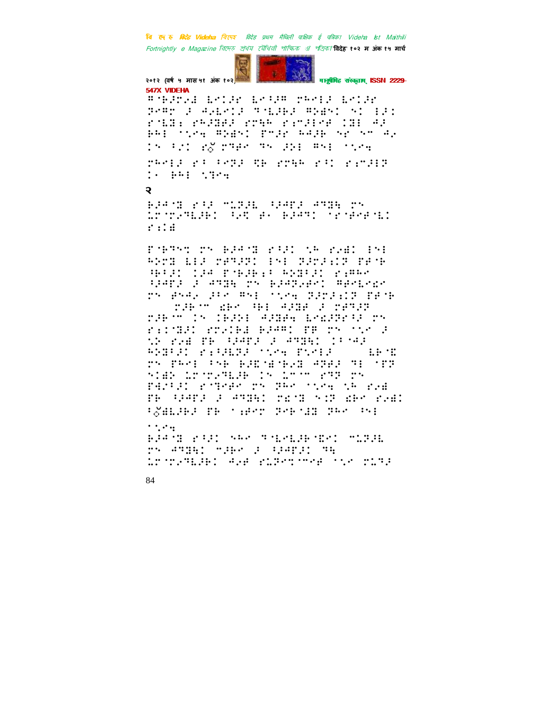बि एक रु मिनेट Videha विएक विदेह प्रथम मैथिली पाक्षिक ई पत्रिका Videha Ist Maithili Fortnightly e Magazine রিদেত প্রথম মৌথিনী পাক্ষিক প্রা পত্রিকা**'বিবৈদ্ব' १०२ म अंक १५ मार्च** 



२०१२ (वर्ष ५ मास ५१ अंक १०२) **547X VIDEHA** 

मानुबेमिह संस्कृतम् ISSN 2229-

PORTER ESTAD ESTAP CREATA ESTAD Pres d'Aubrid Schuel engri Si (di roll: regist role ranger (i) 42 PRI TORE REENS PRIE RAIR NE NO AL 15 P.T. 20 2785 75 201 851 1154

TRAIN TO PATE THOT THE TOTAL TEMPER  $\mathbf{1} \cdot \mathbf{1}$  and  $\mathbf{1} \cdot \mathbf{1}$  and  $\mathbf{1} \cdot \mathbf{1}$ 

**Q** 

83478 833 M1336 33463 4986 89 trongalak: Ger es kagan froesen:  $:$ :::

POPPY TY BRACE PART OF PART INE RYME ELF MARIE: 151 PRMPELP PACK HOICIP PERISTERIN FROM SPARE E ANGELIS EPAGEANI APSESIS rn ande die Whichen Baragia fack rabon den abi aade a renan rakon (n. 1835), Aamee Ekzapria pr  $\mathbf{L}$  :  $\mathbf{L}$  :  $\mathbf{L}$ rs Ped (156 BRD-87620 APB) 71 TPP TE SPARE POSSED TRIBLE SITE ART REAL

 $\cdot$  ,  $\cdot$  . BRAND PART NAM THEMER WAS MORE rs anger rage a garar ne <u> 1999-11:12 A.A. Miles Meal M.A. Mile</u>

richard review erged be en the r Where the GRPS 3 ANDRO 19743. ANDRES FIRES TO THE POSSES SIED INSTALLE IS INSTALLED PACERD STREET TO PROvide the Sou **MANUEL TE SUPPORT TELL TER INE**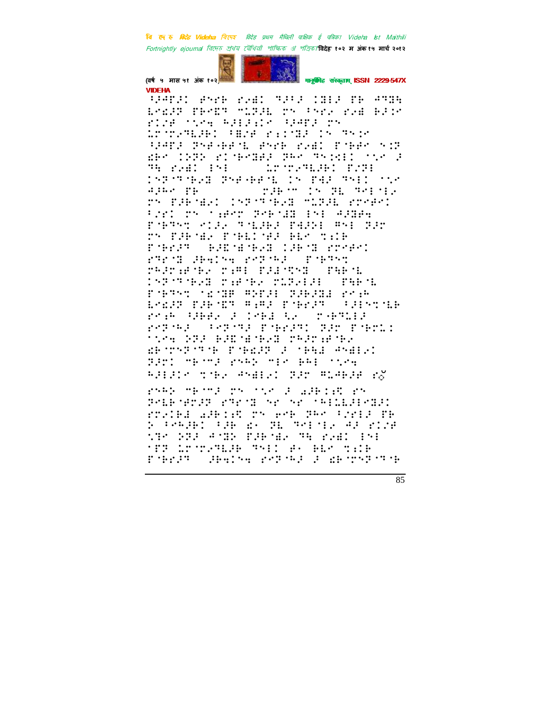बि एक रु मिनेट Videha विएक विदेह प्रथम मैथिली पाक्षिक ई पत्रिका Videha Ist Maithili Fortnightly ejournal রিদেহ প্রথম মৌথিনী পাক্ষিক প্রা পত্রিকা**'বিदेह' १०२ म अंक १५ मार्च २०१२** 



(वर्ष ५ मास ५१ अंक १०२) **VIDEHA** 

मानुबेदि संस्कृतम् ISSN 2229-547X

194231 Brek Road Mata 1913 26 AMBR BREED PRESS TIGHT TO SOME FREE RED rice the Addition deep pr MOTORSHIP: FROM PAINER IN SAIN SPARE Present and soll read then rip ERS INTE PISPOERS THA TAINED TAS S **AND STEPHENORMEN** ng radio ini 1989 BAR SMARTE IN PARTNERS raem is al Perel agne pp. ry Pabrell (SPP-9-628 MLBab Profes) Fred by Safer Person information PARY MIN TANK PANE PYE TU ry ESPAR PARINE BR SID rner bænder (Brograd) rtri Secto retos (Sieto TRATIFIED TIME TAESTAL COMPANY **INTERNATION NURSIAL PRES** reserve treath spring publications. <u>ishte përshtë etë pjetë të tërsht</u> reak What E Dealth (2003) PARTNE COARDON PORTER SERVICE tics DPP RPD'BYR-B TRPTHPTR ERSTATIS TIRET I SPRI PAEL! BED TECTS PARK TECHNICATES RALACH THE ANGLES RAT RIARAR XX

robe me ma roomse a wakish ro POLE SENSE STRATE SPONSO AFILIATIONS rrachd adhiad ro ean doa farid dh S PARAS PRE BY HE RAINE AR BISE STR 200 AMBR EURMER TH 2241 INE **MTS LEATERED THIS HOME HIM TILE** Poble (Belog reform a dropporth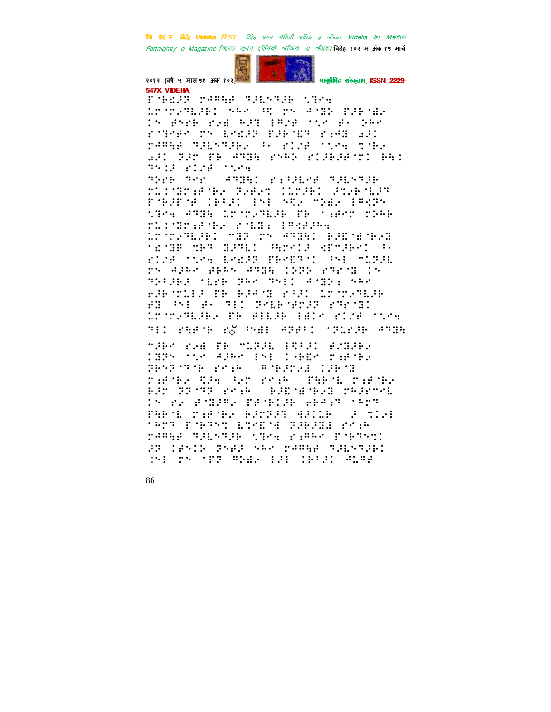बि एक रु मिनेट Videha विएक विदेह प्रथम मैथिली पाक्षिक ई पत्रिका Videha Ist Maithili Fortnightly e Magazine রিদেহ প্রথম মেথিনী পাক্ষিক প্রা পত্রিকা' **বিदेह' १०२ म अंक १५ मार्च** 

 $\mathbf{g}$ २०१२ (वर्ष ५ मास ५१ अंक १०२)

FMAR PARA SHASH ATA

MICHEMES POLE: PREPRE

rs 4368 AB68 4336 1939 83233 THING TEST THE THIS FIRE SHE FRESHER TE ERAST FARI LTSTERALAR #B PH # MIL PALENEDI PROB

**547X VIDEHA** 

This side them



Montegaler See on the Angel Pernar In Brok cod APT 1828 the BC 245 ringe av berg føring regiska rawaa wakeyaa, ku sisa muha mma AC SAM TH ANGE YNAR YLANARYN AR:

The Term ATHI rights THRTH rt: Mr. B Ne Seler (1228) Sheedsh PORTON IRACI ESE STA MIRA ERCIS STER ANDE LESPANDE TE SIAPE CARE

**TEMB MET BRIEF HERCH REMPERT IN** ride time bragg genggan ang migga

Lournage TR Albar Late Mine unde THI PAPTE TO PANE ATENI TILEIR ATIR

rafne Racher rom (men packe BET TIMP PAR (BETRAINE TREMA Dr ek folkek froelik ekker (Art rest rete error end (ft) 'PT' F'BTY ETCH FRBRE FOR range mansman the range remember 37 19515 7593 548 24898 33153381 **ME TH MIR WAR ESE CHIST WIND** 

nako bar be niaar 1912) azaaka<br>1935 hin Aaso 151 1960 partea

SPASTOR PORT PORTRAINING

मानुबेमिह संस्कृतम् ISSN 2229-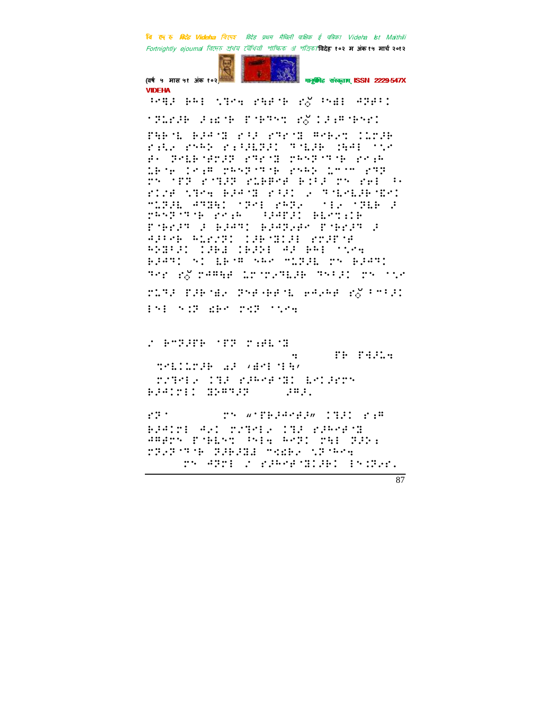बि एक रु मिनेट Videha विएक विदेह प्रथम मैथिली पाक्षिक ई पत्रिका Videha Ist Maithili Fortnightly ejournal রিদেত শ্রথম মৌথিনী পাক্ষিক প্র পত্রিকা**'বিदेह' १०२ म अंक १५ मार्च २०१२** 



मानुब्रीह संस्कृतम् ISSN 2229-547X

**VIDEHA** Programmed (Stray Poperty P. Mail Adams)

(वर्ष ५ मास ५१ अंक १०२,

'Plrd Just Perri & Digital

rant assumed and the season of the PAS PAR PERMAN TANK MAL TY BROTHLENBORN STRING ORNE MOROSCHE LETE CASE PROPORTE PORT LOOP PRP PROTES KOTAR KLEEPE EING PROTES IN POSE STRACEFRIDE PART & TIMEREMENT HIPAL ANGEL (1971) 2592 (1112) 7916 (2 rangement read ( Gard) Bierald PARIS FARI BESCHAFFER P APPAR ALEVED CORMICAL ESSEMA 820921 1280 18221 92 881 1124 BRANC SI EBSA SAR MIRRE TS BRANC The eggerment arounded the state of the

rung fakime Theoretic Pages (2009) 151 512 dist 202 (159

**TH PAPLE**  $\dddot{\bullet}$ **THEORE AF WHITE** rather (192) rather (B) and arry 8341211 H2#933  $\mathbb{R}^n$  ,  $\mathbb{R}^n$  ,  $\mathbb{R}^n$  ,  $\mathbb{R}^n$  $\mathcal{L}^{\mathcal{H}}$ ry wiffered, 1931 rim BRAINE AND WORKER COR BRAKENS AREN EMBAN PHA PARI MAL BER:

TS APPE 2 RIPARTHINEI ESTRAL

rzez dre zinili den en 12 des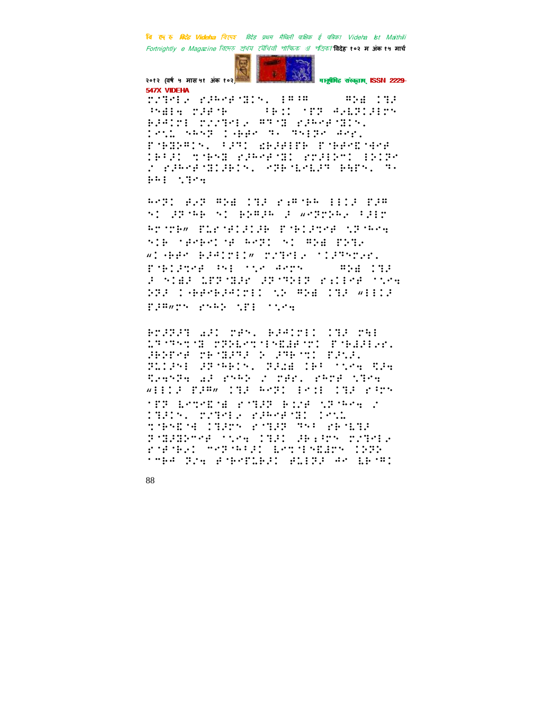बि एक रु मिनेट Videha विएक विदेह प्रथम मैथिली पाक्षिक ई पत्रिका Videha Ist Maithili Fortnightly e Magazine রিদেহ প্রথম মেথিনী পাক্ষিক প্রা পত্রিকা' **বিदेह' १०२ म अंक १५ मार्च** 



२०१२ (वर्ष ५ मास ५१ अंक १०२ ) **547X VIDEHA** 

मानुबेमिह संस्कृतम् ISSN 2229-

TIMES PROPERTY, 1838. **ABSOURIES** PABA THE STATE THIS THE ANITIATIVE BRAINE PROTHER AT TESTAGENES. 1851 5452 1988 TV TSIRK ARE remark, thr. Mahiff feedings IPPAL THESE PARKEMEN POARDHIS ROCK r rightering and the second control of  $1441 - 1344$ 

AMOS AND MINISTER SHOWN BELL TIME t: Sprag n: Biaga ( wrppia, 1315 Roome, Planetical Poblace (Store) SIE SEMEND SE PARI SI PRE PRIE wieder dieselsk schriechtenstell POBLEMAR SAL STATEMENT **PRESSING** F STAR LERGER SPORTER RAIDER MORA PERSON PARK SEE STRE

BOSTST ASI OPS, BSPIDED CTS ORD LT TYTH STREET HYER TO FIRERY. HOPE TRIBUS CORTISEL BLIGH SPORTS, BRANCIER (1204) RPW Change al romb o rer. Phre Sgoa WEELD BOWN CHO RESOURCE CHO 2005 'FF Lording Polls Bird (Ford) 2 **COOL STREET SPACES CALL** terang lare rear an rear FMARTH THE MAN SERVICES roford wereld arounded the tres dia energed energy sensor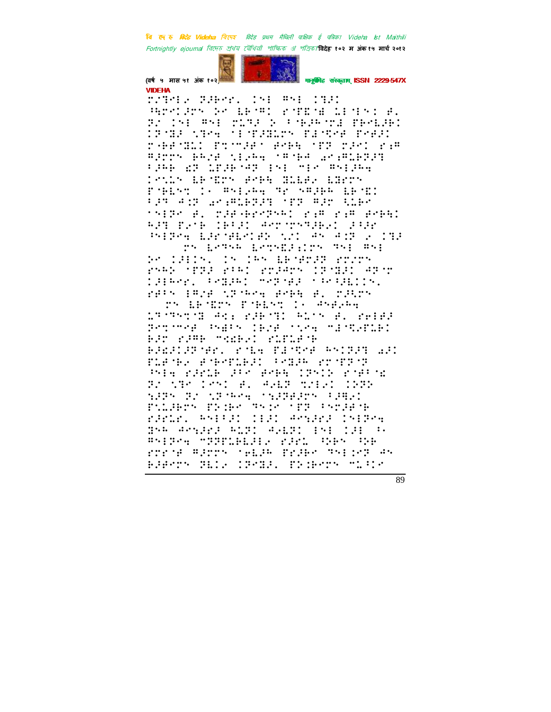बि एक रु मिनेट Videha विएक विदेह प्रथम मैथिली पाक्षिक ई पत्रिका Videha Ist Maithili Fortnightly ejournal রিদেত প্রথম মৌথিনী পাক্ষিক প্রা পত্রিকা**'বিदेह' १०२ म अंक १५ मार्च २०१२** 



(वर्ष ५ मास ५१ अंक १०२, **VIDEHA** 

मानुब्रीह संस्कृतम् ISSN 2229-547X

**MARIA REPR. 151 #51 1921** PERSONAL PROBLEMENT CONTENTS AND BY INE WAR TEAR & PORTHOL PROBABL **IFMA MPA MEMBRIDA BENGA PARI** rakendi from Handen (from Hander #2225 BR28 Slahe '#'BA' A':#1B223 FORE AT LISENT ENE MEN WHIPPY **Compa in the Sound Hills (Sheep** rence to monome me chappe incident **FOR ANY SPORTSHIPS TOP ROOTS** 1912-16, 226-62-2950 238-238-6-660 RPI PANE IREPI AMPOMPARAI PER super Labeledge with An Administrat

rn Estat Españalera dal Bal de (2015) (5 (65 General Prince)<br>PSAD (PDA PLA) Pragos (2002) gran<br>(2062) PKBabl Selbar (65 Gelis) reth imse showng energy runch ns iksons forten (f. Asp.Ag 17775571 Add rib TI A155 B. relea Portman Park (Prim tide minderle: BIT KIWE TREET KITLETE BJEJIJEME, KMEN PIMEM PSIRJE 231 MACHA ACHOMANA PORP STORES Pie rand are against report BY NBM 1981 B. AGER WHIP 1999 5325 22 52365 (5532325 33821 Pillbers Prime Said (PP Parague ranko egilar mar egilea igilea BARTANYAYA AMPIRANT 151  $\mathbf{1} \mathbf{3} \mathbf{1}$  : #SIPPA TPPELBEJER PJPL JDBS DR rrene Albrechteble relevanted by As BRACK HILL IPSEL TRIBOT TITY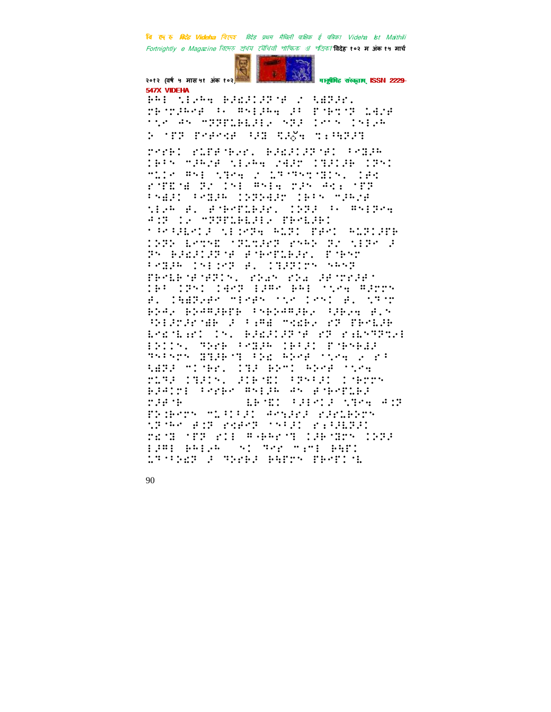बि एक रु मिनेट Videha विएक विदेह प्रथम मैथिली पाक्षिक ई पत्रिका Videha Ist Maithili Fortnightly e Magazine রিদেহ প্রথম মেথিনী পাক্ষিক প্রা পত্রিকা' **বিदेह' १०२ म अंक १५ मार्च** 



२०१२ (वर्ष ५ मास ५१ अंक १०२) **547X VIDEHA** 

मानुबेमिह संस्कृतम् ISSN 2229-

PRI SIPRA PRETIDENT 2 REDEC rannike () megang at pranch 1929 TAC AS MEPELBERED SER COUNCINED 

POPEL PLEATERS, PARALARTEL PORPH 1655 MJRZA SEVRA ZAJM (1921JB 1951 milis And (1984) 2 17/70/1810, 198<br>Borbom Proche Andalova And (197 PABEL PABRA (DEDART 1988 MERIP) tisk a. Adenbar, 1992 (P. 891984 #12 12 TRRESHERE PROBRE **TRIBUS SERVE BLE BET BLEIBE** 1989 LothE (Sliter and) Br (186 ) Problement directible. Pibro PRIP INFORMAL INFIDA NAMP PROBREMENTS, PRES PRESENTENT 18: 1351 1853 1385 861 1154 83225 B. THERMAN MEMBRO TO CARD B. STOP 824. B248.8PB (SB248.8.) (BB.9.8.5) Stanarne a tyme model på Periae ESEMENT IN BREEZEN WAT PERMITTE 19115, John Program (1931) Entrepay<br>Johnson Odderd Por Rore Moral 2013 RAPA MINERAL INA BRMI ARMA STRA MARA (MAIN, AIRMEI PROPA) I MATTO BRATTE PRED #518 45 PROPERT BRIDGE PRINCIP (1994) 4:2 maan ni TRIMS MINIE AMBRE RENER SPORT FOR PARTY ONES PERSONS rend (FF 211 #982)1 (FF 1875 (1975 **FORE BRIGHT SI THE MIME BRIG** LT MART 3 TRYB3 BAPTS PROP. N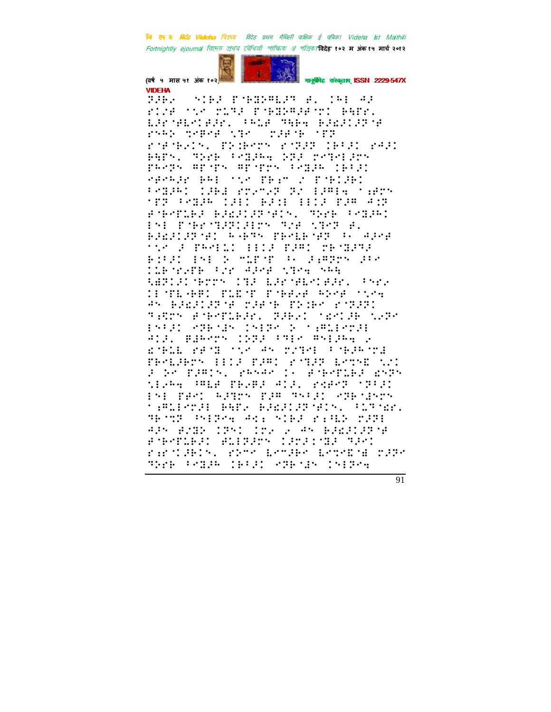बि एक रु मिनेट Videha विएक विदेह प्रथम मैथिली पाक्षिक ई पत्रिका Videha Ist Maithili Fortnightly ejournal রিদেত প্রথম মৌথিনী পাক্ষিক প্রা পত্রিকা**'বিदेह' १०२ म अंक १५ मार्च २०१२** 



मानूबीह संस्कृतम् ISSN 2229-547X

(वर्ष ५ मास ५१ अंक १०२, **VIDEHA** 

 $\sim$  193 FM-22-2013 (2013) 43 **William** FINE THE TURE EMBERSHIPS BARK. LANGERIA (FELR TERRISTIKA) ryAD SeBer 136 (228.9 133 referred things returned the state PAPY, TREP POIPH 222 role12ry PROPS WE'TS WE'TTS FORDE (BF3) SPEAK PRESS TRES 2 FORCED PROPERTY CORD STATES OF CONCRETENTS \*FF PYBP (2011 B210 1012 F28 A12 FAPTLES ESCOSTELY TEST PRIPE ENE PORTOIRIERS AND STAR B. BRETZPYEL RYBRY PRYERYED (P. 4208 **TAR 2 PERILI BELE PART TEMBARA** BOOK END & MIDNE OF JARREN JOR TIE WATE (Fre (Alee) Steel SAG SAPISINETTY INS ESPIRATORIC PYPE **CENTE-BOIL PLENT PNDBDB ASAB MICH** AN BEWEICHTE MEHTE PRIBA KTRERI TATT POPINER. THAI TECH SATH ESPEC PRESENTATION & SEPARATE ALE. BIRGEN (2003-1918 BN1184-2 EMPLE PROBLICK AN EVERY FORFAIDE BREAK HIS BAY KAR LOVE WI F SK PPRIN, PRNAK IV POPPIDE BNPN Siley emir mirr eta, rerem chat PSE PAST RITES PIR TSILL STRAINES **MARGEMENT REPORTS AND SERVICE** SPACE SHIPMA ARE NIRE RESERVEES APS REDE COST COR 2008 BREECHOSE a<sup>1</sup>merilegi alıbgan targında ması randakis, roma benake benebar naga THE PERPOIRING PRESENTATION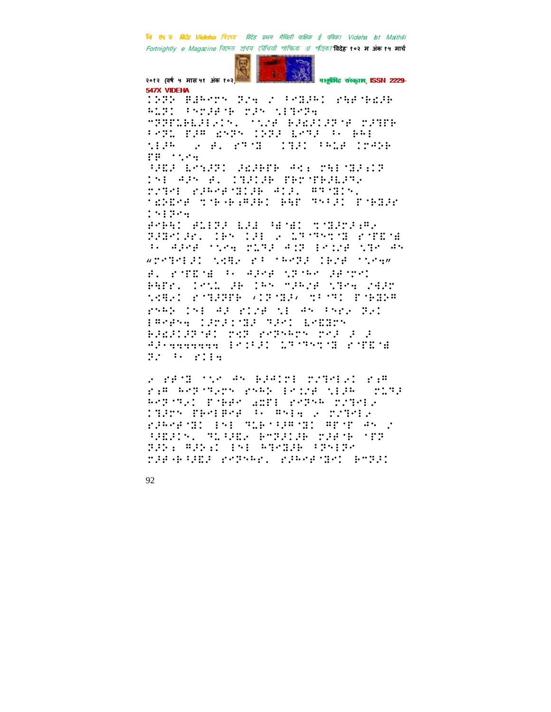बि एक रु मिनेट Videha विएक विदेह प्रथम मैथिली पाक्षिक ई पत्रिका Videha Ist Maithili Fortnightly e Magazine রিদেত প্রথম মৌথিনী পাক্ষিক প্রা পত্রিকা**'বিবৈদ্ব' १०२ म अंक १५ मार्च** 



२०१२ (वर्ष ५ मास ५१ अंक १०२) **547X VIDEHA** 

मानुबेमिह संस्कृतम् ISSN 2229-

1989 Barnon Bow of Frages Startage PLED PATER TRACKETER MARTINELLE CONTROLLER IN STRUCK

PARTITE WAS STATISTIC PRO MPROVER PROFILED PALE IMPE  $F_{\rm F}$   $\rightarrow$   $\rightarrow$ 

SHE LOWED SENDER AND CHICKERS INE APR B. INFLAN TECHNICAL right rawnering and approximate tabore stellered een skill bieger  $1.512.54$ 

PORT PLICK LAF RENEW STREET BERGEN IM IE 2 STAART PARTS 36 APPE TOPE PLAP AND PRINE NEW AN wreder at change and cheap (transcorpus B. PTEMB R APME SPAR BEMPE PATY, IMMI JP IPS MJP/F MTMA 24JT tempo programa (promotiva programa PARK INFORM PICHOLICAN PAPE TEL PROPH CROSSING MACK BOONDY BREAKATHE TET PATAPHOTOGE PO Aleggana Prill Street Compa  $22.44 \pm 214$ 

2 PEND MAR AN BIAIDI DITHICI PAR rim aktivare real from the side (note Reported Borger World Person person.<br>1992- Prefire (F) Asia e person randed in Theoretic Art And HARRY TENNE PTHINE THE STIP BREAK WEEKSTERS AND AGREEMENT PROPERTY rae Gara (repser, caeserar, Beza;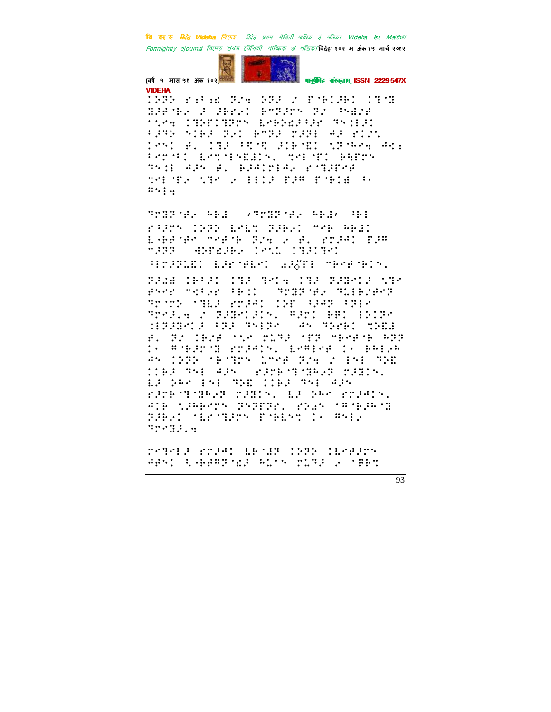बि एक रु मिनेट Videha विएक विदेह प्रथम मैथिली पाक्षिक ई पत्रिका Videha Ist Maithili Fortnightly ejournal রিদেত শ্রথম মৌথিনী পাক্ষিক প্র পত্রিকা**'বিदेह' १०२ म अंक १५ मार्च २०१२** 



(वर्ष ५ मास ५१ अंक १०२) **VIDEHA** 

मानूबीह संस्कृतम् ISSN 2229-547X

**CONTRACTOR ORIGINAL CONTROL** BREAK F READ BORRON RO PNECH tive (TEPELTRON LePPARTRE THILR) FRANK SIER BAI EMBRO MARI AR BIJN TRAD B. THE FRONT FIRONT SECRO ARE PROTO ESTIMATING TREATS PROP This Album, BlAIDIA, PolifyR. THE TEACHER ACTIVE THE TOPIC AS  $\cdots$ 

srover wed (srover wed) we radno 1989 bobn Babyl nob Abdi LARTAR MRETE BIR 2008, STIPL BIR **\*::: WELL PRODUCE** HERRIC LEOHARD MANI SPECIED

BRIA (1982) 192 9-14 192 BRB-12 59-Break Mater (FRI) (Processe Plikers Brone cand and the the this Spring of BiBrilin, Albi ABI 10187 HRABEL CRASHER (45 SPEED THE B. B. CE.B. Yor class for meets Ago : PHERMI PRINC, EPAPAR (° BAD)A 85 1989 (Friday Lord Side 2 151 398 TIES THE ASH (SSTEPTINGS TSHIN) EP 288 FMP THE CIBB TMP 428 PATENTINAR TAILS, LA PROVINCIA Alb SPARTS PSTEEL ROLL (R.H.P.C. BRA: MESTRYS PARSY IS WHE **Sheddard** 

POTOLE PRIME LESIE (1970 (LOPIES APSI LAPPROSE REOR TERR 2 OFFIC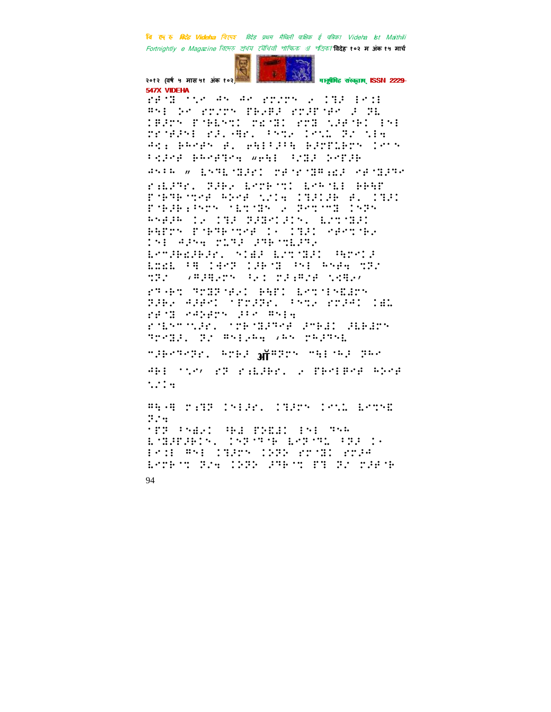बि एक रु मिनेट Videha विएक विदेह प्रथम मैथिली पाक्षिक ई पत्रिका Videha Ist Maithili Fortnightly e Magazine রিদেহ প্রথম মেথিনী পাক্ষিক প্রা পত্রিকা' **বিदेह' १०२ म अंक १५ मार्च** 



२०१२ (वर्ष ५ मास ५१ अंक १०२) **547X VIDEHA** 

मानुबेमिह संस्कृतम् ISSN 2229-

rend the An Ar room in 198 lett #5: 20 prove TRABA practice 3 TL IPATY POBLYTI TEORI PTR NABOBI PYE TEMPERE PRINADIC PROVIDENCE PROVIDE Ad: PROPR P. PRICHT PROTIETY COST PAPAR BRANTA WANT BAIR DATER

ANIA W 1871-1811 TENNIBAN PENDIR rache Subrarent been pour rament beschieden als der FORESTON CENTER & POINT 1975 RABB 12 MB BREAKING ENTHR BAPTS PORTHOUGH IS INFIDENTIAL the ages with greenly. ESTABLARI SIBA EZTIBI ADVIA Emal (98) 1987 (1983) (81) Angel M22 MES (APPROVAL POSSED) SONO

PT-BT TPHP-BAI BAFI EST-FALES THE ANAS STORE. PATE MORE THE reng espera pre mang rietist (19. 1961) 1974 (Press (1863) STREET BY BREAKS ARR TRESPE

*"Presence, are: M*WHICS "Alsage Pas

ARE TIME RE RALARY, I TRAEBAR AIMA  $\mathcal{L}$ 

#638 riff (SER) (3885 Crim Escoe  $22.4$ **THE PART OF BEATING IN THE** EMERGEDS, ISBN 9-100-970-988-1-Principal Chart Casa Erich Erich ESTATE FOR INCE CRATE TO FOR THE TA 94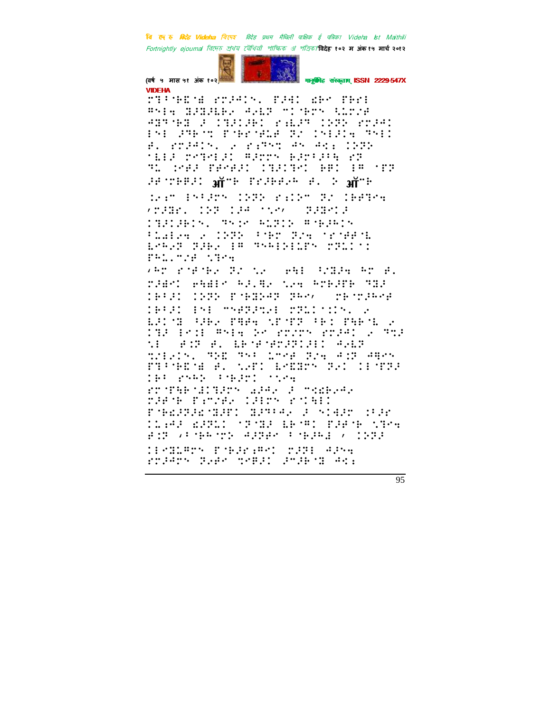बि एक रु मिनेट Videha विएक विदेह प्रथम मैथिली पाक्षिक ई पत्रिका Videha Ist Maithili Fortnightly ejournal রিদেত প্রথম মৌথিনী পাক্ষিক প্রা পত্রিকা**'বিदेह' १०२ म अंक १५ मार्च २०१२** 



(वर्ष ५ मास ५१ अंक १०२) **VIDEHA** 

मानुबेदि संस्कृतम् ISSN 2229-547X

MISHEM PRACH. TAC SPORTER By: SHEER AND TIET HITH 889 98 3 198 88 3 188 9 188 300 1 INE PROTTERNED BY INFRA TNE B. STARK, S. PATHY AN ARE CODE TEEP PATALLE RAPPS BAPARE PR TO MARK PARAGO CONCORD ARD OF TOP SENDERS ATTE POSERER BUILD ATTE

trim Entern (1931 filler 32 (Be3ng  $77.39773$ **THAIRPIN, THIN WIRTH WARRIN** Plates e 1930 Por Ser Ser School EPROP PORT IR THRIDIEN TRILLY PROSTER SPA

VAN ESPARA POSSA (1991) PODPH AN BU DJEMI PREFY RJURY NYE ROBJER JEJ tels: 1595 romaner peo, " peoplese TRAFINE THREESE TRULINGS. ESTA SHE MHE ANGGUNI SHEALL 192 Fri Pris 20 prons pr241 2 952 **ASSAULTS** AND MALLER  $\ddots$ THEN THE THE LONG PINE AND ABOV FIRMENE AL NATI EMERG PAI ILMERA IB: PARK (PREMI STAR roughboarders added a modellel race fered tars road Presidental different and the state TERR ERRIT SPORT ERSPITTRESH STOR FOR ALMENTIN APPROXIMATES / CARP **TERMINAL PRESENTATIONS ASSAULT** Primer can hepi inden wal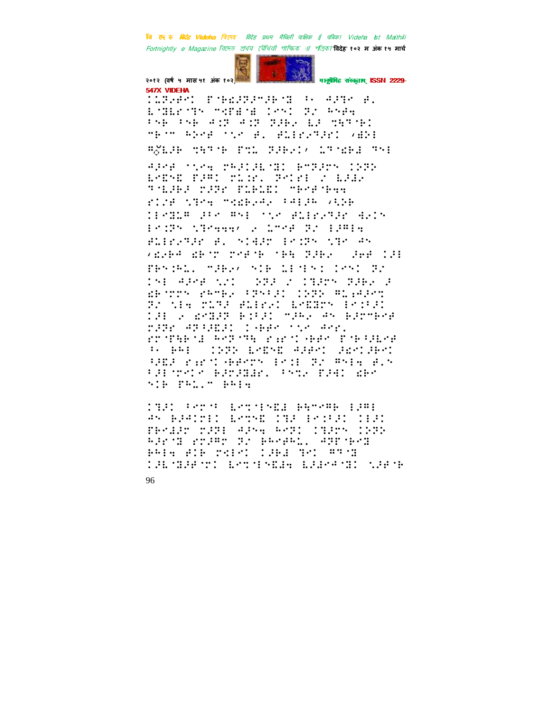बि एक रु मिनेट Videha विएक विदेह प्रथम मैथिली पाक्षिक ई पत्रिका Videha Ist Maithili Fortnightly e Magazine রিদেত প্রথম মৌথিনী পাক্ষিক প্রা পত্রিকা' **বিदेह : ১০२ म अंक १५ मार्च** 



### २०१२ (वर्ष ५ मास ५१ अंक १०२) **547X VIDEHA**

मानुबेमिह संस्कृतम् ISSN 2229-

**TIPLARI PORIFICAL A APROVA** L'HAMTS MAPAGA (2011-PD-8544 PARTIAR AND AND BURY EP MATCHI MESMOREMENT AND BEENFORM VERE

While the fill Sidel, 197281 951

APPE TORE MARIED BOORES INTO EMERGE FRAME STRIPS (PMIRE OF ERER THERE THE TIBLE: TRETHS ring the members cappe (the TERBLAGIA ANE STROGENER ANDR POSTA STORAGO 2 1708 TV 13814 BLEEVING B. STAND ESTIMATES AN verbf eksponskib skal SSR, lag 131 FRAGAL MIRRA ATROLISATO DEADORE 15: APME 521 (1938) 20133550 33820 3 akîron estêk tanta: 1626 gundar<br>av Sia ouga europ: Engar Frita 198 2 držad Bital nako 45 Barnera **Simple Star Additional MARY 4732021** roganiza espone rardiage popagas **Be BA: (1939 LEDGE AGAR) SEEDIMI** BEE rand Genes from Browser B.S FAR THIN BATANAL FROM TAND ARM **SID PALLY BRIG** 

**THE PROTOGRY STARE PROVER EPHS** AN BEATTIN EPTNE ITE BRIEF IBE TRANSPORTED ASSAULTED INSTALLED RAPOR POARD RO BROARD, ARESPOR **PRIN RIP THIS LIPS THE THIS RIPS TALMARTY LOOMSER LARGOE MACH** 96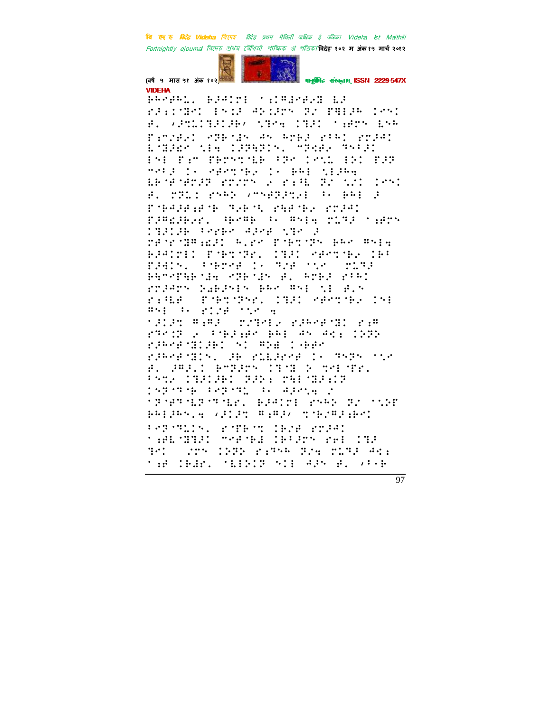बि एक रु मिनेट Videha विएक विदेह प्रथम मैथिली पाक्षिक ई पत्रिका Videha Ist Maithili Fortnightly ejournal রিদেত প্রথম মৌথিনী পাক্ষিক প্রা পত্রিকা**'বিदेह' १०२ म अंक १५ मार्च २०१२** 

मानुबेदि संस्कृतम् ISSN 2229-547X



(वर्ष ५ मास ५१ अंक १०२)

**VIDEHA** BRAARI BAATUS SIRAARAB ER FRIDGE ENGELOPE EN FURN CON #. *\P*ELIBRIAN (SPA 1921) '#Pr ErR Panzeki KPB-185 AS Arbe rial rreal ESHAR MA CHRIS. SPAR PROD PH Fr PROSCH BR COL BY FR MARINE MARTINE IN BREASING ERGEGER POSTA SCRIB RACIS (201 B. MR.: Pres (Mreggine () Bel C PORTHALL THE CONFORMATION TJARIBAR, ARKAB (P. Anim. MIT) SART MIDDE Prekr Adre (Nr. 2 renchmedit alco pharms and maja BARINI PATTEL IND SASTER IB FARING PORTOR IN THE MIN COLTA PATCHBOOK CHEOLY B. PTPA 2001 rrades babase bas welche als right (Poetoper, 1921 eactor 15) British Florida State SALAM PAPA COVINEY KAPYESEL KAP range i bergge pap as any popu ribertilik (The Cippe ramerons, an rubaren is ospectiv E SALT PTEM ITT STATTE. Prostigated assemblaged paperne copern college p **SPORTSPORTER PROTECTORS PROTECT** PRIPROGRAMMENT REPROSESSION PRESSURE PRESS INTERFER **MARKETS: MARKET CRIPS PARTICE**  $\mathbf{...}$ THE STRA BIG TIRE AND  $\dddot{\phantom{0}}$ tan Charl  $\begin{array}{cccccccccc} \mathcal{F} & \mathcal{E} & \mathcal{E} & \mathcal{E} & \mathcal{E} & \mathcal{E} & \mathcal{E} & \mathcal{E} & \mathcal{E} & \mathcal{E} & \mathcal{E} & \mathcal{E} & \mathcal{E} & \mathcal{E} & \mathcal{E} & \mathcal{E} & \mathcal{E} & \mathcal{E} & \mathcal{E} & \mathcal{E} & \mathcal{E} & \mathcal{E} & \mathcal{E} & \mathcal{E} & \mathcal{E} & \mathcal{E} & \mathcal{E} & \mathcal{E} & \mathcal{E} & \mathcal{E} & \$ 

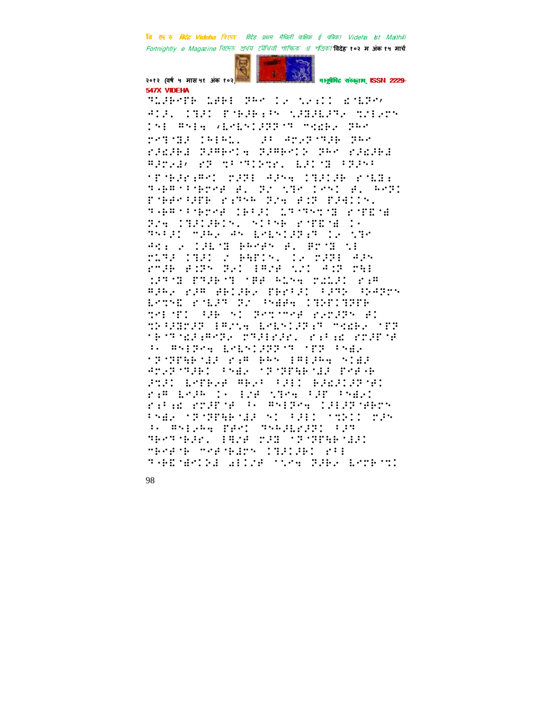बि एक रु मिनेट Videha विएक विदेह प्रथम मैथिली पाक्षिक ई पत्रिका Videha Ist Maithili Fortnightly e Magazine রিদেহ প্রথম মেথিনী পাক্ষিক প্রা পত্রিকা' **বিदेह' १०२ म अंक १५ मार्च** 



२०१२ (वर्ष ५ मास ५१ अंक १०२) **547X VIDEHA** 

मानूबीमेह संस्कृताम् ISSN 2229-

SLIPTE LEED PRO IS NOTE 20170 RIAL INAL PORABLES SANALANY SILVES 15: B5:4 (LelsiaBB)7 Stable BRC retena taian, an argumen par radhi Samera Samett Ser radhi #Preds FR SPORTERS EPISH PRPH 'P'ESTAR' THE SPACIELLE PER THE SUBDAY E. TO ME LAND E. RATI PORPORE PATTE RIN FOR PROJECT **THEORYST IREE INTRODUCTION** Bre CHALABIN, SIPHE ROBEOR  $\bullet$ THERE WIND AN EMERICATE ID ATM Add 2 12171 BRAGH B. Brill ME ring (Mac 2 Barch, Ca rang Agh enge aurs del Tela (2:1940 eks MPSE PROPORT PROPERTY SAME #262 ra# #B12B2 fBrF21 F292 S243r5 ESTAD POLES RA PARA CORPORE THE TELL REPORT FOR THE SECRET SET TRANSPORTATION EMERGED TEER TEE fictional produces an accord **B. WHIPPE LOLATIONS ATT PALE** AnyPorte: Pres offormation rease <u>Poli broga mest tall baraian Gi</u> ram bram is lightime tar theal rild roffe ( Wayne 1812 - 1912 and PARK SPORTHEORE AT PRID SONIO 225 a superfield segment (P **MERTINESS INSTITUTE STATISTICS** MEMPOR MMP (PAPM (CRADAR) (PRE THE GRIES SILE TON THE BRYETT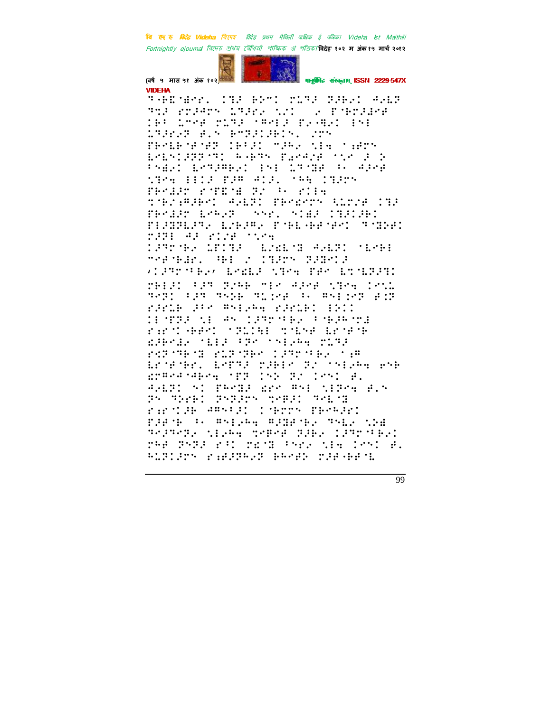बि एक रु मिनेट Videha विएक विदेह प्रथम मैथिली पाक्षिक ई पत्रिका Videha Ist Maithili Fortnightly ejournal রিদেত প্রথম মৌথিনী পাক্ষিক প্রা পত্রিকা**'বিदेह' १०२ म अंक १५ मार्च २०१२** 



(वर्ष ५ मास ५१ अंक १०२, **VIDEHA** 

मानुब्रीह संस्कृतम् ISSN 2229-547X

THENRY CONSERVE WITH BARS AND THE POPPOR LIBRARY COLLECT PROPERTY 165 Lord SLAG (Ardio Plogli 151 STARRE AUS AMTAILAGS, STS TEMER'S YET (EFF) MARY NEW YEARY ERESTREET FARTS PERMIT TO FIR PABAL ESTRAGAL ESE LA MES POSPAR 1984 BELEVIER ALE, 1986 1995 PROBRET FORECH BY PROFILE tikister sam merupakan menga PHOLPD ECHOP (1992) STEP ( :::::+ FIJBREJRA EZHJARA POHENHAMAN ROBRED THE 43 FINE TIME **COMMANDIAL CONSTRUCTION MARGER BE STIRES SERVICE VIST SERVICES IN THE EXISTI** THEFT FOR TOWN MEM APME STRACT  $\cdot \cdot \cdot$ Rep: (PP Rep: Rice) (C Rep: 27 PIN rack are musing rack: INT IE TEACHE AN IPENSEL CHAPPIE rand Gent (1911a) three broads EPPIE MILL PROSSIBE TITE PORTREAL PLEATER CORPORER COM Ended Entry Maked to delements dramatakes from the Britannia B. APERING PROBE AND ROLLING BIS **SPERING THEIR THEMS** Pro Sheet rantak <sup>ama</sup>la: Cherr Phobac FRACH (B) #Space #PHACH2 #Sb2 (200 SKISKE MIRA MKRKE BIER (ISTMARK) THE PARE FIL TEST PATE LIB LOAD B. BIBIETH PARTHLE BRANK THRABAL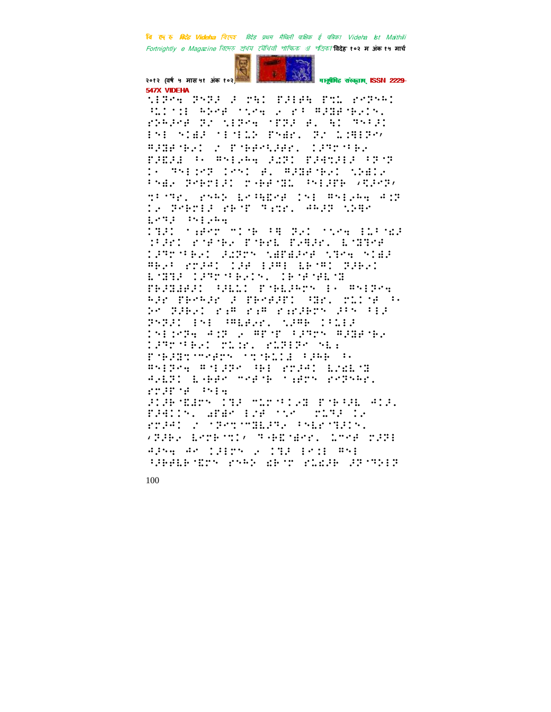बि एक रु मिनेट Videha विएक विदेह प्रथम मैथिली पाक्षिक ई पत्रिका Videha Ist Maithili Fortnightly e Magazine রিদেত প্রথম মৌথিনী পাক্ষিক প্রা পত্রিকা' **বিदेह : ১০२ म अंक १५ मार्च** 



२०१२ (वर्ष ५ मास ५१ अंक १०२) **547X VIDEHA** 

मानुबेमिह संस्कृतम् ISSN 2229-

three replace which release this expend RICORD REPRODUCED AND REPRODUCT. PRAGA ROSERA (PRAGA AL 50 9932) PRESSING TEMPLE PRAY, TV LIMETRY #20071621 2 P190952001 12751962 CONSI B WHIPH CONTROLLING S THERE IS NO H. PHESEN SHILL Pres Premisi maering Prishe (SPMP)

trings, real broughter (ed. Aspea, Add *la Trenia den* Tand, Amar Cher ESTA Prietrie

**CONSTRUCTION OF SECTIONS INFORM** SAN KAPE PAN PARK LAPA 1955-5921 92255 NAPAGKA NGKA SIAG #B2: PTPH CHP EPH AB #1 BRE2 EMBER 1977 BELL SENENHAM PROBABLY GOLLY PORCHES EX WSERS. Add Benedd o Beneddi (Abd Mille (A PO BREAD PAR PAR PARREN RIN FER PSPEC ESE PREPEND SPRE IPLEP istora kip u mronovanje muziko **STATES AND STREET SEE** PORTION SOCIAL PARK P #SPPS # MORE (#B STPP) EMENT APLED LABER SPECE CAPTS PRISED. FORTH PHE

alakomany ina mprofiza mokaan'ala.<br>Malio ambo kafotoan'amin'ila rnad (1985-1881) (1987-1881) *VISB. Lether:// THERE: Leth.clt.* 4254 48 12125 2 132 1831 451 SPREEMENT PART ERN PLEER PRINCE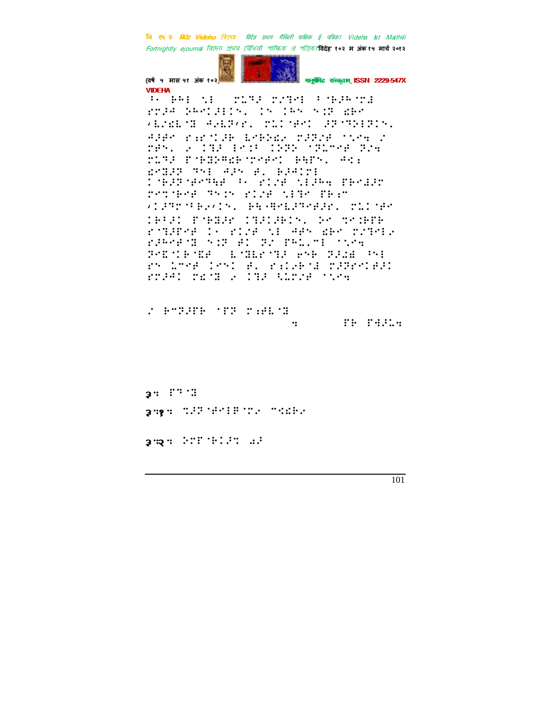चि एत् रू मिन्हे Videha निएन्थ विदेह प्रथम मैथिली पाक्षिक ई पत्रिका Videha Ist Maithili Fortnightly ejournal রিদেহ প্রথম মৌথিনী পাক্ষিক প্র পত্রিকা**'বিदेह १०२ म अंक१५ मार्च २०१२** 



VIDEHA

(वर्ष ५ मास ५१ अंक १०२) मानुसार में मानूसीह संस्कृताम् ISSN 2229-547X

⢸a!⢷⢳3!⣁3-!⣅⢹⢼!2⣙3!B⢷⢼⢳⣜! ⢼⢺!⢵⢳⢼3F!!⢳!⣈⢽!⣎⢷! \LPED # #FRANC TED #FOR THE FINE ⢺⢼⢾. ⣐ ⢼⢷!⣇⢷⢵⣎⢴!⢼⢽2⢾!⣁⣒!2! ⢾F!⢴!⣙⢼!3⣈B!⢵⢽⢵!⢽⣅⢾!⢽2⣒!  $T$ ⣎⣝⢼⢽!⢹3!⢺⢼!⢾F!⢷⢼⢺3! ⢷⢼⢽⢾⢹⣓⢾!⢸a! 2⢾!⣁3⢼⢳⣒!0⢷⣜⢼!  $P$  . The property of the state of the set \!PTP\$P#2^{\!\}}}  $D$  ⣙⢼0⢾!a! 2⢾!⣁3!⢺⢾!⣎⢷!2⣙3⢴!  $\overline{f}$ ⢽⣏⢷⣏⢾;!⣇⣝⣇ ⣙⢼!⢶⢷!⢽⢼⣌⣞!⢸3! !⣅⢾!!⢾F! ⣐⢴⢷⣜!⢼⢽ ⢾⢼! ⢼⢺!⣎⣝!⢴!⣙⢼!⣃⣅2⢾!⣁⣒!!!

2!⢷⢽⢼0⢷!0⢽!⣐⢾⣇⣝! hhbkfoesbAwjefib⣒dpn!!0⢷!0⣚⢼⣅⣒!!

 $3: "" "$ ३⣒१⣒!⣉⢼⢽⢾3⢿⢴!⣊⣎⢷⢴! ३⣒२⣒!⢵0⢷⢼⣉!⣔⢼!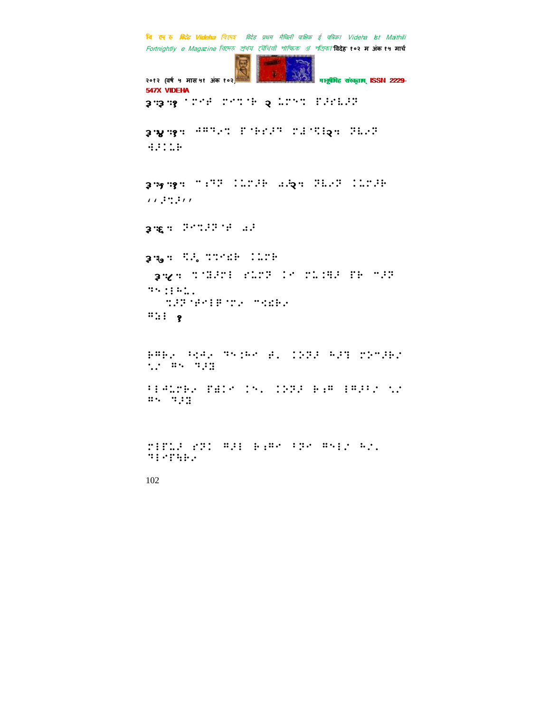```
चि एत् रू मिन्हे Videha निएन्थ विदेह प्रथम मैथिली पाक्षिक ई पत्रिका Videha Ist Maithili
Fortnightly e Magazine রিদেত প্রথম মৌথিনী পাক্ষিক ঐ পত্রিকা'বিदेह' १०२ म अंक १५ मार्च
                       Separate
२०१२ (वर्ष ५ मास ५१ अंक १०२) मानुसारी काल्या प्राप्त हिंदी मानुसीनेह संस्कृतम् ISSN 2229-
547X VIDEHA 
३⣒३⣒१ ⢾!⣉⢷!२ ⣅⣉!0⢼ ⣇⢼⢽!!
३⣒४⣒१⣒!⢺⢻⢹⢴⣉!0⢷ ⢼⢹!⣜⣋3२⣒!⢽⣇⢴⢽!
⣚⢼⣅⢷!
३⣒५⣒१⣒!⣐⢹⢽!⣅⢼⢷!⣔⢼२⣒!⢽⣇⢴⢽!⣅⢼⢷!
ा दे 'दिनेतत
३⣒६⣒!⢽⣉⢼⢽⢾!⣔⢼!
३⣒७⣒!⣋⢼॰ ⣉⣉⣎⢷!⣅⢷!
 ३⣒८⣒!⣉⣝⢼3! ⣅⢽.!⣅⣈⣛⢼!0⢷!⢼⢽!
THILL
   !!⣉⢼⢽⢾3⢿⢴!⣊⣎⢷⢴!
\mathbf{B}: \mathbf{S}⢷⢻⢷⢴!⢸⣊⢺⢴!⢹⣈⢳!⢾F!⢵⢽⢼!⢳⢼⣙!⢵⢼⢷2!
⣁2!⢻!⢹⢼⣝!!
BIRDER BEDY IN. IPRA BED 18892 NA
\mathbf{u} \cdot \mathbf{v} :
30⣅⢼! ⢽!⢻⢼3!⢷⣐⢻!B⢽!⢻32!⢳2F!
⢹30⣓⢷⢴!!
```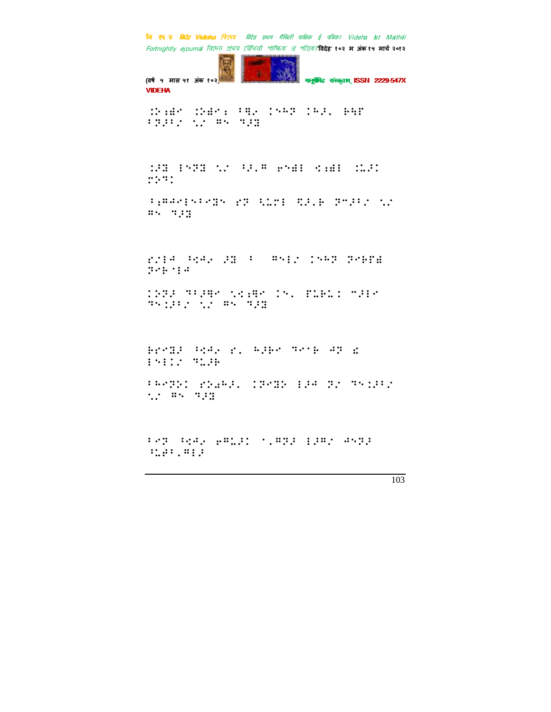चि एत् रू मिन्हे Videha निएन्थ विदेह प्रथम मैथिली पाक्षिक ई पत्रिका Videha Ist Maithili Fortnightly ejournal রিদেহ প্রথম মৌথিনী পাক্ষিক প্র পত্রিকা**'বিदेह १०२ म अंक१५ मार्च २०१२** 



⣈⢵⣐⣞.⣈⢵⣞⣐!B⣛⢴!⢳⢽.⢳⢼F!⢷⣓0! BER BLOCKER BLOCKER

⣈⢼⣝!3⢽⣝!⣁2!⢸⢼F⢻!⢶⣞3!⣊⣐⣞3!⣈⣅⢼! ::::

⢸⣐⢻⢺3B⣝! ⢽!⣃⣅3!⣋⢼F⢷!⢽⢼B2!⣁2!  $\ldots$   $\ldots$ 

# 23⢺!⢸⣊⢺⢴!⢼⣝!⢸t!⢻32!⢳⢽!⢽⢷0⣞! ⢽⢷3⢺!!

 $1293$  TH 289 NM  $\mu$ B  $\mu$  The  $\mu$  and  $\mu$ ⢹⣈⢼B2!⣁2!⢻!⢹⢼⣝!!

VIDEHA

⢷ ⣝⢼!⢸⣊⢺⢴! F!⢳⢼⢷!⢹⢷.⢺⢽!⣎t! 332!⢹⣅⢼⢷!!

B⢳⢽⢵! ⢵⣔⢳⢼F!⢽⣝⢵!3⢼⢺!⢽2!⢹⣈⢼B2! ⣁2!⢻!⢹⢼⣝!!

B⢽!⢸⣊⢺⢴!⢶⢻⣅⢼!F⢻⢽⢼!3⢼⢻2!⢺⢽⢼! ⢸⣅⢾BF⢻3⢼!!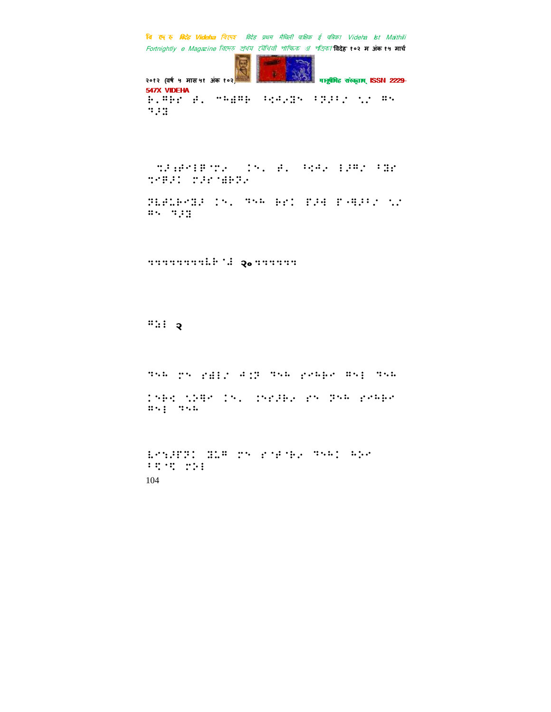चि एत् रू मिन्हे Videha निएन्थ विदेह प्रथम मैथिली पाक्षिक ई पत्रिका Videha Ist Maithili Fortnightly e Magazine রিদেত প্রথম মৌথিনী পাক্ষিক ঐ পত্রিকা**'বিदेह' १०२ म अंक १५ मार्च** 



547X VIDEHA ⢷F⢻⢷ !⢾F!⢳⣞⢻⢷!⢸⣊⢺⢴⣝!B⢽⢼B2!⣁2!⢻!  $"$ 

#⣉⢼⣐⢾3⢿⢴#!F!⢾F!⢸⣊⢺⢴!3⢼⢻2!B⣝ ! ⣉⢿⢼!⢼ ⣞⢷⢽⢴!!

⢽⣇⢾⣅⢷⣝⢼!F!⢹⢳!⢷ !0⢼⣚!0C⣛⢼B2!⣁2!  $\ldots$   $\ldots$ 

⣒⣒⣒⣒⣒⣒⣒⣒⣇⢷⣜!२०⣒⣒⣒⣒⣒⣒!

 $"::: 2$ 

WHE PROPERTY FOR THE PREPENDENT WAR 1MER NIER IN ORDER ER  $3! \times 3! \times 3! \times 3!$ 

104 L'ANITI HAR 25 PART - 1942 1945 BS 2010 2011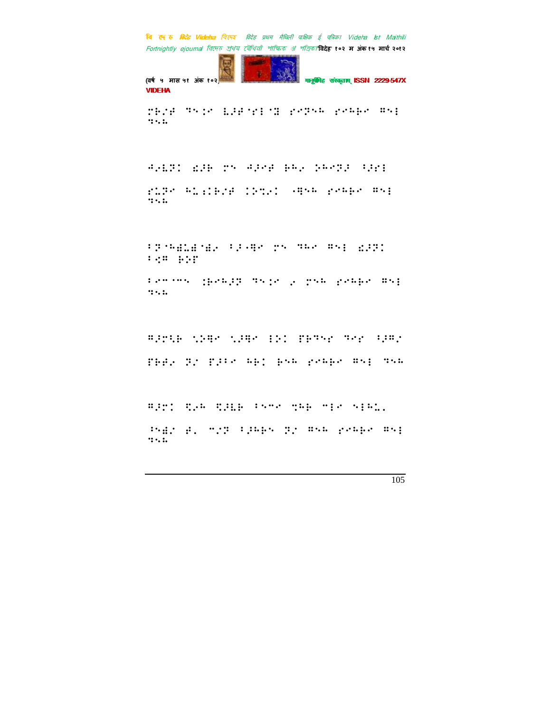चि एत् रू मिन्हे Videha निएन्थ विदेह प्रथम मैथिली पाक्षिक ई पत्रिका Videha Ist Maithili Fortnightly ejournal রিদেহ প্রথম মৌথিনী পাক্ষিক প্র পত্রিকা**'বিदेह १०२ म अंक१५ मार्च २०१२** 



VIDEHA

⢷2⢾!⢹⣈!⣇⢼⢾ 3⣝! ⢽⢳! ⢳⢷!⢻3!  $\cdots$ 

⢺⢴⣇⢽!⣎⢼⢷!!⢺⢼⢾!⢷⢳⢴!⢵⢳⢽⢼!⢸⢼ 3!!

 ⣅⢽!⢳⣅⣐⢷2⢾!⢵⣉⢴!C⣛⢳! ⢳⢷!⢻3!  $\mathbf{u} \cdot \mathbf{u}$ 

B¤Handrie Bolige Provinse Britanni Box 9999

Beschwald in the second second second second second second second second second second second second second se  $\cdots$ 

⢻⢼⣃⢷!⣁⢵⣛.⣁⢼⣛!3⢵!0⢷⢹ !⢹ !⢸⢼⢻2!! THE 200 PHONE OF BUILDING

⢻⢼!⣋⢴⢳!⣋⢼⣇⢷!B!⣉⢳⢷!3!3⢳⣅F!!

⢸⣞2!⢾F!2⢽!B⢼⢳⢷!⢽2!⢻⢳! ⢳⢷!⢻3!  $\cdots$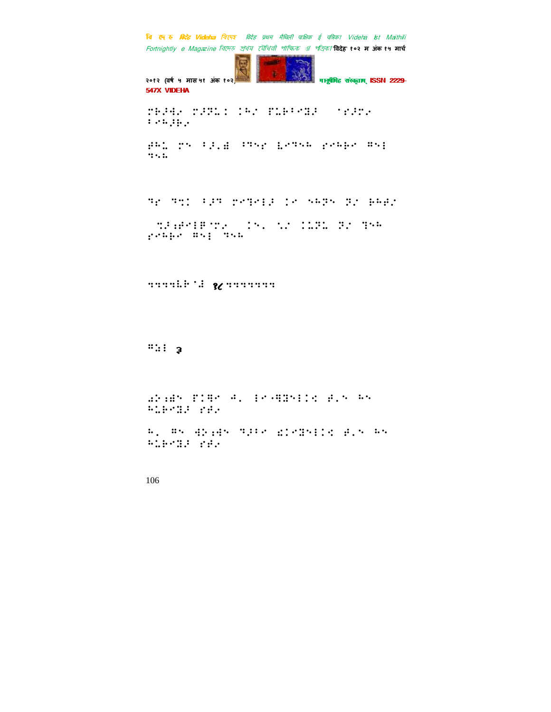चि एत् रू मिन्हे Videha निएन्थ विदेह प्रथम मैथिली पाक्षिक ई पत्रिका Videha Ist Maithili Fortnightly e Magazine রিদেত প্রথম মৌথিনী পাক্ষিক ঐ পত্রিকা**'বিदेह' १०२ म अंक १५ मार्च** 



२०१२ (वर्ष ५ मास ५१ अंक १०२ सम्बंध में संस्थान को मानुसीनेह संस्कृतम् ISSN 2229-547X VIDEHA

```
⢷⢼⣚⢴!⢼⢽⣅⣈!⢳2!0⣅⢷B⣝⢼-! ⢼⢴!
B⢳⢼⢷⢴!
```
⢾⢳⣅!!B⢼F⣞!⢸⢹ .⣇⢹⢳! ⢳⢷!⢻3!  $\cdots$ 

SE STE PRESERVED TO SAPA PACHARY

#⣉⢼⣐⢾3⢿⢴#!F!⣁2!⣅⢽⣅!⢽2!⣙⢳! ⢳⢷!⢻3!⢹⢳!

⣒⣒⣒⣒⣇⢷⣜!१८⣒⣒⣒⣒⣒⣒⣒!

 $\dddot{ }$ :  $\dddot{ }$  3

⣔⢵⣐⣞!0⣛!⢺F!3C⣛⣝3⣊!⢾F!⢳! ⢳⣅⢷⣝⢼! ⢾⢴!!

 $F$ . We did the state of the state  $F$ **SUPER STREET**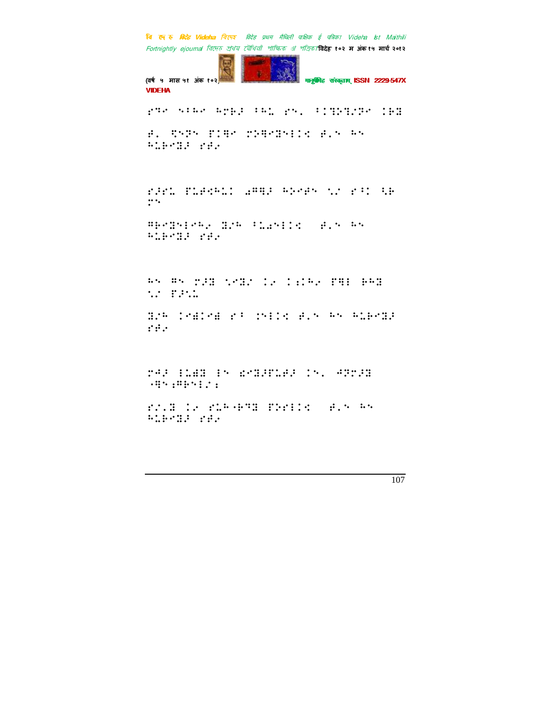चि एत् रू मिन्हे Videha निएन्थ विदेह प्रथम मैथिली पाक्षिक ई पत्रिका Videha Ist Maithili Fortnightly ejournal রিদেহ প্রথম মৌথিনী পাক্ষিক প্র পত্রিকা**'বিदेह १०२ म अंक१५ मार्च २०१२** 



 $f$  Fig. (5) Fig. (5) Fig. (5) Fig. (5) Fig. (5) Fig. (5) Fig. (5) Fig. (5) Fig. (5) Fig. (5) Fig. (5) Fig. (5)  $f$ 

 $F$ . Thus first production  $F$  . Thus ⢳⣅⢷⣝⢼! ⢾⢴!!

VIDEHA

 ⢼ ⣅!0⣅⢾⣊⢳⣅!⣔⢻⣛⢼!⢳⢵⢾!⣁2! ⢸!⣃⢷! ...

⢻⢷⣝3⢳⢴!⣝2⢳!B⣅⣔3⣊-!⢾F!⢳! **WEIGHT AND STATE** 

 $\frac{1}{2}$   $\frac{1}{2}$   $\frac{1}{2}$   $\frac{1}{2}$   $\frac{1}{2}$   $\frac{1}{2}$   $\frac{1}{2}$   $\frac{1}{2}$   $\frac{1}{2}$   $\frac{1}{2}$   $\frac{1}{2}$   $\frac{1}{2}$   $\frac{1}{2}$   $\frac{1}{2}$   $\frac{1}{2}$   $\frac{1}{2}$   $\frac{1}{2}$   $\frac{1}{2}$   $\frac{1}{2}$   $\frac{1}{2}$   $\frac{1}{2}$   $\frac{1}{2}$   $\$ **WE SHOW** 

⣝2⢳!⣞⣞! ⢸!⣈3⣊!⢾F!⢳!⢳⣅⢷⣝⢼!  $\mathbf{r}$   $\mathbf{r}$  :

⢺⢼!3⣅⣞⣝!3!⣎⣝⢼0⣅⢾⢼!F!⢺⢽⢼⣝! CHANGED CONTROL

 2F⣝!⢴! ⣅⢳C⢷⢹⣝!0⢵ 3⣊-!⢾F!⢳! ⢳⣅⢷⣝⢼! ⢾⢴!!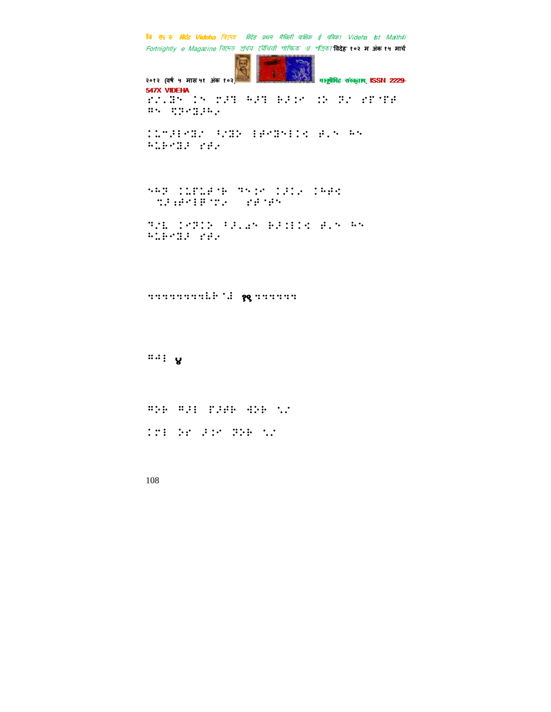चि एत् रू मिन्हे Videha निएन्थ विदेह प्रथम मैथिली पाक्षिक ई पत्रिका Videha Ist Maithili Fortnightly e Magazine রিদেত প্রথম মৌথিনী পাক্ষিক ঐ পত্রিকা**'বিदेह' १०२ म अंक १५ मार्च** 



 $\frac{1}{2}$ **WEIGHT START** 

⢳⢽!⣅0⣅⢾⢷!⢹⣈!⢼⢴!⢳⢾⣊! #⣉⢼⣐⢾3⢿⢴#! ⢾⢾!!

THE ISTUE BEEN BEEN BEEN BY ⢳⣅⢷⣝⢼! ⢾⢴!

⣒⣒⣒⣒⣒⣒⣒⣒⣇⢷⣜!१९⣒⣒⣒⣒⣒⣒!

⢻⢺3!४

547X VIDEHA

⢻⢵⢷!⢻⢼3!0⢼⢾⢷!⣚⢵⢷!⣁2! 3!⢵ !⢼⣈!⢽⢵⢷!⣁2!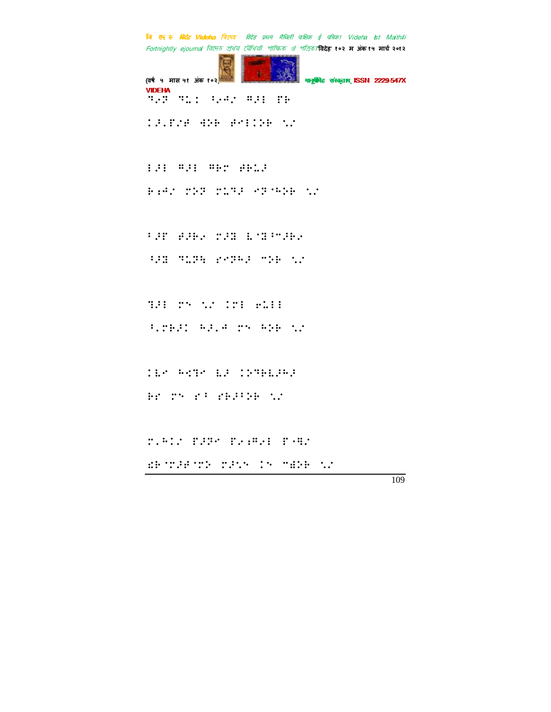चि एत् रू मिन्हे Videha निएन्थ विदेह प्रथम मैथिली पाक्षिक ई पत्रिका Videha Ist Maithili Fortnightly ejournal রিদেহ প্রথম মৌথিনী পাক্ষিক প্র পত্রিকা**'বিदेह १०२ म अंक१५ मार्च २०१२** 

(वर्ष ५ मास ५१ अंक १०२) मानुसीर संस्कृताम् ISSN 2229-547X VIDEHA ⢹⢴⢽!⢹⣅⣈!⢸⢴⢺2!⢻⢼3!0⢷! ⢼F02⢾!⣚⢵⢷!⢾3⢵⢷!⣁2!

3⢼3!⢻⢼3!⢻⢷!⢾⢷⣅⢼! ⢷⣐⢺2!⢵⢽!⣅⢹⢼!⢽⢳⢵⢷!⣁2!

BÚO E SHE ⢸⢼⣝!⢹⣅⢽⣓! ⢽⢳⢼!⢵⢷!⣁2!

331 : 22 : 22 : 23 : 23 : 23

H.TBSI WALM TH WHITE

⣇!⢳⣊⣙!⣇⢼!⢵⢹⢷⣇⢼⢳⢼!

Br : The restaurance

F⢳2!0⢼⢽!0⢴⣐⢻⢴3!0C⣛2! ⣎⢷⢼⢾⢵!⢼⣁!!⣞⢵⢷!⣁2!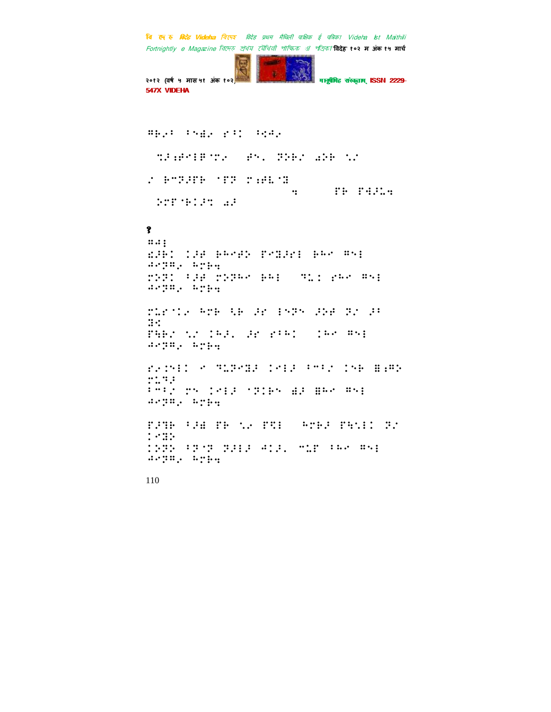चि एत् रू मिन्हे Videha निएन्थ विदेह प्रथम मैथिली पाक्षिक ई पत्रिका Videha Ist Maithili Fortnightly e Magazine রিদেত প্রথম মৌথিনী পাক্ষিক ঐ পত্রিকা**'বিदेह' १०२ म अंक १५ मार्च** 



२०१२ (वर्ष ५ मास ५१ अंक १०२) मध्य मध्य मध्य मानुविधि संस्कृतम् ISSN 2229-547X VIDEHA

```
⢻⢷⢴B!B⣞⢴! ⢸!⢸⣊⢺⢴!
#⣉⢼⣐⢾3⢿⢴#!⢾F!⢽⢵⢷2!⣔⢵⢷!⣁2!
2!⢷⢽⢼0⢷!0⢽!⣐⢾⣇⣝!
                        hhbkfoesbAwjefib⣒dpn!0⢷!0⣚⢼⣅⣒!!
 100 000 000 000 000 000
```
## १

⢻⢺3! ⣎⢼⢷!⢼⢾!⢷⢳⢾⢵!0⣝⢼ 3!⢷⢳!⢻3! ⢺⢽⢻⢴!⢳⢷⣒! ⢵⢽!B⢼⢾!⢵⢽⢳!⢷⢳3-!⢹⣅⣈! ⢳!⢻3! ⢺⢽⢻⢴!⢳⢷⣒! INF^1. PIP 59 SP 2P 1989 2P# 3P 2P  $::$ THEY AN IRE, PE PIRE (1800) BALL ⢺⢽⢻⢴!⢳⢷⣒! ⢴⣈3!!⢹⣅⢽⣝⢼!3⢼!BB2!⢷!⣟⣐⢻⢵! ⣅⢹⢼-! BB2!!3⢼!⢽⢷!⣞⢼!⣟⢳!⢻3! ⢺⢽⢻⢴!⢳⢷⣒! 0⢼⣙⢷!B⢼⣞!0⢷!⣁⢴!0⣋3-!⢳⢷⢼!0⣓⣁3!⢽2!  $\mathcal{L}$  -  $\mathbb{R}$  : ⢵⢽⢵!B⢽⢽!⢽⢼3⢼!⢺⢼F!⣅0!B⢳!⢻3! ⢺⢽⢻⢴!⢳⢷⣒!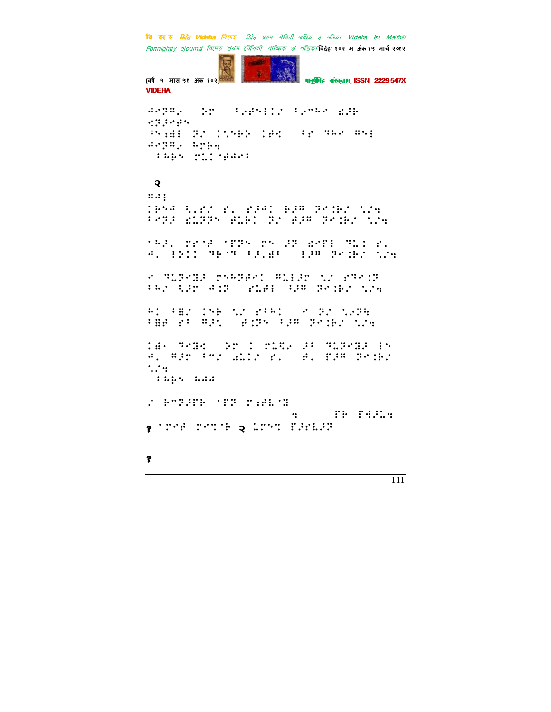```
चि एत् रू मिन्हे Videha निएन्थ विदेह प्रथम मैथिली पाक्षिक ई पत्रिका Videha Ist Maithili
Fortnightly ejournal রিদেহ প্রথম মৌথিনী পাক্ষিক প্র পত্রিকা'বিदेह १०२ म अंक१५ मार्च २०१२
                       Separate
(वर्ष ५ मास ५१ अंक १०२) मानुसार में मानूसीह संस्कृताम् ISSN 2229-547X
VIDEHA 
⢺⢽⢻⢴!#⢵#!B⢴⢾32!B⢴⢳!⣎⢼⢷!
⣊⢽⢼⢾-!
⢸⣐⣞3!⢽2!⣁⢷⢵!⢾⣊-!B !⢹⢳!⢻3!
⢺⢽⢻⢴!⢳⢷⣒!
)Beginner
 २
...;IPSA RIEZ EL EPAI PRA PORC'AZA
BRQ BS AND THE SALE OF THE SALE OF THE SALE OF THE SALE OF THE SALE OF THE SALE OF THE SALE OF THE SALE OF THE
MAJ, TENE MERS TS JE BAPE PLI E.
F and F are F and F are F and F are F and F!⢹⣅⢽⣝⢼!⢳⢽⢾!⢻⣅3⢼!⣁2! ⢹⣈⢽-!
BEZ REPORTS THE PROPER TO
BI BE IN DE SU BIRI AT BIRING
BUE PLAY BE SERVICE BUILDING
1d: Prov. 2011. 100 P.P. 2010
F_{\rm eff} B2: FP: F2: F2: F2: F-1: F-1: F
\ddots)B⢳⢷.⢳⢺⢺*!
2!⢷⢽⢼0⢷!0⢽!⣐⢾⣇⣝!
                                he does bekend om de bekend om de bekend om de bekend om de bekend om de bekend om de bekend om de bekend om d<br>De bekend om de bekend om de bekend om de bekend om de bekend om de bekend om de bekend om de bekend om de bek
१ ⢾!⣉⢷!२ ⣅⣉!0⢼ ⣇⢼⢽!
```
१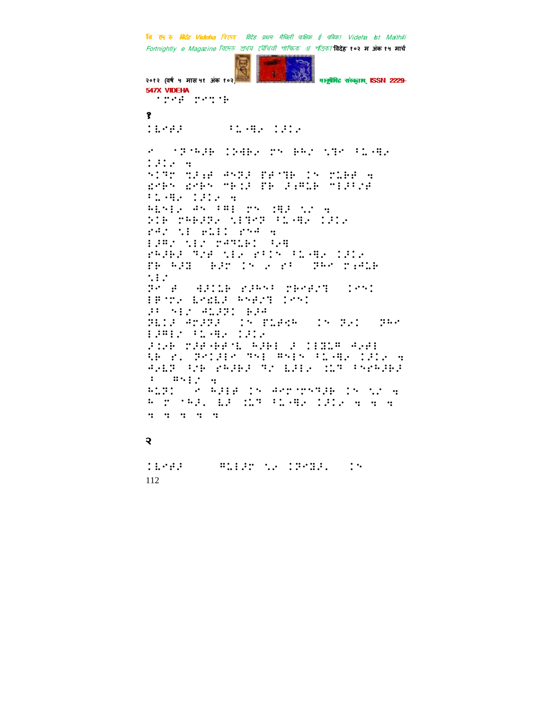```
बि एक रु मिनेट Videha विएक विदेह प्रथम मैथिली पाक्षिक ई पत्रिका Videha Ist Maithili
Fortnightly e Magazine রিদেহ প্রথম মেথিনী পাক্ষিক প্রা পত্রিকা' বিदेह' १०२ म अंक १५ मार्च
                            Separate
                                         मानुबेमिह संस्कृतम् ISSN 2229-
२०१२ (वर्ष ५ मास ५१ अंक १०२)
547X VIDEHA
 Serve provide
\mathbf{R}11.943\frac{1}{2} \frac{1}{2} \frac{1}{2} \frac{1}{2} \frac{1}{2} \frac{1}{2} \frac{1}{2} \frac{1}{2} \frac{1}{2} \frac{1}{2} \frac{1}{2} \frac{1}{2} \frac{1}{2} \frac{1}{2} \frac{1}{2} \frac{1}{2} \frac{1}{2} \frac{1}{2} \frac{1}{2} \frac{1}{2} \frac{1}{2} \frac{1}{2} r (1954) Cher ry Bar (18 (196
\therefore \therefore \therefore .
SINT TEAM ASTE PACTE IN TIER 4
shek shek meda pe liange milita
PLANK IPLE A<br>PLANK AN PRESINCTION
SIE TREED SITER PLANE CELE
rar ti elli roa e
1982 MIS 249181 MAR
PROBLEMAN SILL PROVINCIBLY COOP
PROFESSION IN A PRODUCED
\mathcal{L}:
de a gainh rabbe reeard (1951
EPOTA EMBER PARAT LAND
SECRET SECRET BEST
SEDS ANSWER
                   STATEMENT IN THE THE
19812 (12.82.1912)
FOR THEFT SHEET INTERFIER
there person we want then here a
ANIT ON PANEL TO LATE INT PARAGE
\mathbf{i} and \mathbf{j}4.131in a subject to sample the first product of the second second second second second second second second second
Robert E Martine Chronicle
. . . . . .
```

```
\mathbf{R}
```
 $\frac{1}{2}$  and  $\frac{1}{2}$  are the second control of  $\frac{1}{2}$  . The second control of  $\frac{1}{2}$ **TEPART** 112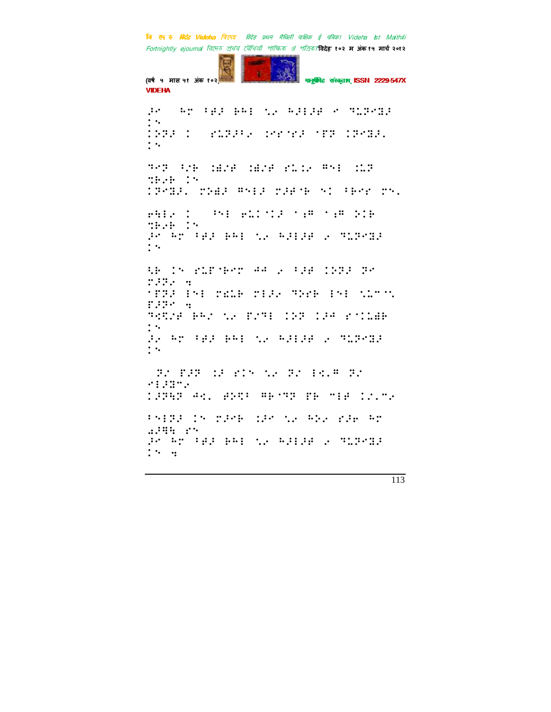बि एक रु मिनेड Videha विएक विदेह प्रथम मैथिली पाक्षिक ई पत्रिका Videha Ist Maithili Fortnightly ejournal রিদেহ প্রথম মৌথিনী পাক্ষিক প্রা পত্রিকা**'বিदेह' १०२ म अंक १५ मार्च २०१२** 



**VIDEHA** 

मानुब्रीह संस्कृतम् ISSN 2229-547X

ar ar ealamh na agus r'hanna  $\cdot$   $\cdot$ Depart FLANK TERMI MARKET  $\cdot$  . **PORT OF MEDIA MEDIA PROVIDE** Their In IPPER. THER ANIF THROW NI FERR TN. PHIS IS THE PLITIP THE THE NIR  $\cdot$ : nikaik. an ar agu bailte agusa e Midhia  $\cdot \cdot$ SP IN PLETERT AA 2 FJB 1973 78  $TSP<sub>1</sub>$ **TERP INE TELE TIPS TEEN INE MITT.** F.P. 5 SANYA PROTOCINI (SI 194 PTIGB  $\vdots$ ay ar fea agus na aduan a mheada  $\cdot \cdot$ TEN PERSONALISM NA PASSAGE PA  $(11112)$ **TORAR AVE BERK ABSTRIED MEDICATE** PAIRS IN TEMP TEM NA PEA TEP PT

an ar fealamh na agusa a mbreos  $\mathbb{R}^n$  is the set of  $\mathbb{R}^n$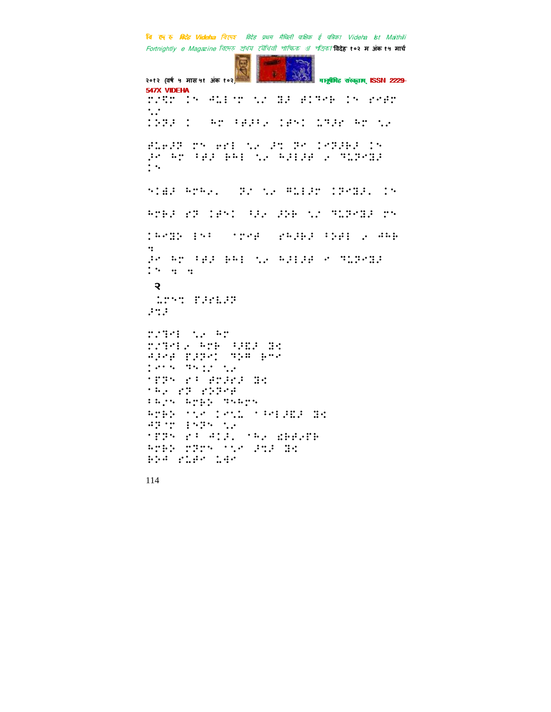बि एक रु मिनेड Videha विएक विदेह प्रथम मैथिली पाक्षिक ई पत्रिका Videha Ist Maithili Fortnightly e Magazine রিদেত প্রথম মৌথিনী পাক্ষিক প্রা পত্রিকা**'বিবৈদ্যা ২০২ দা স্তাকাং ও দার্ঘ** 



२०१२ (वर्ष ५ मास ५१ अंक १०२) **547X VIDEHA** TITT IN ALEST NI HA BITCH IN PORT  $\ddots$ INTER 1 AM FREES IRST LTEM AM NS FLERE TY END NA FT PK INTERFIT an ar fealamh na Adhae a Midhia  $\cdot$   $\cdot$ STEP RORE. TROOP REFER IPPER. IN RTES ET LENT SIE SPE NI TURNIS TN TRANS ENT (Spage PROPERTIES ARE  $\dddot{\mathbf{z}}$ an ar fealamh na Adhae n-Aidhnis  $\mathbb{R}^n$  . The set of  $\mathbb{R}^n$  $\mathbf{R}$ LTYT FREAR  $33.31$ model to an **MANUEL PART 1982 34** gee bjel se es  $\begin{aligned} \mathbf{1}^{(1)}\mathbf{1}^{(2)}\mathbf{1}^{(3)}\mathbf{1}^{(4)}\mathbf{1}^{(5)}\mathbf{1}^{(6)}\mathbf{1}^{(7)}\mathbf{1}^{(8)}\mathbf{1}^{(8)}\mathbf{1}^{(8)}\mathbf{1}^{(8)}\mathbf{1}^{(8)}\mathbf{1}^{(8)}\mathbf{1}^{(8)}\mathbf{1}^{(8)}\mathbf{1}^{(8)}\mathbf{1}^{(8)}\mathbf{1}^{(8)}\mathbf{1}^{(8)}\mathbf{1}^{(8)}\mathbf{1}^{(8)}\mathbf{1$ **TEP PI BEBEE BE** 1963 PP PDPPF Page agap Seage ROBE TO DESCRIPTION OF **AB 12 (1989) NA TEPS PROMISE THE EPRIPE ATER THIS MAN HIS HA** Big ripe 140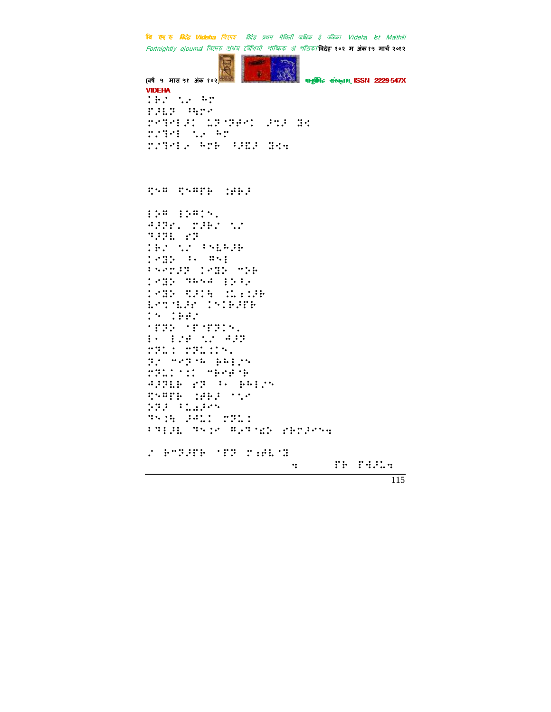चि एत् रू मिन्हे Videha निएन्थ विदेह प्रथम मैथिली पाक्षिक ई पत्रिका Videha Ist Maithili Fortnightly ejournal রিদেহ প্রথম মৌথিনী পাক্ষিক প্র পত্রিকা**'বিदेह १०२ म अंक१५ मार्च २०१२** 



VIDEHA : E2 102 102 0⢼⣇⢽!⢸⣓!  $\mathbb{P}\{\mathbb{P}\{3\} \mid \mathbb{R}^2 \mid \mathbb{R}^2 \mid \mathbb{R}^2 \mid \mathbb{R}^2 \mid \mathbb{R}^2 \mid \mathbb{R}^2 \mid \mathbb{R}^2 \mid \mathbb{R}^2 \mid \mathbb{R}^2 \mid \mathbb{R}^2 \mid \mathbb{R}^2 \mid \mathbb{R}^2 \mid \mathbb{R}^2 \mid \mathbb{R}^2 \mid \mathbb{R}^2 \mid \mathbb{R}^2 \mid \mathbb{R}^2 \mid \mathbb{R}^2 \mid \mathbb{R}^2 \mid \mathbb{R}^2 \mid \mathbb$ 2⣙3!⣁⢴!⢳! 2⣙3⢴!⢳⢷!⢸⢼⣏⢼!⣝⣊⣒!

⣋⢻.⣋⢻0⢷!⣈⢾⢷⢼!

 $3^{\circ}$  3  $3^{\circ}$   $3^{\circ}$   $3^{\circ}$   $3^{\circ}$   $3^{\circ}$   $3^{\circ}$   $3^{\circ}$   $3^{\circ}$   $3^{\circ}$   $3^{\circ}$   $3^{\circ}$   $3^{\circ}$   $3^{\circ}$   $3^{\circ}$   $3^{\circ}$   $3^{\circ}$   $3^{\circ}$   $3^{\circ}$   $3^{\circ}$   $3^{\circ}$   $3^{\circ}$   $3^{\circ}$   $3^{\circ}$   $3^{\circ}$   $3^{\circ}$   $3^{\circ}$   $3^{\$ **BERO FILL TO ALL** ⢹⢼⢽⣇! ⢽! ⢷2!⣁2!B⣇⢳⢼⢷! ⣝⢵!⢸a!⢻3! BSSER STREET ⣝⢵!⢹⢳⢺!3⢵⢸⢴! 1988 CPR 588 CPR 1899 LATHE INTERNATION !⢷⢾2@! OFFE OF TELLS. 3a!32⢾!⣁2!⢺⢼⢽! ⢽⣅⣈.⢽⣅⣈F! ⢽2!⢽⢳!⢷⢳32! **PRAIN: PRAINE** ⢺⢼⢽⣇⢷! ⢽!⢸a!⢷⢳32! SAU: 000 000 000 000 ⢵⢽⢼!B⣅⣔⢼! ⢹⣈⣓!⢼⢺⣅!⢽⣅⣈! B⢹3⢼⣇!⢹⣈!⢻⢴⢹⣎⢵! ⢷⢼⣒! 2!⢷⢽⢼0⢷!0⢽!⣐⢾⣇⣝! he discussed by the control of the control of the control of the control of the control of the control of the<br>The control of the control of the control of the control of the control of the control of the control of the c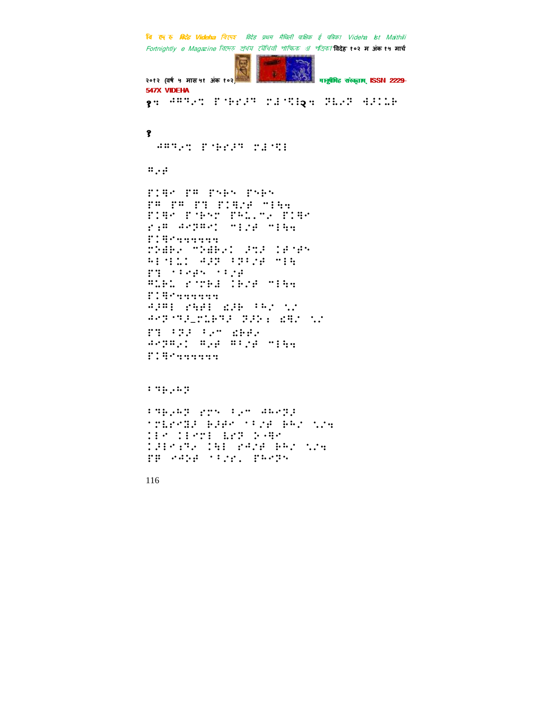चि एत् रू मिन्हे Videha निएन्थ विदेह प्रथम मैथिली पाक्षिक ई पत्रिका Videha Ist Maithili Fortnightly e Magazine রিদেত প্রথম মৌথিনী পাক্ষিক ঐ পত্রিকা**'বিदेह' १०२ म अंक १५ मार्च** 

**Country** २०१२ (वर्ष ५ मास ५१ अंक १०२) मानुषीरी मानुसीरीह संस्कृतम् ISSN 2229-

547X VIDEHA १⣒!⢺⢻⢹⢴⣉!0⢷ ⢼⢹!⣜⣋3२⣒!⢽⣇⢴⢽!⣚⢼⣅⢷!

१ !⢺⢻⢹⢴⣉!0⢷ ⢼⢹!⣜⣋3!

 $\ddots$ 

0⣛!0⢻!0⢷.0⢷! 0⢻.0⢻!0⣙!0⣛2⢾!3⣓⣒!  $T190$  Fiber Falls, the FIBE ⣐⢻!⢺⢽⢻!32⢾!3⣓⣒! 0⣛⣒⣒⣒⣒⣒⣒! ⢵⣞⢷⢴.⢵⣞⢷⢴!⢼⣉⢼!⢾⢾!! ⢳33⣅!⢺⢼⢽!B⢽B2⢾!3⣓! DE STARR STAR ⢻⣅⢷⣅! ⢷⣜!⢷2⢾!3⣓⣒! 0⣛⣒⣒⣒⣒⣒⣒! ⢺⢼⢻3. ⣓⢾3!⣎⢼⢷!B⢳2!⣁2! ⢺⢽⢹⢼–⣅⢷⢹⢼!⢽⢼⢵⣐!⣎⣛2!⣁2! 0⣙.B⢽⢼!B⢴!⣎⢷⢾⢴! ⢺⢽⢻⢴!⢻⢴⢾!⢻B2⢾!3⣓⣒! 0⣛⣒⣒⣒⣒⣒⣒!!

 $B$ 

B¤BJEP 200 BJC  $^{\prime}$ TEPSE BERGER  $3.33 \pm 0.33 \pm 0.33$   $3.33 \pm 0.33 \pm 0.33$  $\frac{1}{2}$ 3:  $\frac{3}{2}$   $\frac{3}{2}$   $\frac{3}{2}$   $\frac{3}{2}$   $\frac{3}{2}$   $\frac{3}{2}$   $\frac{3}{2}$   $\frac{3}{2}$   $\frac{3}{2}$   $\frac{3}{2}$   $\frac{3}{2}$   $\frac{3}{2}$   $\frac{3}{2}$   $\frac{3}{2}$   $\frac{3}{2}$   $\frac{3}{2}$   $\frac{3}{2}$   $\frac{3}{2}$   $\frac{3}{2}$   $\frac{3}{2}$   $\frac{3}{2}$  00 PH 2010 PH 2011 PH 2011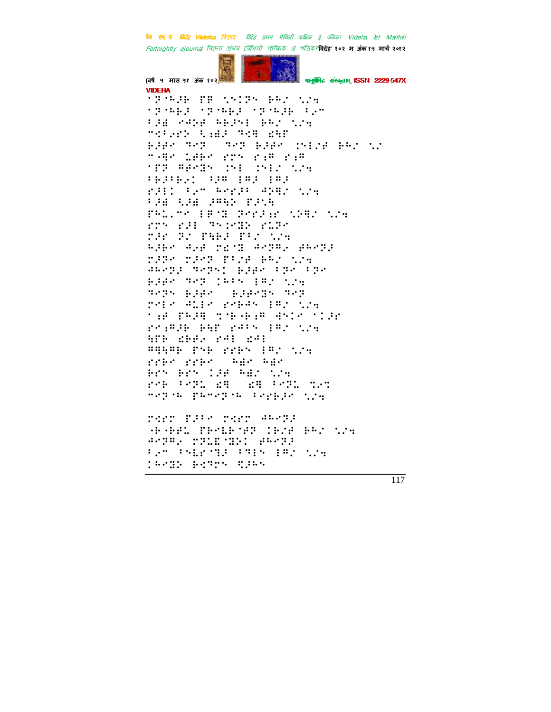बि एक रु मिनेट Videha विएक विदेह प्रथम मैथिली पाक्षिक ई पत्रिका Videha Ist Maithili Fortnightly ejournal রিদেত প্রথম মৌথিনী পাক্ষিক প্রা পত্রিকা**'বিदेह' १०२ म अंक १५ मार्च २०१२** 



मानूबीह संस्कृताम् ISSN 2229-547X

**VIDEHA TEMPE ER SMITH BRI SIN** rprogrammer regions of the start tim says appel par tre **MARKET REAL PART WAT** popular mang THE BOOK INTIF BRI WI mage 1965 rom rightigh **MIN BEFIN INE INEX NIN** rill tem werd spar the **: ::::::::::::::::::::::::** PALTY FROM POSSES AND ANY rry ril Tyrell Clle TH TO THE TIO AND Added Aleb 22/2 Ardal Ameri **1996 1969 PRIE PRI NIE** anega sepel kape ige ige BHP 303 1915 182 124 sere pjpe pjpere ser rele Ande regas dan und tak PRSB sobjeta 4518 (1138 really but rate (#2 524 **APP APPS FAIL AAI** ##### Pr& rr&r (#r tra rrbn rrbn (Adh Adh Bry Bry 138 982 129 rek tem am am feri nen erpen paerpen tryppe the

PAPP PAPP PAPP ARTIE GROOM TRANSVILLENT RAN TIME APPRE TRIEMED BROTH Part Printer Park (Part 124 **TRANS RANGE RIGHT**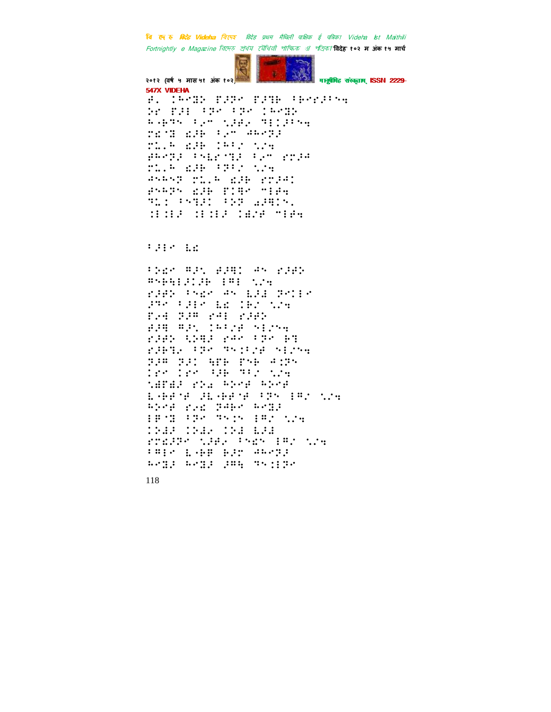चि एत् रू मिन्हे Videha निएन्थ विदेह प्रथम मैथिली पाक्षिक ई पत्रिका Videha Ist Maithili Fortnightly e Magazine রিদেত প্রথম মৌথিনী পাক্ষিক ঐ পত্রিকা**'বিदेह' १०२ म अंक १५ मार्च** 



 $F$ . THAN BEE BEE BEEFFF ⢵ .0⢼3!B⢽.B⢽!⢳⣝⢵!  $\blacksquare$ Colored International Colored International Colored International Colored I ⣎⣝!⣎⢼⢷!B⢴!⢺⢳⢽⢼! The South Control of the ⢾⢳⢽⢼!B⣇ ⣙⢼!B⢴! ⢼⢺!  $T_{\rm eff}$ . B. B. B. B. B. B. B. B. ⢺⢳⢽!⣅F⢳.⣎⢼⢷! ⢼⢺! ⢾⢳⢽!⣎⢼⢷!0⣛.3⢾⣒! **B** ⣈3⣈3⢼.⣈3⣈3⢼!⣞2⢾!3⢾⣒!

B⢼3!⣇⣎!

547X VIDEHA

Bódr 198 (Bódr 1989) ⢻⢷⣓3⢼⢼⢷!3⢻3!⣁2⣒! ⢼⢾⢵!B⣎!⢺!⣇⢼⣜!⢽3!  $P^{\text{H}}$  . But the property  $\mathbb{R}^2$ 0,000 0000 0000 00000 00000 ⢾⢼⣛!⢻⢼⣁!⢳B2⢾!32⣒! ⢼⢾⢵!⣃⢵⣛⢼! ⢺.B⢽!⢷⣙! ⢼⢷⣙⢴!B⢽!⢹⣈B2⢾!32⣒! ⢽⢼⢻.⢽⢼!⣓0⢷!0⢷!⢺⣈⢽! 188 188 3B 3B2 328 ⣁⣞0⣞⢼! ⢵⣔!⢳⢵⢾.⢳⢵⢾!  $L$ -Bend B. H. Bend B. Bend B. Bend B. Bend ⢳⢵⢾! ⢴⣎!⢽⢺⢷!⢳⣝⢼! 3⢿⣝!B⢽!⢹⣈!3⢻2!⣁2⣒! ⢵⣜⢼.⢵⣜⢴!⢵⣜.⣇⢼⣜! ⣎⢼⢽!⣁⢼⢾⢴!B⣎!3⢻2!⣁2⣒! BESIN BULLER ⢳⣝⢼.⢳⣝⢼!⢼⢻⣓!⢹⣈3⢽!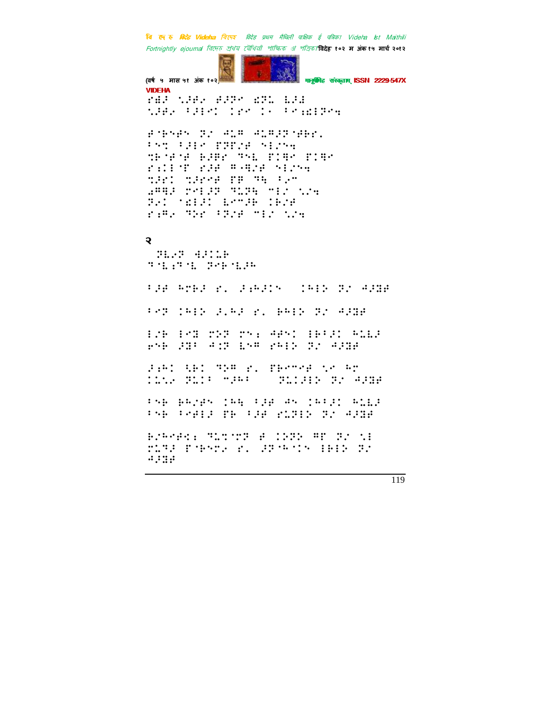चि एत् रू मिन्हे Videha निएन्थ विदेह प्रथम मैथिली पाक्षिक ई पत्रिका Videha Ist Maithili Fortnightly ejournal রিদেহ প্রথম মৌথিনী পাক্ষিক প্র পত্রিকা**'বিदेह १०२ म अंक१५ मार्च २०१२** 



VIDEHA ⣞⢼!⣁⢼⢾⢴!⢾⢼⢽!⣎⢽⣅.⣇⢼⣜! ⣁⢼⢾⢴!B⢼3! !a!B⣐⣎3⢽⣒!

⢾⢷⢾!⢽2!⢺⣅⢻.⢺⣅⢻⢼⢽⢾⢷ F! BST PRESENTING ⣉⢷⢾⢾!⢷⢼⢿ !⢹⣇!0⣛.0⣛! ⣐30! ⢼⢾!⢻C⣛2⢾!32⣒! ⣉⢼ .⣉⢼ ⢾!0⢿!⢹⣓!B⢴! ⣔⢻⣛⢼.3⢼⢽!⢹⣅⢽⣓!32!⣁2⣒! SAL MERI EPTR CROB ⣐⢻⢴.⢹⢵ !B⢽2⢾!32!⣁2⣒!

## २

 $|TL \cup T| = |T| \cdot |T|$ ⢹⣇⣐⢹⣇!⢽⢷⣇⢼⢳!

B⢼⢾!⢳⢷⢼! F!⢼⣐⢳⢼-!⢳3⢵!⢽2!⢺⢼⣝⢾!

B⢽!⢳3⢵!⢼F⢳⢼! F!⢷⢳3⢵!⢽2!⢺⢼⣝⢾!"!

32⢷!3⣝!⢵⢽!⣐!⢺⢾!3⢷B⢼!⢳⣅⣇⢼!-!  $^{\circ}$  + 22  $^{\circ}$  B  $^{\circ}$  B  $^{\circ}$  B  $^{\circ}$  B  $^{\circ}$  B  $^{\circ}$  B  $^{\circ}$  B  $^{\circ}$  B  $^{\circ}$  B  $^{\circ}$  B  $^{\circ}$  B  $^{\circ}$  B  $^{\circ}$  B  $^{\circ}$  B  $^{\circ}$  B  $^{\circ}$  B  $^{\circ}$  B  $^{\circ}$  B  $^{\circ}$  B  $^{\circ}$  B  $^{\circ}$  B  $^{\circ}$  B  $^{\circ}$  B  $^{\$ 

JARI REI PAR 2. PEPMPE NP AD<br>IINA PIIP MARP - PIIPEX PI PABE ∷… B!: B!-!

Bóg (Béige 194) 1943 (Béige 1952) Bob 10913 Th 139 2002 2010 2010

⢷2⢳⢾⣊⣐!⢹⣅⣉⢽!⢾!⢵⢽⢵!⢻0!⢽2!⣁3!-!  $T$  . Fundamental set  $T$  . The set  $T$ ⢺⢼⣝⢾!"!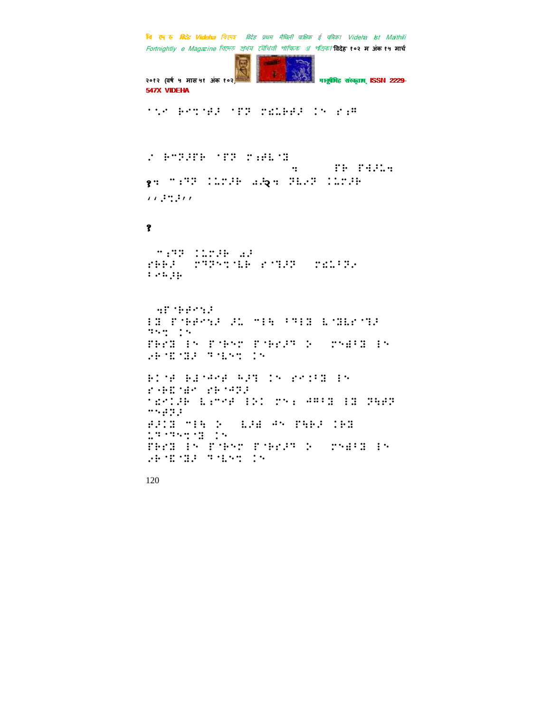चि एत् रू मिन्हे Videha निएन्थ विदेह प्रथम मैथिली पाक्षिक ई पत्रिका Videha Ist Maithili Fortnightly e Magazine রিদেত প্রথম মৌথিনী পাক্ষিক ঐ পত্রিকা**'বিदेह' १०२ म अंक १५ मार्च** 



547X VIDEHA

 $^{\prime}$   $^{\prime}$   $^{\prime}$   $^{\prime}$   $^{\prime}$   $^{\prime}$   $^{\prime}$   $^{\prime}$   $^{\prime}$   $^{\prime}$   $^{\prime}$   $^{\prime}$   $^{\prime}$   $^{\prime}$   $^{\prime}$   $^{\prime}$   $^{\prime}$   $^{\prime}$   $^{\prime}$   $^{\prime}$   $^{\prime}$   $^{\prime}$   $^{\prime}$   $^{\prime}$   $^{\prime}$   $^{\prime}$   $^{\prime}$   $^{\prime}$   $^{\prime}$   $^{\prime}$   $^{\prime}$   $^{\prime}$ 

2!⢷⢽⢼0⢷!0⢽!⣐⢾⣇⣝! hhbkfoesbAwjefib⣒dpn!0⢷!0⣚⢼⣅⣒!! १⣒!⣐⢹⢽!⣅⢼⢷!⣔⢼२⣒!⢽⣇⢴⢽!⣅⢼⢷!

## १

''⢼⣉⢼''

" ⢷⢷⢼-!⢹⢽⣉⣇⢷! ⣙⢼⢽-!⣎⣅B⢽⢴-! B⢳⢼⢷!

2⣒0⢷⢾⣑⢼! 3⣝!0⢷⢾⣑⢼!⢼⣅!3⣓!B⢹3⣝!⣇⣝⣇ ⣙⢼!  $\overline{156}$   $\overline{15}$ THAN IS THEN THEN IN THE SAME IN ⢴⢷⣏⣝⢼.⢹⣇⣉!}!

BINE BINES REPORT OF PRINT IN C⢷⣏⣞. ⢷⢺⢽⢼-! ⣎⢼⢷.⣇⣐⢾!3⢵!⣐!⢺⢻B⣝!3⣝!⢽⣓⢾⢽!  $\cdots$ ⢾⢼⣝!3⣓!⢵(!⣇⢼⣞!⢺!0⣓⢷⢼!⢷⣝! ⣅⢹⢹⣉⣝!!}! Pers 15 finer presence creats in ⢴⢷⣏⣝⢼.⢹⣇⣉!}}!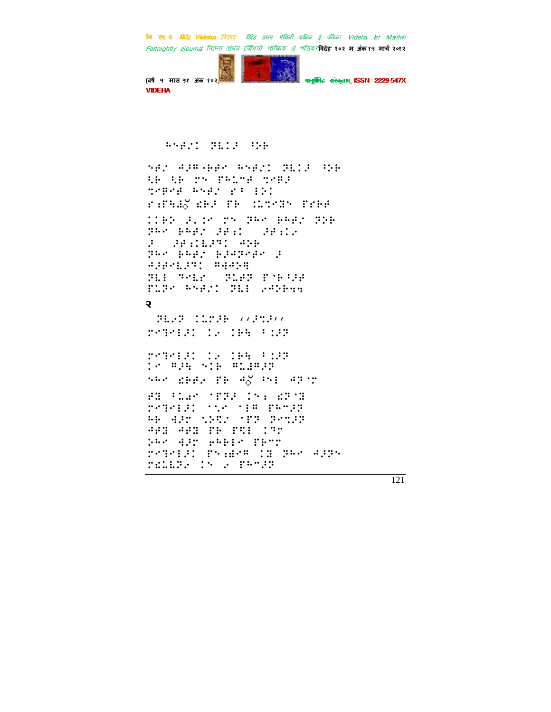बि एक रु मिनेट Videha विएक विदेह प्रथम मैथिली पाक्षिक ई पत्रिका Videha Ist Maithili Fortnightly ejournal রিদেহ প্রথম মৌথিনী পাক্ষিক প্রা পত্রিকা**'বিदेह' १०२ म अंक १५ मार्च २०१२** 



(वर्ष ५ मास ५१ अंक १० **VIDEHA** 

```
WHAT BELP BE
```

```
SAY APRAHAS RSAY: MILL MPR
WE WE THE TRIPE THE
tere war et in:
rands and ne direct rene
COBS A. St The BAC BAAS BOB
The Bhar Said Shill
gue papy playere l
42201291 #4454
PLE PALE (PLAP POBJER)<br>PLPA ROBOT PLE 2428-4
\mathbf{Q}SEAR COMPRODUCED
MARINE IN 185 FILE
PATALLIE (S) THE FILM
: Salu Si Giber
545 gees fr 42 54 42 T
#B (1227) 1773 173 #713
MONEY CALLED BRAZE
<u> 88 425 1220 - 122 2232</u>
APR APR TR TWO STA
PRO 422 PREP TEST
reteid: Primem (1 966 4225
rather in a parent
```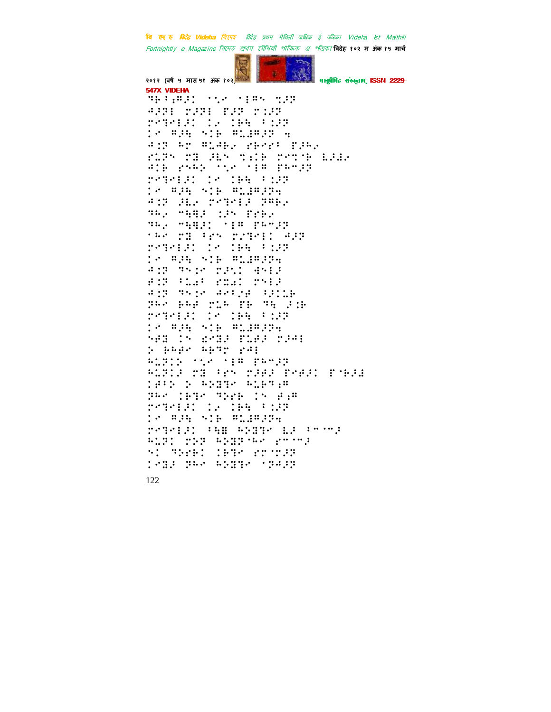बि एक रु मिनेट Videha विएक विदेह प्रथम मैथिली पाक्षिक ई पत्रिका Videha Ist Maithili Fortnightly e Magazine রিদেহ প্রথম মৌথিনী পাক্ষিক প্রা পত্রিকা**'বিदेह' १०२ म अंक १५ मार्च** 



२०१२ (वर्ष ५ मास ५१ अंक १०२ ) मानुबेमिह संस्कृतम् ISSN 2229-**547X VIDEHA SEPERING CONTRACTION ANNI TIME TIME TIME** reperso 12 184 5133 **COMMAND MANUEL 4** A.S. Ar Alder Perri P.A. eles ba ans with beng nanapporance the time position **PERMIT 18 184 F123** promph sim mimore **ASP BLA TRIPES TODA** se, sag us new H. MARI MI PROSP ter på let bruket eru **PERMIT 18 184 F123** AND THIM MANI ANIE BOOK CONTROL agress asset bright aw per sir ar ar 2:p **PERMIT AND PROVIDE** te waa sia wilaaaaa **SAN IS RENE NIAR TANK** popular aprovate BLEID TO THE PROPE RITIS ME PRY MINS PRESS PORCE 1892 2 52892 5169.8 BW 1930 SPP 15 P.M POPUL 12 164 F18  $\mathcal{C}$  =  $\mathcal{D}$   $\mathcal{D}$  =  $\mathcal{D}$  =  $\mathcal{D}$  =  $\mathcal{D}$  =  $\mathcal{D}$  =  $\mathcal{D}$  =  $\mathcal{D}$  =  $\mathcal{D}$ reteil: OHB ANDRe LE China ALP: 200 ADHP AP 2000 **MI THE SERVICE WILL** 1800 008 00008 10000

 $122.$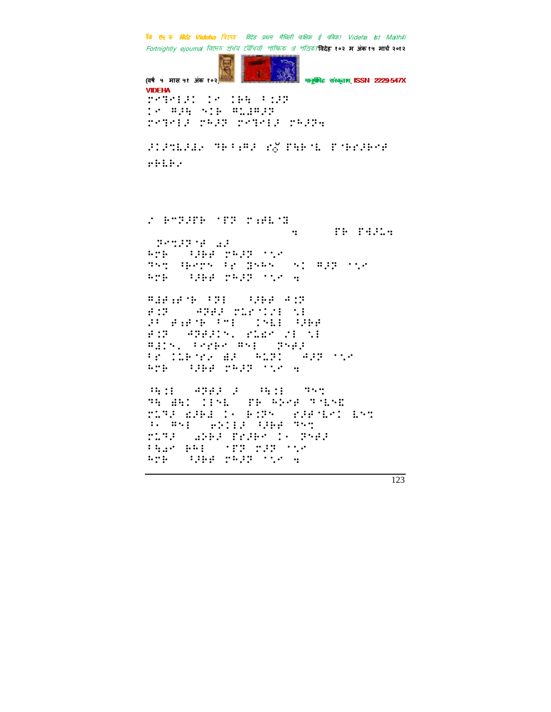बि एक स्टेड Videha विएक विदेह प्रथम मैथिली पाक्षिक ई पत्रिका Videha Ist Maithili Fortnightly ejournal রিদেহ প্রথম মৌথিনী পাক্ষিক প্রা পত্রিকা**'বিदेह' १०२ म अंक १५ मार्च २०१२** 

**Separate** ×, मानुब्रीह संस्कृतम् ISSN 2229-547X (वर्ष ५ मास ५१ अंक १०२, **VIDEHA** STRIP IN IRE TIME te man eth midman repets rack repets racks

BIRMLED TEACHERS FEET FORCHOO  $P: E: E$ 

**A BANGING AND A SAN AND AN APP (1999) 29-22 (1991)** THE BEEN IN BARS ON THE SAM Application page that a

**ABBUS 191 - 196 417** SH 4983 TECH SE an electronical Gee FIR SPEED, MARTIN ME Bilt, Peppe Bri (Pred Produktry arounded Carpotis 826 (200 2022 113 A

8:1 422 2 8:1 35 TH AND LINE (TROPPER TOENE)<br>DLTA WARA IS ROPS (PAROLEN) ENT B. WHE ENTIR SPEEDER ring (ABS Probe 1) Pres Page BRI (193 193 194 826 (1968) 2832 (1970)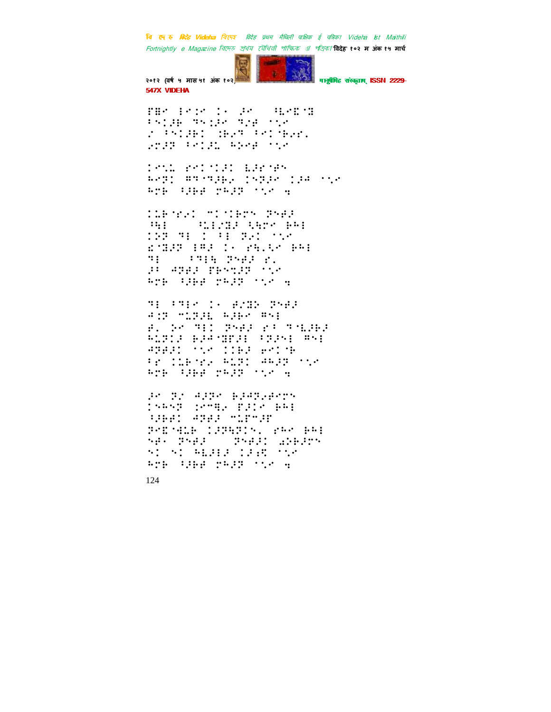बि एक रु मिनेट Videha विएक विदेह प्रथम मैथिली पाक्षिक ई पत्रिका Videha Ist Maithili Fortnightly e Magazine রিদেত প্রথম মৌথিনী পাক্ষিক প্রা পত্রিকা' **বিदेह : ১০२ म अंक १५ मार्च** 



२०१२ (वर्ष ५ मास ५१ अंक १०२) मानुबेमिह संस्कृतम् ISSN 2229-**547X VIDEHA** 

FBP Brieflie Brookers PAINE THINK THE TIM r Pright (Bun Pridher. STAR PRINT REPARTMENT

**IMAGESTIC LETER** 8821 #37382 15236 134 756 Application page that he

**CONTROL MISSION BYER** HH SCHEED ARTS PHE 198 ar D'Albert (19 ETHIS IS IN PRINT BH **TECH PRESS** a and mend the **App (1868) pAPP (1870) 4** 

**TE PRESS IS WELL INER AND MILLS AND SALE** B. SK MID PARE PROMIBER **SINCE BRANDED FREME WAR** SPEED TO CORPORATE From Dietric Albert Amage the And Whe navy the a

ge pj appe pjapjerns psasp pengu pape aal **BOOK AND THE SECTION** PARTALE COPARIN, 250 BB1<br>NAV PNAS - PNASI GNESDN mer Pres - Presi alestr<br>Mijni Reses (Separator **APP (2003) 2022 1121 4**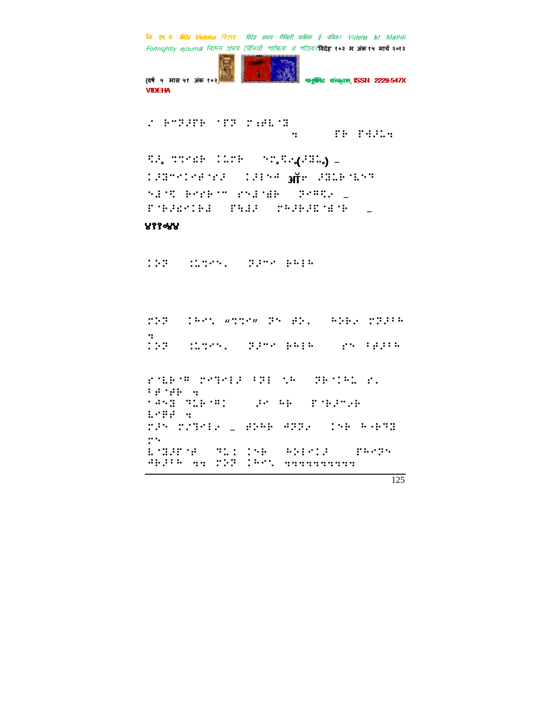$T$  :  $T$  :  $T$  :  $T$  :  $T$  :  $T$  :  $T$  :  $T$  :  $T$  :  $T$  :  $T$  :  $T$  :  $T$  :  $T$  :  $T$  :  $T$  :  $T$  :  $T$  :  $T$  :  $T$  :  $T$  :  $T$  :  $T$  :  $T$  :  $T$  :  $T$  :  $T$  :  $T$  :  $T$  :  $T$  :  $T$  :  $T$  :  $T$  :  $T$  :  $T$  :  $T$  :  $T$  :  $\frac{1}{2}$  $_{\cdot}$  : The BB: The Spring ⣇⢷⢻!⣙3⢼!B⢽3!⣁⢳-!⢽⢷⢳⣅! F! Béné a<br>Péné ang milihan ⢺⣝!⢹⣅⢷⢻-!!⢼!⢳⢷!!0⢷⢼⢴⢷!! ⣇⢿⢾!⣒!  $2$  25  $2$  23  $2$  23  $2$  23  $2$  23  $2$  23  $2$  23  $2$  23  $2$  23  $2$  23  $2$  $\cdots$ L'BARY DE STRING DE STRING DE STRING ⢺⢷⢼B⢳!⣒⣒!⢵⢽!⢳⣁!⣒⣒⣒⣒⣒⣒⣒⣒⣒⣒!

125

⢵⢽!!⣈⣅⣉F!!⢽⢼!⢷⢳3⢳!

## ४११०४४

⣋⢼॰ ⣉⣉⣎⢷!⣅⢷-!॰⣋⢴॰(⢼⣝⣅॰) – 1998°C 23 SHOP 3 SHOP 3 SHOP 3 SHOP 3 ⣜⣋!⢷ ⢷! ⣜⣞⢷-!⢽⢻⣋⢴!– 0⢷⢼⣎⢷⣜-!0⣓⣜⢼!)⢳⢼⢷⢼⣏⣞⢷\*!–

2!⢷⢽⢼0⢷!0⢽!⣐⢾⣇⣝! hhbkfoesbAwjefib⣒dpn!0⢷!0⣚⢼⣅⣒!!

VIDEHA



चि एत् रू मिन्हे Videha निएन्थ विदेह प्रथम मैथिली पाक्षिक ई पत्रिका Videha Ist Maithili Fortnightly ejournal রিদেহ প্রথম মৌথিনী পাক্ষিক প্র পত্রিকা**'বিदेह १०२ म अंक१५ मार्च २०१२**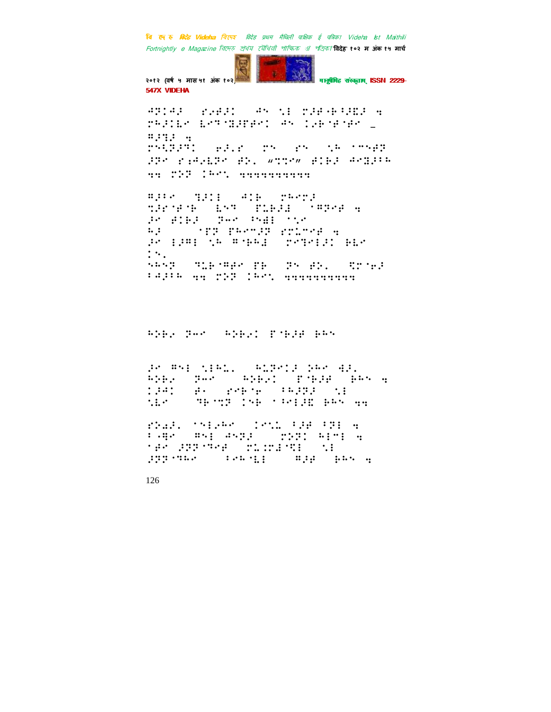बि एक रु मिनेट Videha विएक विदेह प्रथम मैथिली पाक्षिक ई पत्रिका Videha Ist Maithili Fortnightly e Magazine রিদেত প্রথম মৌথিনী পাক্ষিক প্রা পত্রিকা**'বিবৈদ্ব' १०२ म अंक १५ मार्च** 



मानुबेमिह संस्कृतम् ISSN 2229-

ABIAN (PARI) AS SE MIRARIEN A refile bethinger as informed 2  $H_1H_2H_3$ TREPRESS RELEASED TRANSPORT START START START STORE STREET gg 200 (Bet greenseer

#PPS HRIE #IB SPPSE nderene (1695) Brieda (1689-en 4)<br>de aledo deel ballonie RA STORE ERSTAR ETLINE A ak pag-Kalamad (PRB-191 prk  $\mathcal{L}$  : 5852 SLETER PE 25 BM STORE FARIN AN 200 (Net Annungang

Abby Her Abby: Pible BAS

ge mai silab. Sabdesg bae 49.<br>Abab (pae scapabl) poape (paa 4<br>1941 (Pac sebor (1899) sil MAC THOSE INFORMATION AND WH

FRANCOSTAN CONSTRUCTION dings and angul Tepp Admira<br>Tas againsa colorano to gggement febegy mga phyle

126

**547X VIDEHA**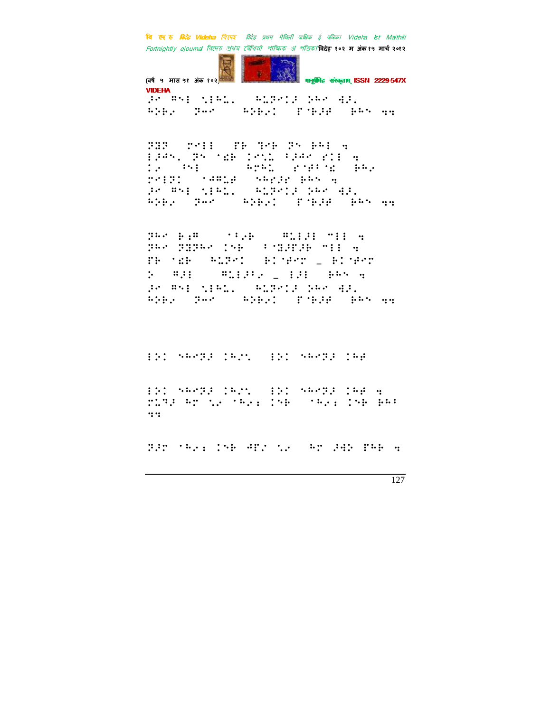बि एक रु मिनेड Videha विएक विदेह प्रथम मैथिली पाक्षिक ई पत्रिका Videha Ist Maithili Fortnightly ejournal রিদেহ প্রথম মৌথিনী পাক্ষিক প্রা পত্রিকা**'বিदेह' १०२ म अंक १५ मार्च २०१२** 

(वर्ष ५ मास ५१ अंक १०२) **VIDEHA** 



मानूबीह संस्कृताम् ISSN 2229-547X

Promotive Season (ALBRID 1888) 42. Abby Test Abby: Poble basing

**333 2011 39 30 30 30 40 4** EPPN PS ME TRUL FPPN FILM  $\begin{aligned} \mathbb{E}[\mathcal{L}_{\mathcal{F}}] &= \mathbb{E}[\mathcal{L}_{\mathcal{F}}] \end{aligned}$ **APAL PORTH BAY** 77131 (1881) SWARE PROJE je ang sial. Salang perjaji.<br>Anar der Sanari pada ang pa

The Bill of City  $\frac{1}{2}$   $\frac{1}{2}$   $\frac{1}{2}$   $\frac{1}{2}$   $\frac{1}{2}$   $\frac{1}{2}$   $\frac{1}{2}$   $\frac{1}{2}$   $\frac{1}{2}$   $\frac{1}{2}$   $\frac{1}{2}$   $\frac{1}{2}$   $\frac{1}{2}$   $\frac{1}{2}$   $\frac{1}{2}$   $\frac{1}{2}$   $\frac{1}{2}$   $\frac{1}{2}$   $\frac{1}{2}$   $\frac{1}{2}$   $\frac{1}{2}$   $\frac{1}{2}$  par popar (sp) (souperpart) e PROMB (PLPM) PDMPM \_ PDMPM  $\mathbf{y} = \mathbf{u} \mathbf{y}$  $H_{11}$   $H_{22}$   $H_{33}$   $H_{44}$   $H_{45}$   $H_{46}$   $H_{47}$   $H_{48}$   $H_{49}$   $H_{40}$   $H_{40}$   $H_{40}$   $H_{40}$ PO RNE NERI, SRIPNIE PRO AP. AND THAN ANDRE TYDE DAY AN

:5: 50393 (02) (02) 00303 (02

EDI SARDE CAPS, 1921 SARDE CAP 4 TITE AT NE TAPE INFO TAPE INFORMAT  $\mathbf{u}$ 

FROM the Compared the Act Park Php A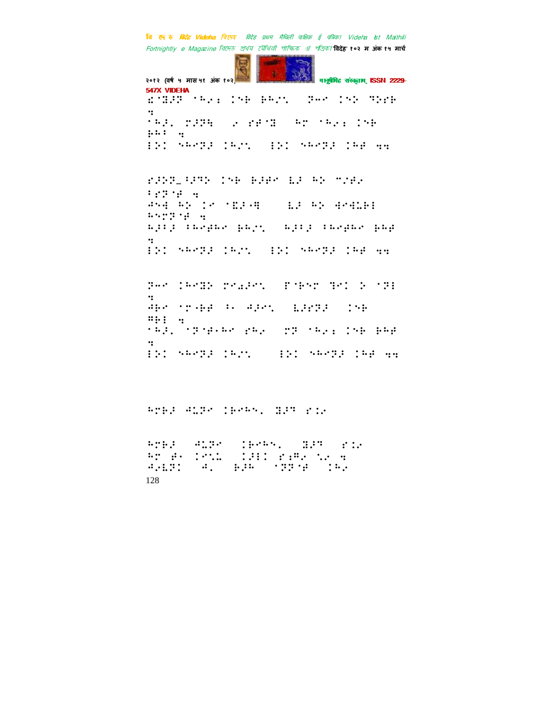बि एक रु मिनेड Videha विएक विदेह प्रथम मैथिली पाक्षिक ई पत्रिका Videha Ist Maithili Fortnightly e Magazine রিদেত প্রথম মৌথিনী পাক্ষিক প্রা পত্রিকা**'বিবৈদ্যা ২০২ দা স্তাকাং ও দার্ঘ** 



।<br>अन्ति । मनुषीह संस्कृतम् ISSN 2229-२०१२ (वर्ष ५ मास*५*१ अंक १०२<mark>. मह</mark> **547X VIDEHA** ENDR SALE INFORMATION INFORME  $\dddot{\mathbf{z}}$ TRAVIDARE CONDITATIONS TRAVELERE  $\mathbf{p}$  is a set of  $\mathbf{q}$ 151 SAPPE TATU (151 SAPPE TAB 44)

rang ugu tan nan masar sa man Participal Art And Ap is smaller ( may be demind  $\begin{array}{ccccccccc} \textbf{11} & \textbf{12} & \textbf{13} & \textbf{14} & \textbf{15} & \textbf{16} & \textbf{17} & \textbf{18} & \textbf{18} & \textbf{19} & \textbf{18} & \textbf{19} & \textbf{18} & \textbf{19} & \textbf{18} & \textbf{19} & \textbf{18} & \textbf{19} & \textbf{18} & \textbf{19} & \textbf{18} & \textbf{19} & \textbf{18} & \textbf{19} & \textbf{18} & \textbf{19} & \textbf$ ajij isepse paju (spijelsepse pap it was taken and was the am

Per CRRID Prairs, Fiber Rri D (28)  $\cdot$ : ABRIOGRAPH PROVIDED BEEN POSSESS  $:::$ : #61 a<br>1963 1214-95 pR2 (22 1921 196 696  $\dddot{\mathbf{r}}$ 101 SAMPA (R.M. 101) SAMPA (RE 44

RTES ALTE (Perry, 1977 file

Application (provided director) RESERVATOR CONSTRUCTION OF  $4,4,31$  $\begin{picture}(150,10) \put(0,0){\vector(1,0){30}} \put(15,0){\vector(1,0){30}} \put(15,0){\vector(1,0){30}} \put(15,0){\vector(1,0){30}} \put(15,0){\vector(1,0){30}} \put(15,0){\vector(1,0){30}} \put(15,0){\vector(1,0){30}} \put(15,0){\vector(1,0){30}} \put(15,0){\vector(1,0){30}} \put(15,0){\vector(1,0){30}} \put(15,0){\vector(1,0){30}} \put(15,0){\vector($ 128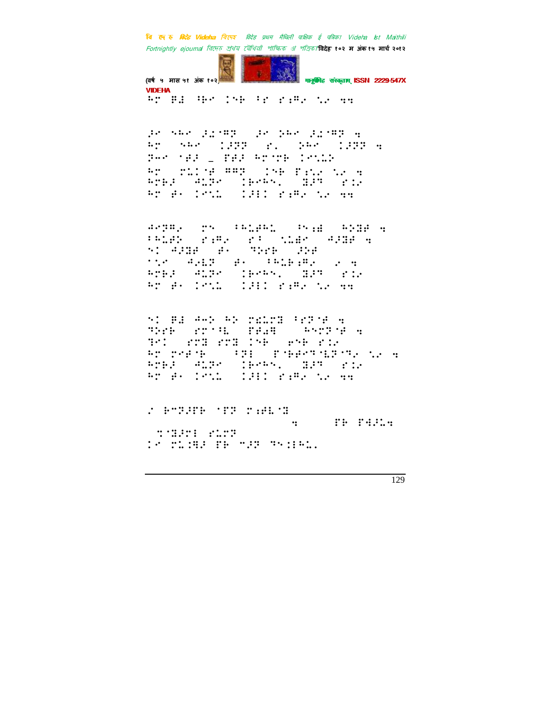बि एक स्टेड Videha विएक विदेह प्रथम मैथिली पाक्षिक ई पत्रिका Videha Ist Maithili Fortnightly ejournal রিদেত শ্রথম মৌথিনী পাক্ষিক প্র পত্রিকা**'বিदेह' १०२ म अंक १५ मार्च २०१२** 



मानूबीह संस्कृतम् ISSN 2229-547X

**VIDEHA** Ar Bill He The Cr right to the

38 NAV 32183 (38 NAV 32183 A) ar sak ligge el sak ligge 4 BAR MED 2 PAR APARE 19512 RE TELEVISION CONTROL CONTR arego Gairo (1606) (1606-1612)<br>Arcado (2011-1606-1606-2606-160

Arde, produced that the Add 4 taler reposer clear agency.<br>Sistema es more goe tie Aar al Geralde anal Albe (1895) (1895) eta<br>Angel Moll (1911) een valeer

SI BE AGO AD TELTE FERMA A SPAR (AMILIA PAGA) (AMMANA).<br>SPI (AMG) AMG 1980 AMB Alik PEC PARTECIPATE CONTRACTOR CONTRACTOR abel (alpe (1696) (des Card)<br>Ar es leub (1911 alsez un Aa

**A BYSSED AND MARKET STORIC STATE** IS TEIN THOUSANDED.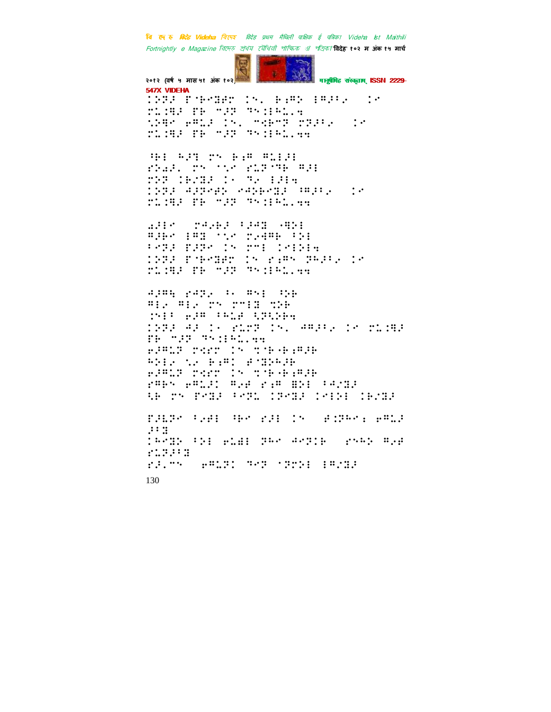बि एक रु मिनेड Videha विएक विदेह प्रथम मैथिली पाक्षिक ई पत्रिका Videha Ist Maithili Fortnightly e Magazine রিদেত প্রথম মৌথিনী পাক্ষিক প্রা পত্রিকা**'বিবৈদ্ব' १०२ म अंक १५ मार्च** 



मानुबेमिह संस्कृतम् ISSN 2229-

**547X VIDEHA** 1988 Pobemer In. Bamb Bmars (18 **MAGE HE MAN TRIBLE** WHAT HALF IN THETE TEER TIME TIME TH TH TEMPERAT

 $\begin{array}{ll} \left\{ \frac{11}{12} \right\} & \frac{11}{12} \left[ \frac{11}{12} \right] & \frac{11}{12} \left[ \frac{11}{12} \right] & \frac{11}{12} \left[ \frac{11}{12} \right] \\ \frac{11}{12} \left[ \frac{11}{12} \right] & \frac{11}{12} \left[ \frac{11}{12} \right] & \frac{11}{12} \left[ \frac{11}{12} \right] & \frac{11}{12} \left[ \frac{11}{12} \right] \\ \frac{11}{12} \left[ \frac{11}{12$ 202 18282 13 70 1214 1983 ASBAAD AADAANS (BSC) (A TIME TH TH TEIRING

AND TANK WHI HE **BHP 181 717 THE 121** Per president center ISBA Present In Pien Beach Is rices re 737 753141.44

**Agos, Page : Same : Ch** His His propriet the **MICHAEL CONSTRUCT** 1993 43 13 PLPB 15, 48392 18 PLPB **22 - 23 - 34 - 35 - 36 - 37 AUSI MAC IN TEACHER** 8212 12 B.W. B.WAR **AND THE TERM OF THE SEARCH** PARK PALE: APR PIA BRI PAPOR th re Pens (ern 1981) 1913 (1913)

THIS WHI HE MAI IS SAUGHT SHIP  $33.25$ jarge (el eld: par Arpje) (rae) Age FLEREST  $\mathcal{O}(2\pi^2)$  . The  $\mathcal{O}(2\pi)$ **ANDRE NAT (TALE 18/3)** 130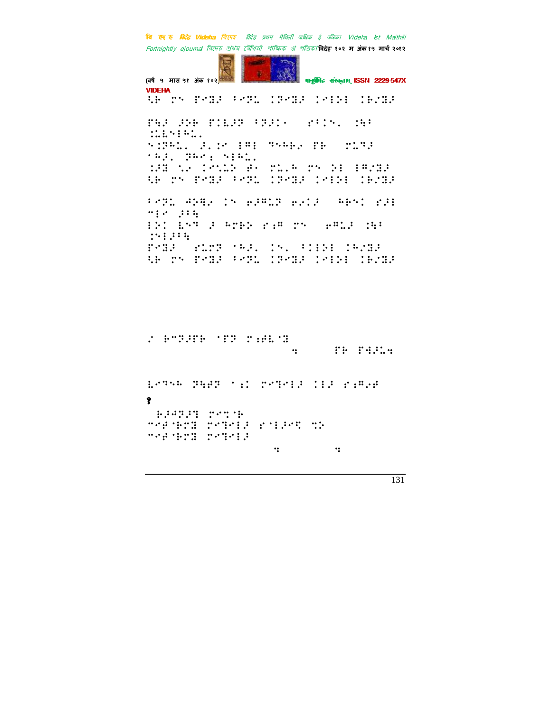चि एत् रू मिन्हे Videha निएन्थ विदेह प्रथम मैथिली पाक्षिक ई पत्रिका Videha Ist Maithili Fortnightly ejournal রিদেহ প্রথম মৌথিনী পাক্ষিক প্র পত্রিকা**'বিदेह १०२ म अंक१५ मार्च २०१२** 



VIDEHA ⣃⢷!!0⣝⢼!B⢽⣅!⢽⣝⢼!3⢵3!⢷2⣝⢼! 0⣓⢼!⢼⢵⢷!0⣇⢼⢽!B⢽⢼a-! BF!⣈⣓B! ⣈⣅⣇3⢳⣅F! SHIRE SHIP SHIP SHIP SHIP SHIP ⢳⢼F!⢽⢳⣐!3⢳⣅F! ⣈⢼⣝!⣁⢴!⣁⣅⢵!⢾a!⣅F⢳!!⢵3!3⢻2⣝⢼! ⣃⢷!!0⣝⢼!B⢽⣅!⢽⣝⢼!3⢵3!⢷2⣝⢼! B⢽⣅!⢺⢵⣛⢴!!⢶⢼⢻⣅⢽!⢶⢴⢼-!⢳⢷! ⢼3!  $9$  :  $9$  :  $9$ 3⢵.⣇⢹!⢼!⢳⢷⢵! ⣐⢻!-!⢶⢻⣅⢼!⣈⣓B! ⣈3⢼B⣓! 0⣝⢼-! ⣅⢽!⢳⢼F!F!B3⢵3!⢳2⣝⢼! ⣃⢷!!0⣝⢼!B⢽⣅!⢽⣝⢼!3⢵3!⢷2⣝⢼! 2!⢷⢽⢼0⢷!0⢽!⣐⢾⣇⣝! hhbkfoesbAwjefib⣒dpn!0⢷!0⣚⢼⣅⣒!! ⣇⢹⢳!⢽⣓⢾⢽!⣐!⣙3⢼!3⢼! ⣐⢻⢴⢾! १ ! ⢾⢷⣝!⣙3⢼! 3⢼⣋!⣉⢵! ⢾⢷⣝!⣙3⢼! )iuuqt;00tjuftigta dhpphmfdpn0b0w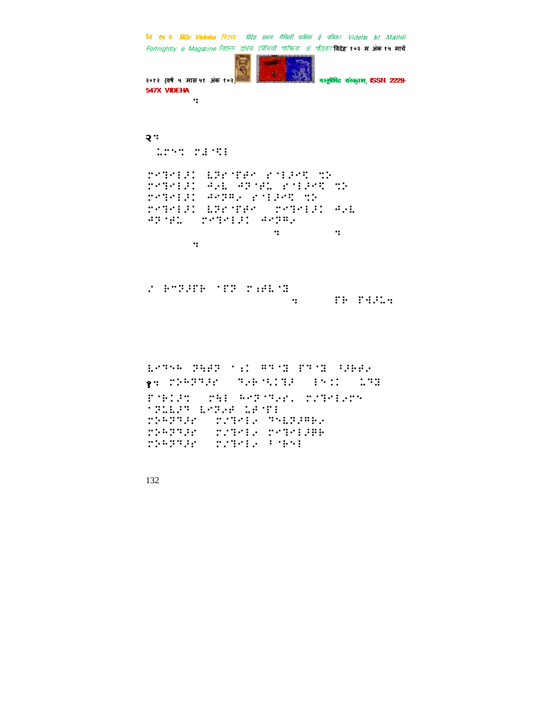चि एत् रू मिन्हे Videha निएन्थ विदेह प्रथम मैथिली पाक्षिक ई पत्रिका Videha Ist Maithili Fortnightly e Magazine রিদেত প্রথম মৌথিনী পাক্ষিক ঐ পত্রিকা**'বিदेह' १०२ म अंक १५ मार्च** २०१२ (वर्ष ५ मास ५१ अंक १०२ - किलोमी के बार की मानुसीरित संस्कृतम् ISSN 2229-547X VIDEHA jefib.dpn0wjefib.qbjoujoht.com  $\mathbf{a}$  : !⣅⣉!⣜⣋3!  $3^{\circ}$  3  $3^{\circ}$  3  $3^{\circ}$  3  $3^{\circ}$  3  $3^{\circ}$  3  $3^{\circ}$  3  $3^{\circ}$  3  $3^{\circ}$  3  $3^{\circ}$  3  $3^{\circ}$  3  $3^{\circ}$  $3^{\circ}$ ⣙3⢼!⢺⢽⢻⢴! 3⢼⣋!⣉⢵! ⣙3⢼!⣇⢽ 0⢾0!⣙3⢼!⢺⢴⣇! ⢺⢽⢾⣅0!⣙3⢼!⢺⢽⢻⢴!! )iuuqt;00tjuftigta dipnobow (10th phmf)dpn0b0w jefib.dpn0wjefib.qbjoujoht.com 2!⢷⢽⢼0⢷!0⢽!⣐⢾⣇⣝! he discount of the second second to the second second to the second second second second second second second<br>The second second second second second second second second second second second second second second second s ⣇⢹⢳!⢽⣓⢾⢽!⣐!⢻⢹⣝.0⢹⣝!⢸⢼⢷⢾⢴! १⣒!⢵⢳⢽⢹⢼ !)⢹⢴⢷⣃⣙⢼\*;3⣈;!⣅⢹⣝! 0⢷⢼⣉!)⣓3!⢳⢽⢹⢴ F!2⣙3⢴! ⢽⣅⣇⢼⢹!⣇⢽⢴⢾!⣅⢾03\*! ⢵⢳⢽⢹⢼ !)2⣙3⢴.⢹⣇⢽⢼⢻⢷⢴\*! ⢵⢳⢽⢹⢼ !)2⣙3⢴.⣙3⢼⢿⢷\*! ⢵⢳⢽⢹⢼ !)2⣙3⢴.B⢷3\*!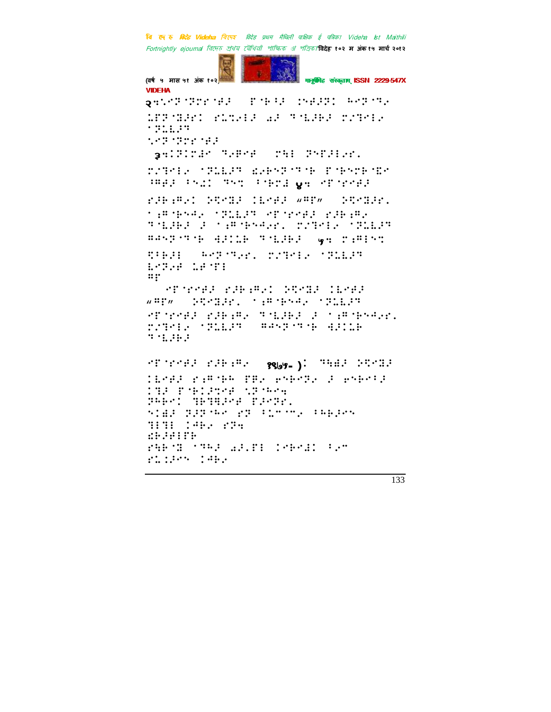बि एक रु मिनेट Videha विएक विदेह प्रथम मैथिली पाक्षिक ई पत्रिका Videha Ist Maithili Fortnightly ejournal রিদেহ প্রথম মৌথিনী পাক্ষিক প্র পত্রিকা**'বিदेह' १०२ म अंक १५ मार्च २०१२** 



(वर्ष ५ मास ५१ अंक १०२)

```
मानूबीह संस्कृताम् ISSN 2229-547X
```
**VIDEHA** QANKIMIYA YA MATSA MARAKATI BERJIYA MOSTARY POSSED AR THERE SYNCH 1311.33  $1.43.4244.444$ aniFicar SyBrd (251 FrEderic rath: Millar Rubberte Pebberte SHEET SALE TAN STEPH QUE PETROPE rabet: Stell Cleba when Steller. times and the street single TALBA A SAPANGKI MIRIK SELEP BASESTE GRILE TALLER GA MIRROR **SACRIFICE, STREET STREET** ESTAR LROTE  $:::$ **APAPAR RIBBO NUMBER DADI** w#P# SUMMARY (1000-000) (SLLP **PETRONAL RIGHTS TO SEAL IN THE SECOND CO** right (There waspers ditch  $7.1111$ ing three produces and addressed and addressed and companies of the second services TERRI KARMAR TRA AMARIK I AMARIK **THE POSTERS OF SAME** THE THIRD TETT. STEP BEBYAR 28 FLTTT, FARES **TIME CALL CALL** drawich PHP TO THE WELFT CEPER CEP riches table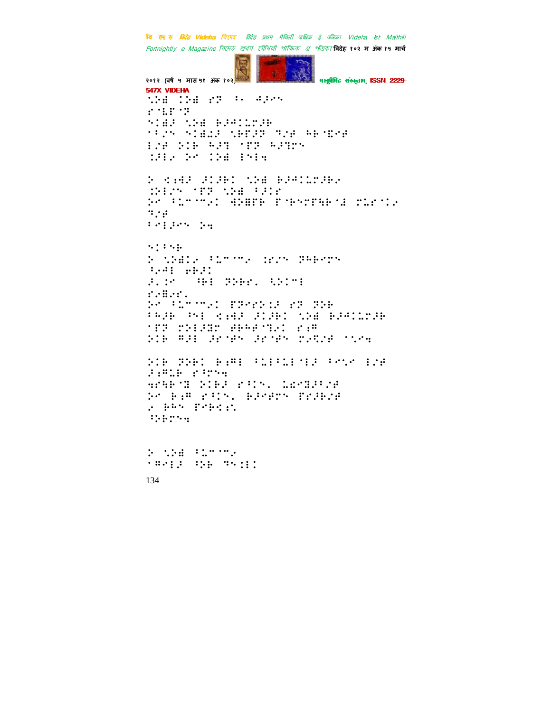चि एत् रू मिन्हे Videha निएन्थ विदेह प्रथम मैथिली पाक्षिक ई पत्रिका Videha Ist Maithili Fortnightly e Magazine রিদেত প্রথম মৌথিনী পাক্ষিক ঐ পত্রিকা**'বিदेह' १०२ म अंक १५ मार्च** 6 **COMPANY** २०१२ (वर्ष ५ मास ५१ अंक १०२) मानुष्याम् अस्ति । अस्ति । अस्ति संस्कृताम् ISSN 2229-547X VIDEHA **SDA 100 200 200 200 200 200 200 200**  ⣇0⢽.!  $^{\prime}$   $^{\prime}$   $^{\prime}$   $^{\prime}$   $^{\prime}$   $^{\prime}$   $^{\prime}$   $^{\prime}$   $^{\prime}$   $^{\prime}$   $^{\prime}$   $^{\prime}$   $^{\prime}$   $^{\prime}$   $^{\prime}$   $^{\prime}$   $^{\prime}$   $^{\prime}$   $^{\prime}$   $^{\prime}$   $^{\prime}$   $^{\prime}$   $^{\prime}$   $^{\prime}$   $^{\prime}$   $^{\prime}$   $^{\prime}$   $^{\prime}$   $^{\prime}$   $^{\prime}$   $^{\prime}$   $^{\prime}$ B2!⣞⣌⢼!⣁⢷0⢼⢽!⢹2⢾!⢳⢷⣏⢾!  $32$  :  $32$  :  $32$  :  $32$  :  $32$  :  $32$  :  $32$  :  $32$  :  $32$  :  $32$  :  $32$  :  $32$  :  $32$  :  $32$  :  $32$  :  $32$  :  $32$  :  $32$  :  $32$  :  $32$  :  $32$  :  $32$  :  $32$  :  $32$  :  $32$  :  $32$  :  $32$  :  $32$  :  $32$  :  $32$  :  $32$  :  $32$  ⣈⢼3⢴!⢵!⢵⣞!33⣒! ⢵!⣊⣐⣚⢼!⢼⢼⢷!⣁⢵⣞!⢷⢼⢺⣅⢼⢷⢴! ⣈⢵32!0⢽!⣁⢵⣞!B⢼ -!  $50$  Bin The South Property of the Co  $2.2%$ Basilian San B⢷!  $>$  Weile Firms order Peers ⢸⢴⢺3!⢶⢷⢼! ⢼F⣈.!⢸⢷3!⢽⢵⢷ F!⣃⢵3<! ⢴⣟⢴ F!  $F$  = 0  $F$  = 0  $F$  = 0  $F$  = 0  $F$  = 0  $F$  = 0  $F$  = 0  $F$  = 0  $F$  = 0  $F$  = 0  $F$  = 0  $F$  = 0  $F$  = 0  $F$  = 0  $F$  = 0  $F$  = 0  $F$  = 0  $F$  = 0  $F$  = 0  $F$  = 0  $F$  = 0  $F$  = 0  $F$  = 0  $F$  = 0  $F$  = 0  $F$  = 0  $F$  = 0  $F$  = B⢳⢼⢷!⢸3!⣊⣐⣚⢼!⢼⢼⢷!⣁⢵⣞!⢷⢼⢺⣅⢼⢷! 0⢽!⢵3⢼⣝!⢾⢷⢳⢾⣙⢴! ⣐⢻!  $^{\circ}$   $^{\circ}$   $^{\circ}$   $^{\circ}$   $^{\circ}$   $^{\circ}$   $^{\circ}$   $^{\circ}$   $^{\circ}$   $^{\circ}$   $^{\circ}$   $^{\circ}$   $^{\circ}$   $^{\circ}$   $^{\circ}$   $^{\circ}$   $^{\circ}$   $^{\circ}$   $^{\circ}$   $^{\circ}$   $^{\circ}$   $^{\circ}$   $^{\circ}$   $^{\circ}$   $^{\circ}$   $^{\circ}$   $^{\circ}$   $^{\circ}$   $^{\circ}$   $^{\circ}$   $^{\circ}$   $^{\circ}$  $\overline{3}$  : 200 : 000 : 000 : 000 : 000 : 000 : 000 : 000 : 000 : 000 : 000 : 000 : 000 : 000 : 000 : 000 : 000 ⢼⣐⢻⣅⢷! ⢸⣒! ⣒ ⣓⢷⣝!⢵⢷⢼! ⢸F!⣅⣎⣝⢼B2⢾<! ⢵!⢷⣐⢻! ⢸F!⢷⢼⢾!0 ⢼⢷2⢾! , has repeat ⢸⢵⢷⣒!  $>$   $\ldots$   $\ldots$ ⢻3⢼!⢸⢵⢷!⢹⣈3!134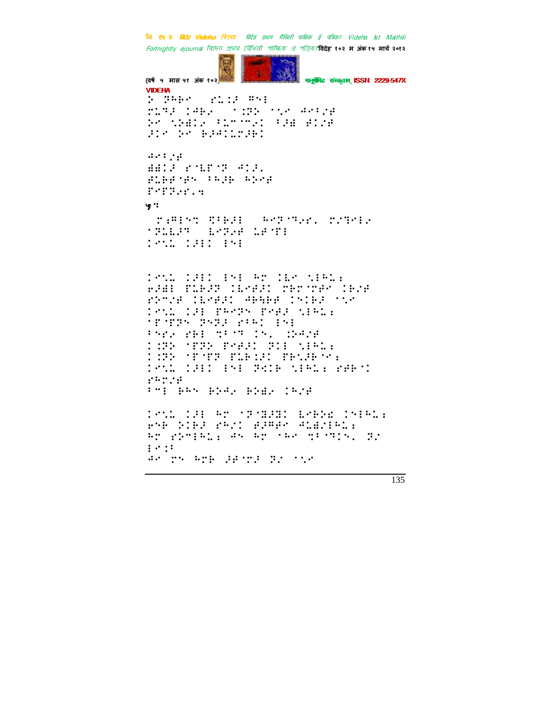चि एत् रू मिन्हे Videha निएन्थ विदेह प्रथम मैथिली पाक्षिक ई पत्रिका Videha Ist Maithili Fortnightly ejournal রিদেহ প্রথম মৌথিনী পাক্ষিক প্র পত্রিকা**'বিदेह १०२ म अंक१५ मार्च २०१२** 

**Separate** (वर्ष ५ मास ५१ अंक १०२) मानुष्य काले में मानुमिट संस्कृतम् ISSN 2229-547X VIDEHA ⢵!⢽⢳⢷.! ⣅⣈⢼!⢻3-! ⣅⢹⢼!⢺⢷⢴.!⣈⢽⢵!⣁!⢺B2⢾!  $\overline{\nu}$  where  $\overline{\nu}$  is the proposition **WEE** WARD TO THE MANAGEMENT  $B_1$ **WELL AND THE REAL PROPERTY AND SERVICE** ⢾⣅⢷⢾⢾!B⢳⢼⢷!⢳⢵⢾! 00⢽⢴ F⣒!  $4$ !⣐⢻3⣉!⣋B⢷⢼3.!⢳⢽⢹⢴ F!2⣙3⢴! ⢽⣅⣇⢼⢹!!⣇⢽⢴⢾!⣅⢾03! ⣁⣅!⢼3!33!! [  $\frac{1}{3}$   $\frac{1}{3}$   $\frac{1}{3}$   $\frac{1}{3}$   $\frac{1}{3}$   $\frac{1}{3}$   $\frac{1}{3}$   $\frac{1}{3}$   $\frac{1}{3}$   $\frac{1}{3}$   $\frac{1}{3}$   $\frac{1}{3}$   $\frac{1}{3}$   $\frac{1}{3}$   $\frac{1}{3}$   $\frac{1}{3}$   $\frac{1}{3}$   $\frac{1}{3}$   $\frac{1}{3}$   $\frac{1}{3}$   $\frac{1}{3}$   $\frac{1}{3$  $\overline{3}$ .03.0  $\overline{3}$ .000  $\overline{3}$  ⢵2⢾!⣇⢾⢼!⢺⢷⣓⢷⢾!⢷⢼!⣁! ⣁⣅!⢼3!0⢳⢽!0⢾⢼!⣁3⢳⣅⣐! 00⢽!⢽⢽⢼! B⢳!33! B Note of the State of the State of the State of the State of the State of the State of ⣈⢽⢵!0⢽⢵!0⢾⢼!⢽3!⣁3⢳⣅⣐!  $\overline{1}$  :  $\overline{1}$  :  $\overline{1}$  :  $\overline{1}$  :  $\overline{1}$  :  $\overline{1}$  :  $\overline{1}$  :  $\overline{1}$  :  $\overline{1}$  :  $\overline{1}$  :  $\overline{1}$  :  $\overline{1}$  :  $\overline{1}$  :  $\overline{1}$  :  $\overline{1}$  :  $\overline{1}$  :  $\overline{1}$  :  $\overline{1}$  :  $\overline{1}$  :  $\overline{1}$  :  $\$ ⣁⣅!⢼3!33!⢽⣊⢷!⣁3⢳⣅⣐! ⢾⢷! ⢳2⢾! B3!⢷⢳!⢷⢵⢺⢴.⢷⢵⣞⢴!⢳2⢾! ⣁⣅!⢼3!⢳!⢽⣝⢼⣝!⣇⢷⢵⣎!3⢳⣅⣐!  $\overline{P}$  . The state of  $\overline{P}$  $\frac{1}{2}$   $\frac{1}{2}$   $\frac{1}{2}$   $\frac{1}{2}$   $\frac{1}{2}$   $\frac{1}{2}$   $\frac{1}{2}$   $\frac{1}{2}$   $\frac{1}{2}$   $\frac{1}{2}$   $\frac{1}{2}$   $\frac{1}{2}$   $\frac{1}{2}$   $\frac{1}{2}$   $\frac{1}{2}$   $\frac{1}{2}$   $\frac{1}{2}$   $\frac{1}{2}$   $\frac{1}{2}$   $\frac{1}{2}$   $\frac{1}{2}$   $\frac{1}{2}$   $\$  $3 \cdot 3 \cdot 3$  $\frac{4}{7}$  . The second second second second second second second second second second second second second second second second second second second second second second second second second second second second second sec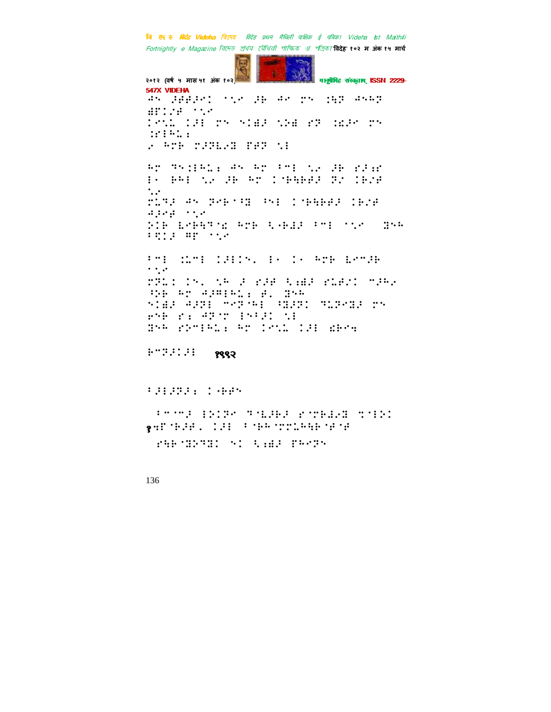चि एत् रू मिन्हे Videha निएन्थ विदेह प्रथम मैथिली पाक्षिक ई पत्रिका Videha Ist Maithili Fortnightly e Magazine রিদেত প্রথম মৌথিনী পাক্ষিক ঐ পত্রিকা**'বিदेह' १०२ म अंक १५ मार्च** 

**COMPANY** 

â २०१२ (वर्ष ५ मास ५१ अंक १०२) मानुबारी मानुबारित संस्कृतम् ISSN 2229-547X VIDEHA ⢺!⢼⢾⢾⢼!⣁!⢼⢷!⢺!!⣈⣓⢽!⢺⢳⢽! ⣞02⢾!⣁!  $1$  , the star what  $2$  , the star  $2$ ⣈ 3⢳⣅⣐! ⢴!⢳⢷!⢼⢽⣇⢴⣝!0⢾⢽!⣁3!

⢳!⢹⣈3⢳⣅⣐!⢺!⢳!B3!⣁⢴!⢼⢷! ⢼⣐ ! 3a!⢷⢳3!⣁⢴!⢼⢷!⢳!⢷⣓⢷⢾⢼!⢽2!⢷2⢾!  $\cdot$ ... ⣅⢹⢼!⢺!⢽⢷⢸⣝!⢸3!⢷⣓⢷⢾⢼!⢷2⢾!  $\begin{aligned} \frac{d}{dt} \left( \frac{d}{dt} \right) \left( \frac{d}{dt} \right) \left( \frac{d}{dt} \right) \left( \frac{d}{dt} \right) \left( \frac{d}{dt} \right) \left( \frac{d}{dt} \right) \left( \frac{d}{dt} \right) \left( \frac{d}{dt} \right) \left( \frac{d}{dt} \right) \left( \frac{d}{dt} \right) \left( \frac{d}{dt} \right) \left( \frac{d}{dt} \right) \left( \frac{d}{dt} \right) \left( \frac{d}{dt} \right) \left( \frac{d}{dt} \right) \left( \frac{d}{dt} \right)$  $\overline{5}$  (F)  $\overline{5}$  (F)  $\overline{5}$  (F)  $\overline{5}$  (F)  $\overline{5}$  (F)  $\overline{5}$  (F)  $\overline{5}$  (F)  $\overline{5}$  (F)  $\overline{5}$  (F)  $\overline{5}$  (F)  $\overline{5}$  (F)  $\overline{5}$  (F)  $\overline{5}$  (F)  $\overline{5}$  (F)  $\overline{5}$  (F)  $\overline{5}$  (F)  $\overline{5}$  (F) B¤ Ship Books and the Society of the Society of the Society of the Society of the Society of the Society of the

B3! Shi alifonin a shekara a shekara a shekara a shekara a shekara a shekara a shekara a shekara a shekara a s  $\cdot$   $\cdot$   $\cdot$ ⢽⣅⣈!F!⣁⢳!⢼! ⢼⢾!⣃⣐⣞⢼! ⣅⢾2!⢼⢳⢴! ⢸⢵⢷!⢳!⢺⢼⢻3⢳⣅⣐!⢾F!⣝⢳! **SIE ASS SEE STATE SEE STATE**  $+$ 59  $+$  38  $+$  39  $+$  39  $+$  39  $+$  39  $+$  39  $+$  39  $+$  39  $+$  39  $+$  39  $+$  39  $+$  39  $+$  39  $+$  39  $+$  39  $+$  39  $+$  39  $+$  39  $+$  39  $+$  39  $+$  39  $+$  39  $+$  39  $+$  39  $+$  39  $+$  39  $+$  39  $+$  39  $+$  39  $+$  39  $+$  39 354 restrikli 42 (2011) 191 restr

⢷⢽⢼⢼3;!१९९२

BQ303 SQS (See

!B⢼!3⢵⢽!⢹⣇⢼⢷⢼! ⢷⣜⢴⣝!⣉3⢵! १⣒0⢷⢼⢾⣀!⢼3!B⢷⢳⣅⢳⣓⢷⢾⢾! ) ⣓⢷⣝⢵⢹⣝!!⣃⣐⣞⢼!0⢳⢽\*!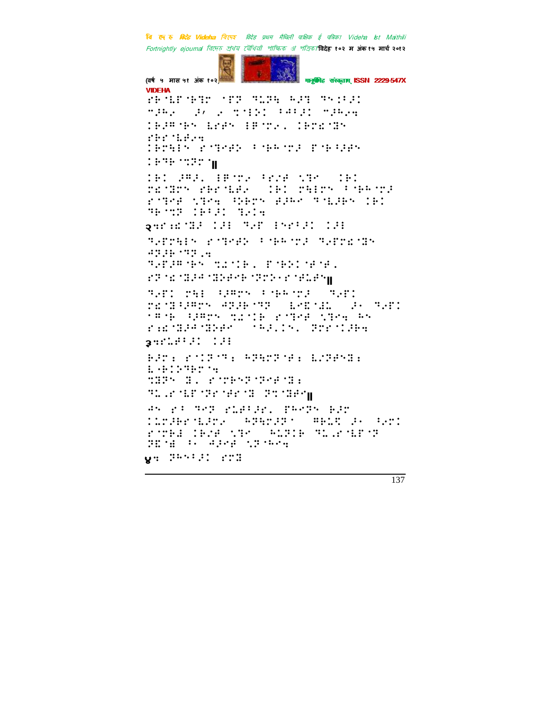बि एक रु मिनेट Videha विएक विदेह प्रथम मैथिली पाक्षिक ई पत्रिका Videha Ist Maithili Fortnightly ejournal রিদেহ প্রথম মৌথিনী পাক্ষিক প্র পত্রিকা**'বিदेह' १०२ म अंक १५ मार्च २०१२** 

```
Separate
(वर्ष ५ मास ५१ अंक १०२,
                           मानूबीह संस्कृताम् ISSN 2229-547X
VIDEHA
PROBLEMENT CONTROLLER APPLICATION
make a proposition for an energy
CEAPTER EPAR IBMS. CEPEMBR
rentaese
TETHIN POTORY PORTUBUR HARRY
1979-1970 TH
IBI PAR. BETTY PETE NTM (IBI
renary sectors, tel refry theori
rothe the Sirr Alme tolles in:
The Contract of Contract Contract Contract Contract Contract Contract Contract Contract Contract Contract Cont
garing Mac (21) 728 (1923-21) 121
SAPPAIN RITHAR FINANCE SAPPRIDE
4936.7914
THURSHAY TEST ESTATE
PRIMINE PROFESSION OF MAPS
THIS THE SPACE SCHEDULE THIS
PENDANG AREN'TE BADAL (P) THI
tank (Paps durck roller Sleep As<br>rollief (BSP) (1992) S. Prroller
3 9 9 1 1 9 1 9 1 1 1 1 1 1 1 1FROM POINTS PRESENT EXTENS.
ESPIRATOR
Raby all proportionals
aborator de reche las recen
An el mez eleter. Peezh Ber
COMPARY PROVIDED AND SECTIONS
rocks dere the SADED Surgeons
TIME POSSESS NEWS
ge FRNFFI 2008
```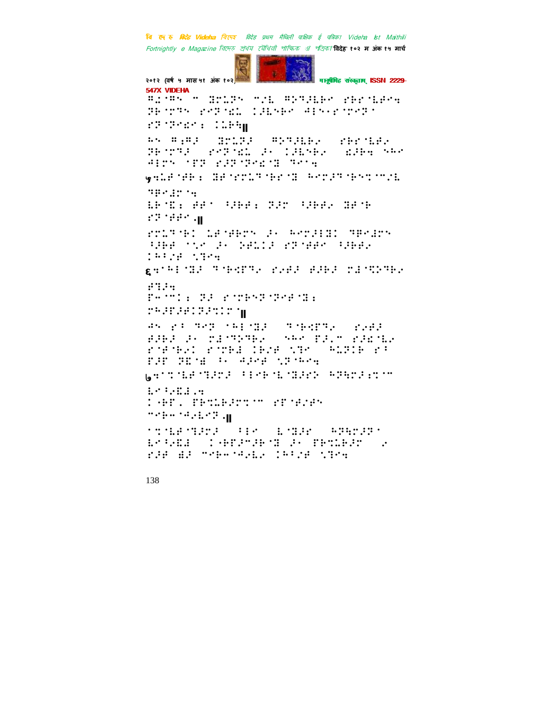```
बि एक् रु मिरेह Videha विएम्ब विदेह प्रथम मैथिली पाक्षिक ई पत्रिका Videha Ist Maithili
Fortnightly e Magazine রিদেচ প্রথম মৌথিনী পাক্ষিক প্র পত্রিকা'বিदेह' १०२ म अंक १५ मार्च
                    CONTRACTOR
                     \mathbf{a}२०१२ (वर्ष ५ मास ५१ अंक १०२)
                             मानुबेमिह संस्कृतम् ISSN 2229-
547X VIDEHA
RESPONSE BELFY THE REPAIRS SEPTERS.
BEATH PARAL LENER SENEATORY
PROPORT E LIFET
84 B.B. S. S. S. BILL.
                                START SERVICE
BETTE POTTED EN LEDER
                                 adding the
HIDS TER PHROPHON POOR
WHILE THE CONFIDENTIAL APPLEMENT THAT THIS
npege og
MPH: APT SINAL RAT SANAL MATH
CENTER OF
POLTABI LEABRA 20 RODELEI TEORO
SPAR TO PARTICIPATION SPACE
19828 1304
gare: ME Schoppe Pede Bear places as
111111Fernia BE Richterforenta
25202000001
AN PROPERTY MESSEN COMPANY PARA
BARA AN MENTERAL SPACEALM BARAL
rified richard that the sharp ri
rur drog (18 apog (poweg)
WHITE THE STATE OF THE SECTION AND PRESENT
ESSAGE . .
 D'ART. PROGRAMO MONTAMAN
media ravierd ap
TEMPERED PROVIDED PROPERT
<u> L'ALL (ARISTET A TRIBIT)</u>
                                       \ddot{\phantom{a}}rde de malesandre l'especience
```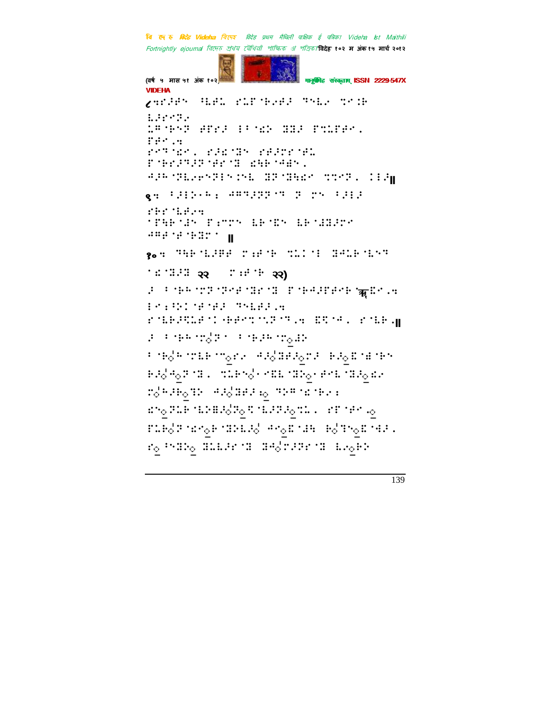Fortnightly ejournal রিদেত প্রথম মৌথিনী পাক্ষিক প্রাপত্রিকা'**বিदेह' १०२ म अंक १५ मार्च २०१२** (वर्ष ५ मास ५१ अंक १०२ मानुबेदि संस्कृताम् ISSN 2229-547X **VIDEHA** garden (Belovill moed (Philosophie LPPPP. LAMPAR APEND BROWN HER POLEAR. Fire ... roler, neue neam de PORTHUR SENSITY APP TELEVISING IS THEY STAR LOCAL Q: :212.5: 007277.7 7 75 1212 rint theirs **TERRIT FROM BRIDGE BRIDGE**  $\begin{array}{lllllllllll} \texttt{diff} & \texttt{if} & \texttt{if} & \texttt{if} & \texttt{if} \\ \texttt{if} & \texttt{if} & \texttt{if} & \texttt{if} & \texttt{if} & \texttt{if} \end{array}$ **Post THE MUSES CONSTRUCT WILL MEDIAN REPORT**  $1.41.41.43$   $65.41.41.45.65$ 2008 NEW YOR SPORTSEN BOOK OF THALEFAND SWEET LA **Principal Starte** podeledlent reentimant la capital contación  $\mathcal{F} \rightarrow \mathcal{F} \oplus \mathcal{F} \oplus \mathcal{F}_0^{\mathcal{A}} \mathcal{F} \oplus \mathcal{F} \oplus \mathcal{F} \oplus \mathcal{F} \oplus \mathcal{F}_0 \oplus \mathcal{F}$ s dedie drae moro i Addardona i edoamaden  $4\cdot\lambda_0^4\cdot\lambda_0$  and  $\lambda_1$  , which  $\lambda_0^4\cdot$  and  $\lambda_1^2\lambda_0\cdot$  and  $\lambda_2^2\lambda_1\lambda_0$  and  $\mathbb{P}^{1,1}_0\oplus\mathbb{P}^{1,1}_0\oplus\mathbb{P}^{1,1}_0\oplus\mathbb{P}^{1,1}_0\oplus\mathbb{P}^{1,1}_0\oplus\mathbb{P}^{1,1}_0\oplus\mathbb{P}^{1,1}_0\oplus\mathbb{P}^{1,1}_0\oplus\mathbb{P}^{1,1}_0$  $\langle \psi_{\underline{\alpha}} \rangle_{\underline{\alpha}} \langle \psi_{\underline{\alpha}} \rangle_{\underline{\alpha}} \langle \psi_{\underline{\alpha}} \rangle_{\underline{\alpha}} \langle \psi_{\underline{\alpha}} \rangle_{\underline{\alpha}} \langle \psi_{\underline{\alpha}} \rangle_{\underline{\alpha}} \langle \psi_{\underline{\alpha}} \rangle_{\underline{\alpha}} \langle \psi_{\underline{\alpha}} \rangle_{\underline{\alpha}} \langle \psi_{\underline{\alpha}} \rangle_{\underline{\alpha}}$ amega vasoe vapadag sessa vae sessas per sept ro mano aller di associati enorm

बि एक रु मिनेट Videha विएक विदेह प्रथम मैथिली पाक्षिक ई पत्रिका Videha Ist Maithili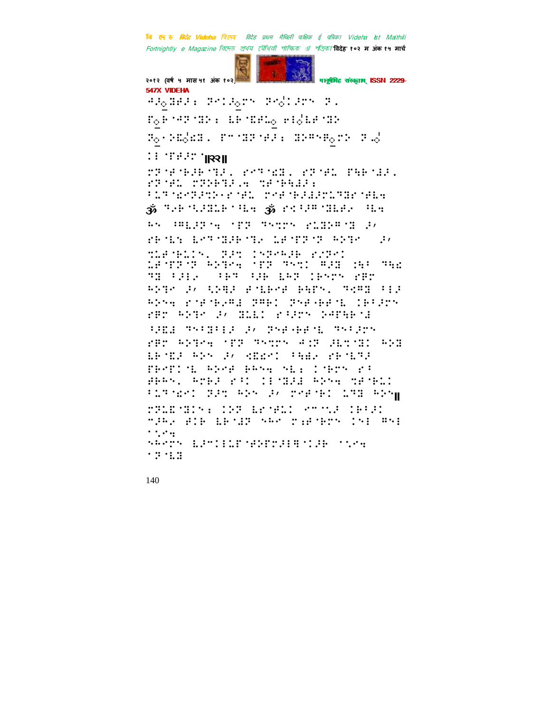बि एक रु मिनेट Videha विएक विदेह प्रथम मैथिली पाक्षिक ई पत्रिका Videha Ist Maithili Fortnightly e Magazine রিদেহ প্রথম মৌথিনী পাক্ষিক প্রা পত্রিকা**'বিदेह' १०२ म अंक १५ मार्च** 



MAGAGEAR CHARACTER START PERSIE STOR TREES TREES **FLT YESTERY YEL TSE NEWSTOPES YEL**  $\hat{\mathcal{B}}$  (3) the statistical  $\hat{\mathcal{B}}$  and the statistic statistic as degree off serve runsers ro rends determined driver trees of THE SHIP, FAT INFORMED PIRE! LANTRIC ASTAN NTR CAND ARE NAM CAR THE FILE OF THE SIDE LATE CHATA STR PETE 27 APRIL FOLECE ENTS, TORE FIR Absolute market (PAB) (Pselepsic (PF20s ren abar da dill rains barabid HARA TERRIA (F. 258-665) SERIES FROM PERPENTIFY THOSE AND SECTION PER EPSER RES 3, SERSI PRES RESERR PROPINE ANON RANG NEW THEN PR WERN, ROBE RAD IESERE RONA MASBUI FLAMENT BEN ANN EX PREMET LAB ANNI PRIDMED IN BENCE STAR IPER make alb bendrokke raforen (nichni  $\cdot$   $\cdot$   $\cdot$   $\cdot$ **NARTH ESTIELE MARTINER MISH SAME**  $121.3$ 

140

**547X VIDEHA**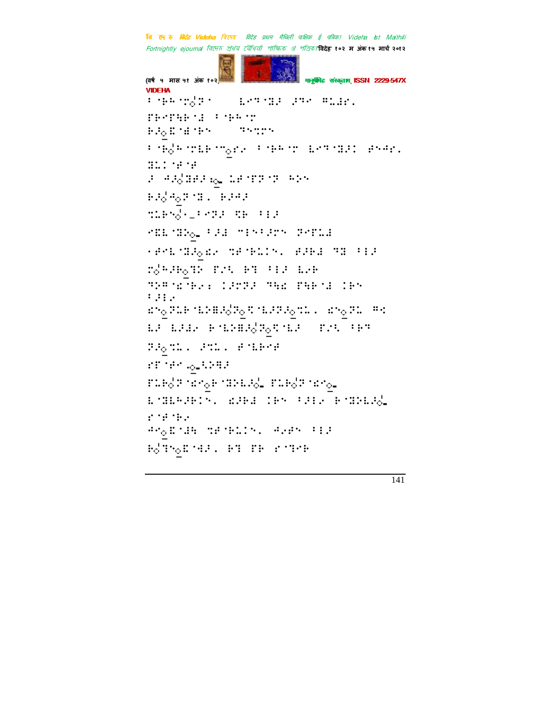बि एक रु मिनेट Videha विएक विदेह प्रथम मैथिली पाक्षिक ई पत्रिका Videha Ist Maithili Fortnightly ejournal রিদেত প্রথম মৌথিনী পাক্ষিক প্রাপত্রিকা'**বিदेह' १०२ म अंक १५ मार्च २०१२** 

मानुब्रीह संस्कृतम् ISSN 2229-547X (वर्ष ५ मास ५१ अंक १०२ **VIDEHA**  $1.444 \frac{1}{2}$ **AND STATES AND STATES THATER OF STREAM FASE MORE SCOTTING** FireSHimselmond (FireFire) som dat i andra **HIMMED**  $\mathcal{F}$  , and have  $\mathcal{H}_{\text{QCD}}$  that the state and since PAG-6213. PAG3 mrs. Personal PEESERG PAR STREAMS PRELA SPOLOBA<sub>Q</sub> de l'adobition (1996), 1981-199  $r_0^{\rm 16,14} \rm e^{311}$  F.M. FT (113) LeF SPEARTER: 1983, SHE PHEAR IPS  $: 3: .$  $\mathfrak{a}\gamma_0\mathfrak{p}\mathfrak{a}\mathfrak{p} \beta\mathfrak{q}\mathfrak{p}\mathfrak{p}\mathfrak{p}^1_0\mathfrak{p}_0\mathfrak{q} \beta\mathfrak{q}\mathfrak{p}\mathfrak{p}\mathfrak{p}\mathfrak{q}\mathfrak{q}\mathfrak{q}\mathfrak{p}\mathfrak{p} \quad \mathfrak{q}\gamma_0\mathfrak{p}\mathfrak{q}\quad \mathfrak{p}\mathfrak{q}$ LA LALE FOLDER RESEARCH TAN OFF PROTECTIVE STEEPS rrier<sub>io</sub>usse  $\mathbb{P}\mathbb{L}\oplus\mathbb{S}^1\mathbb{P}^1\oplus\mathbb{P}_0\oplus\mathbb{P}^1\oplus\mathbb{P}\mathbb{L}\oplus\mathbb{S}^1_\mathbb{Q}\oplus\mathbb{P}\mathbb{L}\oplus\mathbb{S}^1\oplus\mathbb{P}^1_\mathbb{Q}\oplus\mathbb{P}^1_\mathbb{Q}$ EMBRARING WARE IRN FAIR ROBBERG  $\mathcal{C}^{\text{reg}}$  the Anglicational teachers are a fire Polity Edgard Profile School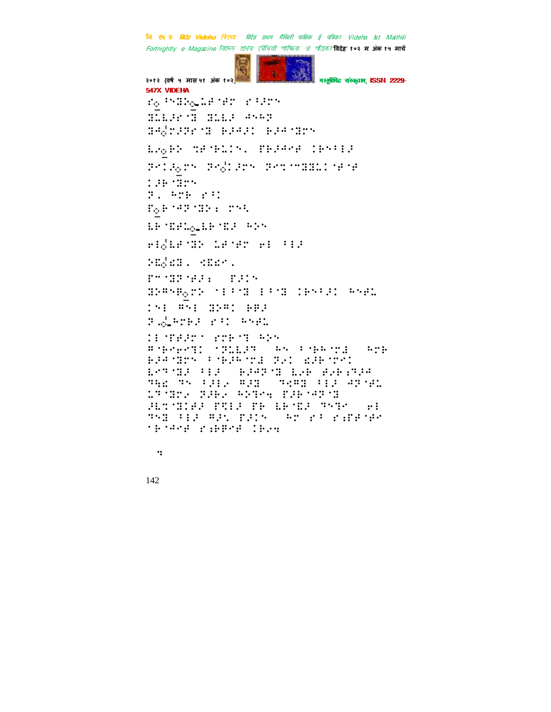Fortnightly e Magazine রিদেত প্রথম মৌথিনী পাক্ষিক প্রা পত্রিকা' **বিदेह' १०२ म अंक १५ मार्च COMPANY**  $\mathbf{g}$ २०१२ (वर्ष ५ मास ५१ अंक १०२) मानूबेगिह संस्कृतम् ISSN 2229-**547X VIDEHA** ro habolener (right **2000: 2000: 2000: 2000: 2000: 2000: 2000: 2000: 2000: 2000: 2000: 2000: 2000: 2000: 2000: 2000: 2000: 2000: 20** MONEYAN BRAIL BRANDY EPOPE TEMPLIN, FRAGGE IRNIE Priegry Protect Prochemic Net tua men  $P_+$  (Fig. )  $P_+$  $\Gamma_0$  F 147 (HP : 1754) EFMERLOLEMENT PRY HIGHFUR LENE HE HIS PEGER SERV. PORTH THE BRANGER MERME ERME IBNF21 ANAL Suggered rate week **IF THAT ( FIR T APA)** Robert Staller An Pobert Arth Barden Christian Ball Earlyn ESTAR PER PROGRESS END RUDITOR THE TESTING MINI- TEMPERATURE LTTER PARK WATER PARTER House Mil M Grup 759 (Fi THE FEATURE PAINT AN EXTREME **SEMPRE PARRYR IRAN** 

बि एक रु मिनेट Videha विएक विदेह प्रथम मैथिली पाक्षिक ई पत्रिका Videha Ist Maithili

 $\ddot{\phantom{1}}$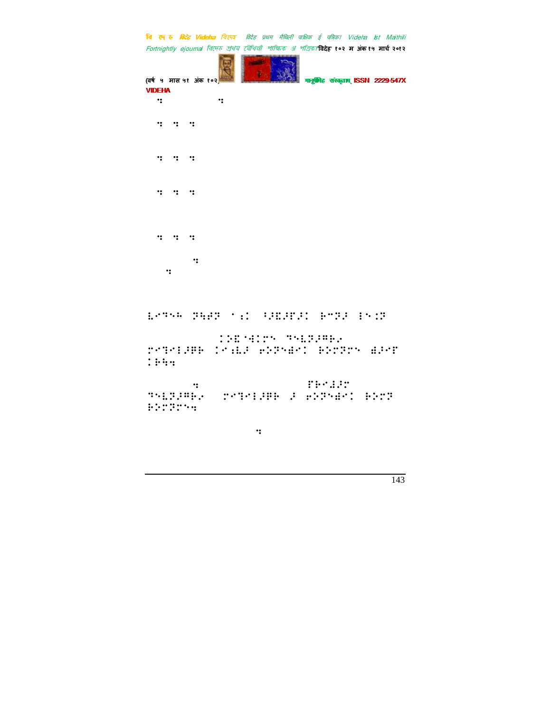चि एत् रू मिन्हे Videha निएन्थ विदेह प्रथम मैथिली पाक्षिक ई पत्रिका Videha Ist Maithili Fortnightly ejournal রিদেহ প্রথম মৌথিনী পাক্ষিক প্র পত্রিকা**'বিदेह १०२ म अंक१५ मार्च २०१२** 

|                           | (वर्ष ५ मास ५१ अंक १०२, सा |                        | मानुभीह संस्कृतम् ISSN 2229-547X            |
|---------------------------|----------------------------|------------------------|---------------------------------------------|
| <b>VIDEHA</b>             |                            |                        |                                             |
| ٠:                        | •:                         |                        |                                             |
|                           |                            |                        |                                             |
| $\cdots$ $\cdots$         |                            |                        |                                             |
| $\mathbf{u}$              |                            |                        |                                             |
| . .                       | •:                         |                        |                                             |
| .                         |                            |                        |                                             |
| ٠:                        | $\cdot$ :                  |                        |                                             |
|                           |                            |                        | Bran BAS (Al GEBRI) Braile (1               |
|                           |                            | <b>CONTROLL STATES</b> |                                             |
| :                         |                            |                        | retelame legge andrael bruder gjer          |
|                           |                            |                        | <b>PROBER</b>                               |
|                           | ∵:                         |                        |                                             |
| "*133"F.<br><b>FREETH</b> |                            |                        | <u> 2010: 2010 - 2010: 2010: 2010: 2010</u> |
|                           |                            |                        |                                             |
|                           |                            | ٠:                     |                                             |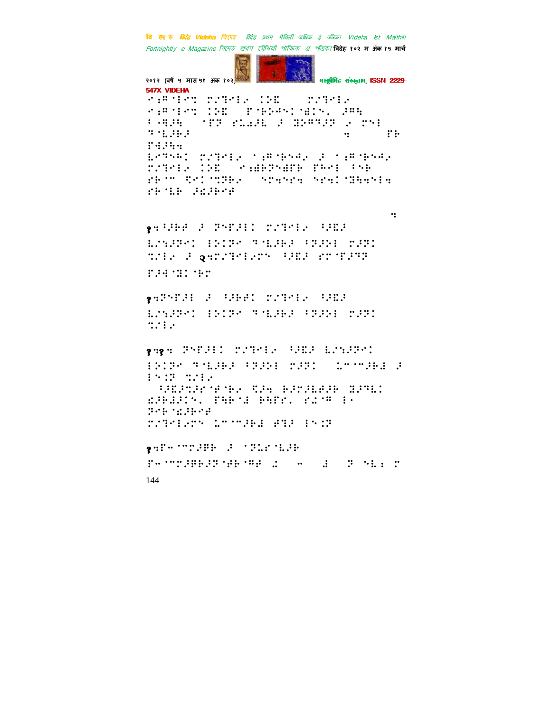चि एत् रू मिन्हे Videha निएन्थ विदेह प्रथम मैथिली पाक्षिक ई पत्रिका Videha Ist Maithili Fortnightly e Magazine রিদেত প্রথম মৌথিনী পাক্ষিক ঐ পত্রিকা**'বিदेह' १०२ म अंक १५ मार्च** 

547X VIDEHA

 $T: Y: Y$ 



BC⣛⢼⣓-!0⢽! ⣅⣔⢼⣇!⢼!⣝⢵⢻⢹⢼⢽!⢴.3! ⢹⣇⢼⢷⢼!hhbkfoesbAwjefib⣒dpn!0⢷! 0⣚⢼⣓⣒! ⣇⢹⢳!2⣙3⢴.⣐⢻⢷⢺⢴!⢼!⣐⢻⢷⢺⢴! 2⣙3⢴!⢵⣏!)⣐⣞⢷⢽⣞0⢷!0⢳3!B⢷! ⢷.⣋⣉⢽⢷⢴\*!⣒ ⣒! ⣒⣝⣓⣒3⣒! ⢷⣇⢷!⢼⣎⢼⢷⢾!.Cbtfe!po!nt.trm!

Fohmjti.Nbjuijmj!Ejdujpobsz⣒! १⣒⢸⢼⢷⢾!⢼!⢽0⢼3!2⣙3⢴!⢸⢼⣏⢼. ⣇2⣑⢼⢽!3⢵⢽!⢹⣇⢼⢷⢼!B⢽⢼⢵3!⢼⢽! ⣉23⢴!⢼!२⣒2⣙3⢴!⢸⢼⣏⢼! 0⢼⢹⢽!

0⢼⣚⣝⢷! १⣒⢽0⢼3!⢼!⢸⢼⢷⢾!2⣙3⢴!⢸⢼⣏⢼. LOSEPH SHIP SHIP SHIP SHIP

१⣒१⣒!⢽0⢼3!2⣙3⢴!⢸⢼⣏⢼!⣇2⣑⢼⢽! 3⢵⢽!⢹⣇⢼⢷⢼!B⢽⢼⢵3!⢼⢽!!⣅⢼⢷⣜!⢼! 3⣈⢽!⣉23⢴! )⢸⢼⣏⢼⣉⢼ ⢾⢷⢴!⣋⢼⣒!⢷⢼⢼⣇⢾⢼⢷!⣝⢼⢹⣇! ⣎⢼⢷⣜⢼F!0⣓⢷⣜!⢷⣓0 F! ⣌⢻!3a! ⢽⢷⣎⢼⢷⢾\*!! 2⣙3⢴!⣅⢼⢷⣜!⢾⣙⢼!3⣈⢽!

144 १⣒0⢲⢼⢿⢷!⢼!⢽⣅ ⣇⢼⢷;! 0⢲⢼⢿⢷⢼⢽⢾⢷⢻⢾!⣌-!⢲-!⣜-!⢽!⣇⣐!!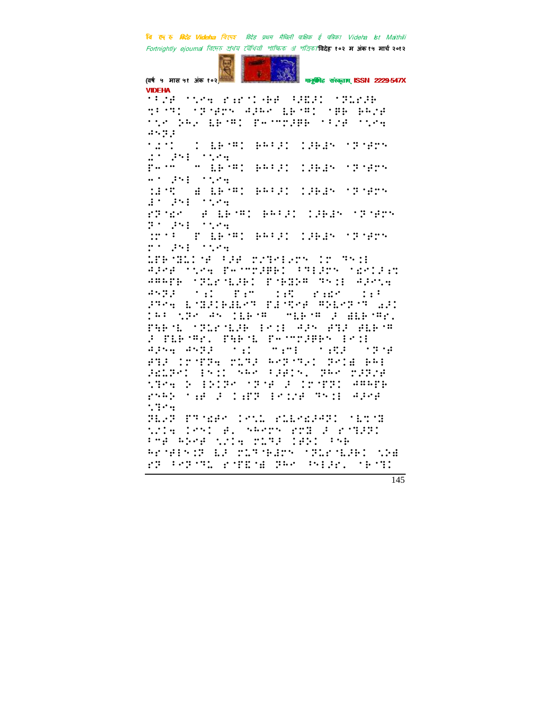

(वर्ष ५ मास ५१ अंक १०२) **VIDEHA** 

मानूबीह संस्कृताम् ISSN 2229-547X

**MISE TOME PARTIME MEDIC TRIPLE** MESTIC STORY APPROACHED SPECIFICA the PAS ERSE: PASSERBO SEMPLOME  $45.344$ **TANK I BENED BRASS COREN STARR**  $25.351.559$ Benn (m. 1878) Bengi (gege (grane  $\alpha \leq 154$  ,  $\beta \leq 0.1$ MAY A BRYS BROOK CORES STYRES  $\mathbb{R}^4$  ,  $\mathbb{R}^4$  ,  $\mathbb{R}^4$  ,  $\mathbb{R}^4$  ,  $\mathbb{R}^4$  ,  $\mathbb{R}^4$ ranch a benn effal laean nanrh  $\label{eq:2d} \mathcal{V}^{(k)} = \mathcal{V}^{(k)} \mathcal{V}^{(k)} = \mathcal{V}^{(k)} \mathcal{V}^{(k)} \mathcal{V}^{(k)}$ Grie (p. 16)Ar Gaegy (2615 inners  $\begin{aligned} \mathbf{r}^{(1)} & \in \mathbb{R}^{n} \times \mathbb{R}^{n} \times \mathbb{R}^{n} \times \mathbb{R}^{n} \end{aligned}$ LEBORLOG F.H. MARKERMA (M. 753) APAR TUAN PATTERBEL PREPEN TEACRIT ARAPE (SIGNALLE) PORTER SYSTEMATOR  $\mathcal{A}^{n}(\mathbb{R},\mathbb{R})\longrightarrow\mathbb{R}^{n}(\mathbb{R}^{n},\mathbb{R}^{n})\longrightarrow\mathbb{R}^{n}\longrightarrow\mathbb{R}^{n}\longrightarrow\mathbb{R}^{n}\longrightarrow\mathbb{R}^{n}\longrightarrow\mathbb{R}^{n}\longrightarrow\mathbb{R}^{n}\longrightarrow\mathbb{R}^{n}\longrightarrow\mathbb{R}^{n}\longrightarrow\mathbb{R}^{n}\longrightarrow\mathbb{R}^{n}\longrightarrow\mathbb{R}^{n}\longrightarrow\mathbb{R}^{n}\longrightarrow\mathbb{R}^{n}\longrightarrow\mathbb{R}^{n}\longrightarrow\mathbb{R}^{n}\longrightarrow\mathbb{R}^{n}\longrightarrow\mathbb{R}^{n$  $\frac{1}{2}$  :  $\frac{1}{2}$  :  $\frac{1}{2}$  :  $\frac{1}{2}$  :  $\frac{1}{2}$  :  $\frac{1}{2}$  :  $\frac{1}{2}$  :  $\frac{1}{2}$ ané, poblemen rides ménoros au :A: \Sh 45 (167#) M167# 2 di67#r. PHP NO TRATAGHE SPOIN APP AND ALBOW **FIRENTY, PHENE PAINTIMEN ESTE** agny anggo (si) (mimbo (sigg) (sg)e<br>aggo (poggy poggy kogogy) gold khb BELGAL ENIL NAM FREIN, GAM MEGGE STOR 2 ENTRY STOR 2 INSTERN ARABA ryan tar a tarr benza mya sade  $1.399$ BRO PRES INC. MARKET MODE wie last e. skaps epo e esopo Peleberlah masa dengan pe Arrest B. La ringeles (1912-1941) the FROM PROVIDING THE PRODUCT PRODUCT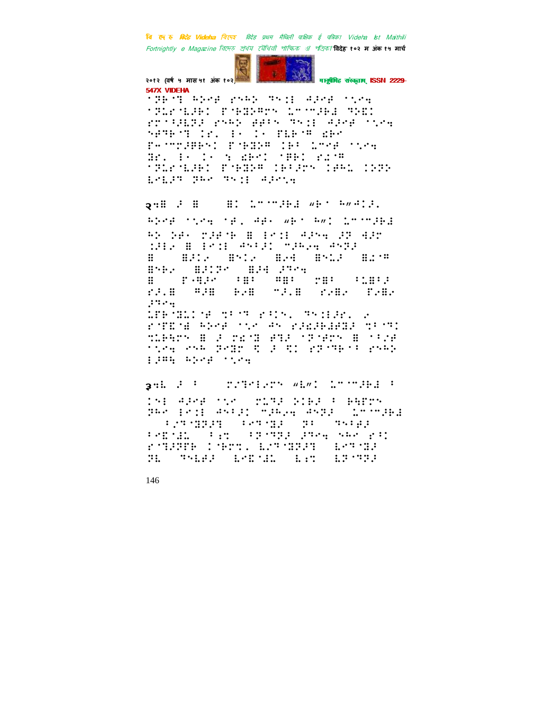बि एक स्टेड Videha विएक विदेह प्रथम मैथिली पाक्षिक ई पत्रिका Videha Ist Maithili Fortnightly e Magazine রিদেহ প্রথম মেথিনী পাক্ষিক প্রা পত্রিকা' **বিदेह' १०२ म अंक १५ मार्च** 



मानुबेमिह संस्कृतम् ISSN 2229-

### **547X VIDEHA**

**THE TECHNIC PARK TAIL SPARE TIME MELRIEL PHERMAN LOOPER TREE** rright, real and so that when the SPRETT IN DE IN THE REAL Permilent Presenter Lease time Br. En li nombri (PRI ra<sup>38</sup> **TELENIE: PORTH INSTEAD INC.** ESERT PRO TRIE WEST

QHE F H = HI LTITHE WHAT HARDED

Aber they from Arcocket Automotive AS SAN TARTA BOIRTI AANA AR AAT WERTH ERIE ANDER MARKE ANDE 8 82. 82. 82. 82.  $\mathbb{R}^{2}$  :  $\mathbb{R}^{2}$  :  $\mathbb{R}^{2}$  :  $\mathbb{R}^{2}$  :  $\mathbb{R}^{2}$ Brb. Baller Bad Stre  $\frac{1}{2}$  .  $\frac{1}{2}$  .  $\frac{1}{2}$  .  $\frac{1}{2}$ **PHI PHI PHI**  $\mathbf{H}$ ra.n #30 k.n ~3.n r.n. #.m. gara di persona di Santangan.<br>Tanàna amin'ny faritr'i Nord-Afrika. MP TEST POST PROVIDED A roffine about the an readfaber with: MIRROR B J MENS FRA MENEDY B MANE tive can permit a di cartana cand 1,000 0000 0000

gal 3 ( ) workers will immediate

151 APAR STRUCTURE STREUB BATTS bek iki adar Adalahan Trompe **SYMMER SERVICE IN THE** PARTEL (Fig. (FR) SPARE 2554 SAR 201 roleer cert boleer boleer BE SALES EMPIRE EAT EXTRE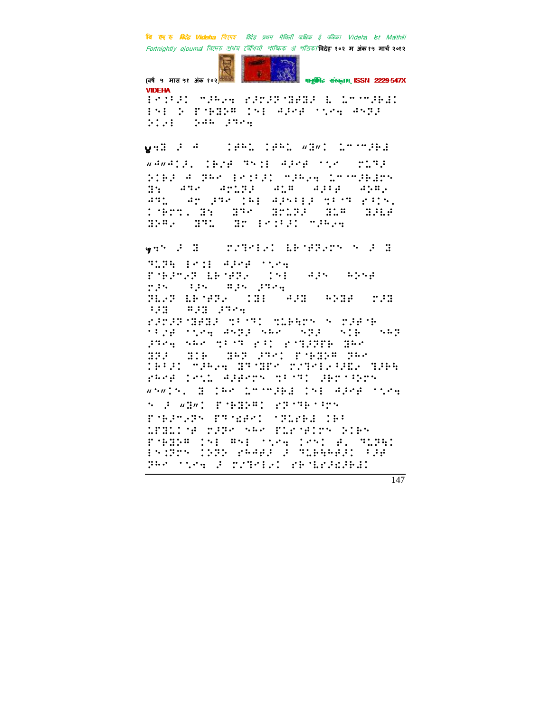

(वर्ष ५ मास ५१ अंक १०२,

**VIDEHA** 

मानूबीह संस्कृताम् ISSN 2229-547X

POST THE RESTRIES E COURS PSE 2 FMB28 151 4268 5164 4522 **Share State**  $7:7:1$ 

ved a 4 (1911-1951 with the manufacture

weall, left my: Alge the church NIEF A PAK EKIER MARGH 1MMMAEIN  $-42133 - 418 - 4318 - 4582$  $25 - 435$  $33\%$ **1. 中国 法共和国 141 中国中共主義 出来的生命的复数形式** HPP: HPL HP FOILL TREES

which Book with the Holler School Book

SLIE POIL APORTUNG PORPHE LEOPRY (191) and and a serious contract and a serious contract of the serious serious and a serious serious and a pin din sin inna 9629 GRYPS (1981) 928 (9288) 229 **1912 B.M. STOW** FROM MANAGEMENT CONSTRUCTION tice they supposed spreadily  $\ddots$  : and, see gron par ponanne ned ara) ale (akr amel foeder pre<br>1931 maker amoare puntalegale naph PRAF LAND APRAMA MESMI PROSPINS whath, Bolke Loomski (ni Aler over  $\mathcal{F} = \mathcal{F} = \mathcal{F} \left( \mathcal{F} \right) \mathcal{F} = \mathcal{F} \left( \mathcal{F} \right) \mathcal{F} \mathcal{F} \mathcal{F} \mathcal{F} = \mathcal{F} \mathcal{F} \mathcal{F} \mathcal{F} \mathcal{F} \mathcal{F} \mathcal{F} \mathcal{F} \mathcal{F} \mathcal{F} \mathcal{F} \mathcal{F} \mathcal{F} \mathcal{F} \mathcal{F} \mathcal{F} \mathcal{F} \mathcal{F} \mathcal{F} \mathcal{F} \mathcal{F} \mathcal{F} \mathcal{F}$ FORFORM PROBET OFFICER (B) MTHING THR SEA TIMETER NIES ragoe (si espacial (ss) el algo.<br>Pagra (sg) espagg d'albergo: (de

PRO STOR FORTHER SPORTHER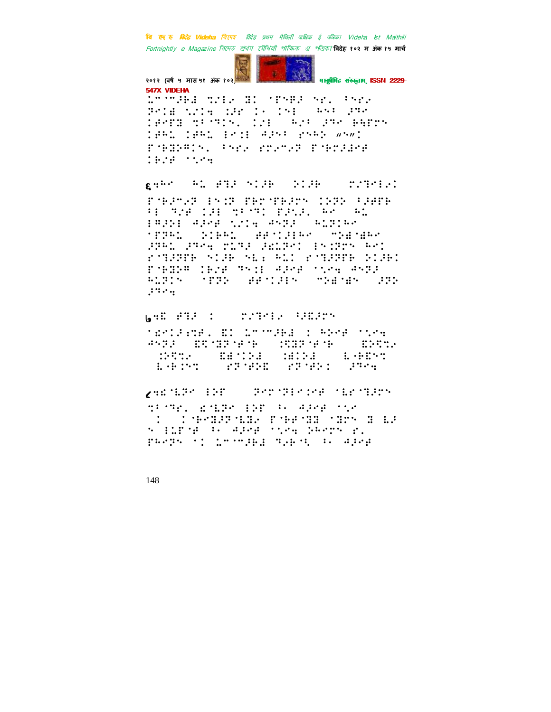बि एक रु मिनेट Videha विएक विदेह प्रथम मैथिली पाक्षिक ई पत्रिका Videha Ist Maithili Fortnightly e Magazine রিদেহ প্রথম মেথিনী পাক্ষিক প্রা পত্রিকা' **বিदेह' १०२ म अंक १५ मार्च** 



२०१२ (वर्ष ५ मास ५१ अंक १०२) **547X VIDEHA** 

मानुबेमिह संस्कृतम् ISSN 2229-

LTOTHE THE HI SPARE SEA PACE Pola wile de la 1918 (ASP 200 THATE SPATES, INE (AND PRO BATCH TARL TARL ERIE APRE PRAD WRAT POBRETS, TSEE PRESS PORTHER TECH STOR

gabe (61 892 5128) 2128 (21793121

FORFOR ENCY TROOPRISM (1971-1987) HE THE INE TEST FRIE WAS NO 18221 4246 5214 4592 (ALBIA) STRAD STEAD ARSTREAG MOBINARY PRES PROVINCE PESPOS INCREN AND rigger sig sig and rigger bigg FOREST CROB TROL APPROXIMATES ALTER TETE BETIFIN THETER JED  $\mathbb{R}^{n \times n}$ 

# **WE SAME ASSESSED AND SERVICE**

**MACCERS ED LOOPER CORPORATION AND STORYER SERVER SERVE Edition**  $\mathbb{R}^n$ **SEPTED STREET FROM**  $1.44121$ 

ged tides (1980) - der tale ver stie tidre

TESTEL ESERGIDE EN APPECISC **COMPARIES IN THE SECOND SERVICE** S EDPA PO APAR Steam Perry P. parps of thompas makes a sales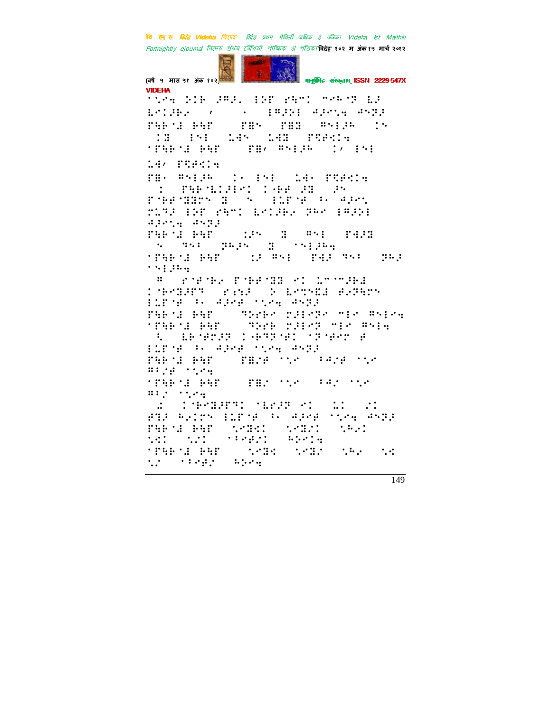

(वर्ष ५ मास ५१ अंक १०२)

मानूबीह संस्कृताम् ISSN 2229-547X

**VIDEHA** tion bib 283, 108 rent move by a kacamatan ing Pangunang Pangunang Pangunang Pangunang Pangunang Pangunang Pangunang Pangunang Pangunang Pang  $\mathbf{h}^{1}$  ,  $\mathbf{h}^{2}$  ,  $\mathbf{h}^{2}$  ,  $\mathbf{h}^{3}$  ,  $\mathbf{h}^{4}$ ransi nar 1990 - 1991 - 1992 - 1992 - 1992 - 1992 - 1992 - 1992 - 1992 - 1992 - 1992 - 1992 - 1992 - 1992 - 1992 - 1992<br>1992 - 1992 - 1992 - 1992 - 1992 - 1992 - 1992 - 1992 - 1992 - 1992 - 1992 - 1992 - 1992 - 1992 - 1992 - 1992 (18) PAL LAN LAB (PRACH) **TORONTO CONSTRUCT THE SECTION OF STREET** 14, PRACH FB: #512# (1) 151 (14) FRACE SCO PHENICIP'S CHARGE CONST<br>Pomentary Book (Elpha) (2004) MIRE ERT PANI LYISER PAY ERERE April ANDE  $\mathbb{R}^n$  (  $\mathbb{R}^n$  ) and  $\mathbb{R}^n$  (  $\mathbb{R}^n$  ) and  $\mathbb{R}^n$ rabil bar  $\mathcal{N} = \mathcal{R} \mathcal{N} \mathcal{N} = \mathcal{R} \mathcal{R} \mathcal{N} = \mathcal{R} \mathcal{N} \mathcal{N} \mathcal{N} \mathcal{R} \mathcal{R} \mathcal{R}$ TEACH PAP (12) 851 (PAP 95) (PAP  $\cdots$  ;  $\cdots$ **A POSTED PERMIT CONTRA** D'BRIET (Panel à Bronze Ba75on **ELPARTA APARTMENTAL There wilers mis Raise** rub di bur HAPITAN SER PANG MANGUNIAN PANG **A LEADER CAPPAINT PART &** INFORMATION COMMUNIST PHPM PHP ( PHPM TVP) PAPA TVP  $0.129 - 0.004$ **TERRIBE TEACHER TANKS**  $\mathbf{H}(\mathbf{r}_1, \mathbf{r}_2, \mathbf{r}_3, \mathbf{r}_4)$ A THERE MERRIE AND A ana katry fire se aana sing ayna **PARTE BAT**  $1.4341$  $-1.93211$  $\mathcal{L}$  :  $\mathcal{L}$ tel this special  $\mathbb{R}^n$  :  $\mathbb{R}^n$  :  $\mathbb{R}^n$  :  $\mathbb{R}^n$ **TERMI RETORIAL**  $\sim 100$  km  $^{-1}$  MeV and  $\sim 100$  $\ddots$  $\label{eq:1} \mathcal{L}_{\mathcal{L}}(t) = \mathcal{L}(\mathcal{L}(\mathcal{L}_{\mathcal{L}}))$  $\mathbf{L}$  ,  $\mathbf{L}$  ,  $\mathbf{L}$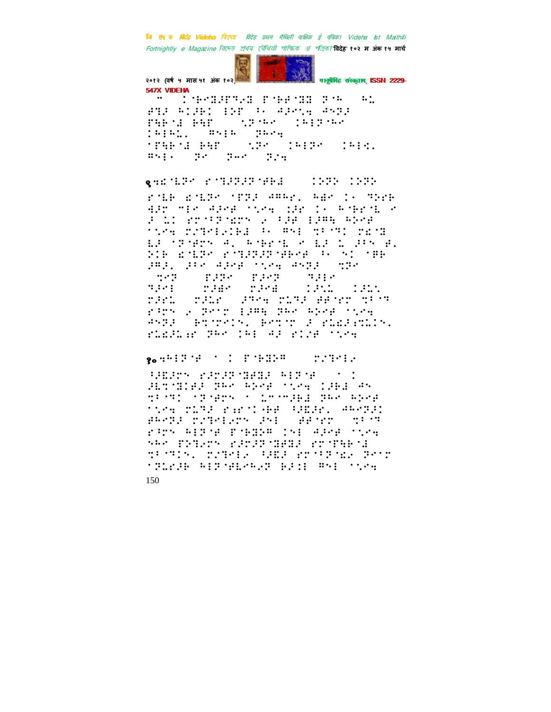बि एक रु मिनेट Videha विएक विदेह प्रथम मैथिली पाक्षिक ई पत्रिका Videha Ist Maithili Fortnightly e Magazine রিদেহ প্রথম মেথিনী পাক্ষিক প্রা পত্রিকা' **বিदेह' १०२ म अंक १५ मार्च** 



२०१२ (वर्ष ५ मास ५१ अंक १०२) **547X VIDEHA** 

मानुबेमिह संस्कृतम् ISSN 2229-

**MOON SECTIONS IN THE TELLS**  $\cdots$ FUE BIRE INT BY APPNA ANDE PARTA PAD (1916) (Righa)<br>16161, Senia (Pera track part the competition.  $0.443 - 0.203 - 0.0003 - 0.0003$ 

## QHEMER PORTER MEET TO DESCRIPT

rnik rnišk (1933.) Askril Adriji (1932.) age man agna civil dan 19 kilometro. 3 11 27 73 277 2 338 1386 5306 ting presided as well been prof EP SPORTS AL ACERCE SCEP DOPES B. SIR KNIP PNICOSTARNA (F. 51 MB 383. 358 4388 5584 4593 - 598 o papel (papp) o mare<br>Conarel (papp) o canto (canto  $\cdots$  $2.341$ rand (rade) ages noga eacht nach rans o Brin 1984 Bar abre tire Andre (andre de la Andre de Selarantino right of the 191 AP rice stre

#### **20 : HIP : F : F : F : HIP : F** a mangkat s

**BEET PRINT SERVE** Hardford Her Week ties 1961 45 dical changes of Loomana and Abde tice play rarouge shift, geogli BRATE TITALITY PAL (BROAD) TEOR rans albert perhaps the albert the SAR PERSON FRONT MEDIC FOOTBEOR the Time of The Hall of The State State **TRIPLE REPORTED BEST RAILYON**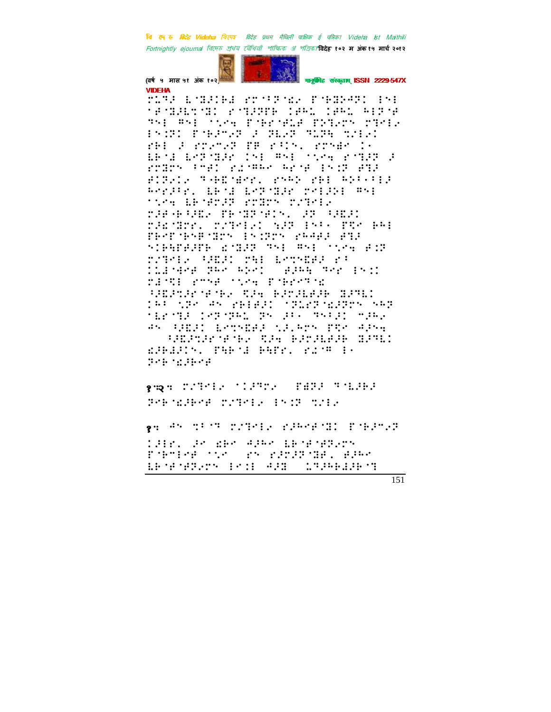

(वर्ष ५ मास ५१ अंक १०२) **VIDEHA** 

मानुबेदि संस्कृतम् ISSN 2229-547X

MIS L'ARIE MOSPAG P'EAMS INE <u> Kanadar Mandalah Manusia di Pra</u> THE FHE SAME PORTHER PRIETY TIME PROTO PORPOR A SEAS SERVICEAT PRESENTATOR PROVINCING CONSENTATION BROB BROOMER CAP AND SOME ROOM A rodox (Pel ringer arre 1870-201 BIRACA THROMANIC PARK PRESENTER Replie, LESE LeftSlar relate Wel **TIME ARTHUR STATE TITMES** <u> 1990 - 1991 - 1992 - 1993 - 1994 - 1995 - 1996 - 1997 - 1998 - 1999 - 1999 - 1999 - 1999 - 1999 - 1999 - 199</u> racurr. rateled Advises for Bel FRANCHAMENT IN SENN (PRAKE AND SIPHERRE ROBRE TSE TSE SAME RIP rathia (COC) rei brandis al **TLENHAM BRACHEAN** STAR SPECIFIC TEMPE STAR TONE PORTUG SPEPTED ROLL TRANSPORTED BRAIN 1930 (1930) An Ordered (191219-12291) SAG **TERMIN CREMENTS PROPERTY WARR** 45 GRIE LATHER SPIRE PRA 4254 BOOKS THE CONTROLLED CONT RUBBING PHP A BATK, PANE DA September

gogon cutters included a care distribution THE MARKE TITHE IN IN THE ge An disch publik rammenbludenbanks

DJER, GM ABM AJRA EBSASANTAR Poboles the strategy delivered EPSPERT PORTS **WEBSTERN**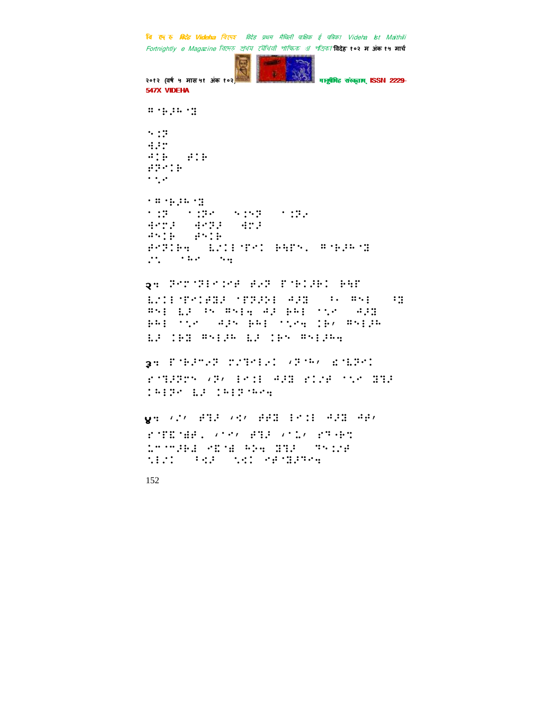बि एक रु मिनेड Videha विएक विदेह प्रथम मैथिली पाक्षिक ई पत्रिका Videha Ist Maithili Fortnightly e Magazine রিদেহ প্রথম মৌথিনী পাক্ষিক প্রা পত্রিকা**'বিदेह' १०२ म अंक १५ मार्च Separate** २०१२ (वर्ष ५ मास ५१ अंक १०२ मानुबेमिह संस्कृतम् ISSN 2229-**547X VIDEHA**  $\frac{1}{2}$  :  $\frac{1}{2}$  :  $\frac{1}{2}$  :  $\frac{1}{2}$  :  $\frac{1}{2}$  $\ddots$  : ::  $4.3<sub>2</sub>$  $\begin{tabular}{ll} \bf 414 & \tt 614 \\ \bf 718 & \tt 714 \\ \end{tabular}$  $f(P)$  $\cdot$  ...  $1.31 \pm 0.01$  $137 - 137 - 237 - 137$ Arma Arma Ama  $d\mathcal{H}(\mathbb{H}) = d\mathcal{H}(\mathbb{H})$ POTING ANITOTECHNIC PORTHOL  $\mathcal{D}_{\mathcal{A}} = \mathcal{D}^{\mathcal{A}}$  , and  $\mathcal{D}^{\mathcal{A}} = \mathcal{D}^{\mathcal{A}}$  , and ge PortPictof FAP Poblebl BAP EMINEMENT MEDIAN AND CAN HAIR CAN 851 LP PC 8514 AP PRI 152 - APR pap the sage pap them the weigh-**WE THE WALLER WE THAN WALLER** 34 FORPOR DEPEND VECK ECLECT FURNY SPA POR AND FILE MAY BE **TRIPS AS TRIPSPAS** 夏年 ハンバ 新生物 ハルバ 新井田 生め 11 (再共1) 時期 FORMER CONVERSION CONTEN LTORAL PEOR AND SHE SANCH tici (se tel del definito)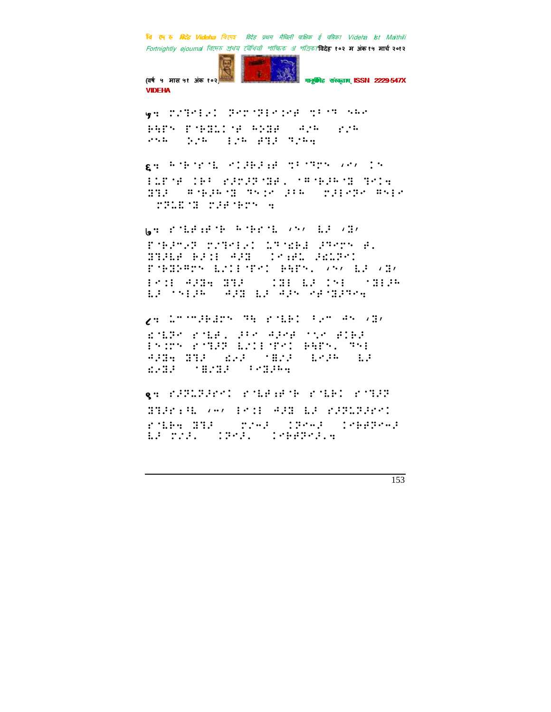

मानूबीह संस्कृताम् ISSN 2229-547X

(वर्ष ५ मास ५१ अंक १० **VIDEHA** 

we primited Bendlinery nicht am PAPS POPRISON ROBERT AND TEND  $\mathcal{P}(\mathcal{S},\mathcal{S}) = \left\{ \begin{array}{ll} \mathcal{P}(\mathcal{S},\mathcal{S}) & \mathcal{P}(\mathcal{S},\mathcal{S}) \geq \mathcal{P}(\mathcal{S},\mathcal{S}) \end{array} \right.$ 

着手 开始的过去式和过去分词打印的过去式和过去分词

ELEMA IRA KAMARANE. MAMPARAN SMIG HH WHEN THE PHONE THREE TO **TILE SEATHER STATE** 

We still have a through the signal

PORTS MINISTORIE PROVIE **STAGE BASE 438 CONSTRUCTION** POHENNO ESTECHNIC BHPS, AND ER AGD **POST APRA REF. (2008) APPENDIX CONSUM** EP (SPER ) APR EP APS SPORTS.

29 Animaeans de pole: Fances Vav

EMERGINIE, PROGRAM OVO EIEP PRODUCTED ENTITY PHPS, 351 sing nil and this actu  $\mathbb{R}^2$ RANG SHAND CANDLE

QH PARLEAPHIC POLE HECH POLEIC POTAR BREEK ( ) PORTHAING AND RESIDENCE ribe dia serai (1984) (1984).<br>Basera, 1982, (1982).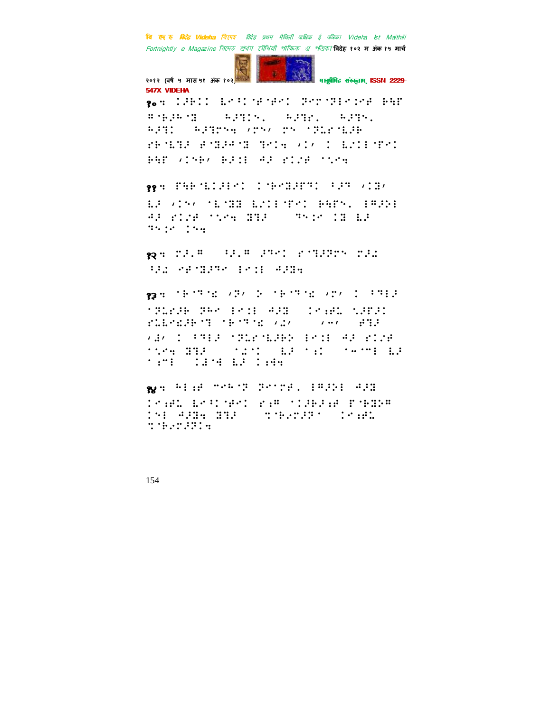बि एक रु मिनेट Videha विएक विदेह प्रथम मैथिली पाक्षिक ई पत्रिका Videha Ist Maithili Fortnightly e Magazine রিদেত প্রথম মৌথিনী পাক্ষিক প্রা পত্রিকা**'বিবৈদ্যা ২০২ দা স্তাকাং ৬ দার্ঘ** 



२०१२ (वर्ष ५ मास ५१ अंक १०२ स **547X VIDEHA** 

स्थानित संस्कृतम् ISSN 2229-

gon (281) Estimated Perchanocal Bur **AMERICAN ARTICLE ARTICLE ARTICLE** APPL APPRAL ARA TRANSPORT PROBLEM FOR PROVIDED AT A CONSTRUCTION OF THE SERVE OF THE SERVE OF THE SERVE OF THE SERVE OF THE SERVE BAP KIMPA BASE AR BIZE TUME

00: FREMISING CHRISTS (337 VII)

EF KING MEMBERINI MEMIR BERKI AF SIME MAN HIE ( This II LE  $\mathcal{V}(\mathcal{V}) = \mathcal{V}(\mathcal{V}) \mathcal{V}(\mathcal{V})$ 

82: 23.5 (33.5 338) 2001 20132200 232 **SPACE PROMISSION CONTROL** 

83 9 10 17 18 19 20 10 10 11 12 13 14 15 16 17 18 **TRIAL BEATIVE AND CASE WHICH** FILMENT TETTE VAL  $\mathbf{v}$   $\mathbf{v}$ . . . . . **VALUE PREPARED PREPARED PROPERTY SAME LESSE SAME LE**  $11.24 \pm 0.000$ **TEMP CENTER CENT** 

we Him newer Perre, 18221 823 Dragl Lrg Mart (ram flakfar fjellem **1920 AND AND ADD STEPHEN CONSTRUCTION** theralist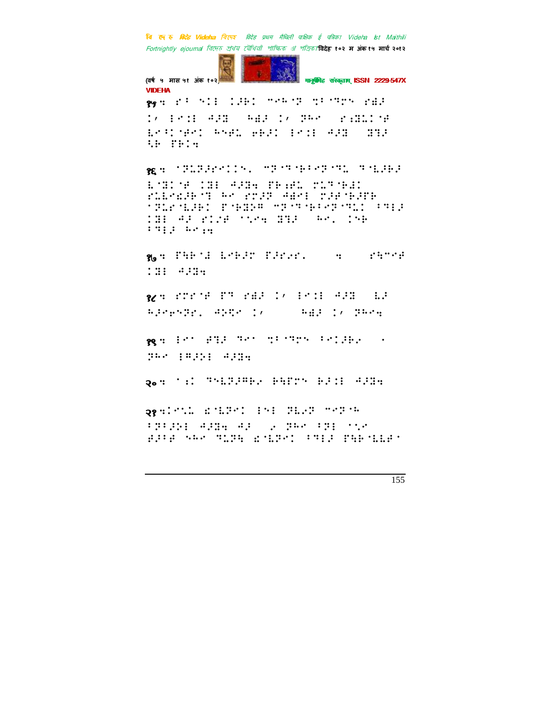

VIDEHA

१५⣒! ⢸!3!⢼⢷!⢳⢽!⣉B⢹! ⣞⢼! '!3⣈3!⢺⢼⣝-!⢳⣞⢼!'!⢽⢳-! ⣐⣝⣅⢾! ⣇⢸⢾!⢳⢾⣅!⢶⢷⢼!3⣈3!⢺⢼⣝-!⣝⣙⢼! **WE THIS** 

१६⣒!⢽⣅⢽⢼ F!⢽⢹⢷B⢽⢹⣅!⢹⣇⢼⢷⢼! ⣇⣝⢾!⣝3!⢺⢼⣝⣒!0⢷⣐⢾⣅!⣅⢹⢷⣜! ⣅⣇⣎⢼⢷⣙!⢳! ⢼⢽!⢺⣞3!⢼⢾⢷⢼0⢷! ⢽⣅ ⣇⢼⢷!0⢷⣝⢵⢻!⢽⢹⢷B⢽⢹⣅!B⢹3⢼!  $321!$   $43!$   $41!$   $45!$   $45!$   $45!$   $45!$   $45!$   $45!$ B⢹3⢼!⢳⣐⣒!!

१७९ में 1999 के साथ की प्रतिकार की साथ की साथ की साथ की साथ की साथ की साथ की साथ की साथ की साथ की साथ की साथ क **CONFIRM AND STREET** 

१८º : 20209 201 203 204 204 204 205 205 ⢳⢼⢶⢽ F!⢺⢵⣋!'!-!!⢳⣞⢼!'!⢽⢳⣒!

१९⣒!3!⢾⣙⢼!⢹!⣉B⢹!B⢼⢷⢴!)a\*! ⢽⢳!3⢻⢼⢵3!⢺⢼⣝⣒!

२०⣒!⣐!⢹⣇⢽⢼⢻⢷⢴!⢷⣓0!⢷⢼⣈3!⢺⢼⣝⣒!

२१⣒⣁⣅!⣎⣇⢽!33!⢽⣇⢴⢽!⢽⢳! BOUNDER BLOCK STREET ⢾⢼B⢾!⢳!⢹⣅⢽⣓!⣎⣇⢽!B⢹3⢼!0⣓⢷⣇⣇⢾!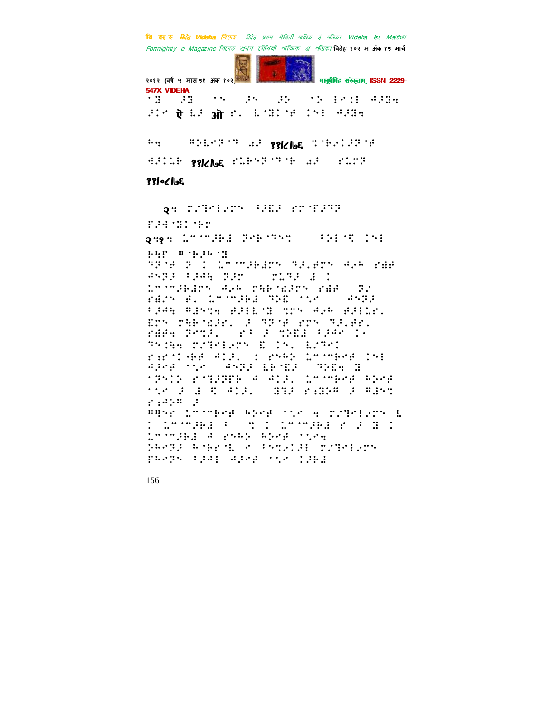ge correlate sheet concern **F.P4 131 1921** paga internation and case of the conditions **PHP #192912** TP SECRET COMMUNISTS TRIVES (FIRM VEH) **ANGLE CAR SET - TIME IN** trongedry also reporters reporter Part al cromata market with Plan Alver Blibe ers alm Blibe. ETS THEORIE, I TEOR FTS TILED. RAA PYRT (2002) RAAD (2007). Thing conditions E In. Early a Antoni (412) (Cango Chinese (19)<br>Azea (118) (Anzi Geroz (2004) d 19515 ridgere a alg. Looper Abre the F B R Add. (BHF PABR F ABS) radio a BRANCHING SPAR TO A MOTORCH E communale considerata a dia c Desember a participate specific PROBLEMENT OF PATRICH TITULITY PROPE (1941) 4304 (1951) 1363

## $39$ ocloc

२०१२ (वर्ष ५ मास ५१ अंक १०२)

**547X VIDEHA**  $\begin{minipage}{.4\linewidth} \begin{tabular}{l} \hline \multicolumn{3}{c}{\textbf{1}} & \multicolumn{3}{c}{\textbf{2}} & \multicolumn{3}{c}{\textbf{3}} & \multicolumn{3}{c}{\textbf{4}} & \multicolumn{3}{c}{\textbf{5}} & \multicolumn{3}{c}{\textbf{6}} & \multicolumn{3}{c}{\textbf{7}} & \multicolumn{3}{c}{\textbf{8}} & \multicolumn{3}{c}{\textbf{9}} & \multicolumn{3}{c}{\textbf{1}} & \multicolumn{3}{c}{\textbf{1}} & \multicolumn{3}{c}{\textbf{1}} & \multicolumn{$  $\cdot$  ::  $\mathbb{R}^2$ Fig. b. H. ah at a target the cost of the  $\mathbf{L}_{\mathbf{H}}$ **WELFIELD AND SOME REPORTS TO SHOP AND SERVICE SERVICE** 

HALLE SSICILE CLEAR OF THE AVE CONTR

बि एक रु मिनेट Videha विएक विदेह प्रथम मैथिली पाक्षिक ई पत्रिका Videha Ist Maithili Fortnightly e Magazine রিদেত প্রথম মৌথিনী পাক্ষিক প্রা পত্রিকা**'বিবৈদ্ব' १०२ म अंक १५ मार्च** 

मानुबेमिह संस्कृतम् ISSN 2229-

**Service**  $\mathbf{a}$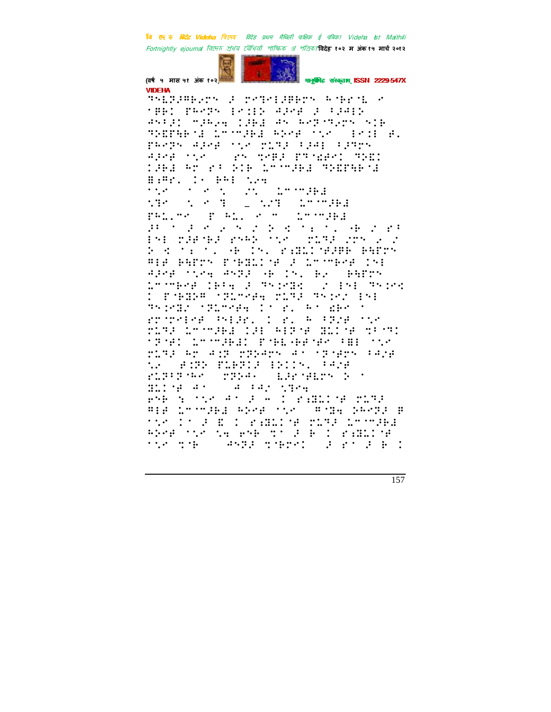

(वर्ष ५ मास ५१ अंक १०२) **VIDEHA** 

मानूबीह संस्कृताम् ISSN 2229-547X

SALBIANIS I PATAINNNA AGHACH A **THE PROPERTY EXIST ASSAULT FEALS** Anig: Make: 1982 An Angeler nik sporabio compao apresive l'erile. PROPRIADOR STOCK PLAN FORM FORPY aper the Core send random and 1981 An all Sie Loomsea Modreena Ber. In HH Ser **Service Strategies**  $\mathcal{L}(\mathcal{A})$ MP CACK TO LOWED AT THE PROCHE PASSAGE SCHOOL ਰਾਜ ਦੇ ਰਾਜ ਦੇ ਸ਼ਾਮਿਲ ਦਾ ਸਾਹਮਣਾ ਹੈ। ਇਸ ਲਾਭਾ<br>ਗਿਆ ਗਰਮ ਸਮਾਨ ਨਾਮਲ ਗਿਆ ਗਰਮ ਕਰਨ ਦਾ ਨ S a ti ti 4 b. Vanitěm kérk #F# BAPTS POBBLION & LTOTERE ISE ajegorieg asplojects. Bio jegors<br>18 meter (Brg 2 mstrg) – 191 mstra<br>1 moglem (Ploteg 2152 mstri 191 Things offered in E. Po den o rounded biar, Lor. R (200 time risk in mæld (2004) erste dilte skyst **MPART LOOPER PARAGEMENT PROJECT** ring ar au rhian a' 'n Gars' aan NA PERRAMANYA BRITS, PANE ruggener (rave) igroeine bo anije do sa tarstan.<br>Anestički dogom i ataktin prat #19 Loomand Aber over #234 bA233 # nie Inspélis Pragoine pour chronies<br>Abre vir in America a Boloragovie the mine of sample mineral content of a position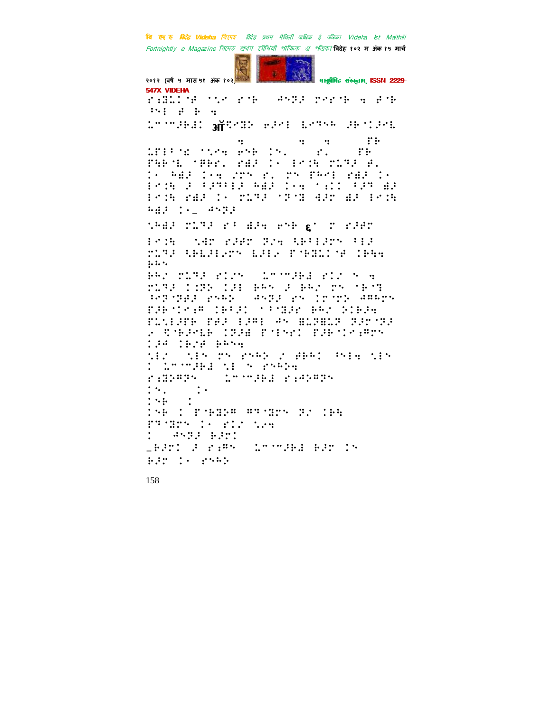बि एक रु मिनेट Videha विएक विदेह प्रथम मैथिली पाक्षिक ई पत्रिका Videha Ist Maithili Fortnightly e Magazine রিদেত প্রথম মৌথিনী পাক্ষিক প্রা পত্রিকা' **বিदेह : ১০२ म अंक १५ मार्च** 



ramine the resource restaurate

Lounded: Which edge Echie descarb  $\cdots$  $\dddot{\cdot}$  $\dddot{\mathbf{z}}$  $\sim 200$ LEFTE TOTE PRESING  $\mathcal{L}$ r. PARTE THREE REPORT FOR PLAY A. le additector plum parlimdit.<br>Erde d'Edmid additectivit Edmid POR PARTICULAR OF SURFACE POSS agricultura de de proposta de la contrata ther clark of electronic of clark Prim (195 page and the Second Con TING ABLILYTY LILE FARLING CHAN  $\ddot{p}$  in the set of  $\ddot{p}$ BRA MIRA BIANG IMUMABA BIANG SOB MITE CORPORATION AND CONTROL OF THE STATE OF THE STATE OF THE STATE OF THE STATE OF THE STATE OF THE STATE OF THE STATE OF THE STATE OF THE STATE OF THE STATE OF THE STATE OF THE STATE OF THE STATE OF THE STATE OF THE STAT Provincia and the series and the control design FAR MY HR (1973) (1973) PRY DIBA MAINE THE LUI AN HINES TO TH 2 STRAMER INFA PTINKI PARTIKARTN 194 1828 BRS4 **SALES TO PORT 2 HEAD PAIR NIN**  $\ddots$ Tirghand Press **COMMAND PROPER**  $\mathcal{L}$  :  $\mathbb{R} \mathbb{R}^n \mathbb{R}^n$  $\mathbb{R}^{n}$  $\mathbb{R}^2$  :  $\mathbb{R}^{n}$  $\sim$ isk fjeskape ensams oc 164 Program is all the

**Allen Constantine Constantine Constantine Constantine Constantine Constantine Constantine Constantine Constant** 

158

: 4522 BRT

 $\pm 0.001$   $\pm 0.001$ Bir is rub.

**547X VIDEHA** 

and for the second service of the second service of the second service of the series of the series of the seri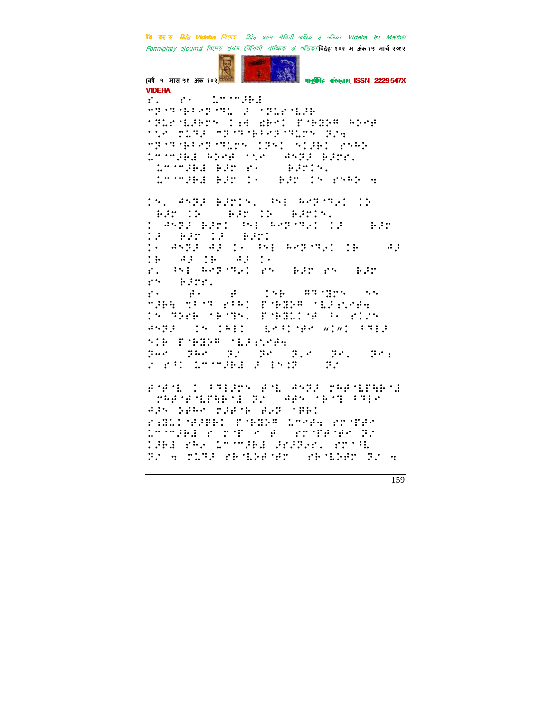

**VIDEHA** 

Loomaka Roma (120 - Anga Karr) dringed egg pa **SEPTER** LTOTABA BAT IS (BAT IN BNB) 4 In Sanga Barin, Sni Repersions **BEN 12 | BEN 12**  $\mathbb{R}^2$  :  $\mathbb{R}^2$  :  $\mathbb{R}^2$  : 1 ANDER BEDI (PNI) RHD MEI (18)  $\mathbb{R}^2$ 13 BRT 13 BRT1 1. Angl 43 1. He weekel is a 43 18 42 18 42 18 stel beginnet an searchan ear  $\mathbf{f}$ . ch bicc.  $\mathbf{r}$  .  $\mathbf{H}$  .  $\ddot{\mathbf{r}}$ Rapa di se plet formare officiene IN THE MEMPA POBBINE BY KINN  $4533 - 15 - 1411$ the property of the state of the state of the state of the state of the state of the state of the state of the **SIE FORDE OLIGVAR**  $\cdots$ 

FOR NO CONTRACTOR PORT AND POSSIBLE CAR **THE ENERGY ST Sagnon Sport Strip** APS NAME THAN AND THE radioeder roede innes roofen<br>1878 deur room na versprens di 1961 PRA LOOMBE SKARAK, KOSAE Br a ring senigener seniger Br a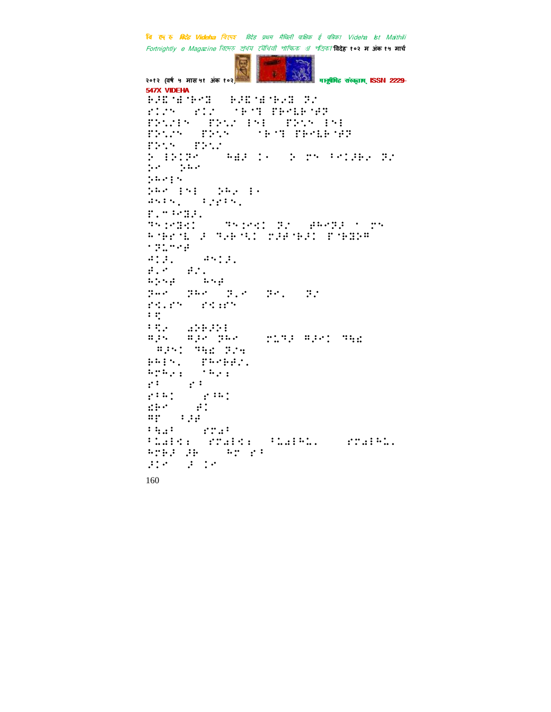```
Fortnightly e Magazine রিদেত প্রথম মৌথিনী পাক্ষিক ঐ পত্রিকা'বিदेह' १०२ म अंक १५ मार्च
                          \ddot{\boldsymbol{\Theta}}-२०१२ (वर्ष ५ मास ५१ अंक १०२) सम्बंधित अधिकारिक संस्कृतम् ISSN 2229-
547X VIDEHA 
⢷⢼⣏⣞⢷⣝!)⢷⢼⣏⣞⢷⢴⣝!⢽2*!
20.0% 20:20 20:20 20:20 20:20 20:20 20:20 20:20 20:20 20:20 20:20 20:20 20:20 20:20
000230 PM 230 PM 230 PM 23
0⢵⣁20!0⢵⣁0!)⢷⣙!0⢷⣇⢷⢾⢽*!
0000 0000
⢵!3⢵⢽!)!⢳⣞⢼!a-!⢵!!B⢼⢷⢴!⢽2*!
⢵0!⢵⢳!
\ddot{\textbf{y}} and \ddot{\textbf{y}} and \ddot{\textbf{y}}? 330 | 1911 | 1922 | 1933 | 1933 | 1933 | 1933 | 1933 | 1933 | 1933 | 1933 | 1933 | 1933 | 1933 | 1933 | 19
BSE Bernard Bernard Barnetts,
D. THER.<br>Property
                   ⢹⣈⣝⣊0!)⢹⣈⣊!⢽2.!⢾⢳⢽⢼!!!
⢳⢷ ⣇!⢼!⢹⢴⢷⣃!⢼⢾⢷⢼!0⢷⣝⢵⢻!
^{+11.7}_{-11.7}F = 45.724\theta, \theta = \theta = \theta = \theta = \thetabFeb. Per 2016 2016 202
\frac{1}{2} \frac{1}{2} \frac{1}{2} \frac{1}{2} \frac{1}{2} \frac{1}{2} \frac{1}{2} \frac{1}{2} \frac{1}{2} \frac{1}{2} \frac{1}{2} \frac{1}{2} \frac{1}{2} \frac{1}{2} \frac{1}{2} \frac{1}{2} \frac{1}{2} \frac{1}{2} \frac{1}{2} \frac{1}{2} \frac{1}{2} \frac{1}{2} \mathbf{B}B⣋⢴!)⣔⢵⢷⢼⢵3*!!
BJN | BJK 2BK | 262 | 262 | 262 |
 )⢻⢼!⢹⣓⣎!⢽2⣒*!
PHIN. 25-2FER.
\frac{1}{2}\mathcal{O}(\mathbb{R}^3) \cong \mathcal{O}(\mathbb{R}^3)B = B . B = B⣎⢷!.!⢾!
\frac{1}{2} \frac{1}{2}But that the state
Bïald: frabd: Bïalbï. frabbï.
HTP2 JP → HT f3
⢼.!⢼!!160
```
चि एत् रू मिन्हे Videha निएन्थ विदेह प्रथम मैथिली पाक्षिक ई पत्रिका Videha Ist Maithili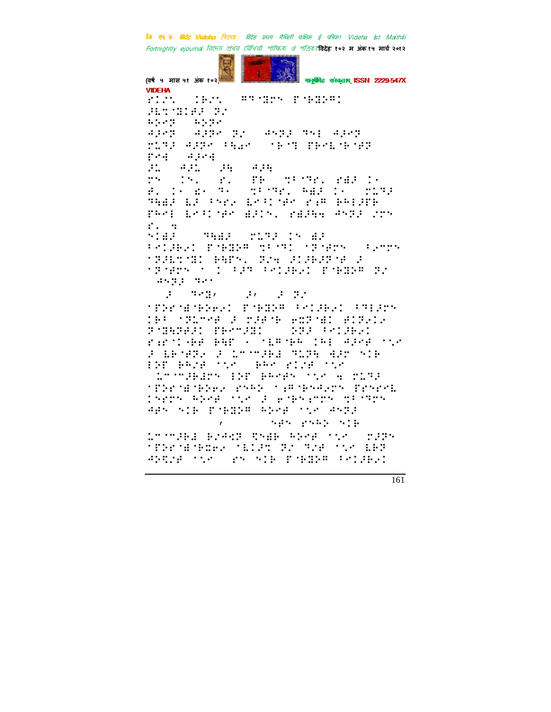

मानूबीह संस्कृताम् ISSN 2229-547X

**VIDEHA**  $f$ :  $f$ :  $f$ :  $f$ **CONSTRUCTION CONSTRUCTS SECTION BY**  $\mathbb{E}\left\{ \mathcal{P}\left(t\right) \right\} = \mathbb{E}\left\{ \mathcal{P}\left(t\right) \right\}$  $\mathcal{U}^{\mathcal{A}}_{\mathcal{A}}\mathcal{U}^{\mathcal{B}}_{\mathcal{A}}$ **AND TO AND THE AND** MITA APPROVEMENT CENT PERMITERS Press Aden  $\mathbb{R}^n = \mathbb{R}^n \cup \mathbb{R}^n$  $\mathbf{a}$  ,  $\mathbf{a}$  ,  $\mathbf{a}$  ,  $\mathbf{a}$ rn (1820) el (BB) d'Orel edici)<br>Al 16 de de Carolhel Adigogoggia Had al cyre architectum ancora PROF ESSUARY BRING PERMIT PNPR CON  $\mathbf{f}$ ,  $\mathbf{f}$ **THE TELL TO BE**  $\ddots$  : : : : PRIJERT POBOVA SPOSTO ODGANO  $\mathbf{r}$  ,  $\mathbf{r}$  ,  $\mathbf{r}$  ,  $\mathbf{r}$  ,  $\mathbf{r}$ 1996,1191 ANDS, P24 91969918 9<br>1918,111 1 991 911961 B1606 92  $\arg\max$  $\mathcal{L}$  $\mathbb{R} \cdot \mathbb{R}$  , こまん こまじまい **TERM NERVO EMPRESENTATORIAM** THE STARRE FOR HER WATER BITTER Gragger Persi (1982–1919)<br>Partier Bar (1985–1981–1982–199 a lengar a toonaka muak gar SIB.<br>Exportant na corrective na Communication (1980) Beauty (1990) a control **TENCHINGS CORPORATION CONTROL** there were the lower error roller 485 SIB POBBB BENK MAN 45BE Springship Sip  $\overline{I}$ Loomaal Brake Chap Abra otro (1995 **TERPHING TELPS BY THE TIP LEF** ANDRE STAR (25 SIE POBBER FALLER)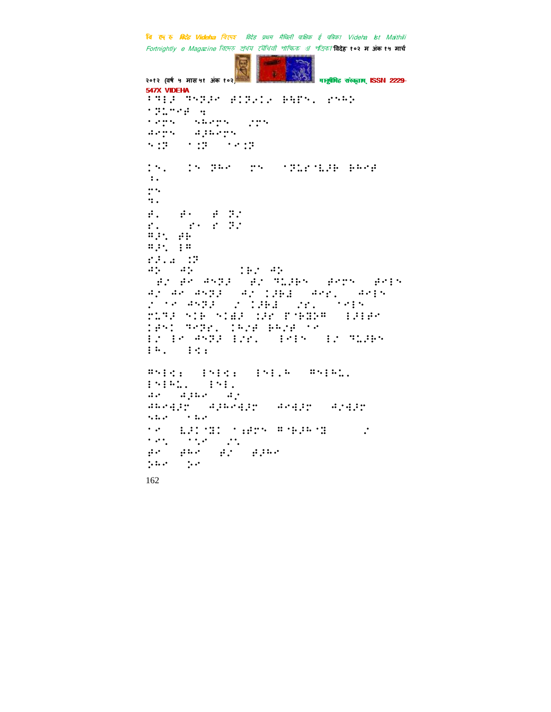```
चि एत् रू मिन्हे Videha निएन्थ विदेह प्रथम मैथिली पाक्षिक ई पत्रिका Videha Ist Maithili
Fortnightly e Magazine রিদেত প্রথম মৌথিনী পাক্ষিক ঐ পত্রিকা'বিदेह' १०२ म अंक १५ मार्च
                    \bigodotCOMPANY
२०१२ (वर्ष ५ मास ५१ अंक १०२) मानुसारी मानुसार संस्कृतम् ISSN 2229-
547X VIDEHA 
B⢹3⢼!⢹⢽⢼!⢾⢽⢴⢴!⢷⣓0F! ⢳⢵!
⢽⣅⢾*⣒!
- en allen en andere
deps djierps
\sim 0 \sim 0 \sim 0.000
IN, (18 PH) IN (1826-1888 BH)
\ddot{\phantom{0}}\cdots\ddot{\mathbf{a}} :
    √# # # #
 F!)! a! !⢽2*!
⢻⢼⣁!⢾⢷!
⢻⢼⣁!3⢻!
fi.a ∷P<br>a} a}
⊕P (⊕P (− 2P) (PP- ⊕2
!⢾20⢾!⢺⢽⢼.!⢾2!⢹⣅⢼⢷0!⢾0!⢾3!
BZ AP ANDE 'AZ 1961 'AP1. 'AP1N'
20!⢺⢽⢼.!2!⢼⢷⣜0!2 F0!30!
⣅⢹⢼!⢷!⣞⢼!⣈⢼ !0⢷⣝⢵⢻.!3⢼3⢾!
\frac{1}{2}P: FRP: 1929 FRP: 18
3203!⢺⢽⢼!32 F0!330!32!⢹⣅⢼⢷!
35.7 : 35.3SW: 0 33F O 33F O 33F O 33F O 33F O 33F O 33F O 33F O 33F O 33F O 33F O 33F O 33F O 33F O 33F O 33F O 33F O 33
134FE. 131.
de digne di
⢺⢳⣚⢼0!⢺⢼⢳⣚⢼0!⢺⣚⢼0!⢺2⣚⢼!!
where the trace
!) ) )<br>!Projections of the state of the state of the state of the state of the state of the state of the state of the<br>!
nen Tinge (dn.)<br>gebouwen
ge gae gro grae.<br>Sae se
      \mathbb{Z}162
```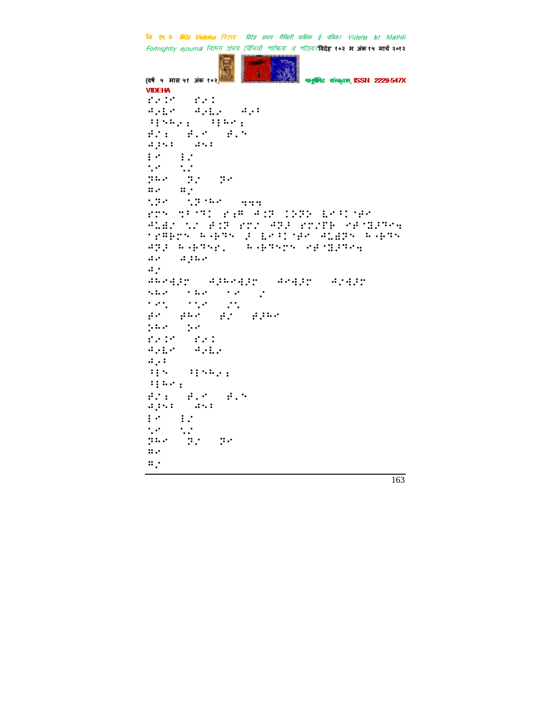```
Fortnightly ejournal রিদেহ প্রথম মৌথিনী পাক্ষিক প্র পত্রিকা'বিदेह १०२ म अंक१५ मार्च २०१२
                           0
                                    CONTRACTOR
(वर्ष ५ मास ५१ अंक १०२) मानुसार संस्कृताम् ISSN 2229-547X
VIDEHA 
 ⢴⣈0! ⢴⣈!!
⢺⢴⣇0!⢺⢴⣇⢴0!⢺⢴B!!!
⢸3⢳⢴⣐0!⢸3⢳⣐!!!
∄Zi ∄.n ∄.n
⢺⢼B0!⢺B!!
\begin{array}{ll} \mbox{13}\\ \mbox{22}\\ \mbox{33}\\ \mbox{44}\\ \mbox{55}\\ \mbox{76}\\ \mbox{87}\\ \mbox{88}\\ \mbox{99}\\ \mbox{100}\\ \mbox{110}\\ \mbox{122}\\ \mbox{133}\\ \mbox{146}\\ \mbox{150}\\ \mbox{160}\\ \mbox{17}\\ \mbox{18}\\ \mbox{19}\\ \mbox{19}\\ \mbox{19}\\ \mbox{19}\\ \mbox{19}\\ \mbox{19}\\ \mbox{19}\\ \mbox{19}\\ \mbox{19}\\ \mbox{19}\\ \mbox{19}\\ \mbox\mathcal{D}^{(0)} and \mathcal{D}^{(1)}⢽⢳0!⢽20!⢽!!
\mathbf{u}_2 = \mathbf{u}_2⣁⢽0!⣁⢽⢳!!⣒⣒⣒!!
 !⣉B⢹! ⣐⢻!⢺⣈⢽!⢵⢽⢵!⣇⢸⢾!
⢺⣅⣞2!⣁2!⢾⣈⢽! 2!⢺⢽⢼! 20⢷!⢾⣝⢼⢹⣒!
^{\prime} ) and ^{\prime} ( ^{\prime} ) and ^{\prime} ( ^{\prime} ) and ^{\prime} ( ^{\prime} ) and ^{\prime} ( ^{\prime} ) and ^{\prime} ( ^{\prime} ) and ^{\prime} ( ^{\prime} ) and ^{\prime} ( ^{\prime} ) and ^{\prime} ( ^{\prime} ) and ^{\prime} ( ^{\prime} ) and ^{\prime} ( ^⢺⢽⢼!⢳C⢷⢹ F-!⢳C⢷⢹!⢾⣝⢼⢹⣒!!!!
de different
\ddots⢺⢳⣚⢼0!⢺⢼⢳⣚⢼0!⢺⣚⢼0!⢺2⣚⢼!
when the control of
Ω 2012 €09
ge gre gre green<br>Sre se
           \mathbb{R}^D ⢴⣈0! ⢴⣈!
⢺⢴⣇0!⢺⢴⣇⢴0!!
\mathbf{a}.
⢸30!⢸3⢳⢴⣐0!!
33,33,43,43⢾2⣐0!⢾F0!⢾F!
⢺⢼B0!⢺B!
\begin{array}{ccc} \mathbb{P}^1 & \mathbb{P}^2 \\ \mathbb{P}^2 & \mathbb{P}^2 \end{array}\ddots⢽⢳0!⢽20!⢽!
\mathbf{u}.
::.
```
चि एत् रू मिन्हे Videha निएन्थ विदेह प्रथम मैथिली पाक्षिक ई पत्रिका Videha Ist Maithili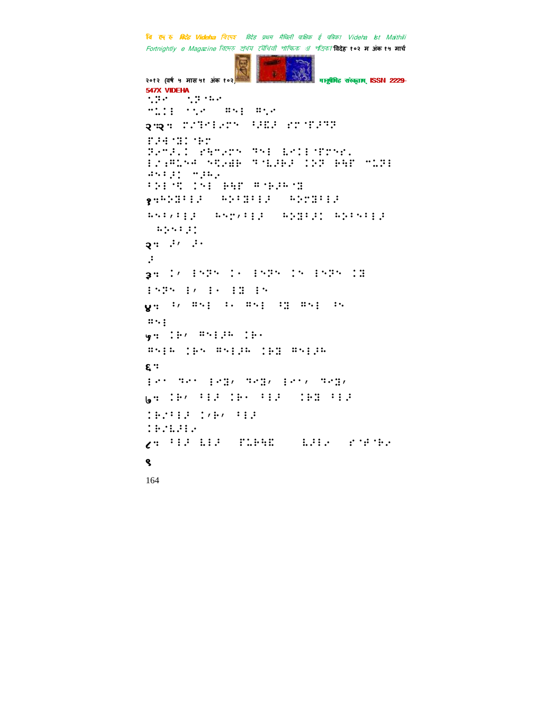```
चि एत् रू मिन्हे Videha निएन्थ विदेह प्रथम मैथिली पाक्षिक ई पत्रिका Videha Ist Maithili
Fortnightly e Magazine রিদেত প্রথম মৌথিনী পাক্ষিক ঐ পত্রিকা'বিदेह' १०२ म अंक १५ मार्च
                                 Separate
२०१२ (वर्ष ५ मास ५१ अंक १०२) मध्य मध्य मध्य मानुविधि संस्कृतम् ISSN 2229-
547X VIDEHA 
⣁⢽0!⣁⢽⢳!
⣅3!⣁0!⢻3!⢻⣁!
२७२ : 2334 : 234 : 235 : 235 : 235 : 235 : 235 : 235 : 235 : 235 : 235 : 235 : 235 : 235 : 235 : 235 : 235 : 2
0⢼⣚⣝⢷!!
SAMALI PROVINS AND EXIDENCY
32⣐⢻⣅⢺!⣋⢴⣞⢷!⢹⣇⢼⢷⢼!⢵⢽!⢷⣓0!⣅⢽3!
⢺B⢼!⢼⢳⢴;!
B⢵3⣋!3!⢷⣓0!⢻⢷⢼⢳⣝;!!!
१⣒⢳⢵⣝B3⢼0!⢳⢵B⣝B3⢼0!⢳⢵⣝B3⢼0!
B3, B3, B3, B , B , B3, B , B3, B , B , B , B , B , B , B , B , B , B , B , B , B , B , B , B , B , B , B , B , B , B , B , B , B , B , B , B , B , 
 0.5991312 \therefore \therefore\ddot{\cdot}३⣒!'!3⢽0a!3⢽0!3⢽0⣝!
3535 37 38 39 39
४⣒!⢸'!⢻30⢸a!⢻30⢸⣝!⢻30⢸!
3! \cdot 3!५. : 1990 - 1991 - 1992 - 1993 - 1993 - 1994 - 1994 - 1994 - 1994 - 1994 - 1994 - 1994 - 1994 - 1994 - 1994 - 1<br>1994 - 1995 - 1996 - 1997 - 1998 - 1999 - 1999 - 1999 - 1999 - 1999 - 1999 - 1999 - 1999 - 1999 - 1999 - 1999
B410 : 0 200 B410 : 0 200 B410 B410
\varepsilon :
300 Tel 3012, Tel, 3012, Tel,
b<sup>4</sup> : H3 + H3 + H3 + H3 + H3
⢷2B3⢼0'⢷'!B3⢼!0!
⢷2⣇⢼3⢴!!
८⣒!B3⢼!⣇3⢼!)0⣅⢷⣓⣏*-!⣇⢼3⢴!) ⢾⢷⢴*!
९
```

```
164
```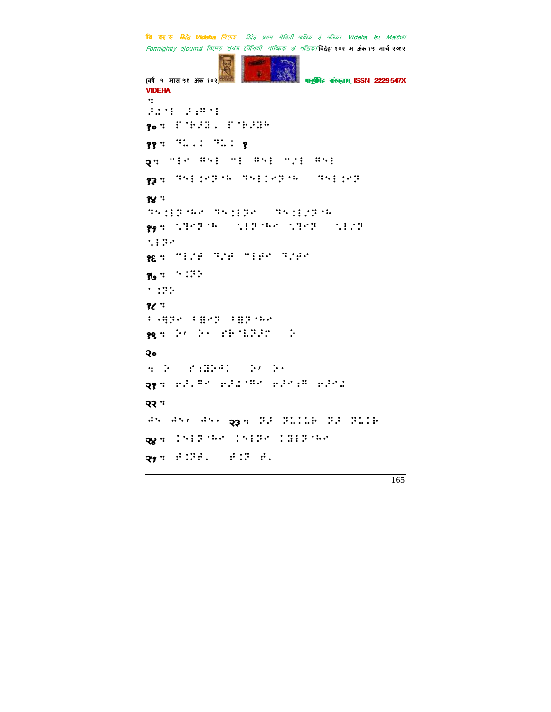(वर्ष ५ मास ५१ अंक १०२) मानुसीह संस्कृतम् ISSN 2229-547X VIDEHA  $\ddot{\cdot}$ ⢼⣌3!⢼⣐⢻3!! १०⣒!0⢷⢼⣝⣀!0⢷⢼⣝⢳!! ११ ॥ ॥ ॥ ॥ ॥ ॥ ॥ ॥ ॥ ॥ ॥ ॥ ॥ ॥ ॥ ! ! ? ! ! ? ! २⣒!3!⢻3!3!⢻3023!⢻3!! १३⣒!⢹3⣈⢽⢳!⢹3⢽⢳-!⢹3⣈⢽!! १४ : ⢹⣈3⢽⢳!⢹⣈3⢽0!⢹⣈32⢽⢳!! १५⣒!⣁⣙⢽⢳0!⣁3⢽⢳!⣁⣙⢽0!⣁32⢽0!  $\ddot{\phantom{0}}$ १६⣒!32⢾0⢹2⢾!3⢾0⢹2⢾!!  $g_{\mathsf{G}}$  :  $\ddots$  : : : : :  $^{\circ}$  :35  $36$  : BCO PERSON BY STREET १९ : २० : २० : २० : २० : २ २०  $\pm$  0  $\pm$  0  $\pm$  0.000  $\pm$  0.000  $\pm$  0.000  $\pm$ २१⣒!⢶⢼F⢻0⢶⢼⣌⢻!⢶⢼⣐⢻0⢶⢼⣌!! २२ :  $\frac{1}{2}$   $\frac{1}{2}$   $\frac{1}{2}$   $\frac{1}{2}$   $\frac{1}{2}$   $\frac{1}{2}$   $\frac{1}{2}$   $\frac{1}{2}$   $\frac{1}{2}$   $\frac{1}{2}$   $\frac{1}{2}$   $\frac{1}{2}$   $\frac{1}{2}$   $\frac{1}{2}$   $\frac{1}{2}$   $\frac{1}{2}$   $\frac{1}{2}$   $\frac{1}{2}$   $\frac{1}{2}$   $\frac{1}{2}$   $\frac{1}{2}$   $\frac{1}{2}$   $\$ २४ व अधिकारी अधिकारी अधिकारी प्राप्त करते हैं। २५ : ने में में से सा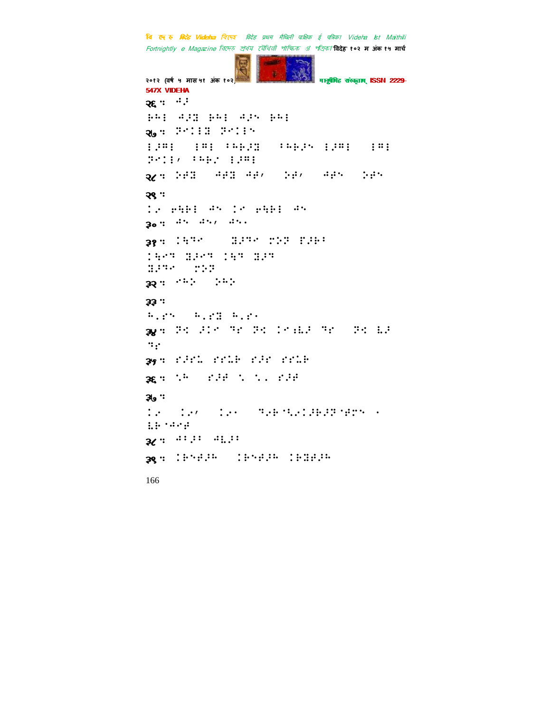```
चि एत् रू मिन्हे Videha निएन्थ विदेह प्रथम मैथिली पाक्षिक ई पत्रिका Videha Ist Maithili
 Fortnightly e Magazine রিদেত প্রথম মৌথিনী পাক্ষিক ঐ পত্রিকা'বিदेह' १०२ म अंक १५ मार्च
२०१२ (वर्ष ५ मास ५१ अंक १०२) मानुषी को अपनी मानुषी के संस्कृतम् ISSN 2229-
547X VIDEHA 
166
3\epsilon \ldots \ldots⢷⢳30⢺⢼⣝!⢷⢳30⢺⢼!⢷⢳3!!
२७ : ३०:३३ : ३०:३०
3⢼⢻30!3⢻3!B⢳⢷⢼⣝0!B⢳⢷⢼!3⢼⢻30!3⢻3!
 3'0B, PRES 1991
२८⣒!⢵⢾⣝0!⢺⢾⣝!⢺⢾'0!⢵⢾'0!⢺⢾0!⢵⢾!!
२९⣒!
 \ddotsc , while an intervals are
30 \frac{3}{2} \frac{3}{2} \frac{3}{2} \frac{3}{2} \frac{3}{2} \frac{3}{2} \frac{3}{2} \frac{3}{2} \frac{3}{2} \frac{3}{2} \frac{3}{2} \frac{3}{2} \frac{3}{2} \frac{3}{2} \frac{3}{2} \frac{3}{2} \frac{3}{2} \frac{3}{2} \frac{3}{2} \frac{3}{2} \frac{3}{2} \frac{3}{३१⣒!⣓⢹!0!⣝⢼⢹)⢵⢽!0⢼⢷B*!
 ⣓⢹0⣝⢼⢹0⣓⢹0⣝⢼⢹0!!
 \mathbb{R}. \mathbb{R}^n , \mathbb{R}^n३२⣒!⢳⢵0!⢵⢳⢵!!
33 .:
F_1 F_2 F_3 F_4 F_5 F_6 F_7 F_8 F_9 F_9 F_9३४⣒!⢽⣊!⢼!⢹ 0⢽⣊!⣐⣇⢼!⢹ 0!⢽⣊!⣇⢼!
 " :
३५ : २००६ राजी राजी राजी
३६⣒!⣁⢳0! ⢼⢾!⣁0⣁⣀0 ⢼⢾!!
३७ :
 \mathcal{L} , \mathcal{L} , \mathcal{L} , \mathcal{L} , \mathcal{L} , \mathcal{L} , \mathcal{L} , \mathcal{L} , \mathcal{L} , \mathcal{L} , \mathcal{L} , \mathcal{L} , \mathcal{L} , \mathcal{L} , \mathcal{L} , \mathcal{L} , \mathcal{L} , \mathcal{L} , \mathcal{L} , \mathcal{L} , \⣇⢷⢺⢾*!!
36 : \frac{33}{20} : \frac{33}{20} : \frac{33}{20} : \frac{33}{20} : \frac{33}{20} : \frac{33}{20} : \frac{33}{20} : \frac{33}{20} : \frac{33}{20} : \frac{33}{20} : \frac{33}{20} : \frac{33}{20} : \frac{33}{20} : \frac{33}{20} : \frac{33}{20} : \frac{३९⣒!⢷⢾⢼⢳0!⢷⢾⢼⢳!⢷⣝⢾⢼⢳!!
```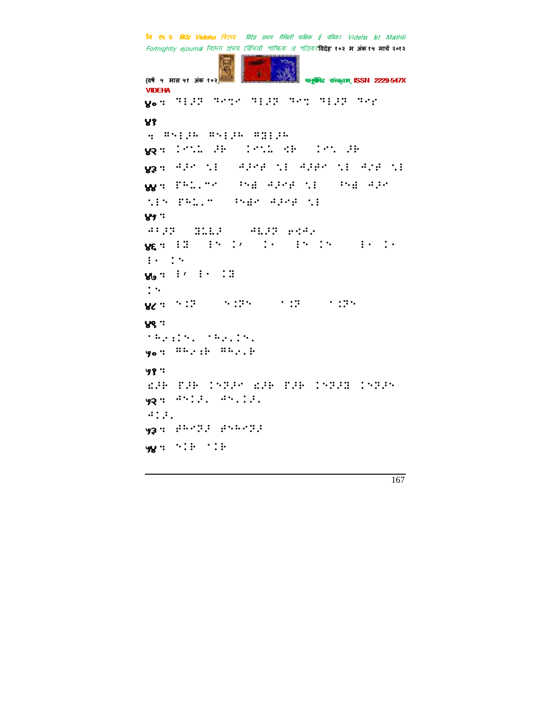**Separate** 

```
(वर्ष ५ मास ५१ अंक १०२) साल करते हैं कि अपनी अक्टूब्रिट संस्कृताम् ISSN 2229-547X
VIDEHA 
४०⣒!⢹3⢼⢽!⢹⣉!⢹3⢼⢽!⢹⣉0⢹3⢼⢽!⢹ !!
४१
⣒!⢻3⢼⢳!⢻3⢼⢳0⢻⣝3⢼⢳!!
४२⣒!⣁⣅!⢼⢷0!⣁⣅!⣊⢷0!⣁!⢼⢷!!
४३⣒!⢺⢼!⣁30!⢺⢼⢾!⣁3!⢺⢼⢾!⣁30⢺2⢾!⣁3!!
४४⣒!0⢳⣅F0!⢸⣞!⢺⢼⢾!⣁30!⢸⣞!⢺⢼!
⣁3!0⢳⣅F0!⢸⣞!⢺⢼⢾!⣁3!!
\mathbf{y} \mathbf{y} :
⢺B⢼⢽!)⣝⣅⣇⢼*0!⢺⣇⢼⢽)⢶⣊⢺⢴*!!
४६⣒!3⣝0!3!'0!a0!3!!0!3a!a0!
34.334y_0: 'x : ' : ' : ' : ''\mathbb{R} :
४८⣒!⣈⢽!0!⣈⢽!0!⣈⢽!0!⣈⢽!!
४९⣒!!
⢳⢴⣐F!⢳⢴FF!!
५०⣒!⢻⢳⢴⣐⢷!⢻⢳⢴F⢷!!
५१ "
⣎⢼⢷!0⢼⢷!⢽⢼!⣎⢼⢷!0⢼⢷!⢽⢼⣝0⢽⢼!!
५२ : <sup>45</sup>13. 45.13.
\mathbf{f}:
५३⣒!⢾⢳⢽⢼!⢾⢳⢽⢼!!
५४ : ५ : १९३१ : १९३१
```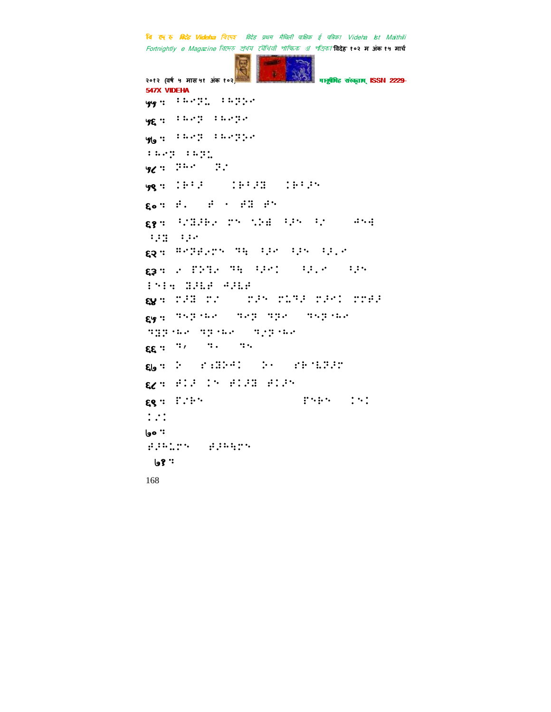```
Fortnightly e Magazine রিদেত প্রথম মৌথিনী পাক্ষিক ঐ পত্রিকা'বিदेह' १०२ म अंक १५ मार्च
२०१२ (वर्ष ५ मास ५१ अंक १०२ मार्ग को सामग्री को मानुषीरि संस्कृताम् ISSN 2229-
547X VIDEHA 
168
५५⣒!B⢳⢽⣅!B⢳⢽⢵!!
५६⣒!B⢳⢽!B⢳⢽!!
y_0: \cdots \cdots \cdots \cdotsBest Best
५८ : <sup>220</sup> : 22
५९⣒!⢷B⢼!0!⢷B⢼⣝0!⢷B⢼!!
६०° में निकाल की प्राप्त है।<br>प्राप्त है कि प्राप्त है कि प्राप्त है कि प्राप्त है।
६१⣒!⢸2⣝⢼⢷⢴!!⣁⢵⣞.⢸⢼0⢸20-!⢺⣚.
⢸⢼⣝0⢸⢼-!!
६२⣒!⢻⢽⢾⢴!⢹⣓!⢸⢼0⢸⢼0⢸⢼F!!!
६३⣒!⢴!0⢵⣙⢴!⢹⣓!⢸⢼0!⢸⢼F0!⢸⢼0!
33⣒!⣝⢼⣇⢾!⢺⢼⣇⢾!!
६४⣒!⢼⣝!2!0!⢼!⣅⢹⢼!⢼!⢾⢼!!
६५⣒!⢹⢽⢳0!⢹⢽!⢹⢽0!⢹⢽⢳0!
⢹⣝⢽⢳!⢹⢽⢳0!⢹2⢽⢳!!
g_{\xi} : \dddot{a}_{\xi} : \dddot{a}_{\xi} : \dddot{a}_{\xi} : \dddot{a}_{\xi}६७⣒!⢵!) ⣐⣝⢵⢺*!⢵a!) ⢷⣇⢽⢼*!!
६८⣒!⢾⢼!!⢾⢼⣝!⢾⢼!!
६९ में 1920 के लिए प्रति का अपनी कारण करने के लिए प्रति का अपनी करने के लिए प्रति का अपनी करने के लिए प्रति क
\mathbf{?}७०⣒!
⢾⢼⢳⣅0!⢾⢼⢳⣓!!
'' १७
```
चि एत् रू मिन्हे Videha निएन्थ विदेह प्रथम मैथिली पाक्षिक ई पत्रिका Videha Ist Maithili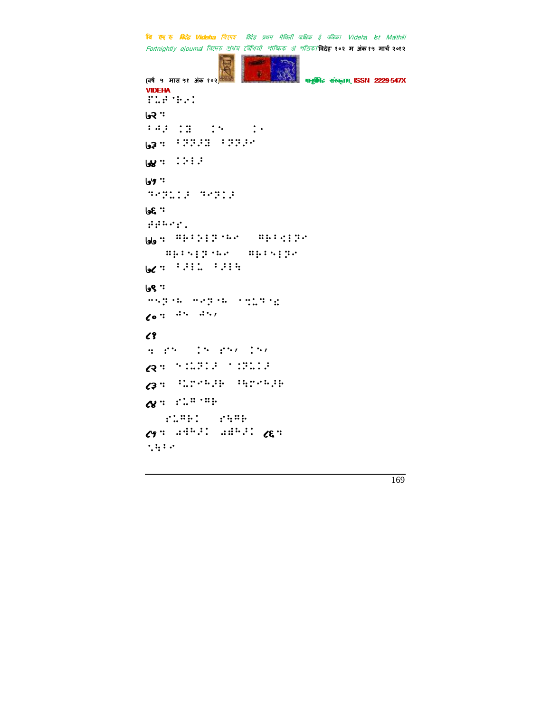(वर्ष ५ मास ५१ अंक १०२) मान<sup>ुष्क</sup>े अधिकारिक संस्कृताम् ISSN 2229-547X VIDEHA 0⣅⢾⢷⢴!! '' हे Best 2010 19:00 19:00 19:00 19:00 19:00 19:00 19:00 19:00 19:00 19:00 19:00 19:00 19:00 19:00 19:00 19:00 19:0 ७३⣒!B⢽⢽⢼⣝0B⢽⢽⢼!!  $\mathbf{S}$  :  $\mathbf{S}$ ७५⣒!! ⢹⢽⣅⢼!⢹⢽⢼!! '' ઉે ⢾⢾⢳ F!! ७७ अति अस्ति । अस्ति अस्ति अस्ति अस्ति अस्ति । अस्ति अस्ति अस्ति अस्ति अस्ति अस्ति अस्ति अस्ति अस्ति अस्ति अस् !!⢻⢷B3⢽⢳0!⢻⢷B3⢽!!  $66$  :  $33311$  $\mathcal{S}$ وا ⢽⢳!⢽⢳)⣉⣅⢹⣎\*!!  $\zeta$ o $\mathbb{R}^{n+1}$   $\mathbb{R}^{n}$   $\mathbb{R}^{n}$ ८१ H 25 (15 25) 15) ८२⣒!⣈⣅⢽⢼!⣈⢽⣅⢼!! ८३⣒!⢸⣅⢳⢼⢷!⢸⣓⢳⢼⢷!!  $\alpha$  :  $\mathbb{C}$   $\mathbb{C}$   $\mathbb{C}$ 0! ⣅⢻⢷0! ⣓⢻⢷!! ८५⣒!⣔⣚⢳⢼!⣔⣞⢳⢼!८६⣒!  $\gamma$  is in  $\beta$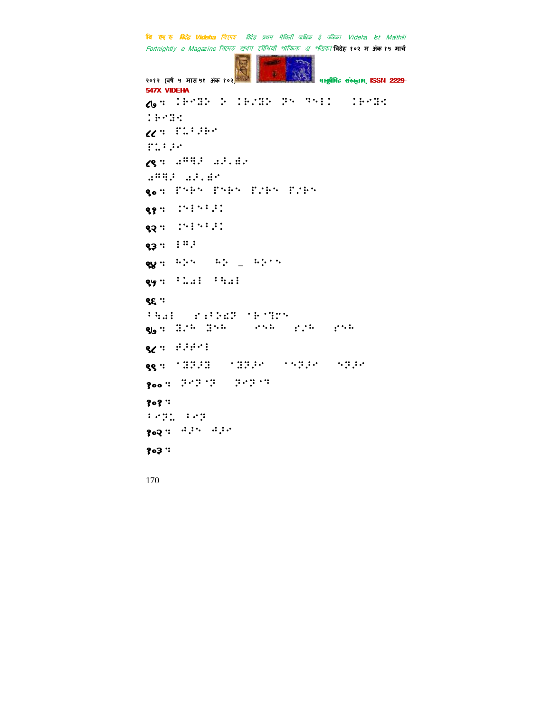```
चि एत् रू मिन्हे Videha निएन्थ विदेह प्रथम मैथिली पाक्षिक ई पत्रिका Videha Ist Maithili
Fortnightly e Magazine রিদেত প্রথম মৌথিনী পাক্ষিক ঐ পত্রিকা'বিदेह' १०२ म अंक १५ मार्च
                                        Separate
२०१२ (वर्ष ५ मास ५१ अंक १०२) मानुसार मानुसार संस्कृतम् ISSN 2229-
547X VIDEHA 
८७⣒!⢷⣝⢵0⢵!⢷2⣝⢵!⢽!⢹3!0⢷⣝⣊.
⢷⣝⣊!!
\alpha : \mathbb{R}^{11} : \mathbb{R}^{11}0⣅B⢼!!
८९⣒!⣔⢻⣛⢼.⣔⢼F⣞⢴!
⣔⢻⣛⢼.⣔⢼F⣞!!
९०९ Fren Fren Fren Fren
९१ : '' '' '' '' '
\sqrt{3} \sqrt{3} \sqrt{3} \sqrt{3} \sqrt{3} \sqrt{3} \sqrt{3} \sqrt{3} \sqrt{3} \sqrt{3} \sqrt{3} \sqrt{3} \sqrt{3} \sqrt{3} \sqrt{3} \sqrt{3} \sqrt{3} \sqrt{3} \sqrt{3} \sqrt{3} \sqrt{3} \sqrt{3} \sqrt{3} \sqrt{3} \sqrt{3} \sqrt{3} \sqrt{3} \sqrt{3९३⣒!3⢻⢼!!
९४ अप्रैले का अप्रैल प्राप्त करने के अनुसार प्राप्त करने के अनुसार प्राप्त करने के अनुसार प्राप्त करने के अनुस<br>जनसङ्ख्या
१५ : 'bai
९६ :
Bai de Santa Constantino
९७ : 225 : 256 : 256 : 276 : 256
\mathsf{S} \mathcal{C} : \mathsf{S} \mathcal{C} : \mathsf{S} \mathcal{C}९९⣒!⣝⢽⢼⣝.!⣝⢽⢼0!⢽⢼0!⢽⢼!!
१०० : २०३०३ - २०३० :
१०१ :
Begin 199
803 : \frac{11}{20} : \frac{11}{20}१०३ :
170
```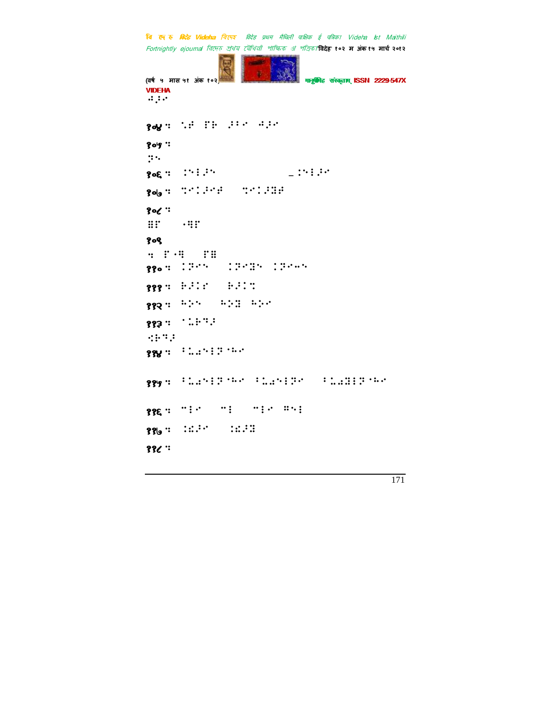```
चि एत् रू मिन्हे Videha निएन्थ विदेह प्रथम मैथिली पाक्षिक ई पत्रिका Videha Ist Maithili
Fortnightly ejournal রিদেহ প্রথম মৌথিনী পাক্ষিক প্র পত্রিকা'বিदेह १०२ म अंक१५ मार्च २०१२
(वर्ष ५ मास ५१ अंक १०२) मानुसीह संस्कृतम् ISSN 2229-547X
VIDEHA 
\mathcal{A}jo!) jo ejggfsfou tfotfolken i staten i staten i staten i staten i staten i staten i staten i staten i
१०४ मा अस्ति । अस्ति । अस्ति । अस्ति । अस्ति । अस्ति । अस्ति । अस्ति । अस्ति । अस्ति । अस्ति । अस्
१०५ :
\mathbf{B}१०६⣒!⣈3⢼!)qmbz*!–⣈3⢼!!
१०७⣒!⣉⢼⢾.!⣉⢼⣝⢾!!
१०८\cdot :
⣟0.!C⣛0!!
१०९
⣒!0C⣛.!0⣟!!
१९०० : २००९ : २००० : २०००
१११⣒!⢷⢼ .!⢷⢼⣉!!
११२⣒!⢳⢵0!⢳⢵⣝!⢳⢵!!
883 :: '.........⣊⢷⢹⢼!!
98११५⣒!B⣅⣔3⢽⢳0B⣅⣔3⢽0!B⣅⣔⣝3⢽⢳!
११६ में 31. 30 जाती है। 30 जाती है कि अपनी कार्य के बाद से अपनी कार्य के बाद से अपनी कार्य क
११७⣒!⣈⣎⢼.!⣈⣎⢼⣝!!
38C :
```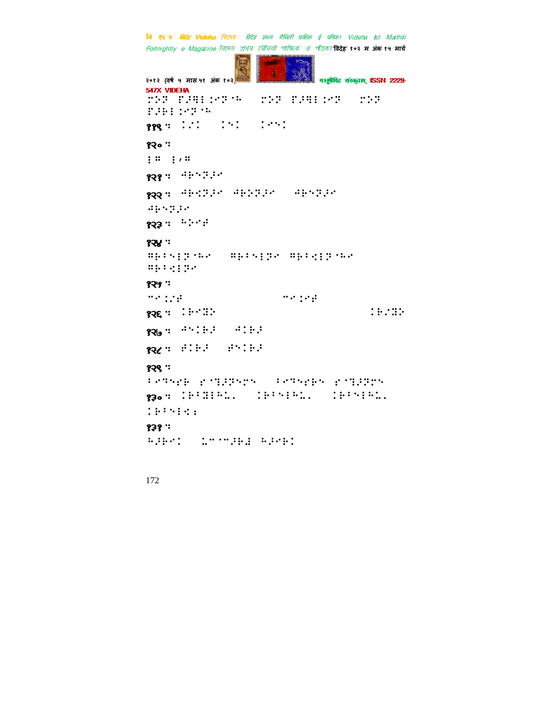Fortnightly e Magazine রিদেত প্রথম মৌথিনী পাক্ষিক ঐ পত্রিকা**'বিदेह' १०२ म अंक १५ मार्च Country** २०१२ (वर्ष ५ मास ५१ अंक १०२) मानुसार में भागूबीमेह संस्कृतम् ISSN 2229-547X VIDEHA ⢵⢽!0⢼⣛3⣈⢽⢳0!⢵⢽!0⢼⣛3⣈⢽0!⢵⢽! 0⢼⢷3⣈⢽⢳!!  $889 : 221 : 221 : 221 : 2221 : 2221 : 2221 : 2221 : 2221 : 2221 : 2221 : 2221 : 2221 : 2221 : 2221 : 2221 : 2221 : 2221 : 2221 : 2221 : 2221 : 2221 : 2221 : 2221 : 2221 : 2221 : 2221 : 2221 : 2221 : 2221 : 2221 : 2221 : 2221 : 2221 : 2221 : 2221 : 2221 : 22$ १२०⣒!  $3 \cdot 3 \cdot 3 \cdot 1$ १२१⣒!⢺⢷⢽⢼!! १२२⣒!⢺⢷⣊⢽⢼!⢺⢷⢵⢽⢼.!⢺⢷⢽⢼0! ⢺⢷⢽⢼!!  $833 ::$  :  $\ldots$ : १२४ ः ⢻⢷B3⢽⢳0!⢻⢷B3⢽!⢻⢷B⣊3⢽⢳0! ⢻⢷B⣊3⢽!!  $33.3$ ⣈2⢾.!)up!uftu\*⣈⢾!! १२६ : २००१ : २००१ : २००१ : २००१ : २००१ : २००१ : २००१ : २००१ : २००१ : २००१ : २००१ : २००१ : २००१ : २००१ : २००१ :  $92\frac{1}{9}$  :  $\frac{1}{9}$  :  $\frac{1}{9}$  :  $\frac{1}{9}$  :  $\frac{1}{9}$  :  $\frac{1}{9}$  :  $\frac{1}{9}$  :  $\frac{1}{9}$  :  $\frac{1}{9}$  :  $\frac{1}{9}$  :  $\frac{1}{9}$  :  $\frac{1}{9}$  :  $\frac{1}{9}$  :  $\frac{1}{9}$  :  $\frac{1}{9}$  :  $\frac{1}{9}$  :  $\frac{1}{9}$  :  $\frac{1}{9}$  :  $\frac$ १२८ : निर्मित सम्मान १२९ : BØRGE ØSTERNEN SARNEN ESTERN १३०⣒!⢷B⣝3⢳⣅F0!⢷B3⢳⣅F0!⢷B3⢳⣅F! ⢷B3⣊⣐!! १३१ : ⢳⢼⢷!)⣅⢼⢷⣜!⢳⢼⢷\*!!

चि एत् रू मिन्हे Videha निएन्थ विदेह प्रथम मैथिली पाक्षिक ई पत्रिका Videha Ist Maithili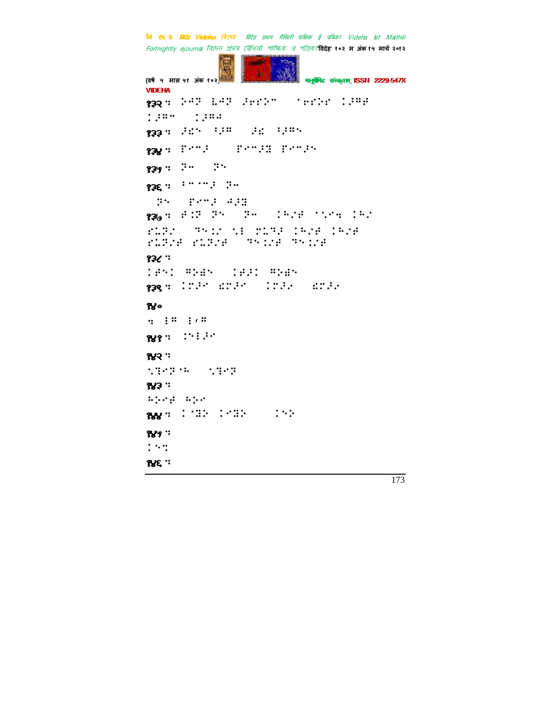**CONTRACTOR** (वर्ष ५ मास ५१ अंक १०२) मान<sup>ुष्ट</sup>े मानुष्टीह संस्कृताम् ISSN 2229-547X VIDEHA १३२⣒!⢵⢺⢽!⣇⢺⢽!⢼⢶ ⢵0!⢶ ⢵ !⢼⢻⢾0! ⢼⢻0!⢼⢻⢺! १३३ : २००९ महिला हिंदी महिला १३४⣒!0⢼!0!0⢼⣝00⢼!!  $334 : "..."$ १३६ : '''''' : 7 )⢽\*!0⢼!⢺⢼⣝!! १३७⣒!⢾⣈⢽!⢽!)⢽⢲\*!⢳2⢾!⣁⣒!⢳20! ⣅⢽20!⢹⣈2!⣁3!⣅⢹⢼!⢳2⢾.⢳2⢾0! ⣅⢽2⢾. ⣅⢽2⢾0!⢹⣈2⢾.⢹⣈2⢾! १३८ :  $^{\circ}$   $^{\circ}$   $^{\circ}$   $^{\circ}$   $^{\circ}$   $^{\circ}$   $^{\circ}$   $^{\circ}$   $^{\circ}$   $^{\circ}$   $^{\circ}$   $^{\circ}$   $^{\circ}$   $^{\circ}$   $^{\circ}$   $^{\circ}$   $^{\circ}$   $^{\circ}$   $^{\circ}$   $^{\circ}$   $^{\circ}$   $^{\circ}$   $^{\circ}$   $^{\circ}$   $^{\circ}$   $^{\circ}$   $^{\circ}$   $^{\circ}$   $^{\circ}$   $^{\circ}$   $^{\circ}$   $^{\circ}$ १३९ : २००९ : 2009 : 2009 : 2009 : 2009 : 2009 : 2009 : 2009 : 2009 : 2009 : 2009 : 2009 : 2009 : 2009 : 2009 : १४० ⣒!3⢻!3'⢻!!  $883$  :  $3983$ १४२ : ⣁⣙⢽⢳0!⣁⣙⢽!! १४३⣒!!  $\begin{bmatrix} 1 & 0 & 0 \\ 0 & 0 & 0 \\ 0 & 0 & 0 \\ 0 & 0 & 0 \\ 0 & 0 & 0 \\ 0 & 0 & 0 \\ 0 & 0 & 0 \\ 0 & 0 & 0 \\ 0 & 0 & 0 & 0 \\ 0 & 0 & 0 & 0 \\ 0 & 0 & 0 & 0 \\ 0 & 0 & 0 & 0 & 0 \\ 0 & 0 & 0 & 0 & 0 \\ 0 & 0 & 0 & 0 & 0 \\ 0 & 0 & 0 & 0 & 0 & 0 \\ 0 & 0 & 0 & 0 & 0 & 0 \\ 0 & 0 & 0 & 0 & 0 & 0 \\ 0 & 0 &$ १४४⣒!⣝⢵!⣝⢵!0!⢵!! १४५ :  $: \cdot$  : १४६ : 173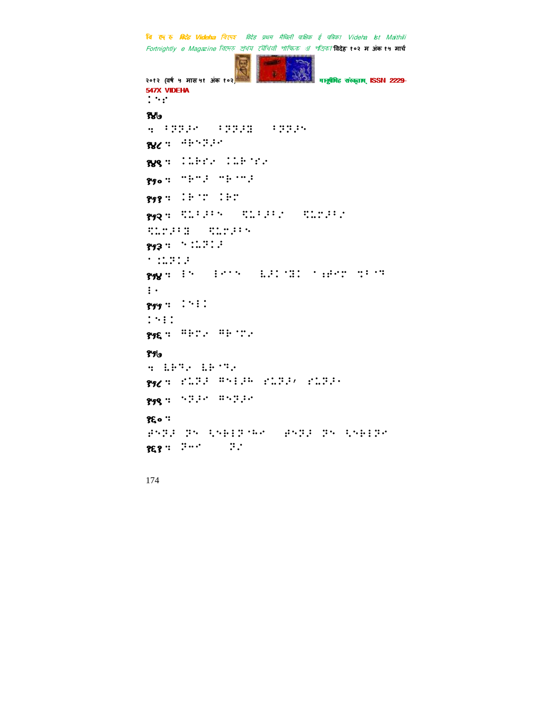```
चि एत् रू मिन्हे Videha निएन्थ विदेह प्रथम मैथिली पाक्षिक ई पत्रिका Videha Ist Maithili
Fortnightly e Magazine রিদেত প্রথম মৌথিনী পাক্ষিক ঐ পত্রিকা'বিदेह' १०२ म अंक १५ मार्च
२०१२ (वर्ष ५ मास ५१ अंक १०२) मानुष्य कर देखे मानुवीपित संस्कृतम् ISSN 2229-
547X VIDEHA 
: \cdot :१४७
⣒!B⢽⢽⢼0!B⢽⢽⢼⣝0!B⢽⢽⢼!!
१४८ : निर्माणि
१४९ : अंग्रेसेटर अधिकार
990: ": ": ": ": ": ": ":१५१ : !! : : : : : : :
१५२⣒!⣋⣅B⢼B0!⣋⣅B⢼B20!⣋⣅⢼B2!
⣋⣅⢼B⣝0!⣋⣅⢼B!!
343 \cdot \cdot \cdot \cdot \cdot \cdot \cdot\cdot ::::::
१५४⣒!30!3!)⣇⢼⣝!⣐⢾!⣉B⢹*.!
\vdots399 : 30 : 30 : 30::::
१७६ : <sup>#88</sup>% #89%
१५७
⣒!⣇⢷⢹⢴!⣇⢷⢹⢴!!
१५८ : २०३३ : २५ : २५ : २०३३ : २५३३
१५९ : ५३.३० : ३५३.३०
१६०⣒!
⢾⢽⢼!⢽!⣃⢷3⢽⢳0!⢾⢽⢼!⢽!⣃⢷3⢽!!
१६१ : २००१ : २२
```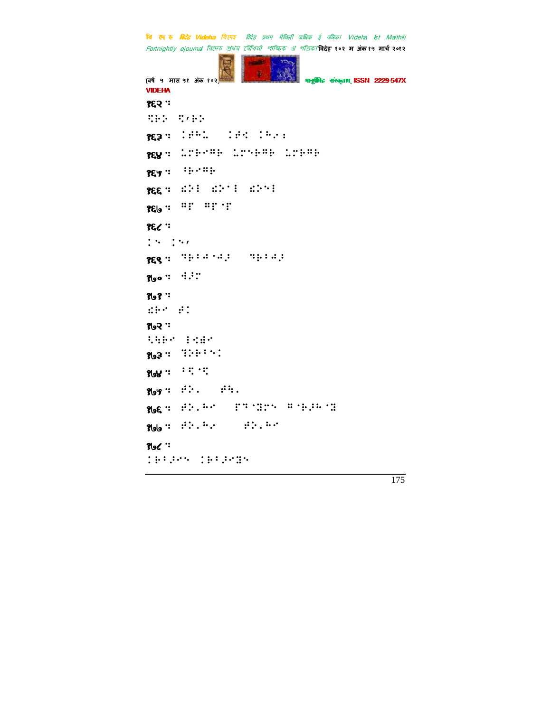(वर्ष ५ मास ५१ अंक १०२) मानुसीह संस्कृतम् ISSN 2229-547X VIDEHA १६२ : **THE U.S.** १६३ : २००९ : २००९ : २००९ : २००९ : २००९ : २००९ : २००९ : २००९ : २००९ : २००९ : २००९ : २००९ : २००९ : २००९ : २००९ : १६४⣒!⣅⢷⢻⢷.⣅⢷⢻⢷!⣅⢷⢻⢷!!  $\mathcal{H}$ १६६⣒!⣎⢵30⣎⢵3!⣎⢵3!!  $R_{0}$ :  $\dddot{ }$  :  $\dddot{ }$  :  $\dddot{ }$  :  $\dddot{ }$  :  $\dddot{ }$  : :  $35<sup>2</sup>$  $\mathbb{R}^n$  :  $\mathbb{R}^n$ १६९ में में में में में में में अपने प्राप्त करते  $g_{\theta}$  $\circ$  :  $\therefore$ १७१ : ⣎⢷!⢾!! १७२ : SHEP ESSEE  $g_{0}$ ३ :  $\ddots$ :  $908$  :  $\therefore$  :  $y_9y ::$   $\vdots$ :  $\vdots$ १७६ : २२००० - २००१ : २००१ : २००१ : २००१ : २००१ : २००१ : २००१ : २००१ : २००१ : २००१ : २००१ : २००१ : २००१ : २००१ : २०  $\mathcal{B}$ १७८⣒! **CBF2PN CBF2PHP**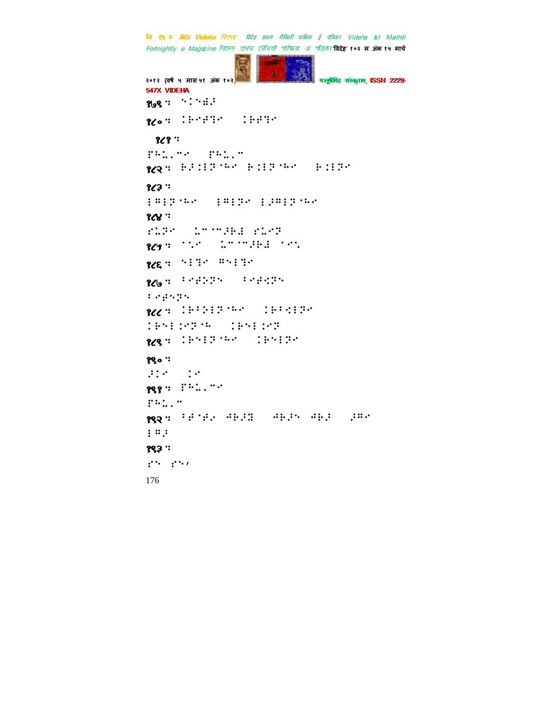```
चि एत् रू मिन्हे Videha निएन्थ विदेह प्रथम मैथिली पाक्षिक ई पत्रिका Videha Ist Maithili
Fortnightly e Magazine রিদেত প্রথম মৌথিনী পাক্ষিক ঐ পত্রিকা'বিदेह' १०२ म अंक १५ मार्च
                                           Separate
२०१२ (वर्ष ५ मास ५१ अंक १०२) मध्य मध्य मध्य मानुविधि संस्कृतम् ISSN 2229-
547X VIDEHA 
g_{\theta}g: \therefore \therefore \therefore \therefore१८०⣒!⢷⢾⣙!0⢷⢾⣙!!
 363 :
The Palest
१८२ : २०२० अधिकारी समाप्त कारण
32:3⢻3⢽⢳0!3⢻3⢽!3⢼⢻3⢽⢳!!
3<sup>2</sup> ⣅⢽!)⣅⢼⢷⣜! ⣅⢽*!!
१८५ : 100 : 100 : 100 : 100
8\angle 6 : 3\div 1\div 1\div 1\div 18८७ : \frac{1}{2} \frac{1}{2} \frac{1}{2} \frac{1}{2} \frac{1}{2} \frac{1}{2} \frac{1}{2} \frac{1}{2} \frac{1}{2} \frac{1}{2} \frac{1}{2} \frac{1}{2} \frac{1}{2} \frac{1}{2} \frac{1}{2} \frac{1}{2} \frac{1}{2} \frac{1}{2} \frac{1}{2} \frac{1}{2} \frac{1}{2} \fracB⢾⢽!!
१८८⣒!⢷B⢵3⢽⢳0!⢷B⣊3⢽0!
⢷3⣈⢽⢳0!⢷3⣈⢽!!
१८९ : 19733 : 1973 : 1974
१९०⣒!!
FD 015
१९१ : "-"...
ration
१९२८ ! BOY PARTS . BUT . BUT . BUT . BUT . BUT . BUT . BUT . BUT . BUT . BUT . BUT . BUT . BUT . BUT . BUT . BUT . BUT . BUT . BUT . BUT . BUT . BUT . BUT . BUT . BUT . BUT . BUT . BUT . BUT . BUT . BUT . BUT . BUT . BUT . 
3.4^{\circ}१९३⣒!!
\mathbf{r}^{\prime\prime} \mathbf{r}^{\prime\prime}176
```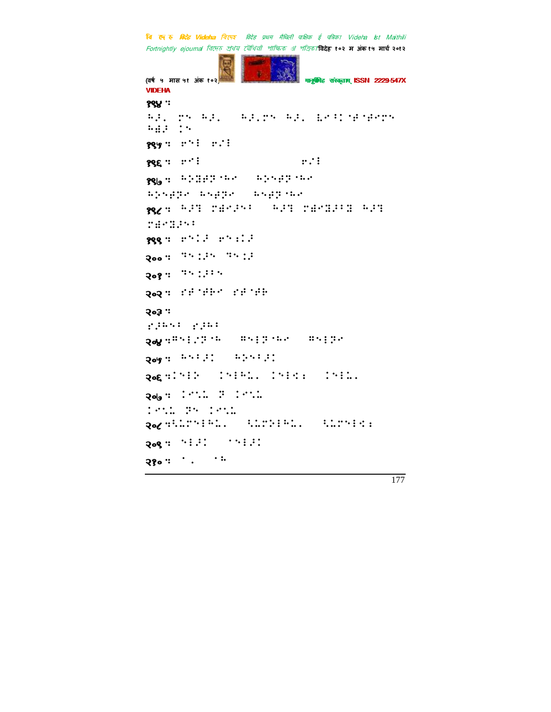```
(वर्ष ५ मास ५१ अंक १०२) मानुसार संस्कृताम् ISSN 2229-547X
VIDEHA 
१९४ :
⢳⢼F!!⢳⢼F!)⢳⢼F!⢳⢼F!⣇⢸⢾⢾!
WED : 49
899 : " "" : " 3\mathsf{PSE} : \mathsf{S}^2 : \mathsf{S}^3१९७⣒!⢳⢵⣝⢾⢽⢳0!⢳⢵⢾⢽⢳0!
⢳⢵⢾⢽0⢳⢾⢽0!⢳⢾⢽⢳!!
१९८⣒!⢳⢼⣙!⣞⢼B0!⢳⢼⣙!⣞⣝⢼B⣝0⢳⢼⣙!
⣞⣝⢼B!!
१९९⣒!⢶⢼!⢶⣐⢼!!
२०० : २०० : २०० : २०० : २०० : २०० : २०० : २०० : २० : २० : २० : २० : २० : २० : २० : २० : २० : २० : २० : २० : २० : २० : २० : २० : २० : २० : २० : २० : २० : २० : २० : २० : २० : २० : २० : २० : २० : २० : २० : २० : २० : २० : २० :
308 : ...२०२⣒! ⢾⢾⢷! ⢾⢾⢷!!
२०३⣒!!
 ⢼⢳B! ⢼⢳B!!
२०४ प्रमाणि उपाध्या प्रभावित सम्बद्धाः स्टब्स्<br>स्टब्स्
२०५ : <sup>Bot</sup> : Bill : Bill : B
२०६ अमेरिक - 1949-2019 (1941)<br>अन्वयः स्टब्स्
२०७ : : : : : : : : : : : : :
1901 39 1901
२०८⣒⣃⣅3⢳⣅F0!⣃⣅⢵3⢳⣅F0!⣃⣅3⣊⣐!!
२०९⣒!3⢼0!3⢼!!
२१० " . . . . . .
```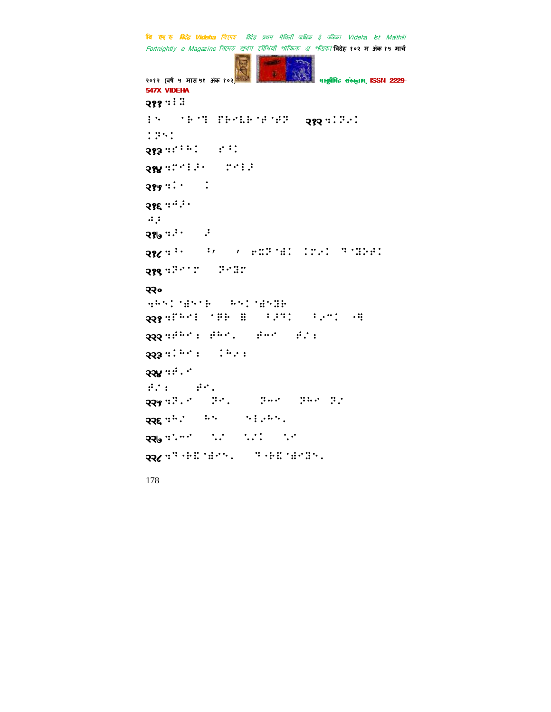```
चि एत् रू मिन्हे Videha निएन्थ विदेह प्रथम मैथिली पाक्षिक ई पत्रिका Videha Ist Maithili
Fortnightly e Magazine রিদেত প্রথম মৌথিনী পাক্ষিক ঐ পত্রিকা'বিदेह' १०२ म अंक १५ मार्च
२०१२ (वर्ष ५ मास ५१ अंक १०२) मानुषी को अपनी मानुषी के संस्कृतम् ISSN 2229-
547X VIDEHA 
333 :: 33!)⢷⣙.0⢷⣇⢷⢾⢾⢽*!२१२⣒⢽⢴0!
\ddots333 B: 999 BB: 999२१४ व्यापारिक अधिकारि
289 :: 1385 \dots\ddot{a} :
380 ::२१८⣒⢸a!0⢸'!)'!⢶⣍⢽⣞!⢴!⢹⣝⢵⢾*!!
२१९ अमेरिकेट के अन्य प्राप्त कर
२२०
⣒⢳⣞⢷0!⢳⣞⣝⢷!!
२२१⣒0⢳3!⢿⢷!⣟0!B⢼⢹0!B⢴!C⣛!!
२२२ पर्यालय जाती है। संस्कृत स्थान करते हैं ।
२२३⣒⢳⣐0!⢳⢴⣐!!
२२४ <sup>...</sup>...
\#\mathcal{D}: \mathcal{D}=\#\mathcal{D}.
२२५ मध्य प्राप्त करने हैं। इस सामान करने के सामान करने के सामान करने के सामान करने के सामान करने के सामान करने
२२६ प्रमिणी जातिकारण करते हो। उसके प्र
२२७⣒⣁⢲0!⣁20!⣁2!0⣁!!
२२८ तमे से E Miner (1998) के साथ संस्था है।
```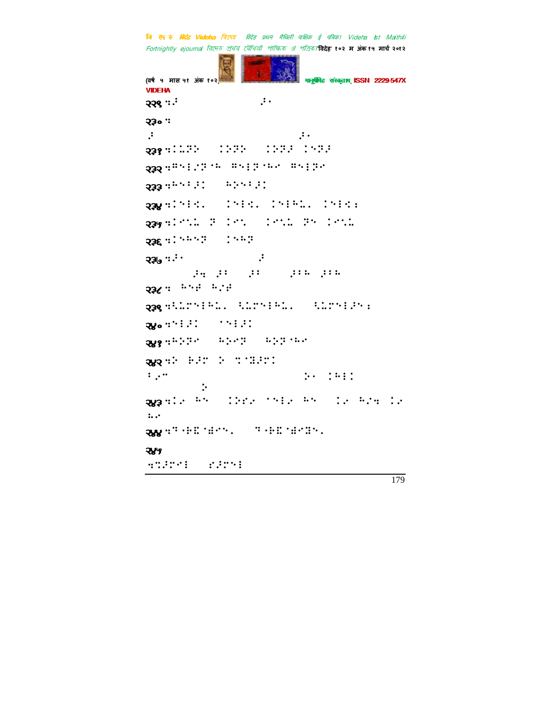(वर्ष ५ मास ५१ अंक १०२) मानुसीर संस्कृतम् ISSN 2229-547X VIDEHA  $\mathfrak{so} \colon : \mathfrak{g} \longrightarrow \mathfrak{so}$ २३०⣒!!  $\mathcal{F}$  ) denote the density of  $\mathcal{F}$  , and  $\mathcal{F}$  and  $\mathcal{F}$ २३१⣒⣅⢽⢵0!⢵⢽⢵-!⢵⢽⢼0⢽⢼! २३२⣒⢻32⢽⢳.⢻3⢽⢳.⢻3⢽! २३३⣒⢳B⢼.!⢳⢵B⢼! २३४ मा २४ मध्ये २००१ मध्ये अस्ति । अस्ति । २३५⣒⣁⣅!⢽!⣁.!⣁⣅!⢽!⣁⣅! २३६⣒⢳⢽.!⢳⢽!  $330 \ldots$ ,  $\vdots$ boe\*0⢼⣒!⢼B(.⢼B(!0⢼B⢳.⢼B⢳! २३८⣒!⢳⢾.⢳2⢾! २३९ तथिया स्थिति । स्थिति स्थिति । स्थिति स्थिति । २४० : २३ : २३ : २४ : २४ : २४ २४१ अप्रैल का अप्रैल का अप्रैल का अप्रैल का अप्रैल का अप्रैल का अप्रैल का अप्रैल का अप्रैल का अप्रैल का अप्रैल<br>अप्रैल का अप्रैल का अप्रैल का अप्रैल का अप्रैल का अप्रैल का अप्रैल का अप्रैल का अप्रैल का अप्रैल का अप्रैल का २४२⣒⢵.⢷⢼!⢵!⣉⣝⢼! Boyden and the second policy of the second policy of the second policy of the second policy of the second policy of the second policy of the second policy of the second policy of the second policy of the second policy of t  $\ddot{\cdot}$ २४३⣒⢴!⢳0!⢵ ⢴!3⢴!⢳0!⢴!⢳2⣒!⢴!  $\ddot{\cdot}$ . २४४⣒⢹C⢷⣏⣞F0!⢹C⢷⣏⣞⣝F! २४५ ⣒⣉⢼30! ⢼3!!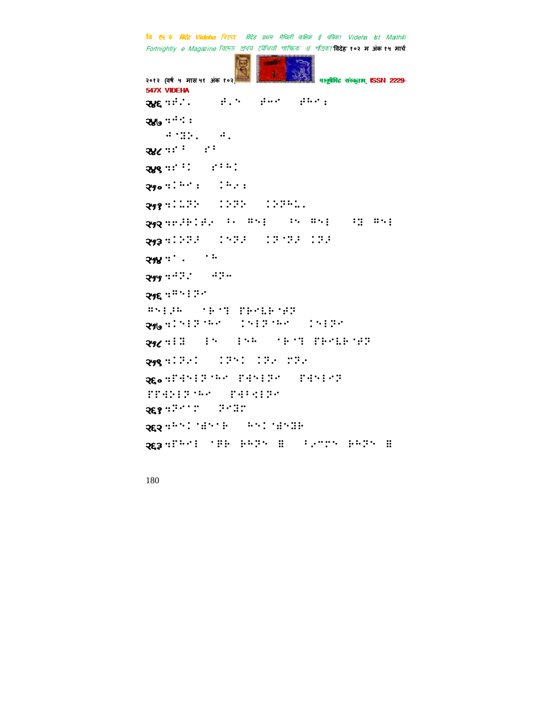चि एत् रू मिन्हे Videha निएन्थ विदेह प्रथम मैथिली पाक्षिक ई पत्रिका Videha Ist Maithili Fortnightly e Magazine রিদেত প্রথম মৌথিনী পাক্ষিক ঐ পত্রিকা**'বিदेह' १०२ म अंक १५ मार्च** २०१२ (वर्ष ५ मास ५१ अंक १०२) मानुष्य संस्कृति संस्कृतम् ISSN 2229-547X VIDEHA २४६ परियोजना करने हैं। इस प्रकार के साथ के बाद से साथ करने के अनुसार करने के अन्य से साथ करने के अन्य से साथ क<br>जनसङ्ख्या के बाद से साथ करने के बाद से साथ करने के अन्य से साथ करने के अन्य से साथ करने के अन्य से साथ करने के २४७ $\cdot$ ः $\cdot$ ः  $\frac{1}{2}$   $\frac{1}{2}$   $\frac{1}{2}$   $\frac{1}{2}$   $\frac{1}{2}$   $\frac{1}{2}$   $\frac{1}{2}$   $\frac{1}{2}$   $\frac{1}{2}$ २४८ ःः स्यानाः २४९ : संस्कृतिका अधिकारि  $290$   $\cdots$   $\cdots$   $\cdots$ २५१ : 100 CONSERVATION २५२⣒⢶⢼⢷⢾⢴!⢸a!⢻30!⢸!⢻30!⢸⣝!⢻3! २५३⣒⢵⢽⢼0!⢽⢼0!⢽⢽⢼0⢽⢼! २५४ : २००९ २५५ : २२ : २० : २ २५९ : " ' ' ' ' ' ' ' ⢻3⢼⢳!)⢷⣙!0⢷⣇⢷⢾⢽\*!! २५% अंतरिक्षिण अधिकारिक अधिकारिक अधिकारिक अधिकारिक अधिकारिक अधिकारिक अधिकारिक अधिकारिक अधिकारिक अधिकारिक अधिका<br>अधिकारिक अधिकारिक अधिकारिक अधिकारिक अधिकारिक अधिकारिक अधिकारिक अधिकारिक अधिकारिक अधिकारिक अधिकारिक अधिकारिक अध २५८ अंत अस्ति । अस्ति । अस्ति । अस्ति । अस्ति । अस्ति । अस्ति । अस्ति । अस्ति । अस्ति । अस्ति । अस्ति । अस्ति <br>अस्ति । अस्ति । अस्ति । अस्ति । अस्ति । अस्ति । अस्ति । अस्ति । अस्ति । अस्ति । अस्ति । अस्ति । अस्ति । अस्ति २५९ : 1951 - 1951 - 1952 : 1953 २६० वर्षे संकट के संकट प्रकार के संकट के संकट के संकट के संकट की अधिकारित के संकट की अधिकारित की अधिकारित की अ<br>जनसङ्ख्या 00⣚⢵3⢽⢳0!0⣚B⣊3⢽0! २६१⣒⢽0!⢽⣝! २६२ मनिष्ठी जिल्लामा अवस्थित हो। २६३⣒0⢳3!⢿⢷!⢷⢳⢽!⣟0!B⢴!⢷⢳⢽!⣟!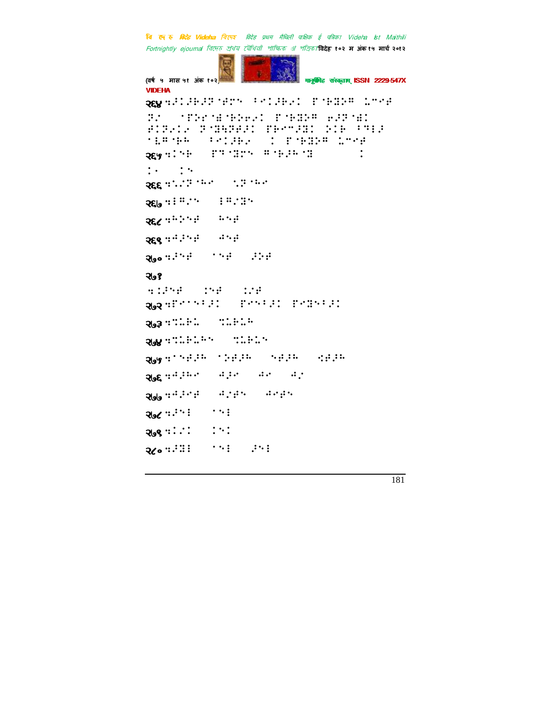चि एत् रू मिन्हे Videha निएन्थ विदेह प्रथम मैथिली पाक्षिक ई पत्रिका Videha Ist Maithili Fortnightly ejournal রিদেহ প্রথম মৌথিনী পাক্ষিক প্র পত্রিকা**'বিदेह १०२ म अंक१५ मार्च २०१२** 



VIDEHA

```
२६४⣒⢼⢼⢷⢼⢽⢾!B⢼⢷⢴!0⢷⣝⢵⢻!⣅⢾!
⢽20!0⢵ ⣞⢷⢵⢶⢴!0⢷⣝⢵⢻!⢶⢼⢽⣞!
⢾⢽⢴⢴!⢽⣝⣓⢽⢾⢼!0⢷⢼⣝!⢵⢷!B⢹3⢼!
⣇⢻⢷⢳!)B⢼⢷⢴*!!0⢷⣝⢵⢻!⣅⢾!
२६५ :: 10 लाख सा १९९७ : १९९७ : १९९७ : १९९७ : १९९७ : १९९७ : १९९७ : १९९७ : १९९७ : १९९७ : १९९७ : १९९७ : १९९७ : १९<br>सन्दर्भ
\mathbb{R}^2 and \mathbb{R}^2२६६ परिवर्तन करता है। यस स
२६७ : : : : : : : : २६७
२६८ : : : : : : : : : : : : : : : : २६८
२६९ : : : : : : : : : : : : xiii
२७० : २०० : २०० : २०० : २०० : २०० : २०० : २०० : २०० : २०० : २०० : २०० : २०० : २०० : २०० : २०० : २०० : २०० : २०
२७१
⣒⣈⢼⢾0!⣈⢾0!⣈2⢾!!
२७२ व्यक्तिगति कालिक प्राप्त करते हैं। यो कालिक प्राप्त करते हैं।
२७३⣒⣉⣅⢷⣅0!⣉⣅⢷⣅⢳!
२७४ : 2019 - 2019 - 2019 - 2019 - 2019 - 2019 - 2019 - 2019 - 2019 - 2019 - 2019 - 2019 - 2019 - 2019 - 2019 - <br>अन्न समाप्रकार के साथ समाप्रकार के साथ समाप्रकार के साथ समाप्रकार के साथ समाप्रकार के साथ समाप्रकार के साथ सम
२७५ ु. पुलिस प्राप्त स्टाइक स्टाइक स्टाइक स्टाइक स्टाइक स्टाइक स्टाइक स्टाइक स्टाइक स्टाइक स्टाइक स्टाइक स्टाइ
२७६ पर्वतिष्ठः स्वतिष्ठः स्वति ।
२७७ पालिक प्राप्त करने के अन्य प्राप्त करने के अन्य प्राप्त करने के अन्य प्राप्त करने के अन्य प्राप्त करने के 
२७८⣒⢼30!3!
208 :::: \therefore२८०⣒⢼⣝30!30!⢼3!
```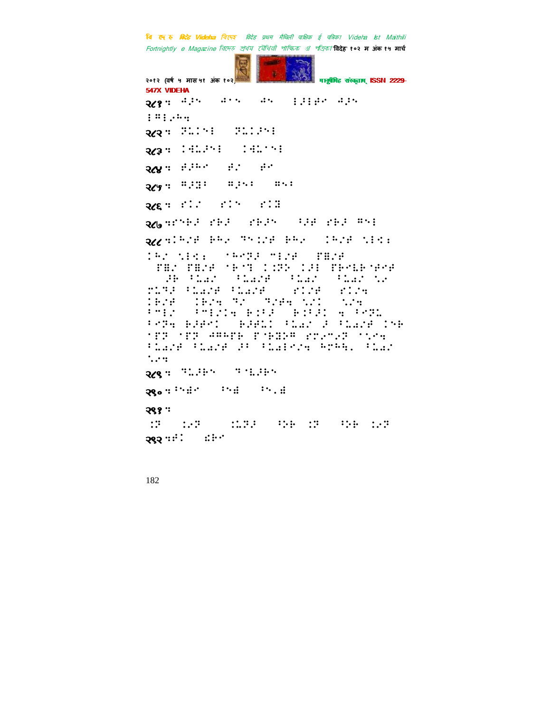Fortnightly e Magazine রিদেত প্রথম মৌথিনী পাক্ষিক ঐ পত্রিকা**'বিदेह' १०२ म अंक १५ मार्च Separate** २०१२ (वर्ष ५ मास ५१ अंक १०२) मानुसारी मानुसारि संस्कृतम् ISSN 2229-547X VIDEHA २८१ पा निर्माण करता है। अपनी करता है। अपनी करता है  $3:3:3:4$ २८२ : २००१ : २०१९ : २०१९ : २०१९ : २०१९ : २०१९ : २०१९ : २०१९ : २०१९ : २०१९ : २०१९ : २०१९ : २०१९ : २०१९ : २०१९ : २८३ : २८३ : २००२ : २००२ : २००२ : २००२ : २००२ : २००२ : २००२ : २००२ : २००२ : २००२ : २००२ : २००२ : २०० २८४ : हेलेंकर वाहित होत २८५ : महाराज महाराज महाराज २८६ : 2012 : 2012 : 2012 : 2013 २८७ : 1999 अपने अपने अपने अपने अधिकारित अपने अधिकारित अपने अधिकारित अधिकारित अधिकारित अधिकारित अधिकारित अधिकार<br>जनसङ्ख्या २८८⣒⢳2⢾!⢷⢳⢴0⢹⣈2⢾!⢷⢳⢴0!⢳2⢾!⣁3⣊⣐0! ⢳2!⣁3⣊⣐.!⢳⢽⢼!32⢾0!0⣟2⢾! ) THE THEF SET INTO THE IP THE SHEET .!⢼⢷!B⣅⣔20!B⣅⣔2⢾!)B⣅⣔20!B⣅⣔2!⣁⢴-! ⣅⢹⢼!B⣅⣔2⢾.B⣅⣔2⢾\*0! 2⢾0! 2⣒! 1₿2₽ 1₿24 M20 M294 N21 (N24 B320!B32⣒!⢷⣈B⢼0!⢷⣈B⢼!⣒!B⢽⣅0! Boye Baar (Baar Social De 0⢽.0⢽!⢺⢻⢳0⢷!0⢷⣝⢵⢻! ⢴⢴⢽!⣁⣒! Bówellow Bookston Bookston Bookston Bookston Bookston Bookston Bookston Bookston Bookston Bookston Bookston Bo  $\ddots$  : २८९ : प्राप्ताः प्राप्ताः प्राप्ताः २९०⣒⢸⣞0!⢸⣞0!⢸F⣞! २९१ : ⣈⢽0!⣈⢴⢽0!!⣈⣅⢽⢼!)⢸⢵⢷!⣈⢽0!⢸⢵⢷!⣈⢴⢽\*!! २९२ ::<sup>:..</sup><br>२९२ ::<sup>:</sup>

चि एत् रू मिन्हे Videha निएन्थ विदेह प्रथम मैथिली पाक्षिक ई पत्रिका Videha Ist Maithili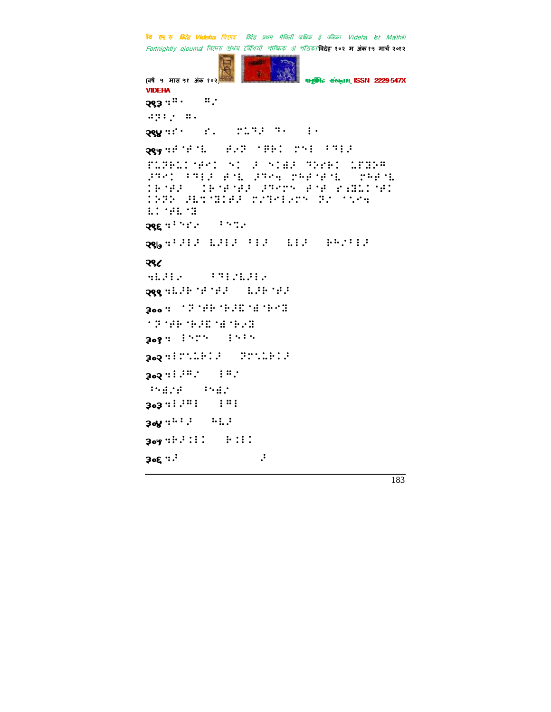```
चि एत् रू मिन्हे Videha निएन्थ विदेह प्रथम मैथिली पाक्षिक ई पत्रिका Videha Ist Maithili
Fortnightly ejournal রিদেহ প্রথম মৌথিনী পাক্ষিক প্র পত্রিকা'বিदेह १०२ म अंक१५ मार्च २०१२
(वर्ष ५ मास ५१ अंक १०२) मानुष्य काले में मानुमिट संस्कृतम् ISSN 2229-547X
VIDEHA 
283 : \ldots \ldots :
⢺⢽B2!⢻a*!
२९४ and F. S. S. 2014, S. S. 3a.
२९५ चन्नी असे अधिकारी करने से अधिकारिक करने अधिकारिक अधिकारिक अधिकारिक अधिकारिक अधिकारिक अधिकारिक अधिकारिक अधि<br>अधिकारिक अधिकारिक अधिकारिक अधिकारिक अधिकारिक अधिकारिक अधिकारिक अधिकारिक अधिकारिक अधिकारिक अधिकारिक अधिकारिक अध
0⣅⢽⢷⣅⢾!!⢼!⣞⢼!⢹⢵ ⢷!⣅0⣝⢵⢻*!
[1791] B[1791] B[1791] B[1791] B[1791] B[1791]\mathbf{F} \mathbf{F} \mathbf{F} \mathbf{F} \mathbf{F} \mathbf{F} \mathbf{F} \mathbf{F} \mathbf{F} \mathbf{F} \mathbf{F} \mathbf{F} \mathbf{F} \mathbf{F} \mathbf{F} \mathbf{F} \mathbf{F} \mathbf{F} \mathbf{F} \mathbf{F} \mathbf{F} \mathbf{F} \mathbf{F} \mathbf{F} \mathbf{F\overline{1272} . And the state \overline{27}L. H : H२९६⣒B ⢴0!B⣉⢴!
२९७⣒B⢼3⢼0⣇⢼3⢼!B3⢼0!⣇3⢼!)⢷⢳2B3⢼*!
२९८
⣒⣇⢼3⢴0!)B⢹32⣇⢼3⢴*!!
२९९⣒⣇⢼⢷⢾⢾⢼0!⣇⢼⢷⢾⢼!
३००⣒!⢽⢾⢷⢷⢼⣏⣞⢷⣝0!
⢽⢾⢷⢷⢼⣏⣞⢷⢴⣝!
308 : 15.75 15.35३०२⣒3⣁⣅⢷⢼-!⢽⣁⣅⢷⢼!
303 :3\%2 :3\%2⢸⣞2⢾0!⢸⣞2*!!
303 :3 :3 :3 :3३०४⣒⢳B⢼0!⢳⣇⢼!
309:::::::::::::::
3og::
```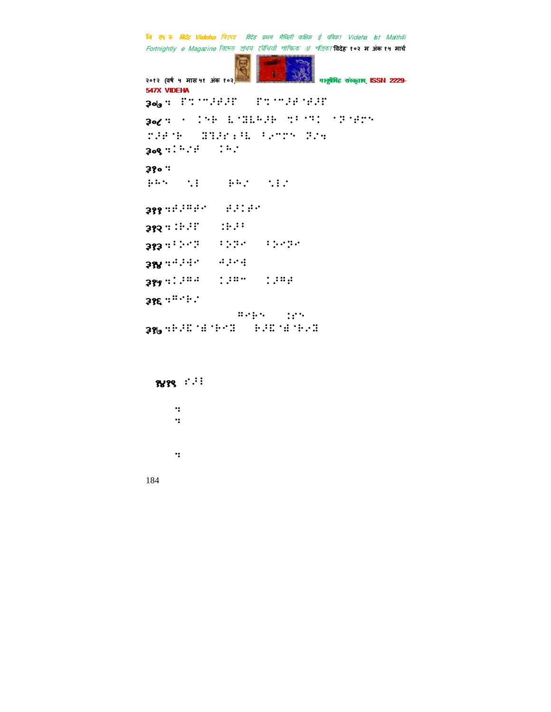चि एत् रू मिन्हे Videha निएन्थ विदेह प्रथम मैथिली पाक्षिक ई पत्रिका Videha Ist Maithili Fortnightly e Magazine রিদেত প্রথম মৌথিনী পাক্ষিক ঐ পত্রিকা**'বিदेह' १०२ म अंक १५ मार्च** 

२०१२ (वर्ष ५ मास ५१ अंक १०२ - किलोमी के बार की मानुसीरित संस्कृतम् ISSN 2229-547X VIDEHA ३०७⣒!0⣉⢼⢾⢼00!0⣉⢼⢾⢾⢼0! ३०८⣒!a!⢷!⣇⣝⣇⢳⢼⢷!⣉B⢹!⢽⢾! ⢼⢾⢷-!⣝⣙⢼ ⣐⢸⣇!B⢴!⢽2⣒!  $308$  ::  $4.2$  :  $2.4$ ३१०⣒! ⢷⢳!)⣁3\*0!⢷⢳2!)⣁32\*!)nfbojoh! ३११⣒⢾⢼⢻⢾0!⢾⢼⢾! ३१२⣒⣈⢷⢼00!⣈⢷⢼B! ३१३⣒B⢵⢽0!B⢵⢽0!B⢵⢽! ३१४⣒⢺⢼⣚0!⢺⢼⣚! ३१५⣒⢼⢻⢺0!⢼⢻0!⢼⢻⢾!  $385 \div$  $\cdots$ the state of the state of the state of the state of the state of the state of the state of the state of the state of the state of the state of the state of the state of the state of the state of the state of the state of t ३१७⣒⢷⢼⣏⣞⢷⣝0!⢷⢼⣏⣞⢷⢴⣝!

 $888 : 341$ 

 $\mathbf{S}$  $\frac{1}{2}$ Gfc 3123. September 2123.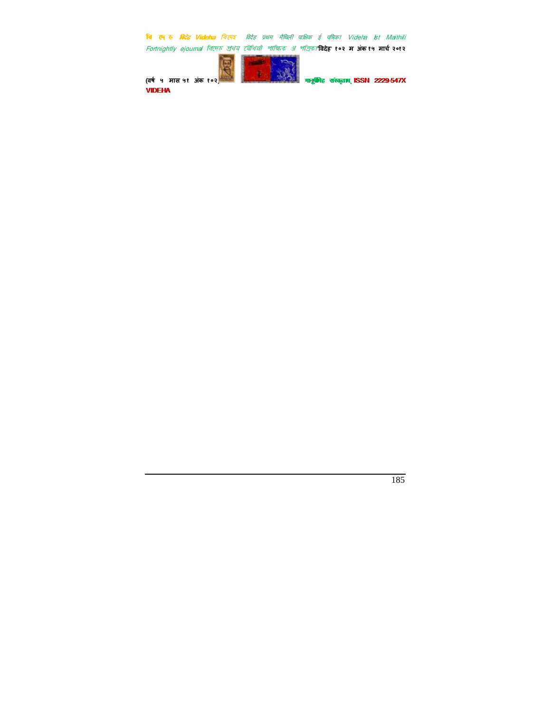चि एत् रू मिन्हे Videha निएन्थ विदेह प्रथम मैथिली पाक्षिक ई पत्रिका Videha Ist Maithili Fortnightly ejournal রিদেহ প্রথম মৌথিনী পাক্ষিক প্র পত্রিকা**'বিदेह १०२ म अंक१५ मार्च २०१२** 



VIDEHA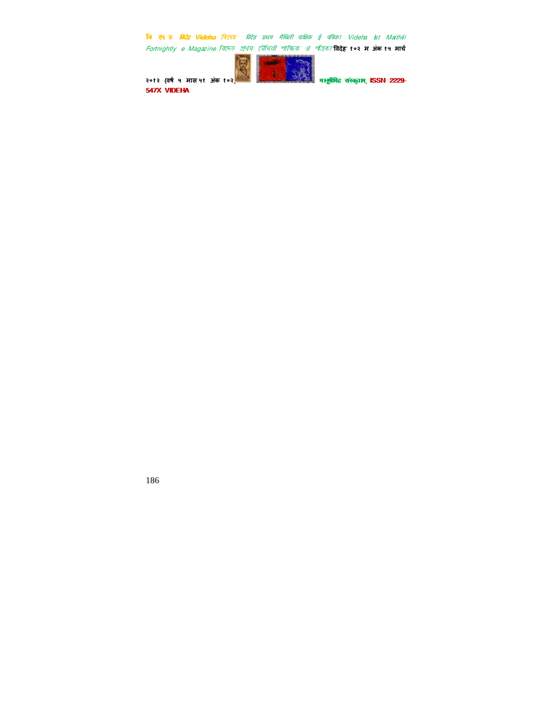चि एत् रू मिन्हे Videha निएन्थ विदेह प्रथम मैथिली पाक्षिक ई पत्रिका Videha Ist Maithili Fortnightly e Magazine রিদেত প্রথম মৌথিনী পাক্ষিক ঐ পত্রিকা**'বিदेह' १०२ म अंक १५ मार्च** 



186

547X VIDEHA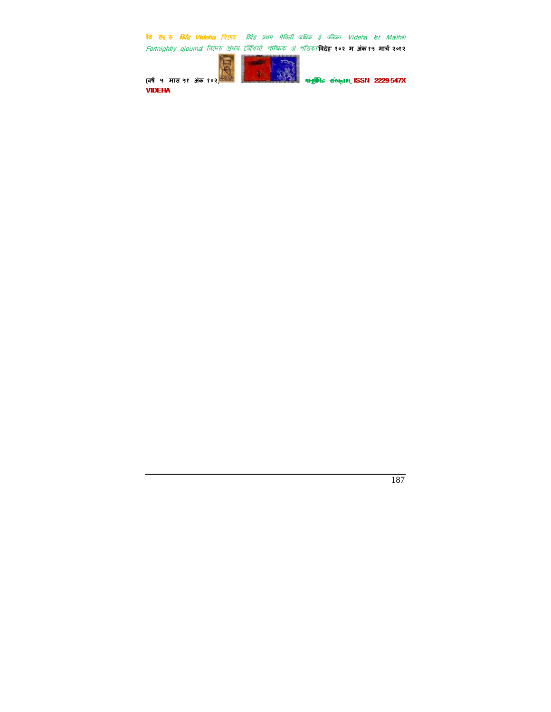चि एत् रू मिन्हे Videha निएन्थ विदेह प्रथम मैथिली पाक्षिक ई पत्रिका Videha Ist Maithili Fortnightly ejournal রিদেহ প্রথম মৌথিনী পাক্ষিক প্র পত্রিকা**'বিदेह १०२ म अंक१५ मार्च २०१२** 



VIDEHA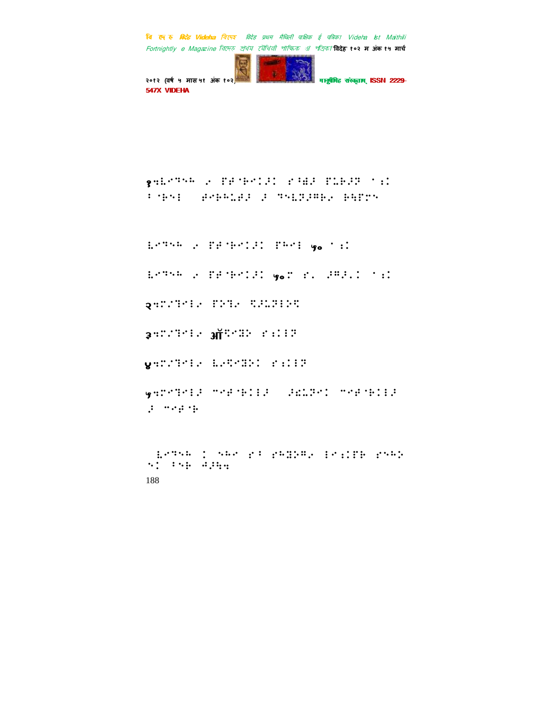चि एत् रू मिन्हे Videha निएन्थ विदेह प्रथम मैथिली पाक्षिक ई पत्रिका Videha Ist Maithili Fortnightly e Magazine রিদেত প্রথম মৌথিনী পাক্ষিক ঐ পত্রিকা**'বিदेह' १०२ म अंक १५ मार्च** 



२०१२ (वर्ष ५ मास ५१ अंक १०२ मार्ग को सामग्री को मानुषीरि संस्कृताम् ISSN 2229-547X VIDEHA

१⣒⣇⢹⢳!⢴.0⢾⢷⢼! ⢸⣞⢼!0⣅⢷⢼⢽!⣐! B⢷3-!⢾⢷⢳⣅⢾⢼!⢼!⢹⣇⢽⢼⢻⢷⢴!⢷⣓0!

LATAR & PROBACE PROT WO TEL

LATAR & PROPORT WORLD FREE OOR

२⣒2⣙3⢴!0⢵⣙⢴!⣋⢼⣅⢽3⢵⣋!Nbjuijmj!

३⣒2⣙3⢴!ऑ⣋⣝⢵! ⣐3⢽!Nbjuijmj!

४⣒2⣙3⢴!⣇⢴⣋⣝⢵! ⣐3⢽!Nbjuijmj!

५⣒⣙3⢼!⢾⢷3⢼0!⢼⣎⣅⢽!⢾⢷3⢼! ⢼!⢾⢷!Njuijmb!Qbjoujoh0!

188 #⣇⢹⢳#!⢳! ⢸! ⢳⣝⢵⢻⢴!3⣐0⢷! ⢳⢵! **80 1999**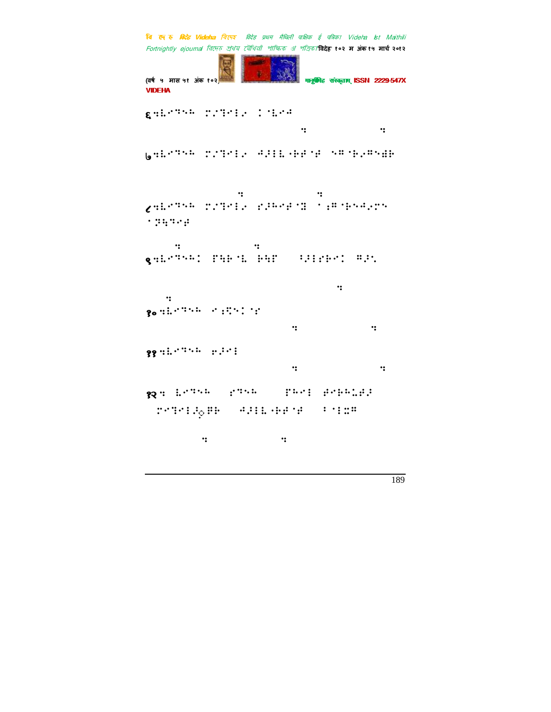बि एक स्टेड Videha विएक विदेह प्रथम मैथिली पाक्षिक ई पत्रिका Videha Ist Maithili Fortnightly ejournal রিদেহ প্রথম মৌথিনী পাক্ষিক প্রা পত্রিকা**'বিदेह' १०२ म अंक १५ मार्च २०१२** (वर्ष ५ मास ५१ अंक १० मानुब्रीह संस्कृतम् ISSN 2229-547X **VIDEHA** galensk pricip (19184)  $\dddot{\mathbf{r}}$  $\dddot{\cdot}$ WHENTER TITLE AFTERDATION TELESCOPE  $\ddot{\cdot}$ ZALESSA SVIELE SPAGES CORSAGES  $1.343244$  $\ddot{\cdot}$  $\ddot{\cdot}$ **CHAPPER PHENE BHP (SHEEP) BR.**  $\ddot{\cdot}$  $\ddot{\cdot}$  $\mathbf{g_0}$  :::  $e^{i\pi\mathbf{g_1}\mathbf{g_2}}$  ,  $e^{i\pi\mathbf{g_2}\mathbf{g_3}}$  ,  $e^{i\pi\mathbf{g_2}\mathbf{g_3}\mathbf{g_4}}$  $\ddot{\cdot}$  $\dddot{\cdot}$  $\dddot{\boldsymbol{\cdot}}$  $\cdot:$ 85. Pulpe Adee Lend Realth POPOLE CHAILEPT CONTR  $\ddot{\cdot}$  $\ddot{\cdot}$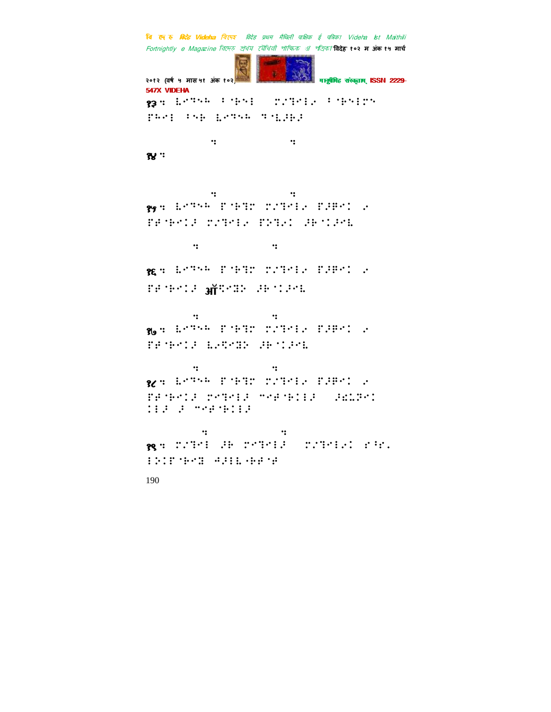चि एत् रू मिन्हे Videha निएन्थ विदेह प्रथम मैथिली पाक्षिक ई पत्रिका Videha Ist Maithili Fortnightly e Magazine রিদেত প্রথম মৌথিনী পাক্ষিক ঐ পত্রিকা**'বিदेह' १०२ म अंक १५ मार्च** 

२०१२ (वर्ष ५ मास ५१ अंक १०२) मानुषी को अपनी मानुषी के संस्कृतम् ISSN 2229-547X VIDEHA १३⣒!⣇⢹⢳;B⢷3;!2⣙3⢴!B⢷3;! 0⢳3!B⢷!⣇⢹⢳!⢹⣇⢼⢷⢼!

bsdie bedruik in der deutsche bedruik in der deutsche bedruik in der deutsche bedruik in der deutsche bedruik १५⣒!⣇⢹⢳!0⢷⣙!2⣙3⢴!0⢼⢿!⢴! 0⢾⢷⢼!2⣙3⢴!0⢵⣙⢴!⢼⢷⢼⣇!

csbimmed and the control of the control of the control of the control of the control of the control of the control of the control of the control of the control of the control of the control of the control of the control of  $\mathcal{W}$  is a set of the set of the set of the set of the set of the set of the set of the set of the set of the set of the set of the set of the set of the set of the set of the set of the set of the set of the set of th

१६⣒!⣇⢹⢳!0⢷⣙!2⣙3⢴!0⢼⢿!⢴! 0⢾⢷⢼!ऑ⣋⣝⢵!⢼⢷⢼⣇!

 $q_1$ cmpht $q_2$ dpuij $\alpha$ 

by the control of the control of the control of the control of the control of the control of the control of the १७९ : 1979 ESPER PRESS PRESS & 0⢾⢷⢼!⣇⢴⣋⣝⢵!⢼⢷⢼⣇!

where  $\frac{1}{2}$  and  $\frac{1}{2}$  and  $\frac{1}{2}$  and  $\frac{1}{2}$ १८⣒!⣇⢹⢳!0⢷⣙!2⣙3⢴!0⢼⢿!⢴! PROPERS TO SERVE THE SERVE TO SERVE THE SERVE TO SERVE THE SERVE THAT SERVE THE SERVE THAT SERVE THE SERVE THA 3⢼!⢼!⢾⢷3⢼!

qipupta qipupta qipupta qipupta qipupta qipupta qipupta qipupta qipupta qipupta qipupta qipupta qipupta qipupt १९⣒!2⣙3!⢼⢷!⣙3⢼!)2⣙3⢴! ⢸ F! 3⢵0⢷⣝!⢺⢼3⣇C⢷⢾⢾\*!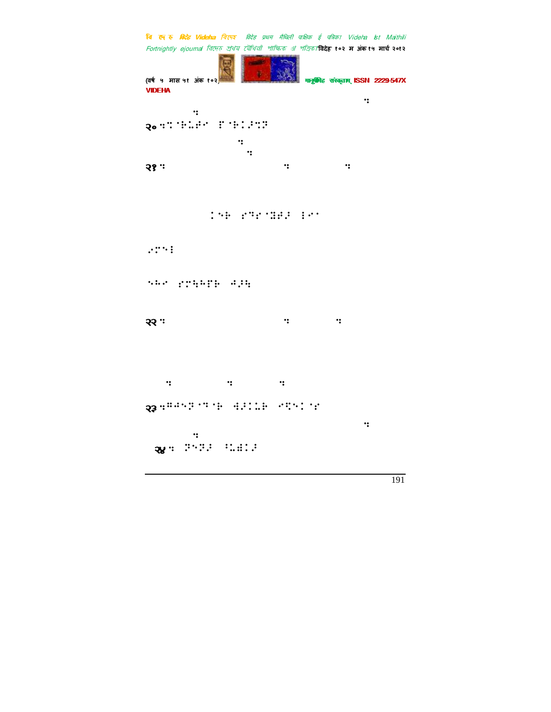चि एत् रू मिन्हे Videha निएन्थ विदेह प्रथम मैथिली पाक्षिक ई पत्रिका Videha Ist Maithili Fortnightly ejournal রিদেহ প্রথম মৌথিনী পাক্ষিক প্র পত্রিকা**'বিदेह १०२ म अंक१५ मार्च २०१२** (वर्ष ५ मास ५१ अंक १०२) मानुसीह संस्कृताम् ISSN 2229-547X VIDEHA ius;00nbjuijmbvsnjuijmbvsnjuijmbvsniuijmbvsniuijmbvsniuijmbvsniuijmbvsniuijmbvsniuijmbvsniuijmbvsniuijmbvsniui https://www.facebook.com २० : 100 - 100 : 100 : 100 : 100 : 100 : 100 : 100 : 100 : 100 : 100 : 100 : 100 : 100 : 100 : 100 : 100 : 100 ius in control de la control de la control de la control de la control de la control de la control de la control de la control de la control de la control de la control de la control de la control de la control de la contr  $\mathbf{q}$ २१ : परिवार परिवार को साथ परिवार को साथ परिवार को साथ परिवार को साथ परिवार को साथ परिवार को साथ परिवार को साथ <br>निर्वार को साथ परिवार को साथ परिवार को साथ परिवार को साथ परिवार को साथ परिवार को साथ परिवार को साथ परिवार को स INE PROMINE INT  $3:3:3:3$  $\sim$  0.0  $\sim$  0.0  $\sim$  0.0  $\sim$  0.0  $\sim$  0.0  $\sim$ २२ : परिवार समाप्त करते हैं। समाप्त करते हैं। समाप्त करते हैं कि अपनी करते हैं। समाप्त करते हैं कि अपनी करते ह<br>इस प्राप्त करते हैं कि अपनी करते हैं कि अपनी करते हैं कि अपनी करते हैं कि अपनी करते हैं। समाप्त करते हैं कि अप  $\mathbf{v}_i$  and  $\mathbf{v}_i$  and  $\mathbf{v}_i$  and  $\mathbf{v}_i$ २३⣒⢻⢺⢽⢹⢷!⣚⢼⣅⢷!⣋ !! ius;00hbkfoesbuibloesbuibloesbuibloesbuibloesbuibloesbuibloesbuibloesbuibloesbuibloesbuibloesbuibloesbuibloesb https://www.facture.com २४<sup></sup>ः २०३३ सम्बद्धाः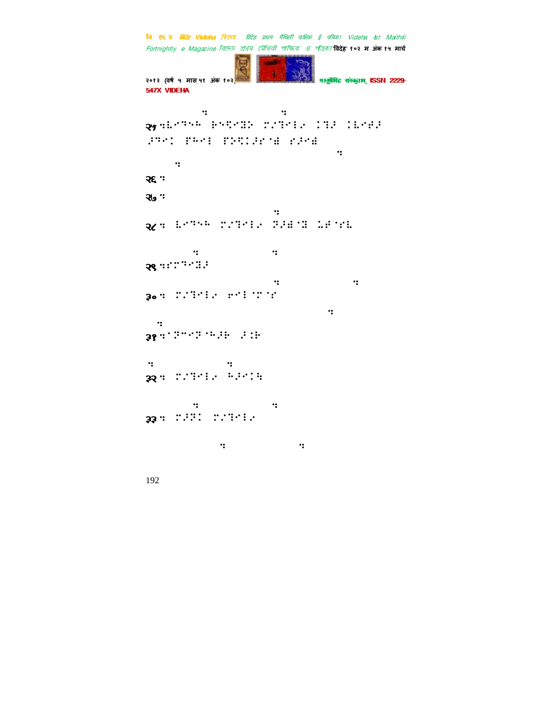चि एत् रू मिन्हे Videha निएन्थ विदेह प्रथम मैथिली पाक्षिक ई पत्रिका Videha Ist Maithili Fortnightly e Magazine রিদেত প্রথম মৌথিনী পাক্ষিক ঐ পত্রিকা**'বিदेह' १०२ म अंक १५ मार्च** २०१२ (वर्ष ५ मास ५१ अंक १०२) मान्या अधिकारिक वर्षे मानुवीनिह संस्कृताम् ISSN 2229-547X VIDEHA 192 libco de la contrada de la contrada de la contrada de la contrada de la contrada de la contrada de la contrada २५⣒⣇⢹⢳!⢷⣋⣝⢵;2⣙3⢴!⣙⢼.⣇⢾⢼!  $J^{\text{2D}}$   $J^{\text{3D}}$   $J^{\text{3D}}$   $J^{\text{3D}}$   $J^{\text{3D}}$   $J^{\text{3D}}$   $J^{\text{3D}}$   $J^{\text{3D}}$   $J^{\text{3D}}$   $J^{\text{3D}}$   $J^{\text{3D}}$   $J^{\text{3D}}$   $J^{\text{3D}}$   $J^{\text{3D}}$   $J^{\text{3D}}$   $J^{\text{3D}}$   $J^{\text{3D}}$   $J^{\text{3D}}$   $J^{\text{3D}}$   $J^{\text{3D}}$   $J$ ius (1983) in the control of the control of the control of the control of the control of the control of the co ftt⣒dpn0!  $3\epsilon$  : २७  $\cdot$  :  $\mathbf{g}$  is a set of  $\mathbf{g}$  is a set of  $\mathbf{g}$ २८⣒!⣇⢹⢳!2⣙3⢴!⢽⢼⣞⣝!⣅⢾ ⣇! esbnb, phtps://www.comphanet.com २९ :::: " -:::: ius;00ftbnbbesquedpnbbesquedpnbbesquedpnbbesquedpnbbesquedpnbbesquedpnbbesquedpnbbesquedpnbbesquedpnbbesquedpn ३०⣒!2⣙3⢴!⢶3 ! ius;00nbjuijmjegimntoja (1900-1900)  $\ddot{\cdot}$  : ३१⣒⢽⢽⢳⢼⢷!⢼⣈⢷! ⣒cmphtqpu⣒dpn0!! ३२⣒!2⣙3⢴!⢳⢼⣓! ibility of the company of the company of the company of the company of the company of the company of the company of the company of the company of the company of the company of the company of the company of the company of t ३३⣒!⢼⢽!2⣙3⢴! nbjuijmj⣒cmphtqpu⣒dpn0!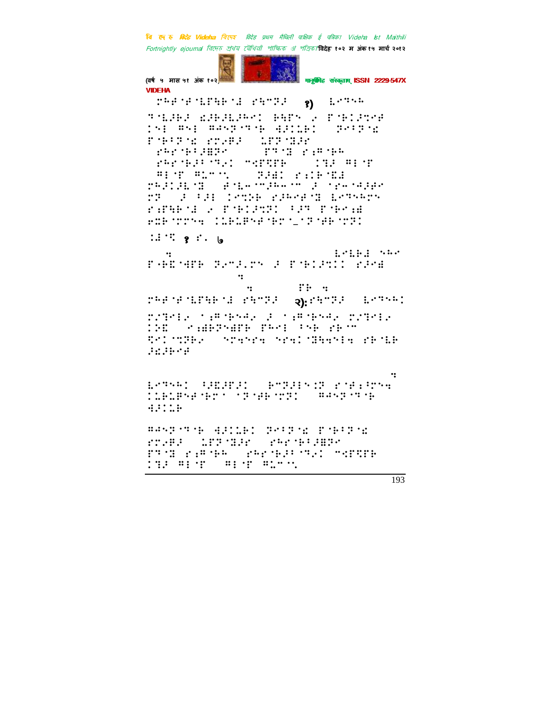चि एत् रू मिन्हे Videha निएन्थ विदेह प्रथम मैथिली पाक्षिक ई पत्रिका Videha Ist Maithili Fortnightly ejournal রিদেহ প্রথম মৌথিনী পাক্ষিক প্র পত্রিকা**'বিदेह १०२ म अंक१५ मार्च २०१२** 



!⢳⢾⢾⣇0⣓⢷⣜! ⣓⢽⢼;)१) (⣇⢹⢳(! ⢹⣇⢼⢷⢼!⣎⢼⢷⢼⣇⢼⢳!⢷⣓0!⢴.0⢷⢼⣉⢾! 3!⢻3!⢻⢺⢽⢹⢷!⣚⢼⣅⢷!!⢽B⢽⣎. D (B) B (B) E (B) B (B) B (B) B (B) B (B) B (B) B (B) B (B) B (B) B (B) B (B) B (B) B (B) B (B) B (B) B (B) B ( ) ⢳ ⢷B⢼⣟⢽\*!-!0⢹⣝. ⣐⢻⢷⢳! ) ⢳ ⢷⢼B⢹⢴!⣊0⣋0⢷\*-!⣙⢼.⢻30! )⢻30.⢻⣅⣁\*-!⢽⢼⣞) ⣐⢷⣏⣜\*-!

 $\mathcal{P}$  , and  $\mathcal{P}$  is the set of  $\mathcal{P}$  . The set of  $\mathcal{P}$ ⢽\*!⢼!B⢼3.⣉⢵⢷! ⢼⢳⢾⣝!⣇⢹⢳! ⣐0⣓⢷⣜!⢴.0⢷⢼⣉⢽!B⢼⢹!0⢷⣐⣞! ⢶⣍⢷⣒!⣅⢷⣅⢿⢾⢷–⢽⢾⢷⢽!

 $\vdots$   $\vdots$   $\vdots$   $\vdots$   $\vdots$ 

VIDEHA

Op State Contract Contract Contract Contract Contract Contract Contract Contract Contract Contract Contract Co 0C⢷⣏⣚0⢷!⢽⢴⢼F!⢼!0⢷⢼⣉! ⢼⣞! ius in control de la control de la control de la control de la control de la control de la control de la control de la control de la control de la control de la control de la control de la control de la control de la contr

qvcmjdbujpo in the condition of the condition of the condition of the condition of the condition of the condition of the condition of the condition of the condition of the condition of the condition of the condition of the

⢳⢾⢾⣇0⣓⢷⣜! ⣓⢽⢼!)२): ⣓⢽⢼;!⣇⢹⢳! 2⣙3⢴.⣐⢻⢷⢺⢴!⢼!⣐⢻⢷⢺⢴!2⣙3⢴!

⢵⣏!)⣐⣞⢷⢽⣞0⢷!0⢳3!B⢷! ⢷. SAL MERGA APANG APAL MERGE AR MER  $...$ 

Fohmjti.Nbjuijmj!Ejdujpobsz⣒! ⣇⢹⢳!⢸⢼⣏⢼0⢼.!⢷⢽⢼3⣈⢽! ⢾⣐⢸⣒! ⣅⢷⣅⢿⢾⢷!⢽⢾⢷⢽.!⢻⢺⢽⢹⢷! ⣚⢼⣅⢷!

⊞ASP'R ISLE DE PRID'S DE PRID'S ⢴⢿⢼-!⣅0⢽⣝⢼ !) ⢳ ⢷B⢼⣟⢽\*!-! 0⢹⣝. ⣐⢻⢷⢳!) ⢳ ⢷⢼B⢹⢴!⣊0⣋0⢷\*-! ⣙⢼.⢻30!)⢻30!⢻⣅⣁\*-!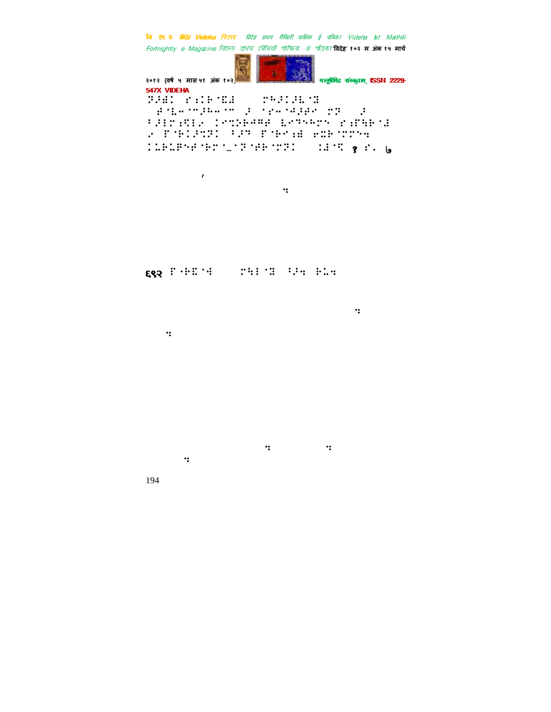चि एक स्टिट Videha विएक विदेह प्रथम मैथिली पाक्षिक ई पत्रिका Videha Ist Maithili Fortnightly e Magazine রিদেহ প্রথম মৌথিনী পাক্ষিক প্র' পত্রিকা' **বিदेह' १०२ म अंक १५ मार्च** 



547X VIDEHA 1941 - Palesta Cooperatakist<br>Cartkorrako modernariakista (d. 1 sárfattá femalgaló telepelésznele<br>2 februári szeresemben kölemen CLELENE NEW LOROGE OFFICE COLOR (\$14) (6)

 $\dddot{\cdot}$ 

gg Fording - The thought risk

 $\mathcal{L}_{\mathcal{A}}$ 

 $\dddot{\mathbf{z}}$  $\dddot{\bullet}$ 

 $\dddot{\mathbf{r}}$  $\ddot{\phantom{1}}$  $\dddot{\mathbf{r}}$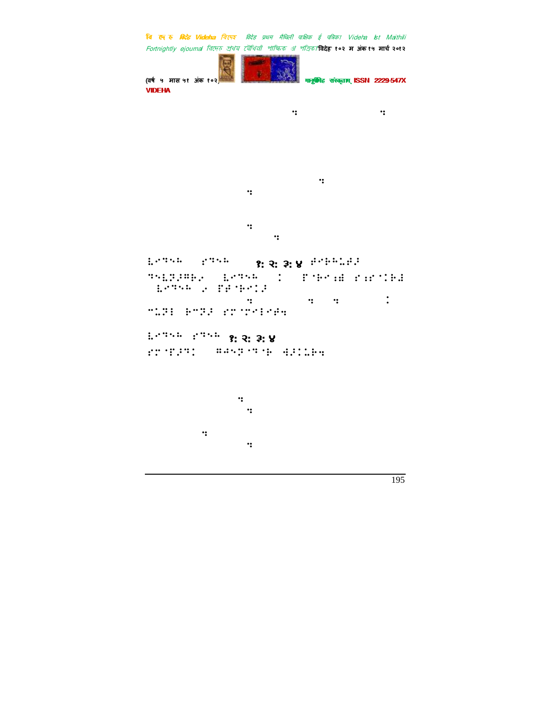चि एत् रू मिन्हे Videha निएन्थ विदेह प्रथम मैथिली पाक्षिक ई पत्रिका Videha Ist Maithili Fortnightly ejournal রিদেহ প্রথম মৌথিনী পাক্ষিক প্র পত্রিকা**'বিदेह १०२ म अंक१५ मार्च २०१२** 



VIDEHA

|                      | •: |    | •: |
|----------------------|----|----|----|
|                      |    |    |    |
|                      |    |    |    |
|                      |    |    |    |
|                      |    | •: |    |
| .∙:                  |    |    |    |
|                      |    |    |    |
| $\dddot{\mathbf{z}}$ |    |    |    |
| ٠:                   |    |    |    |

 $\begin{aligned} \mathbb{E}[\mathcal{L},\mathcal{L},\mathcal{L}^{\text{in}}] & \mathbb{E}[\mathcal{L},\mathcal{L}^{\text{in}}] & \mathbb{E}[\mathcal{L},\mathcal{L}^{\text{in}}] & \mathbb{E}[\mathcal{L},\mathcal{L}^{\text{in}}] & \mathbb{E}[\mathcal{L},\mathcal{L}^{\text{in}}] \end{aligned}$ ⢹⣇⢽⢼⢻⢷⢴!#⣇⢹⢳#!-!0⢷⣐⣞! ⣐ ⢷⣜! ;⣇⢹⢳.⢴.0⢾⢷⢼!  $\mathbf{u}$  is defined by ⣅⢽3!⢷⢽⢼! 3⢾⣒!

 $\frac{17}{10}$ ;  $\frac{17}{10}$ ;  $\frac{17}{10}$ ;  $\frac{17}{10}$ ;  $\frac{17}{10}$ ;  $\frac{17}{10}$ ;  $\frac{17}{10}$ ;  $\frac{17}{10}$ ;  $\frac{17}{10}$ ;  $\frac{17}{10}$ ;  $\frac{17}{10}$ ;  $\frac{17}{10}$ ;  $\frac{17}{10}$ ;  $\frac{17}{10}$ ;  $\frac{17}{10}$ ;  $\frac{17}{10}$ ;  $\frac{17}{10}$ ; 0⢼⢹;!⢻⢺⢽⢹⢷!⣚⢼⣅⢷⣒!

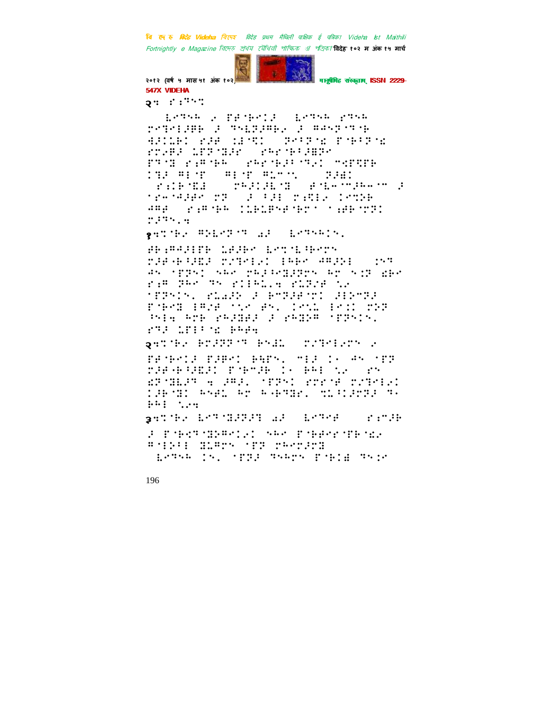बि एक रु मिनेट Videha विएक विदेह प्रथम मैथिली पाक्षिक ई पत्रिका Videha Ist Maithili Fortnightly e Magazine রিদেহ প্রথম মৌথিনী পাক্ষিক প্রা পত্রিকা**'বিदेह' १०२ म अंक १५ मार्च** 



२०१२ (वर्ष ५ मास ५१ अंक १०२ 547X VIDEHA

Funce ( Laureals Funce Save reneign i manger, peaspers BRIGHT PARTIERS - PHIPPE PORTER FRARA LEGALAR (1951-1952-1955) FROM PARTHE CONFORMATION CONTROL ISA ALSE (ALSE ALS), (1994)<br>1991: Marca (1991: Also Albertanov a trendam 23 (2004) 23 mai 2005 ARE SERVER CLELPHORS CHESSEL 

parter #PEPP'S all EPSAIN.

SPORTSHIP GREET BOYTERFOR MARKET MARKEY BEST ARANG THAT 45 (FP5) 546 PAPPERPES AP 512 EPC age der my alleige album (2007)<br>Sporty, algun d'embarch dinmod PORCE EASE COMPANY IMOUR EASE COR Pig bre regage a reade (precil FULLION CONTROL

patter ensure essu consesso r

PANESIA PARSI ENPRI MIA ISTANTOPI<br>PARSE PARA POEMAR ISTERI NATURNO EPSHIP A PRAY TEPN STRIP TIPLAT tubent web ar wenned militures no  $1.11 - 1.14$ 

astric Lotricher and Loton (origin

F PORCHMENT CONSTRUCTION #MERPE HL#PN MER PROPERH SEPTER IN, META TERM PARIS TEACH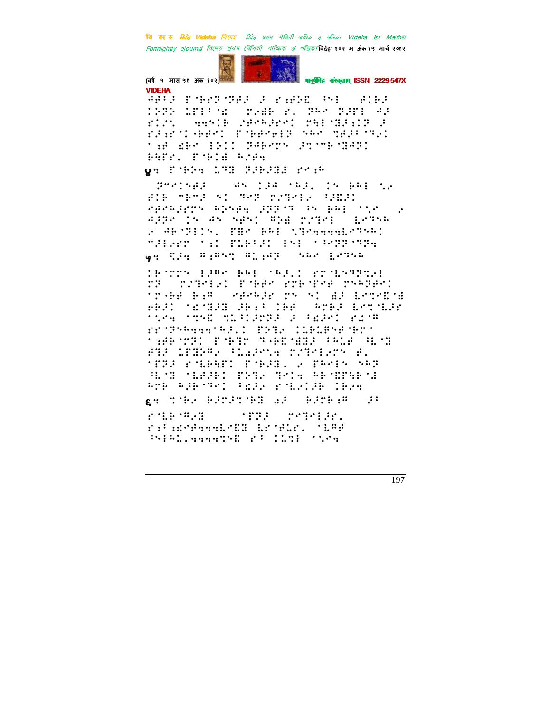बि एक रु मिनेट Videha विएक विदेह प्रथम मैथिली पाक्षिक ई पत्रिका Videha Ist Maithili Fortnightly ejournal রিদেত প্রথম মৌথিনী পাক্ষিক প্রা পত্রিকা**'বিदेह' १०२ म अंक १५ मार्च २०१२** 



(वर्ष ५ मास ५१ अंक १०२) **VIDEHA** 

मानुबेदि संस्कृतम् ISSN 2229-547X

APPE PYROTHER PARTNERSHIP **Allah Sandar** 1996 LEFTY (THE B. PRO PAEL AF rict (manie centent **THE HEATH A** ranches (Phere) (Phere) the der 1911 Seerch Streedway **PATE: PATE PAPE** 

**U: P'BD: 173 FJBJ31 P'B** 

 $\begin{array}{cccccccccc} & a\ddot{a} & \ddot{a} & \ddot{a} & \ddot{a} & \ddot{a} & \ddot{a} & \ddot{a} & \ddot{a} & \ddot{a} & \ddot{a} & \ddot{a} & \ddot{a} & \ddot{a} & \ddot{a} & \ddot{a} & \ddot{a} & \ddot{a} & \ddot{a} & \ddot{a} & \ddot{a} & \ddot{a} & \ddot{a} & \ddot{a} & \ddot{a} & \ddot{a} & \ddot{a} & \ddot{a} & \ddot{a} & \ddot{a} & \ddot{a}$  $(2991, 599)$ BIB MEMP NI RAT CATALA (BED) SPORTED RESPONSES IN RAILING APPS IN AN NAME APA PITCH ( LOTAR) 2 ABYSIN, SHR BAI (Scaandrow) matern film filmear and construction we the RiBST Right (SAP 12756

Dennis (1988) est (192.1) probshamel MA STARFIEL PORF PORTUGE MARRENT trake kan sakenda ny young benemba **ABS: MANSON SERVICE CONTROLLER** ting the miller is easy fate rrupshaarskill polk (1919-1927) **MARKET PART SARAGE PAGE BYS** BO CROWN CLARA RANGER B. tra rumer ruar 2 reds se H. S. MARRI THE THIS APMIRANCE And Albert Call filling The ga tike baratiko aan barbam (a)

**STEP SERVICES** rian San riturdenskill britan. (188 PHPL. HARTPE ST TIME TIME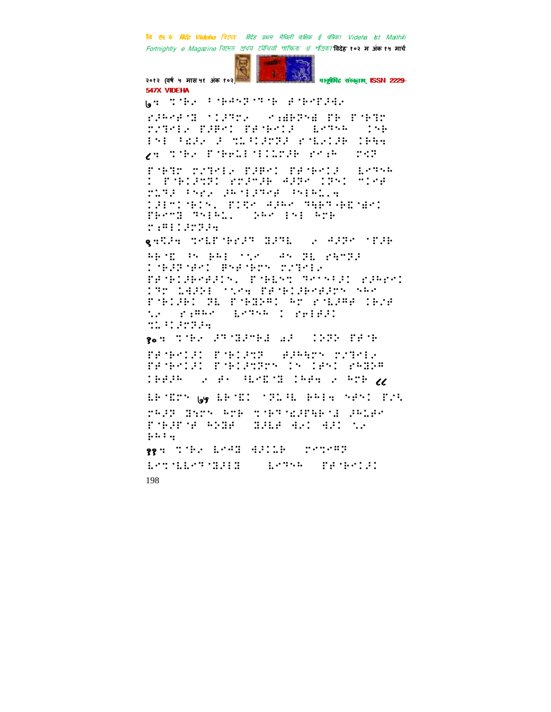बि एक रु मिनेट Videha विएक विदेह प्रथम मैथिली पाक्षिक ई पत्रिका Videha Ist Maithili Fortnightly e Magazine রিদেহ প্রথম মৌথিনী পাক্ষিক প্রা পত্রিকা**'বিदेह' १०२ म अंक १५ मार्च** 

racens nicht. Pharma ce cher TITME FURNI TEMPORA EMTSPACINE PRESENCE TURINTE POLICE IPA 28 NORTH ESPAINANT PROPERTY  $1.121$ 

ESPER COTALE ESPAC PROPOSA (1895)<br>1 Poblstva (2020) - 4324 (1951) olar

Carnineis, pick ager maemaphari

QARIA MALEMBERT BITE (1898-1828) MEIB

PENDIMANING PARAT POSSER (PRESS) CAN CAPAL STRAK BASAGIANAN SAR PORTABLE AL PORTABLE AT POLITIC IPSE

**G**: THE PORTS THE POPPER

ring three gargener chialls

FRAME WAIRL, SAW INE AMP

**CONSTRAY Bracker college** 

the ramber define I releat

२०१२ (वर्ष ५ मास ५१ अंक १०२) **547X VIDEHA** 

2:8:122225

 $11.11.111.11.14$ 

**AB 12 (25) BAE (1120)** 



मानुबेमिह संस्कृतम् ISSN 2229-

 $\mathbb{R}^{2n}$ 

gon the Publication Companie FACHALLY FORLESS (AJAASS SITEL PANERIC PARLEMENT IN 1851 PERPE TEACH IN AN GENERAL IPAN IN PORTZ

LE TECT Gy LE TEL OVEL HE BRIG SEND FINE TRAP BYTY ATE TIMPINAPHENA ARGAM  $\cdot \cdot$ .  $......$ 

ggen within Ernell Hallie Concrete

ESTALSTARRE ESTAD PRANCH 198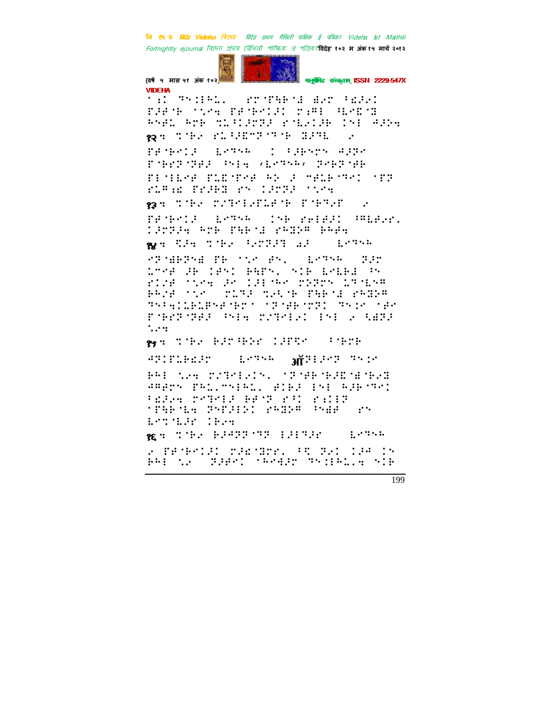बि एक रु मिनेट Videha विएक विदेह प्रथम मैथिली पाक्षिक ई पत्रिका Videha Ist Maithili Fortnightly ejournal রিদেহ প্রথম মৌথিনী পাক্ষিক প্র পত্রিকা**'বিदेह' १०२ म अंक १५ मार्च २०१२** 



मानूबीह संस्कृताम् ISSN 2229-547X

(वर्ष ५ मास ५१ अंक १०२, **VIDEHA** 

**TED RESEARCH PROPERTS ART PEACH** FARSE STREET FROM PLANE SERIES PARL PTP TIPLETER POLICIP INFORMATION gon when substance more depth.  $\cdot$ 

PROPOSE ESTAR COSPERTAGERS robreche mis lette group FINING PLENGE AN 3 MALENGED MPF rian frage ry (2023 time

gan the completed from the state

PROPOSE LOTAR CAR PRINT PRINCE **TRYPE: ATE PARTS (SSON BAP)** 

gye SPR TOBY SPEED AP  $\mathbb{R}^{2n}$  in the figure

rdighdha dh'in an Colombia (do LTRE JE (251 BADS) SIR LRLR2 (5 FILE TORE OF THE THE TERM LIFTEN PROPOSE CONFIDENCE PHONE CARDE This Claims the Condition of the Constant PORTUGE PHA TITULE IN STAR  $\ddots$  :

gg no the Bar Har Carty of three

**ASSISSERS**  $\frac{1}{2}$  . The  $\frac{3}{2}$   $\frac{3}{2}$   $\frac{1}{2}$   $\frac{1}{2}$   $\frac{1}{2}$   $\frac{1}{2}$   $\frac{1}{2}$   $\frac{1}{2}$   $\frac{1}{2}$   $\frac{1}{2}$   $\frac{1}{2}$   $\frac{1}{2}$   $\frac{1}{2}$   $\frac{1}{2}$   $\frac{1}{2}$   $\frac{1}{2}$   $\frac{1}{2}$   $\frac{1}{2}$   $\frac{1}{2}$   $\frac{1}{2}$   $\frac{1$ 

PRI NAS CATRIAIN, STARKPATHENRAT ARATH PALLMATALL ADDA INT AGENTAL PERSONAL PROPERTY FOR START **TERPIR PYESES PRESH PARK**  $\cdot$   $\cdot$ Lett they were

**READ TO THE SEARCH PART OF READ TO A SERIES**  $\mathbf{r}$  .  $\mathbf{r}$ 

2 Penendai pabiner. At P21 124 15 PRESS STREET SPARE TRIPLE SIP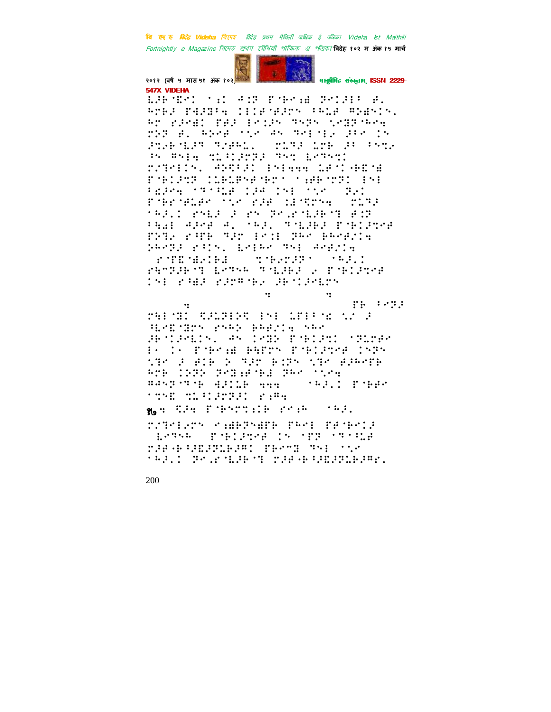बि एक रु मिनेट Videha विएक विदेह प्रथम मैथिली पाक्षिक ई पत्रिका Videha Ist Maithili Fortnightly e Magazine রিদেহ প্রথম মেথিনী পাক্ষিক প্রা পত্রিকা' **বিदेह' १०२ म अंक १५ मार्च** 



२०१२ (वर्ष ५ मास ५१ अंक १०२) **547X VIDEHA** 

मानुबेमिह संस्कृतम् ISSN 2229-

EARNERS TAIL AND BOROAR DRIALE A. ROBA PAARPA (1118/84205 PROB PNB515) RT PROBL PHP ECONOMICS SONTOWER ris el bregone de la caerera de la c POSTER THE STRIP STRIP IS THE By White Millers Who Enthul rrants, applicities articled ESPIRAR (1959-54) SPOS (1965-1970)<br>Parry Stories (1965-1965-1970) Rel Fürdelen Tin zue deutsche Schuu **MARINE REPORT OF STREET RIP** PAAL APPE A. SAP. THIREP POBLEME DSD FAR ART EST PRO BROADE PROTE PAIN, ESPAS THE ASPITA **STILLEN STRAIN STARTS** rinda Stilland (Clair a politica 151 PART PROGRESS PESSPECTS

TH POIL racyon concert can be the serve SERINING PARK BARNING ARE<br>SERIPANIAN SAN IRIB FORISI OSTUPP Britis Poboak Barro PoblaceB 1979 the Fair Pone Fire the Albert ATE CERE ROBBETED RAC STOR RASTORE HALLE HAN CONFAIL FORMS **1958 91313931 P.M.** 

 $\cdot$ .

Man Cler Polentially reads only.

rathers campsare red redeta SEPTER COMMISSION IN MORE STANDE **THERMORE SECTION OF STATE TARIO RESTORIE TO THE REPORTED**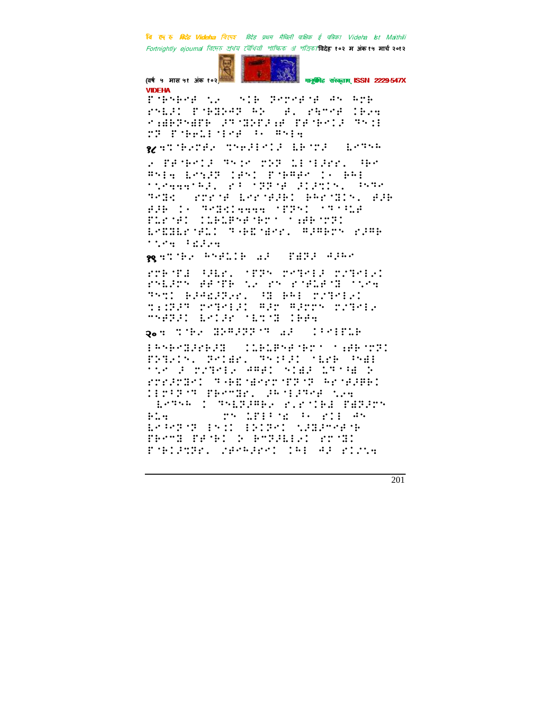बि एक रु मिनेट Videha विएक विदेह प्रथम मैथिली पाक्षिक ई पत्रिका Videha Ist Maithili Fortnightly ejournal রিদেত প্রথম মৌথিনী পাক্ষিক প্রা পত্রিকা**'বিदेह' १०२ म अंक १५ मार्च २०१२** 



मानूबीह संस्कृताम् ISSN 2229-547X

**VIDEHA** 

(वर्ष ५ मास ५१ अंक १०२,

Portion to all the terred in An Arth rmill formed by the range leve PARPMER CRYSSIAN PRYRYL RYS **TI PARLEMAN BOOK** 

& STORYTH STORIES IN THE LEATER

2 PENEMIE TRIM MIR LENERAL TEM Brightenic Carl Popmar (2004) <u>sténarel distrit lidit (</u> PAGE (STRIP LARIBURG PROGLES) BJB BJB 16 MPHR19999 (PP51 (MP)RB FLENED CLELPHONES COMPOSED LADOLPHII THENBAY, WAWPEN PAWE tich Sales

gonerate and the second proposed and the

rnbord (Carl offs repose reposed PALENT BENDE NATION POBLEME SNOW Thui Blueiche, Go Bhi Martiel tida percia ap adre retel MARRI EMIRE MENG IPA

0.4 THE HEATH AN INSTEAD

PRSPECIES CONFESSOR SHESS PRINTS, POINT THORP (EMP) PHI TAC POTER ARE SIMPLETED roraca (September 1979) er dagen SIMP'T BESTIEL SPIETSE NAM ista fundamen firsta magas **PS LEEP RESPONSE AN**  $\mathbf{r}$  : Réference in Birel Samérén TESTE TEMPE & BTRALLED FROM: Poblache, Sankarni lei Al riche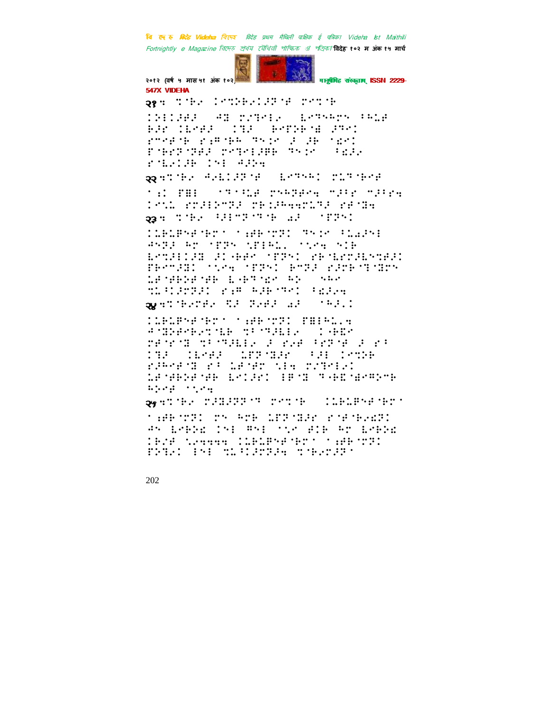बि एक रु मिनेट Videha विएक विदेह प्रथम मैथिली पाक्षिक ई पत्रिका Videha Ist Maithili Fortnightly e Magazine রিদেহ প্রথম মৌথিনী পাক্ষিক প্রা পত্রিকা**'বিदेह' १०२ म अंक १५ मार्च** 



मानुबेमिह संस्कृतम् ISSN 2229-

**547X VIDEHA** 28: TORE CONFRESSOR TOTOR

२०१२ (वर्ष ५ मास ५१ अंक १०२)

ININHA AN SYNCH BATARS CRIP BE CLOSE COL BOTH & PRO rnefer ramme men folk had FMPTMPP PETERBE TER STRIP rdadak 151 Ager

QQ 87 TER SPREDUCE TO ERTSPECT TERMINE **TAI PHI TERRITAR SEARCHER SCHLICHT** 

ISMA RTHISMID TRANSMONICATORY 23 : TOBA (FRINGEN 18) (FRS)

**CLELBYENET MYSER MACH SCHOOLS** AND AT MEDNONEERS, MARK NIE LOWELLER ELGER (TERM SECLEPTEMBER FRAMED (194 (FFM) RMPE PEDROTED LENGINE LATNE AN  $\cdots$ tillerin fødstart (

gyattkerde ti Bedi al (161.)

**CONSENSATION CONTINUES IN THE POST ANDREWSTOR METROLES**  $\therefore$   $\therefore$ renna d'Oralis a nue franc a ri **THE TERMS OFFICER SAN TRIPS** ramers ri bener the roads Le réprésenté (LRIGEI) (1871-2008) réprésente Pick Cick

py strike (1989) 23 (1991) Book (1989) Service

ta#for: ry FrF 1827126 foffer23 An Especial (ni Ani Stor Ale Ar Espec TRIP SPAARE CORDENFIERT TWEETER FILL IN TELEPHA TERRE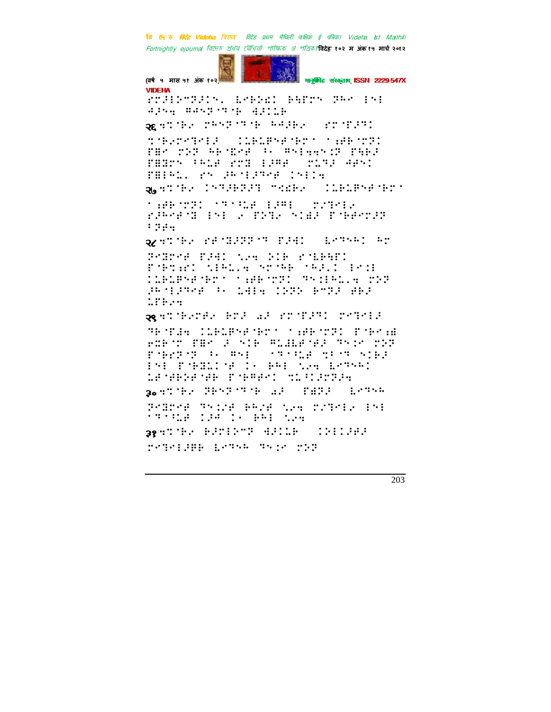बि एक रु मिनेट Videha विएक विदेह प्रथम मैथिली पाक्षिक ई पत्रिका Videha Ist Maithili Fortnightly ejournal রিদেহ প্রথম মৌথিনী পাক্ষিক প্র পত্রিকা**'বিदेह' १०२ म अंक १५ मार्च २०१२** 



```
मानुभीह संस्कृतम् ISSN 2229-547X
```
(वर्ष ५ मास ५१ अंक १०२) **VIDEHA** 

rrathers: Lebhai burre The 191 Albe HAND TOP AILLE

REACTED THAT CROSS RAPPS. a a shekarar ta 1970 a Gabarar Ingila.<br>Matukio

**MIRAPARALE COLEGENATION (ARENTI)** FBK 223 PENDNA IN BRIANNIE PARA FARTY (GLA 273 1386) TLT3 ABY: FHING, PN SAMPLERE INTE

 $Q_{\alpha}$  and the constraint in the constant of **Allen Britishers** 

**THEORY OF CAP EPRE CONTRIG** rawreng this regulated preprod **Press** 

Results of SEPPOS EPHIC Entreprise

STORYF PART NAM DIE BIOGRAFI POPTED MEALS STORE OFFICE EST CONSENSATION TO SEE TOOL TRAINS SO TOO anders noted the control and  $...$   $...$ 

QQ 87 TEVNEY (ENG) ad (PN) TEPR (PYTP10)

**TEMPER CORDENAMENT MARKET PROVIDE** FOR THE POST PORTHOLD THIS TIP rests a mi INE PORTLINE IS BREAKE LONG. LEAGENEAR PARRENT MUSICANA

achine Senson's Association and Pedrea System Bara Sie richets 151

**STARS THE TANGER TOWER** 

30 87 782 (8221377 (82118) (1911282

reperson never vere rich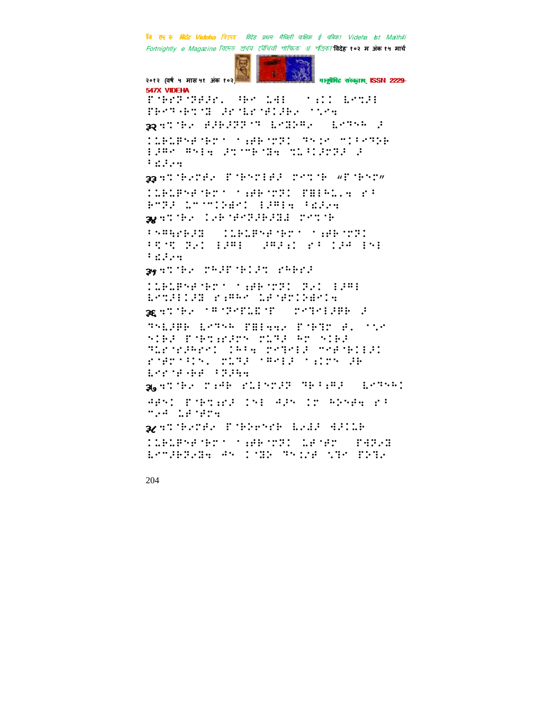बि एक रु मिनेट Videha विएक विदेह प्रथम मैथिली पाक्षिक ई पत्रिका Videha Ist Maithili Fortnightly e Magazine রিদেত প্রথম মৌথিনী পাক্ষিক প্রা পত্রিকা**'বিবৈদ্ব' १०२ म अंक १५ मार्च** 



मानुबेमिह संस्कृतम् ISSN 2229-

**547X VIDEHA** PORTUGAL ARCHITECT EST PROPERTY AND MONTHS TOOK 30 87 TER SERFIER TO LANDER COLLATOR S

CONDRATES THAN SERVICE SERVICE EPRO RNEW STOCK TH TESTIFIES F  $\ldots$ 

33 87 TELEVIL ENERGIES CONTINUATIONS

**CONSENSATION CONSENSATION** Boll Constant (SPIA FEDA systific leborathems retor

**FARRISH CONFERENCE CHEMPS** FRONT BALL 1981 (1991) 2001 1994 1991  $1:1:1:1$ 

39 STORY CHAPTER STORES

२०१२ (वर्ष ५ मास ५१ अंक १०२)

CONSENSATION AND MOVING SERVICES Lendicum rumae Landrichetta

36 STORY OF CROSS OF A SYSTEM REAL

THLUB LOTAL POINT PART B. TY **SIEP PORTERPY TIME AT SIEP** Sirneament (PPA choid corrential robrets, mas emergencies de

*Lervelle Schule* 

30 STORY COMPANY STREET SERVICE SECTION

APSI PORTHER ISE APS IN ADSPECTA mus de déca

30 an Chender Politicate Eesti Affilm CLELPSE SPOTT (BETOR) LETER ( PARVE

ESTARDED AN INSENSION CONSTRUC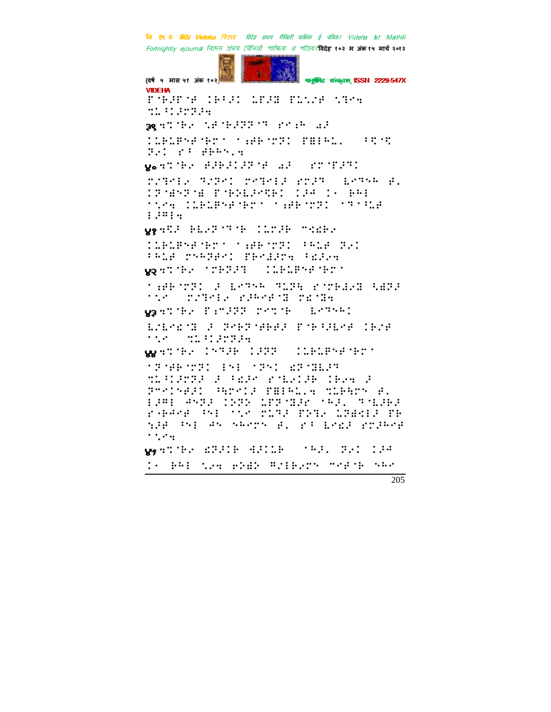बि एक रु मिनेट Videha विएक विदेह प्रथम मैथिली पाक्षिक ई पत्रिका Videha Ist Maithili Fortnightly ejournal রিদেহ প্রথম মৌথিনী পাক্ষিক প্র পত্রিকা**'বিदेह' १०२ म अंक १५ मार्च २०१२** 



**VIDEHA** PORTO CRISI LESE PLAZA ATGA  $11.11.1177744$ ae addition of the PPP of Cardial Add

CLELBYFORM (OHEOMIC POINC) (FROM Pal ri BBBS.4

Word the Bundler th ad Contract

rather sales rether from the A. CRYBYR PYRRIPORI (24 I) BAD **Mine Claimsent Manager (TRIGE**  $\pm 1444$ 

09:33 BESTYTH CLTSB TEEPS

**CONSENSATION AND THE SECOND PROPERTY TALE TARGET TEMBER TERM** yourner infects (infigurement

**MARKET FIRTH TITE POTERRY RETA TAR TEMPER REPORTS TRIES** 

gand the Europee province Ernset

LARAN F PAPPAPER PARAGE DRA **TAP TESTION** 

WHITE INTERNATIONALIST TO

**MIGHTED IN MIGHT** tiller i hør fille lege i STRINGER (REPRIE SHIPLING TIGHTY B. 1981 4523 1992 189308 1992 19030 Piller Billie Electron common nie dni an nazyn e, ro brei rriare  $\mathcal{L}^{\text{max}}$  ,  $\mathcal{L}^{\text{max}}$  ,  $\mathcal{L}^{\text{max}}$ 

West the EPPIE HAILE ( that Pel 124

In BRI was about Authors words sho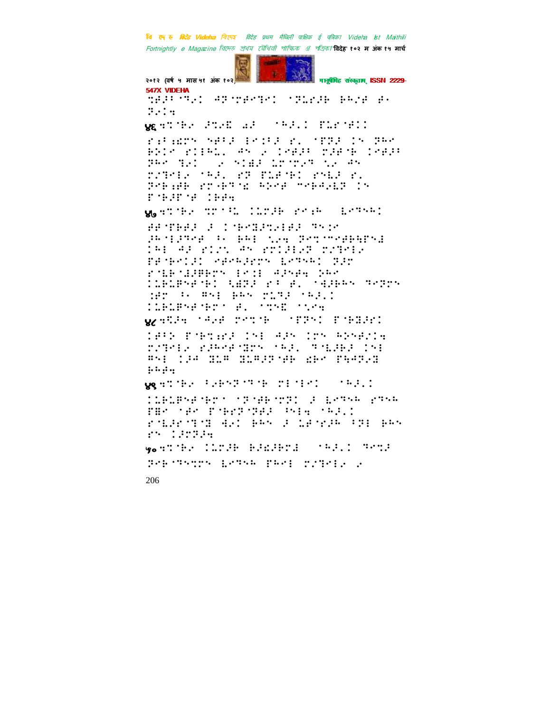बि एक रु मिनेट Videha विएक विदेह प्रथम मैथिली पाक्षिक ई पत्रिका Videha Ist Maithili Fortnightly e Magazine রিদেহ প্রথম মৌথিনী পাক্ষিক প্রা পত্রিকা**'বিदेह' १०२ म अंक १५ मार्च** 



२०१२ (वर्ष ५ मास ५१ अंक १०२) **547X VIDEHA** 

MARINES APMARINT SPLEAD BROADE  $3.44<sub>1</sub>$ 

ygen the cancel add others condition

ratarry netallecta ruscrata in ame BRIGGEREN AN 2 IGBR 200 BLACK PRO TEL 10 STAR LETTER NE 45 PARTIE SPEL 27 PLEAR 2018 2. <u>Debib rribald boek medicin (s</u> PONE OF CHEM

West the straight classe are entered

FFATEFIA I LAPARIANIER ANIM *partines a particle from constants* IAE AP RIZI AN REIBER CZTPE. FRONTIN SPEARER LEASED FRO rdbusser Pod Aran 250 ISBSPHORIGE ARRAIGE FOR SERRA SHRMA HP W WH PRY MINE THIS **CONSERVATION EXISTENCI** 

WARPH TAPE POINT TERM ENERGY

THIS PORTHER INE APS INS ADSHIFTS riners russenes out animal in  $......$ 

your teams are the control of the con-

CONDENSATION OF MESSING CONSIGNATION THE SAM PORTUGAL PAIR SPACE rollector alt am a dance against rn 120724

yourned Class Bandball (1931) Sens

perchange pensioniers groups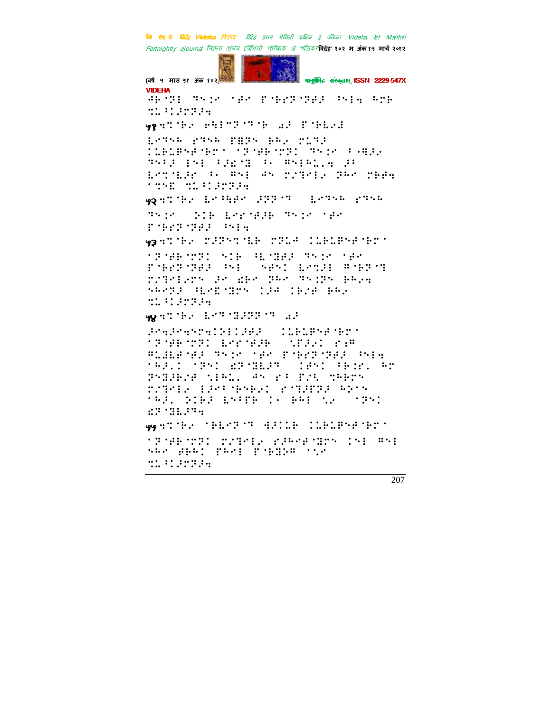बि एक रु मिनेट Videha विएक विदेह प्रथम मैथिली पाक्षिक ई पत्रिका Videha Ist Maithili Fortnightly ejournal রিদেত প্রথম মৌথিনী পাক্ষিক প্রা পত্রিকা**'বিदेह' १०२ म अंक १५ मार्च २०१२** 



मानूबीह संस्कृताम् ISSN 2229-547X AB THE TRIP OF THE POST THE SPEAKER

weather earning the addenial state

**VIDEHA** 

**MARK PERSON** 

Benew Park Bank Britte COROBNE NEW YOR NEEDIG DO SAN OO HEAR THE POINT CONTROL OF THE PLAN (P) Estinge : Wash as provide pas page **THE MANUFACTURE** 

would have been provided to provide a provided and the second service of the second service of the second service of the second service of the second service of the second service of the second service of the second servic

Third Side Lerogge Third Sar **FASTAR BER** 

ya di telesione delle contessione della contessa della contessa della contessa della contessa della

**MINE MILL SIE (BUSE) SYNCHOL** PORTUGAL PHI (PAPI LOCAL PORTU ratelers as des pas point base SARRE HERBYBYS 198 1928 BAS **MARISHER** 

92 87 192 11-7 12222 17 122

Preference:Dide: Cleberence  $\mathbb{R}^2$  :  $\mathbb{R}^2$  :  $\mathbb{R}^2$  :  $\mathbb{R}^2$  :  $\mathbb{R}^2$ **SPORTS ROOMS** BLANCHE TRIM THAT PORTIONS INER tell (Pri dromar) (Pri (Pri er PRINCE SING, AN RI FRU THETR DZIMER EPANYMANI POLITIK ANOS **TRACKIES ENTR IN RAI NE TYPE** EP THURS

www.marchive.org/watch-communication-

**SPORTSPILL SYSTEMS START SERVICES** SAR BEAT PART POBBER OUR  $11.41.417744$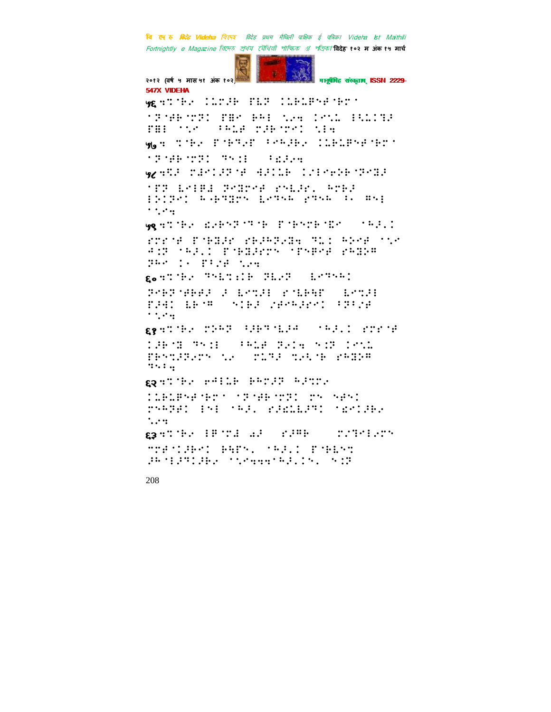बि एक रु मिनेट Videha विएक विदेह प्रथम मैथिली पाक्षिक ई पत्रिका Videha Ist Maithili Fortnightly e Magazine রিদেহ প্রথম মৌথিনী পাক্ষিক প্রা পত্রিকা**'বিदेह' १०२ म अंक १५ मार्च** 



मानुबेगिह संस्कृताम् ISSN 2229-

yg at the CLPPE FER CLELENFORT **TRABATED FOR BREAKING CALL BELLED** THE TERM PROPERTY OF STA West The Poster Peacher Clausenshop **STORY TO THE STORY OF STATE**  $\frac{1}{2}$  :  $\frac{1}{2}$  :  $\frac{1}{2}$  :  $\frac{1}{2}$  :  $\frac{1}{2}$ WARE TEMPER WORKER INFORMED **TER LAIRS RANGER SALES, AMBS** (5) Fall a specific constant pesal in and  $\cdot$  , , , , your the spectace in the manufacture of the prorrens physik regegie als ebne nin AN YEAR PARRETY TEMPE PARPE PRO DE PROF NOR gonnier Pringie Bird (1875-1 PORTOBER 2 LOCE POLERT  $\ldots$ THE BEST SIED SPORTS TOOP  $\gamma$  ,  $\gamma$  ,  $\gamma$ gentler chart specialle (influid chaine 1967 THI CHAN BAL NO CAL FRAMERY WAS MICH MANY PARA  $\ldots$ ganthe edile bend? benne COROBNETED 1 13 MEDITED THE NEWS ryage: Exported Figures: restigu  $\ddots$  $g_3$  and the collection and contribution **MMACHAIL BEN, SALL FOREST** JR SEPTIAN STRAGGEREN, ST

208

**547X VIDEHA**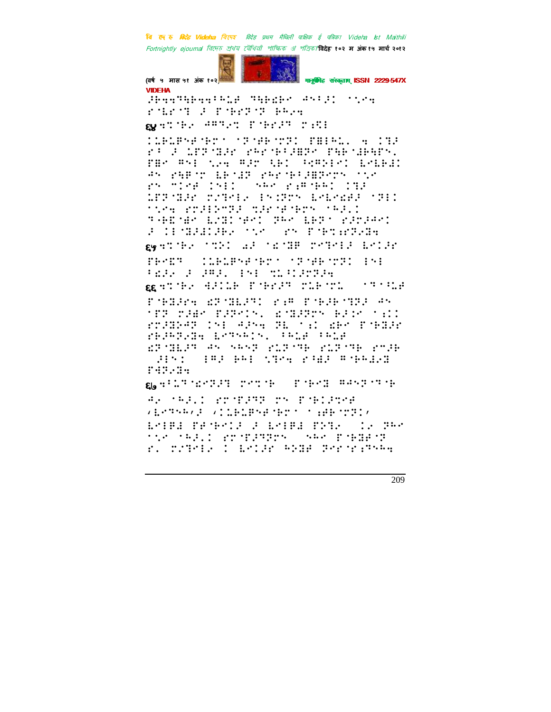बि एक रु मिनेट Videha विएक विदेह प्रथम मैथिली पाक्षिक ई पत्रिका Videha Ist Maithili Fortnightly ejournal রিদেত প্রথম মৌথিনী পাক্ষিক প্রা পত্রিকা**'বিदेह' १०२ म अंक १५ मार्च २०१२** 

PROFILED MAP SPECHALISM THE MEREN. FBP #5: 524 #35 5B1 PO#2:PC EPERIO AN PHEND LENGT PAPIERSHERM TO rs tite (sir) se regulari

gymmine ARTen PoliceT rate

**VIDEHA** Shaanhaannis nheibe gynsi tie riri Frerriten

CONSENSATION CONSENSION CONTRACTOR

(वर्ष ५ मास ५१ अंक १०२) मानूबीह संस्कृताम् ISSN 2229-547X



209

EPSHIP AS SASE FLESH FLESH FOLLO **SIMPLE STATE PROPERTY**  $\mathcal{L}$  :  $\mathcal{L}$ **PAP.B.** EG HILT MOTER CONCHE CENTOR CHAPTENT AP TAILI STORAGE TH PORCHE

LAIRE TRANSVILLE LAIRE TOTAL CONTRA MARKET PERFECT SAN FREED r. Titris I Eslam Andr Persinat

**VERTHALE VICELENE NET SOMETER** 

'PR THE PARTY STRAPH BAIR TIL rradog (ni gone al ri dor proda PROPREH ESTARIAL CRIB CRIB

gg at the SARILE of the PT only the  $\mathbb{R}^n \times \mathbb{R}^n \times \mathbb{R}^n$ remark aremary raw readyours as

**FRIDGE SHOPS IN STRIPS** 

FRANK (MANESARCH 1718-1771-18)

TORE PERINTRY TREATMENT ARRIV THEMP LIBINES DRY LEDY FRYRAM **FIREDRY NO POPIEDINE** gyernek (1921) al najde primile brile

LPP GER STATER INSPERSEDENT SPEC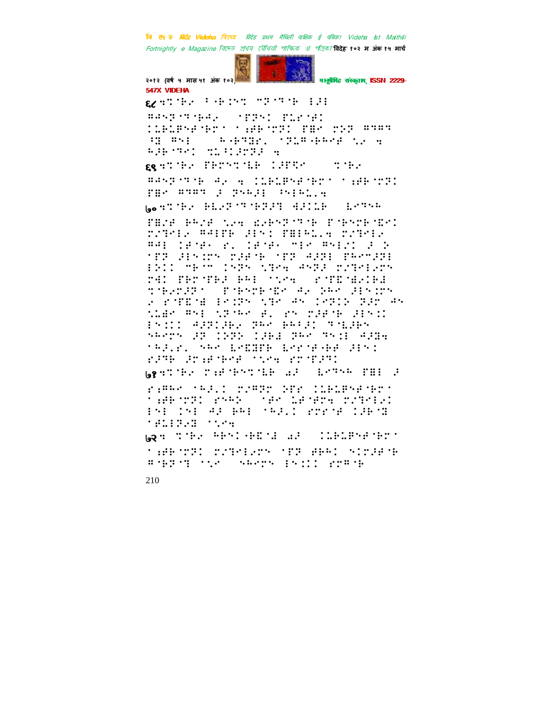**MALIBAR MARK** WRACK THE SERVE HE WAS ARRESTED FOR THE SERVE THAT I **TAPPED MATHEMS TER PRAI SIMPLE** Benedict the shape project problem

ramen (ed.) ramprover (leinesenen talkora: reek (ter 18 dra pudela) PHOTOS AP RAI TRACK POPTH CHOCK

FEAR PRAP NAME RAPSESTED FOR STREET retel, malfe disc formula retel. ##: 1#n#+ g. 1#n#+ m:r #s:21 # 2 'FF SENITH TEEN 'FF ASHE FRONZE 1011 MB M 1976 (1984 WORD SCHAFFER MAIL PROMPRE RRESONNEL SOMEOGRAPH there we have the serve that the serve 2 POTENE ESSTA NES 45 ISTID TER 45 MARK RNE MESPHOLEN PROPERTY SENIO Print Additional Der Bergi dingspr SARPS 28 1989 1261 862 9531 9286 SAFLEL SAF EPHINE EPHILAR SHAI rang arang ting ring rings Westify referribus are agreements

##SPOTOB #2 & ILBLPSPOBTO CHBOTPI FB- #3#3 } PSAPE PHING. Worth- Harthield Affair Lette

gg an ibe dibroard the clerne of the s

BASE SERGE (STEED TILEST **CLELPSHORY (1980-221 PB) 222 ANAS**  $\mathbb{R}^n$  and  $\mathbb{R}^n$ a bandar (1966) here a s **APP SACTOR REPORT A** 

& STORY FOR DOUBLE THE EPE

२०१२ (वर्ष ५ मास ५१ अंक १०२ ) 547X VIDEHA



।<br>अपनी अनुसार संस्कृतम् ISSN 2229-

बि एक रु मिनेट Videha विएक विदेह प्रथम मैथिली पाक्षिक ई पत्रिका Videha Ist Maithili Fortnightly e Magazine রিদেহ প্রথম মৌথিনী পাক্ষিক প্রা পত্রিকা**'বিदेह' १०२ म अंक १५ मार्च**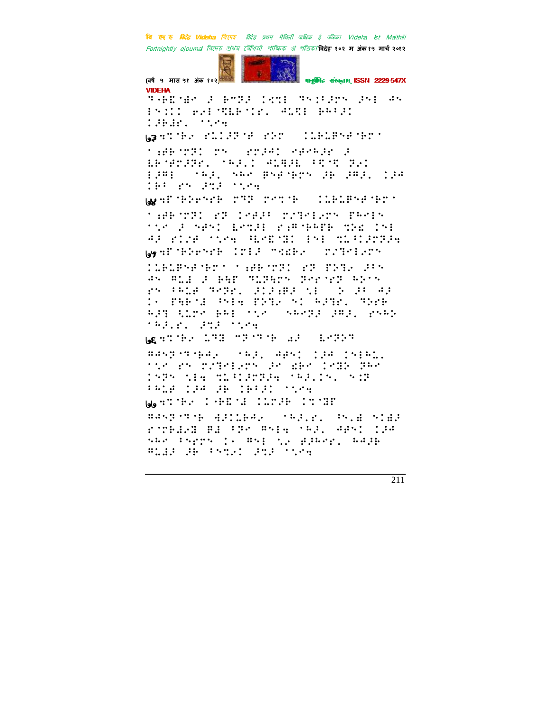बि एक रु मिनेट Videha विएक विदेह प्रथम मैथिली पाक्षिक ई पत्रिका Videha Ist Maithili Fortnightly ejournal রিদেত প্রথম মৌথিনী পাক্ষিক প্রা পত্রিকা**'বিदेह' १०२ म अंक १५ मार्च २०१२** 



मानूबीह संस्कृताम् ISSN 2229-547X

**VIDEHA** THE MACK PATTLE CATE TRIPLETS AND AN ESIL PRESENTE, ALSE PAPE TERRIT STATE

 $_{[a2]}$  : The condition of the condition of  $_{[a2]}$  .

taërol produkte nënga 2 EPHRITE (1911) ALBAN STORY TE play (all and paperns in 181, 194 iko arautan da

WHETHER THE THIS WAY **Allens and Service** 

tighter ar cealt every province the Forest Estel ramorre the Cri AF RICH SCRA HERICI IN SCRIPTER West then the Company weakly and company

CONDENSATION OF THE CONDITIONS OF THE CONDITION AN ALL 2 BAP SLEEDY PARTER ADAM PS PALE ROBEL SISHES NEW DOCE AS s peru su pre standar se RPD SLOW RRESONAL SRAPP PRP. PSRP **TRACK AND TOOK** 

GESTER LEE SPITE AF LETER

#453393442 (342) 4451 124 15141. the as outstanding about an out INFORMATION CONTINUES IN THE CONTINUES. PALE 124 HB 18931 1574 West the Common Construction of the Common

##SPSPE ARIGAN (SARVEL PVA SIA roman master myselerge apsilia SAR PSPPS IS RSE NE BIRGE, RAIR **BLEF SE PATE: STS TIME**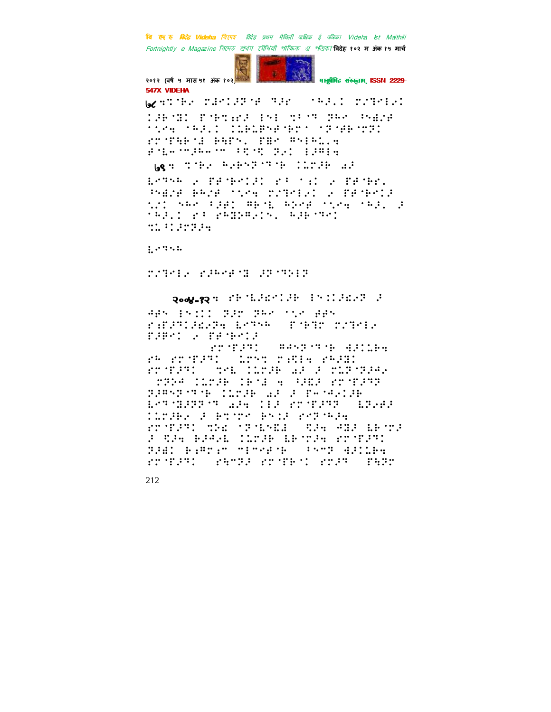बि एक रु मिनेट Videha विएक विदेह प्रथम मैथिली पाक्षिक ई पत्रिका Videha Ist Maithili Fortnightly e Magazine রিদেহ প্রথম মেথিনী পাক্ষিক প্রা পত্রিকা' **বিदेह' १०२ म अंक १५ मार्च** 



२०१२ (वर्ष ५ मास ५१ अंक १०२) **547X VIDEHA** 

We add the constitution of the control of the control of

THE TILL PORT AND INFLUENT THAT PARTY TORE TRACE COROPHENEN TRIABINGS **POSTED AND AND SERVICE SERVICE SERVICE SERVICE SERVICE SERVICE SERVICE SERVICE SERVICE SERVICE SERVICE SERVICE** #16-17PA-15 FR15 B21 12814

We will have the control of

ESTAR A PROPOSIC PROSSIMA PROPER PARTA BASE STRAG CONFIDENT & PROBATE un ses nam ekskopel sisk skal (  $\mathcal{F}(\mathbb{R},\mathbb{R},\mathbb{R})=\mathbb{R}^{n}\times\mathbb{R}^{n}\times\mathbb{R}^{n}\times\mathbb{R}^{n}\times\mathbb{R}^{n}\times\mathbb{R}^{n}\times\mathbb{R}^{n}\times\mathbb{R}^{n}\times\mathbb{R}^{n}\times\mathbb{R}^{n}\times\mathbb{R}^{n}\times\mathbb{R}^{n}\times\mathbb{R}^{n}\times\mathbb{R}^{n}\times\mathbb{R}^{n}\times\mathbb{R}^{n}\times\mathbb{R}^{n}\times\mathbb{R}^{n}\times\mathbb{R}^{n}\times\mathbb{R}$ **MARISHER** 

 $\mathbf{L}$  and  $\mathbf{L}$ 

rathe research spreads

Rook-88 at the Manufacture of the Control of

APS ISIL PAT PROJING PRS ranches best component COMPA PROPERTY

rring were guide an architect (1859) rather angels<br>architect (1861) 1189-149 g rivergege TERM COTAB CENE A SHER TO TEPP SPROGRAM (1928) AP 2 Professor<br>Entolpero admission from (ESA) TIMER 2 BUNG BRIE POTSBER FT TITE THE STANDED TIME AND UPSTA F CA BAGE COSA ERSON PRSPI FAAD BARSAM MEMMADA (1985 AADLBA FOREST PROTECTIVE CONTRACTO

2.12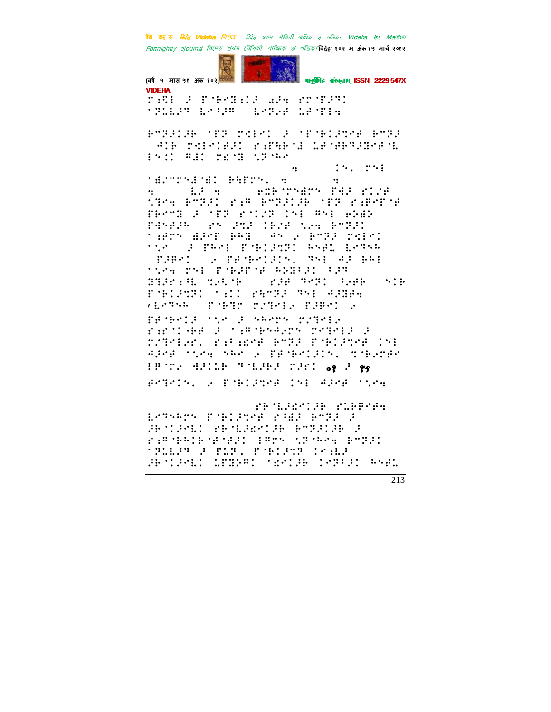बि एक रु मिनेट Videha विएक विदेह प्रथम मैथिली पाक्षिक ई पत्रिका Videha Ist Maithili Fortnightly ejournal রিদেত প্রথম মৌথিনী পাক্ষিক প্রা পত্রিকা**'বিदेह' १०२ म अंक १५ मार्च २०१२** 



मानुबेदि संस्कृतम् ISSN 2229-547X

**VIDEHA** ren a pyrana an crypp **MILLER LEADER CLERKE LEATER** 

PTRIAR TER TRIPI A TETRIATA PTRA **AND MONOGAL PARAGE LEADSHIPPIN ENGL #21 TEME SPAR** 

 $15.121$  $\dddot{\phantom{a}}$ **MARKET STATES STATES**  $\cdot$ :  $\mathbb{R}^3$  and  $\mathbb{R}^3$ **ASSEMS TELLISTS** útre broad ple broadle (po plerpje FRONT FOUR POINT INFORMED PANERN YN 252 IEZE NAW BM221 takr aker bezo en 2 brza rele: tir almen fangen ean break (IPAC) 2 PENCADA, TALGA PAL<br>Signa pal Popapor Pipalai lat  $\begin{picture}(150,10) \put(0,0){\vector(1,0){10}} \put(10,0){\vector(1,0){10}} \put(10,0){\vector(1,0){10}} \put(10,0){\vector(1,0){10}} \put(10,0){\vector(1,0){10}} \put(10,0){\vector(1,0){10}} \put(10,0){\vector(1,0){10}} \put(10,0){\vector(1,0){10}} \put(10,0){\vector(1,0){10}} \put(10,0){\vector(1,0){10}} \put(10,0){\vector(1,0){10}} \put(10,0){\vector($ STAR: H. T.R. TE POBLEMENT TALL PROPER TO PAREHA ALSAM PART TERRITOR FROM THE REAL MARKET MINIST rantee docategor percia rateler, rataret boys poblaced (S) Alep tie, new a probably construct EPOTA HALLE TOLARA TANL 08 A 89 British a Poblace los Alego car

ESTARTA PORTUGAR PORTUGALE HETAMI PERANTH PTHIS S rifined rened (Pro 1876-1875) trade a parl poblece leád

**JECTIFIC LEGARD CERTIF CRAFTS ANDL** 

**REMARKATE RIPPER**